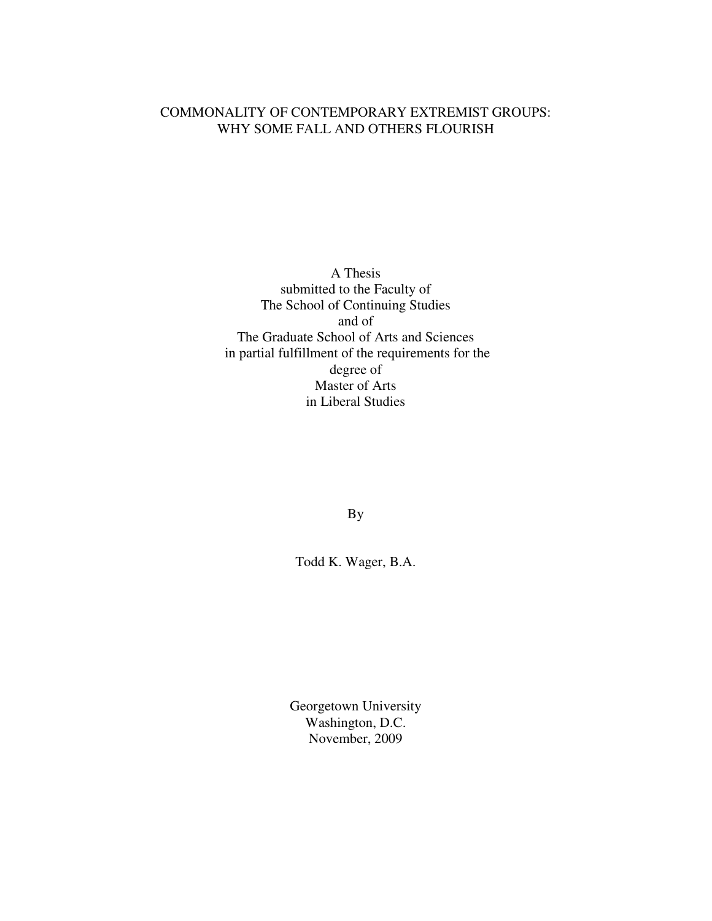## COMMONALITY OF CONTEMPORARY EXTREMIST GROUPS: WHY SOME FALL AND OTHERS FLOURISH

A Thesis submitted to the Faculty of The School of Continuing Studies and of The Graduate School of Arts and Sciences in partial fulfillment of the requirements for the degree of Master of Arts in Liberal Studies

By

Todd K. Wager, B.A.

Georgetown University Washington, D.C. November, 2009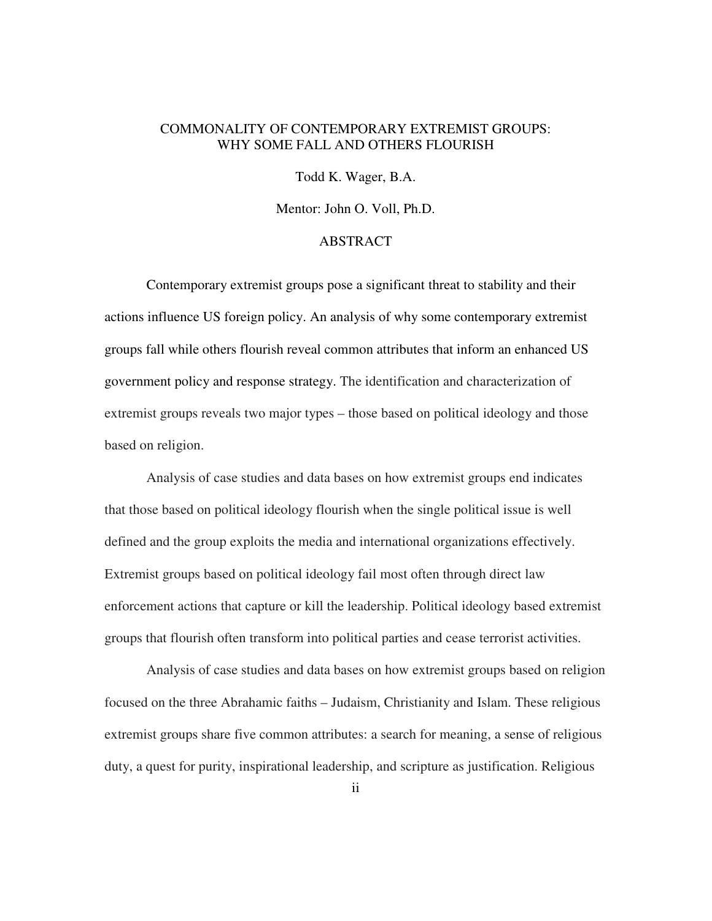### COMMONALITY OF CONTEMPORARY EXTREMIST GROUPS: WHY SOME FALL AND OTHERS FLOURISH

Todd K. Wager, B.A.

Mentor: John O. Voll, Ph.D.

#### ABSTRACT

Contemporary extremist groups pose a significant threat to stability and their actions influence US foreign policy. An analysis of why some contemporary extremist groups fall while others flourish reveal common attributes that inform an enhanced US government policy and response strategy. The identification and characterization of extremist groups reveals two major types – those based on political ideology and those based on religion.

Analysis of case studies and data bases on how extremist groups end indicates that those based on political ideology flourish when the single political issue is well defined and the group exploits the media and international organizations effectively. Extremist groups based on political ideology fail most often through direct law enforcement actions that capture or kill the leadership. Political ideology based extremist groups that flourish often transform into political parties and cease terrorist activities.

Analysis of case studies and data bases on how extremist groups based on religion focused on the three Abrahamic faiths – Judaism, Christianity and Islam. These religious extremist groups share five common attributes: a search for meaning, a sense of religious duty, a quest for purity, inspirational leadership, and scripture as justification. Religious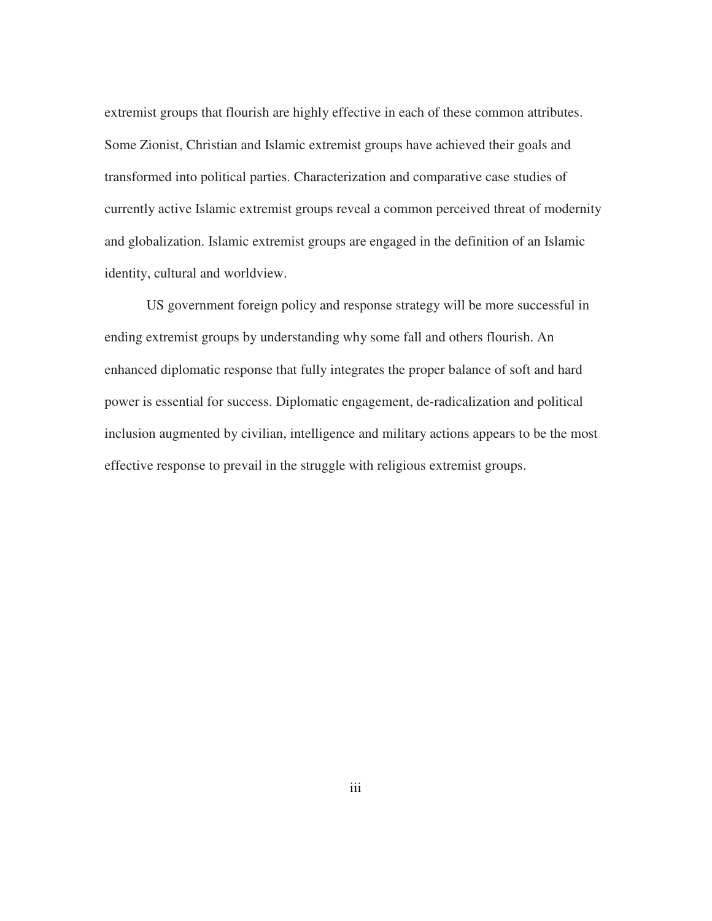extremist groups that flourish are highly effective in each of these common attributes. Some Zionist, Christian and Islamic extremist groups have achieved their goals and transformed into political parties. Characterization and comparative case studies of currently active Islamic extremist groups reveal a common perceived threat of modernity and globalization. Islamic extremist groups are engaged in the definition of an Islamic identity, cultural and worldview.

US government foreign policy and response strategy will be more successful in ending extremist groups by understanding why some fall and others flourish. An enhanced diplomatic response that fully integrates the proper balance of soft and hard power is essential for success. Diplomatic engagement, de-radicalization and political inclusion augmented by civilian, intelligence and military actions appears to be the most effective response to prevail in the struggle with religious extremist groups.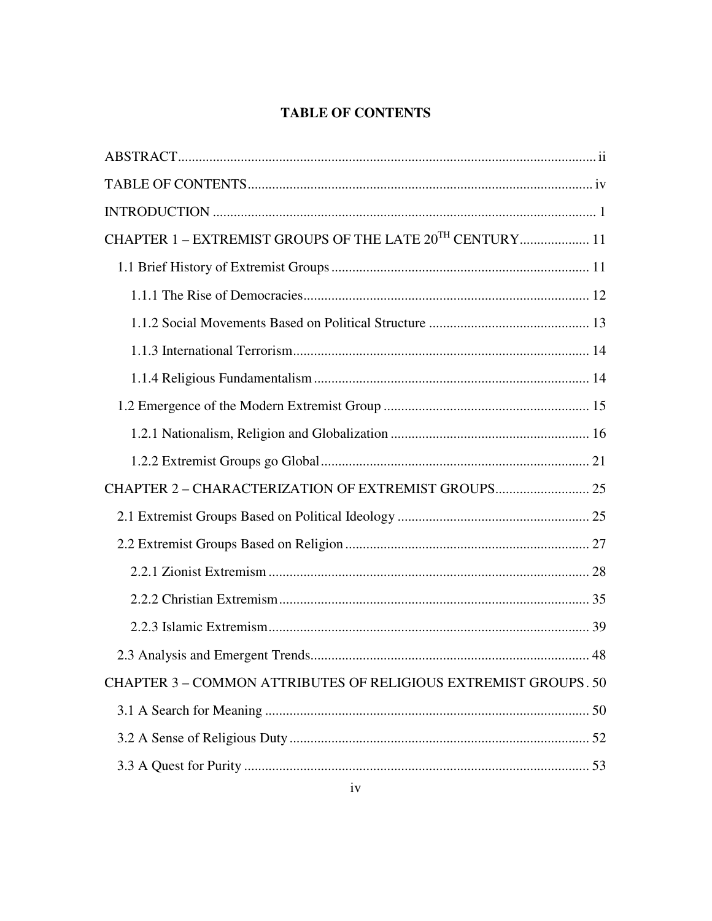# **TABLE OF CONTENTS**

| CHAPTER 1 - EXTREMIST GROUPS OF THE LATE 20 <sup>TH</sup> CENTURY 11 |
|----------------------------------------------------------------------|
|                                                                      |
|                                                                      |
|                                                                      |
|                                                                      |
|                                                                      |
|                                                                      |
|                                                                      |
|                                                                      |
|                                                                      |
|                                                                      |
|                                                                      |
|                                                                      |
|                                                                      |
|                                                                      |
|                                                                      |
| CHAPTER 3 - COMMON ATTRIBUTES OF RELIGIOUS EXTREMIST GROUPS. 50      |
|                                                                      |
|                                                                      |
|                                                                      |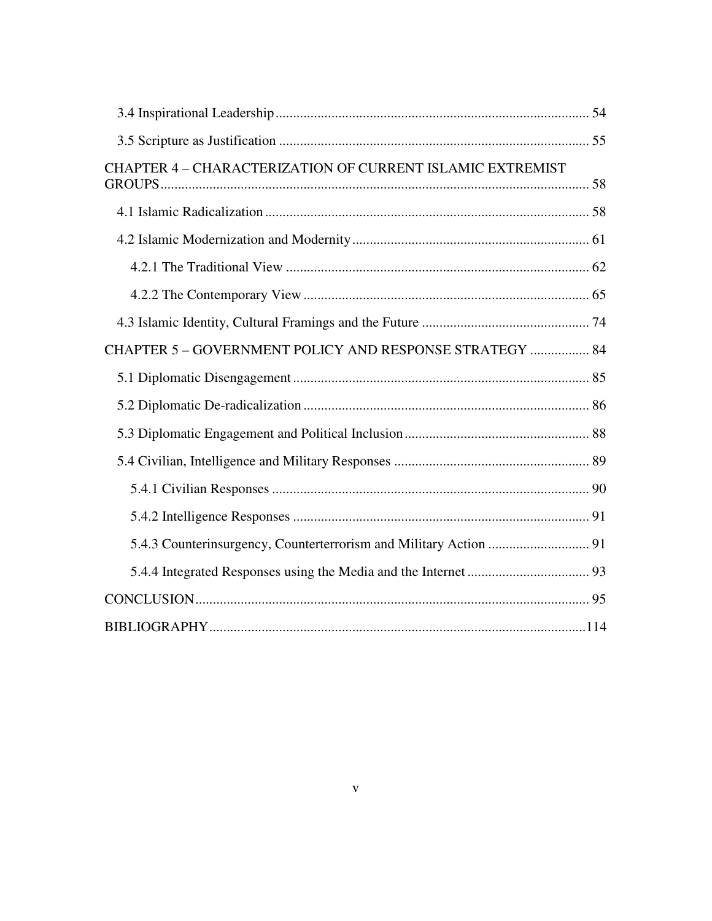| CHAPTER 4 - CHARACTERIZATION OF CURRENT ISLAMIC EXTREMIST |  |
|-----------------------------------------------------------|--|
|                                                           |  |
|                                                           |  |
|                                                           |  |
|                                                           |  |
|                                                           |  |
| CHAPTER 5 - GOVERNMENT POLICY AND RESPONSE STRATEGY  84   |  |
|                                                           |  |
|                                                           |  |
|                                                           |  |
|                                                           |  |
|                                                           |  |
|                                                           |  |
|                                                           |  |
|                                                           |  |
|                                                           |  |
|                                                           |  |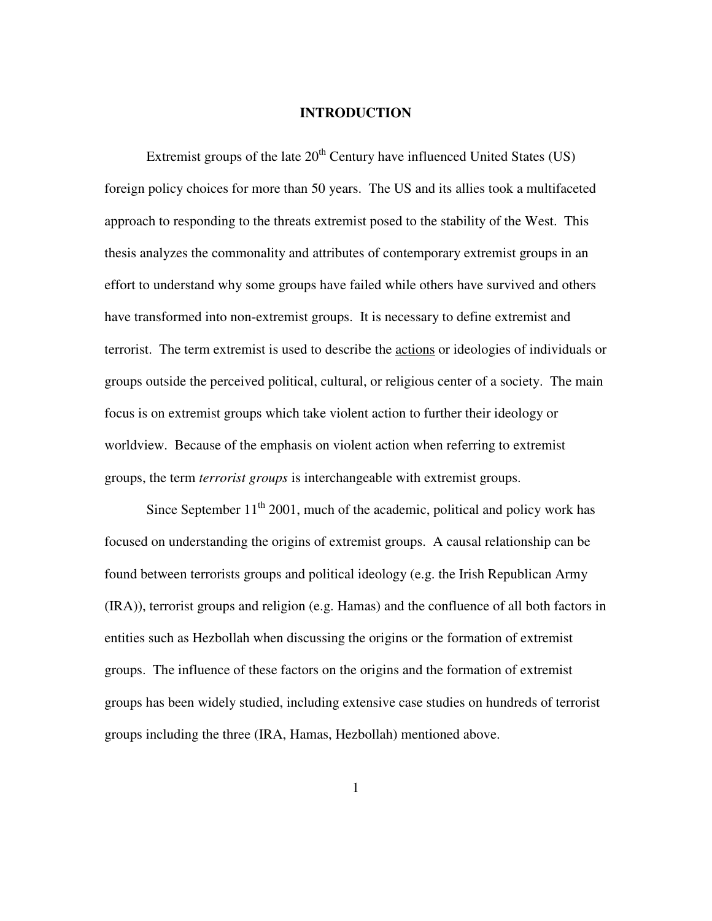#### **INTRODUCTION**

Extremist groups of the late  $20<sup>th</sup>$  Century have influenced United States (US) foreign policy choices for more than 50 years. The US and its allies took a multifaceted approach to responding to the threats extremist posed to the stability of the West. This thesis analyzes the commonality and attributes of contemporary extremist groups in an effort to understand why some groups have failed while others have survived and others have transformed into non-extremist groups. It is necessary to define extremist and terrorist. The term extremist is used to describe the actions or ideologies of individuals or groups outside the perceived political, cultural, or religious center of a society. The main focus is on extremist groups which take violent action to further their ideology or worldview. Because of the emphasis on violent action when referring to extremist groups, the term *terrorist groups* is interchangeable with extremist groups.

Since September  $11<sup>th</sup>$  2001, much of the academic, political and policy work has focused on understanding the origins of extremist groups. A causal relationship can be found between terrorists groups and political ideology (e.g. the Irish Republican Army (IRA)), terrorist groups and religion (e.g. Hamas) and the confluence of all both factors in entities such as Hezbollah when discussing the origins or the formation of extremist groups. The influence of these factors on the origins and the formation of extremist groups has been widely studied, including extensive case studies on hundreds of terrorist groups including the three (IRA, Hamas, Hezbollah) mentioned above.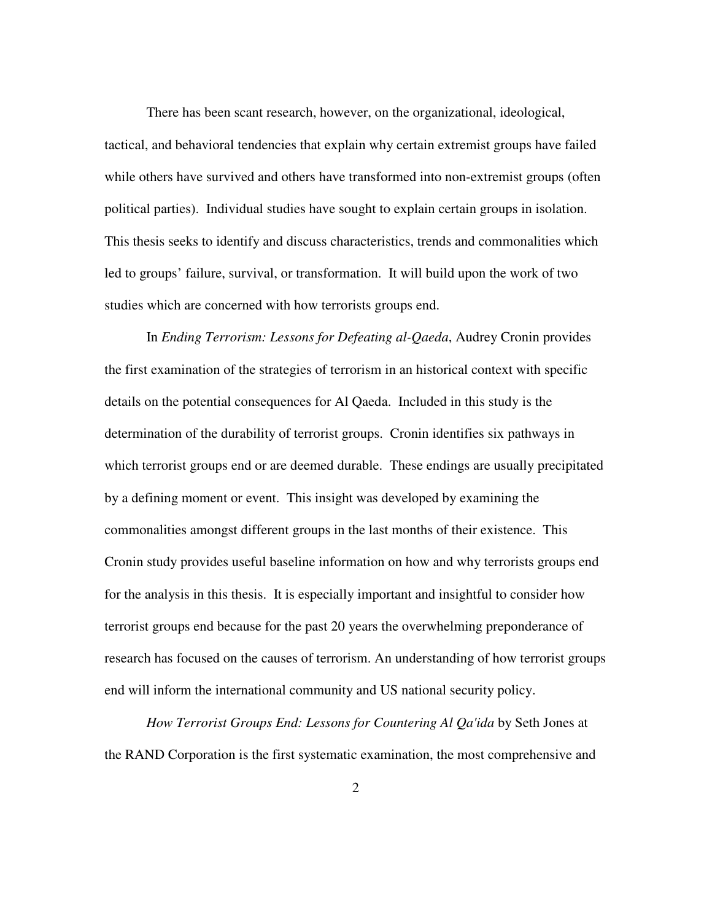There has been scant research, however, on the organizational, ideological, tactical, and behavioral tendencies that explain why certain extremist groups have failed while others have survived and others have transformed into non-extremist groups (often political parties). Individual studies have sought to explain certain groups in isolation. This thesis seeks to identify and discuss characteristics, trends and commonalities which led to groups' failure, survival, or transformation. It will build upon the work of two studies which are concerned with how terrorists groups end.

In *Ending Terrorism: Lessons for Defeating al-Qaeda*, Audrey Cronin provides the first examination of the strategies of terrorism in an historical context with specific details on the potential consequences for Al Qaeda. Included in this study is the determination of the durability of terrorist groups. Cronin identifies six pathways in which terrorist groups end or are deemed durable. These endings are usually precipitated by a defining moment or event. This insight was developed by examining the commonalities amongst different groups in the last months of their existence. This Cronin study provides useful baseline information on how and why terrorists groups end for the analysis in this thesis. It is especially important and insightful to consider how terrorist groups end because for the past 20 years the overwhelming preponderance of research has focused on the causes of terrorism. An understanding of how terrorist groups end will inform the international community and US national security policy.

*How Terrorist Groups End: Lessons for Countering Al Qa'ida* by Seth Jones at the RAND Corporation is the first systematic examination, the most comprehensive and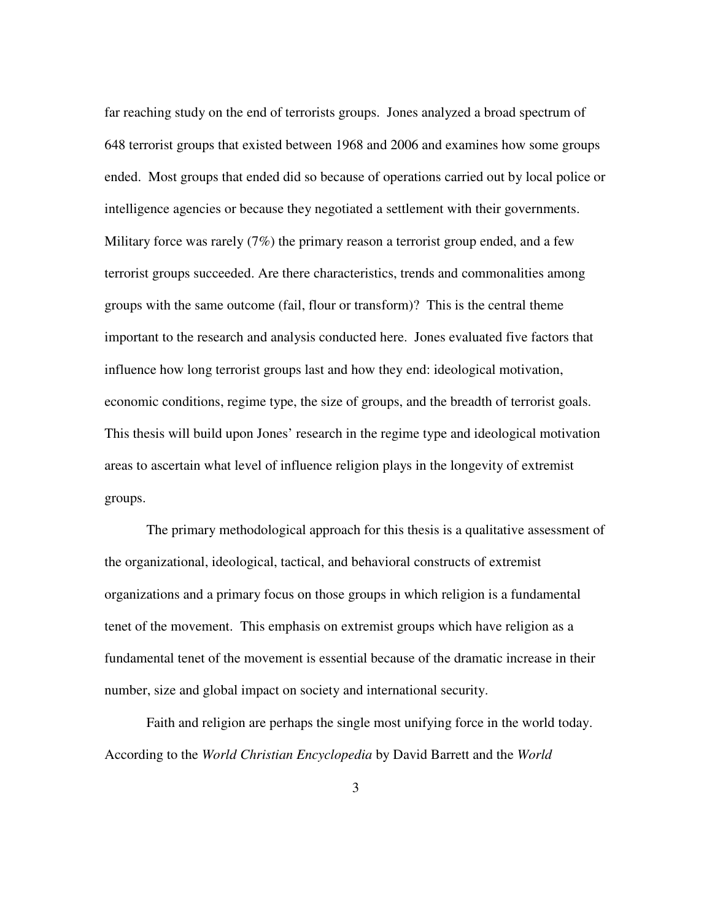far reaching study on the end of terrorists groups. Jones analyzed a broad spectrum of 648 terrorist groups that existed between 1968 and 2006 and examines how some groups ended. Most groups that ended did so because of operations carried out by local police or intelligence agencies or because they negotiated a settlement with their governments. Military force was rarely (7%) the primary reason a terrorist group ended, and a few terrorist groups succeeded. Are there characteristics, trends and commonalities among groups with the same outcome (fail, flour or transform)? This is the central theme important to the research and analysis conducted here. Jones evaluated five factors that influence how long terrorist groups last and how they end: ideological motivation, economic conditions, regime type, the size of groups, and the breadth of terrorist goals. This thesis will build upon Jones' research in the regime type and ideological motivation areas to ascertain what level of influence religion plays in the longevity of extremist groups.

The primary methodological approach for this thesis is a qualitative assessment of the organizational, ideological, tactical, and behavioral constructs of extremist organizations and a primary focus on those groups in which religion is a fundamental tenet of the movement. This emphasis on extremist groups which have religion as a fundamental tenet of the movement is essential because of the dramatic increase in their number, size and global impact on society and international security.

Faith and religion are perhaps the single most unifying force in the world today. According to the *World Christian Encyclopedia* by David Barrett and the *World*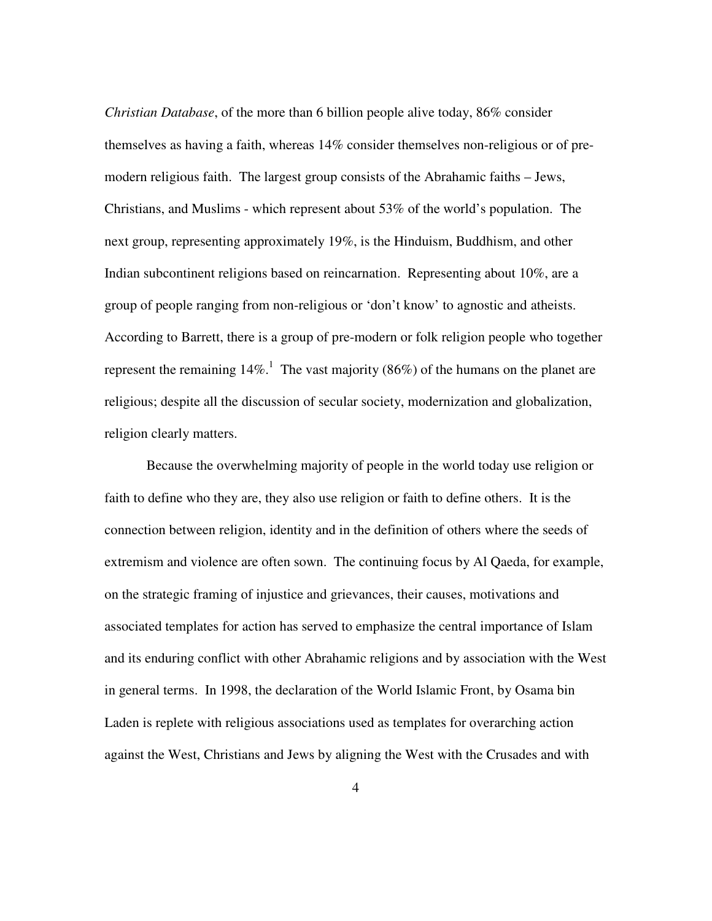*Christian Database*, of the more than 6 billion people alive today, 86% consider themselves as having a faith, whereas 14% consider themselves non-religious or of premodern religious faith. The largest group consists of the Abrahamic faiths – Jews, Christians, and Muslims - which represent about 53% of the world's population. The next group, representing approximately 19%, is the Hinduism, Buddhism, and other Indian subcontinent religions based on reincarnation. Representing about 10%, are a group of people ranging from non-religious or 'don't know' to agnostic and atheists. According to Barrett, there is a group of pre-modern or folk religion people who together represent the remaining  $14\%$ .<sup>1</sup> The vast majority (86%) of the humans on the planet are religious; despite all the discussion of secular society, modernization and globalization, religion clearly matters.

Because the overwhelming majority of people in the world today use religion or faith to define who they are, they also use religion or faith to define others. It is the connection between religion, identity and in the definition of others where the seeds of extremism and violence are often sown. The continuing focus by Al Qaeda, for example, on the strategic framing of injustice and grievances, their causes, motivations and associated templates for action has served to emphasize the central importance of Islam and its enduring conflict with other Abrahamic religions and by association with the West in general terms. In 1998, the declaration of the World Islamic Front, by Osama bin Laden is replete with religious associations used as templates for overarching action against the West, Christians and Jews by aligning the West with the Crusades and with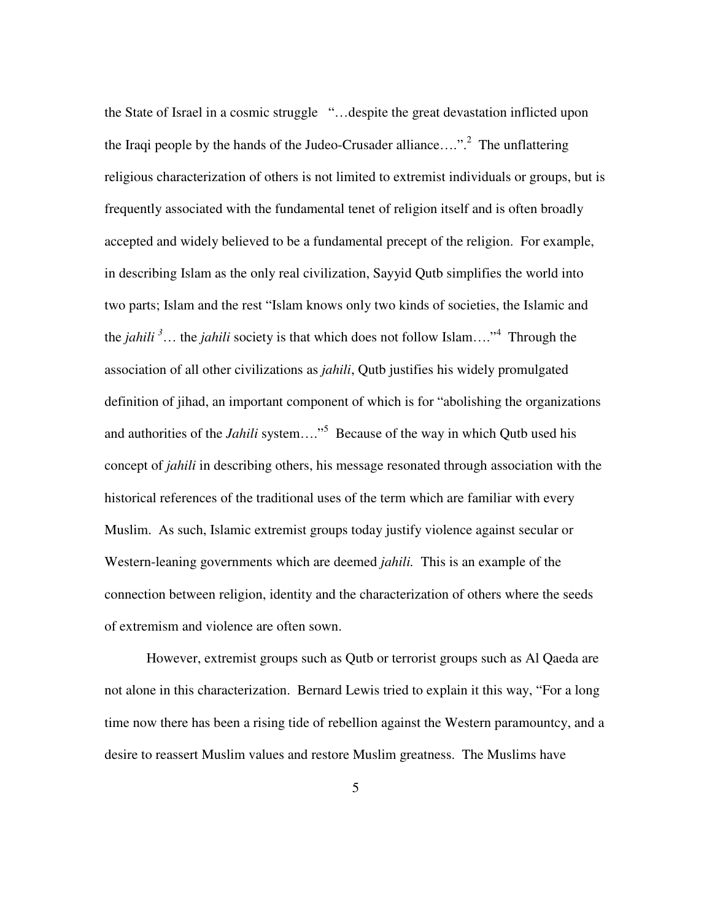the State of Israel in a cosmic struggle "…despite the great devastation inflicted upon the Iraqi people by the hands of the Judeo-Crusader alliance....".<sup>2</sup> The unflattering religious characterization of others is not limited to extremist individuals or groups, but is frequently associated with the fundamental tenet of religion itself and is often broadly accepted and widely believed to be a fundamental precept of the religion. For example, in describing Islam as the only real civilization, Sayyid Qutb simplifies the world into two parts; Islam and the rest "Islam knows only two kinds of societies, the Islamic and the *jahili <sup>3</sup>*… the *jahili* society is that which does not follow Islam…."<sup>4</sup> Through the association of all other civilizations as *jahili*, Qutb justifies his widely promulgated definition of jihad, an important component of which is for "abolishing the organizations and authorities of the *Jahili* system...."<sup>5</sup> Because of the way in which Qutb used his concept of *jahili* in describing others, his message resonated through association with the historical references of the traditional uses of the term which are familiar with every Muslim. As such, Islamic extremist groups today justify violence against secular or Western-leaning governments which are deemed *jahili.* This is an example of the connection between religion, identity and the characterization of others where the seeds of extremism and violence are often sown.

However, extremist groups such as Qutb or terrorist groups such as Al Qaeda are not alone in this characterization. Bernard Lewis tried to explain it this way, "For a long time now there has been a rising tide of rebellion against the Western paramountcy, and a desire to reassert Muslim values and restore Muslim greatness. The Muslims have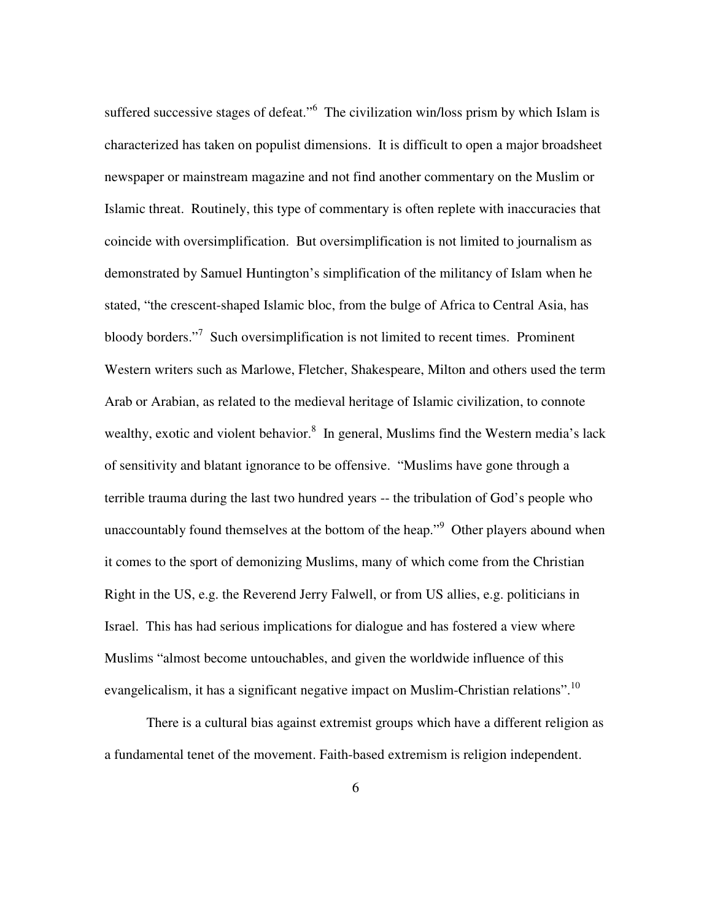suffered successive stages of defeat."<sup>6</sup> The civilization win/loss prism by which Islam is characterized has taken on populist dimensions. It is difficult to open a major broadsheet newspaper or mainstream magazine and not find another commentary on the Muslim or Islamic threat. Routinely, this type of commentary is often replete with inaccuracies that coincide with oversimplification. But oversimplification is not limited to journalism as demonstrated by Samuel Huntington's simplification of the militancy of Islam when he stated, "the crescent-shaped Islamic bloc, from the bulge of Africa to Central Asia, has bloody borders."<sup>7</sup> Such oversimplification is not limited to recent times. Prominent Western writers such as Marlowe, Fletcher, Shakespeare, Milton and others used the term Arab or Arabian, as related to the medieval heritage of Islamic civilization, to connote wealthy, exotic and violent behavior.<sup>8</sup> In general, Muslims find the Western media's lack of sensitivity and blatant ignorance to be offensive. "Muslims have gone through a terrible trauma during the last two hundred years -- the tribulation of God's people who unaccountably found themselves at the bottom of the heap."<sup>9</sup> Other players abound when it comes to the sport of demonizing Muslims, many of which come from the Christian Right in the US, e.g. the Reverend Jerry Falwell, or from US allies, e.g. politicians in Israel. This has had serious implications for dialogue and has fostered a view where Muslims "almost become untouchables, and given the worldwide influence of this evangelicalism, it has a significant negative impact on Muslim-Christian relations".<sup>10</sup>

There is a cultural bias against extremist groups which have a different religion as a fundamental tenet of the movement. Faith-based extremism is religion independent.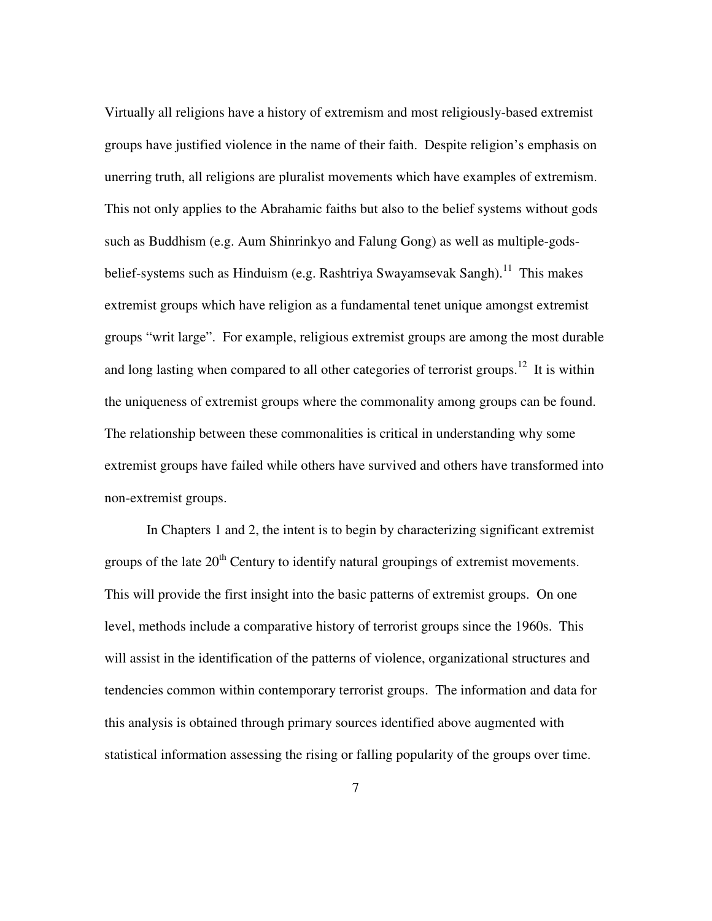Virtually all religions have a history of extremism and most religiously-based extremist groups have justified violence in the name of their faith. Despite religion's emphasis on unerring truth, all religions are pluralist movements which have examples of extremism. This not only applies to the Abrahamic faiths but also to the belief systems without gods such as Buddhism (e.g. Aum Shinrinkyo and Falung Gong) as well as multiple-godsbelief-systems such as Hinduism (e.g. Rashtriya Swayamsevak Sangh).<sup>11</sup> This makes extremist groups which have religion as a fundamental tenet unique amongst extremist groups "writ large". For example, religious extremist groups are among the most durable and long lasting when compared to all other categories of terrorist groups.<sup>12</sup> It is within the uniqueness of extremist groups where the commonality among groups can be found. The relationship between these commonalities is critical in understanding why some extremist groups have failed while others have survived and others have transformed into non-extremist groups.

In Chapters 1 and 2, the intent is to begin by characterizing significant extremist groups of the late  $20<sup>th</sup>$  Century to identify natural groupings of extremist movements. This will provide the first insight into the basic patterns of extremist groups. On one level, methods include a comparative history of terrorist groups since the 1960s. This will assist in the identification of the patterns of violence, organizational structures and tendencies common within contemporary terrorist groups. The information and data for this analysis is obtained through primary sources identified above augmented with statistical information assessing the rising or falling popularity of the groups over time.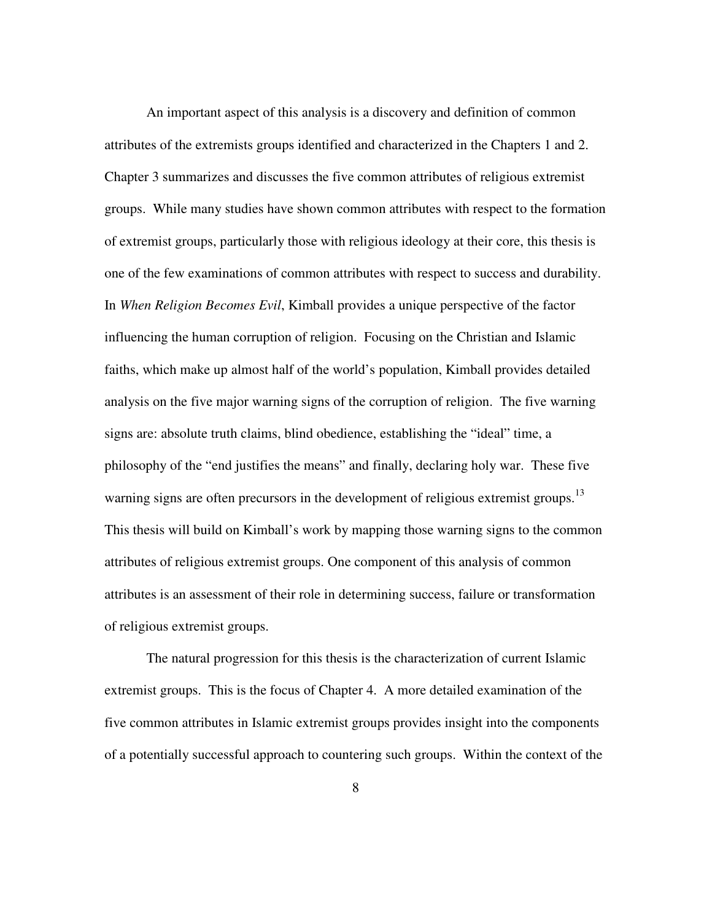An important aspect of this analysis is a discovery and definition of common attributes of the extremists groups identified and characterized in the Chapters 1 and 2. Chapter 3 summarizes and discusses the five common attributes of religious extremist groups. While many studies have shown common attributes with respect to the formation of extremist groups, particularly those with religious ideology at their core, this thesis is one of the few examinations of common attributes with respect to success and durability. In *When Religion Becomes Evil*, Kimball provides a unique perspective of the factor influencing the human corruption of religion. Focusing on the Christian and Islamic faiths, which make up almost half of the world's population, Kimball provides detailed analysis on the five major warning signs of the corruption of religion. The five warning signs are: absolute truth claims, blind obedience, establishing the "ideal" time, a philosophy of the "end justifies the means" and finally, declaring holy war. These five warning signs are often precursors in the development of religious extremist groups.<sup>13</sup> This thesis will build on Kimball's work by mapping those warning signs to the common attributes of religious extremist groups. One component of this analysis of common attributes is an assessment of their role in determining success, failure or transformation of religious extremist groups.

The natural progression for this thesis is the characterization of current Islamic extremist groups. This is the focus of Chapter 4. A more detailed examination of the five common attributes in Islamic extremist groups provides insight into the components of a potentially successful approach to countering such groups. Within the context of the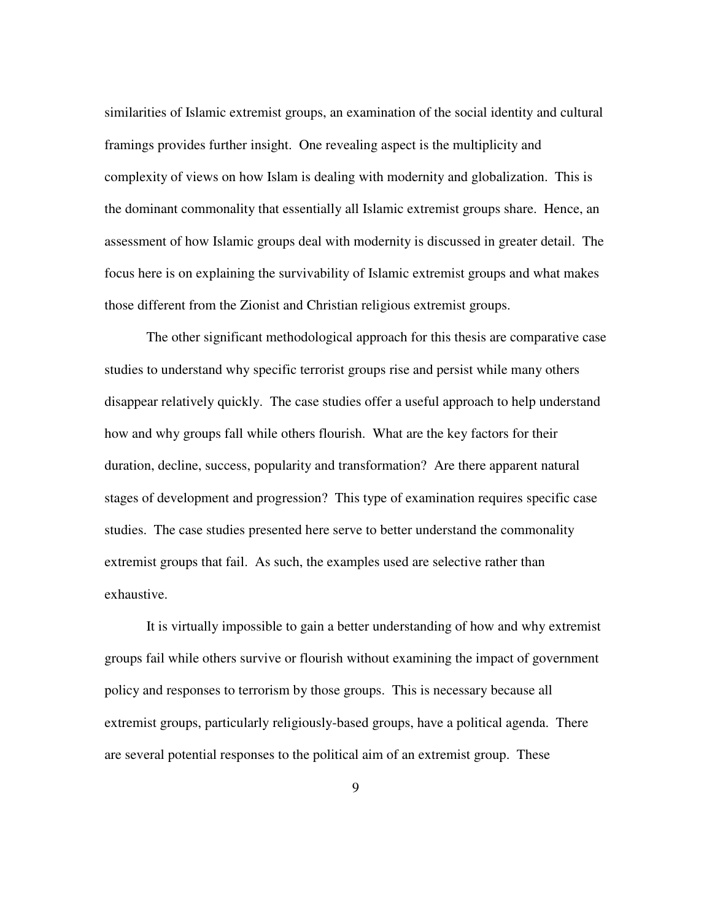similarities of Islamic extremist groups, an examination of the social identity and cultural framings provides further insight. One revealing aspect is the multiplicity and complexity of views on how Islam is dealing with modernity and globalization. This is the dominant commonality that essentially all Islamic extremist groups share. Hence, an assessment of how Islamic groups deal with modernity is discussed in greater detail. The focus here is on explaining the survivability of Islamic extremist groups and what makes those different from the Zionist and Christian religious extremist groups.

The other significant methodological approach for this thesis are comparative case studies to understand why specific terrorist groups rise and persist while many others disappear relatively quickly. The case studies offer a useful approach to help understand how and why groups fall while others flourish. What are the key factors for their duration, decline, success, popularity and transformation? Are there apparent natural stages of development and progression? This type of examination requires specific case studies. The case studies presented here serve to better understand the commonality extremist groups that fail. As such, the examples used are selective rather than exhaustive.

It is virtually impossible to gain a better understanding of how and why extremist groups fail while others survive or flourish without examining the impact of government policy and responses to terrorism by those groups. This is necessary because all extremist groups, particularly religiously-based groups, have a political agenda. There are several potential responses to the political aim of an extremist group. These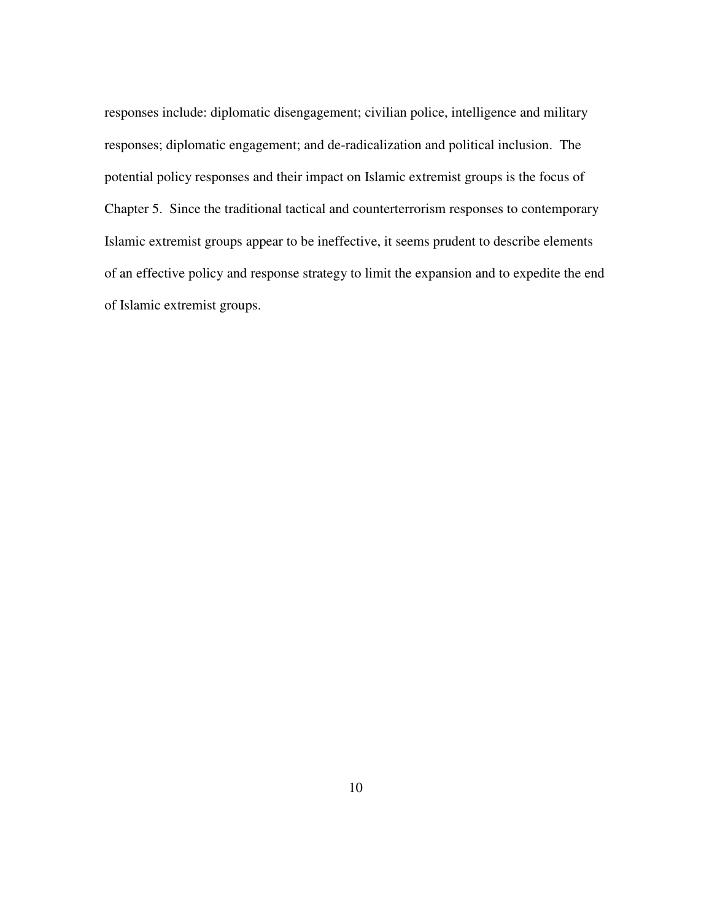responses include: diplomatic disengagement; civilian police, intelligence and military responses; diplomatic engagement; and de-radicalization and political inclusion. The potential policy responses and their impact on Islamic extremist groups is the focus of Chapter 5. Since the traditional tactical and counterterrorism responses to contemporary Islamic extremist groups appear to be ineffective, it seems prudent to describe elements of an effective policy and response strategy to limit the expansion and to expedite the end of Islamic extremist groups.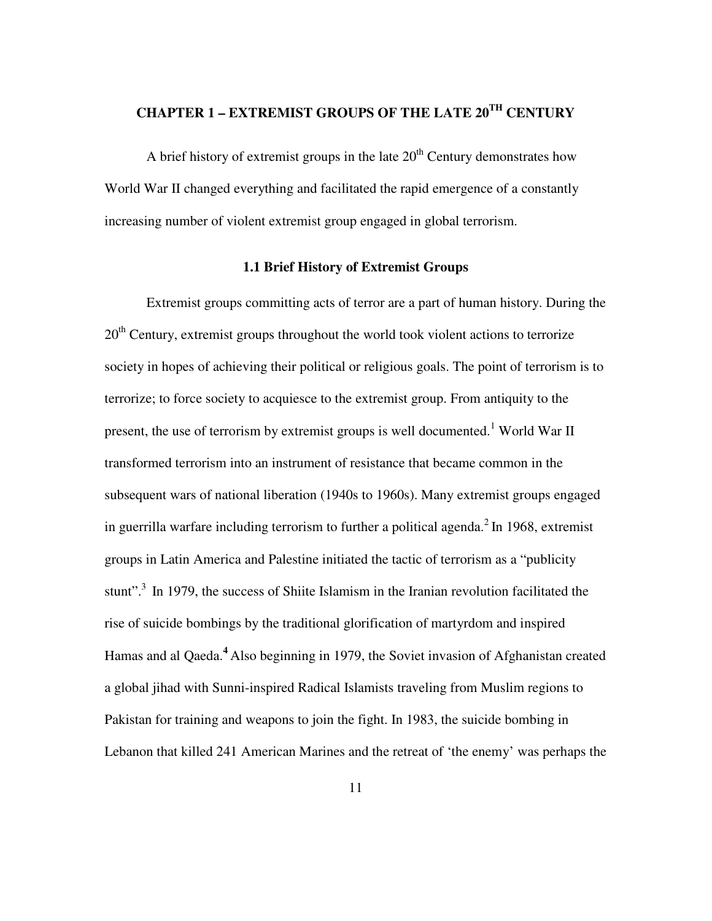# **CHAPTER 1 – EXTREMIST GROUPS OF THE LATE 20TH CENTURY**

A brief history of extremist groups in the late  $20<sup>th</sup>$  Century demonstrates how World War II changed everything and facilitated the rapid emergence of a constantly increasing number of violent extremist group engaged in global terrorism.

#### **1.1 Brief History of Extremist Groups**

Extremist groups committing acts of terror are a part of human history. During the  $20<sup>th</sup>$  Century, extremist groups throughout the world took violent actions to terrorize society in hopes of achieving their political or religious goals. The point of terrorism is to terrorize; to force society to acquiesce to the extremist group. From antiquity to the present, the use of terrorism by extremist groups is well documented.<sup>1</sup> World War II transformed terrorism into an instrument of resistance that became common in the subsequent wars of national liberation (1940s to 1960s). Many extremist groups engaged in guerrilla warfare including terrorism to further a political agenda. $2$  In 1968, extremist groups in Latin America and Palestine initiated the tactic of terrorism as a "publicity stunt".<sup>3</sup> In 1979, the success of Shiite Islamism in the Iranian revolution facilitated the rise of suicide bombings by the traditional glorification of martyrdom and inspired Hamas and al Qaeda.**<sup>4</sup>**Also beginning in 1979, the Soviet invasion of Afghanistan created a global jihad with Sunni-inspired Radical Islamists traveling from Muslim regions to Pakistan for training and weapons to join the fight. In 1983, the suicide bombing in Lebanon that killed 241 American Marines and the retreat of 'the enemy' was perhaps the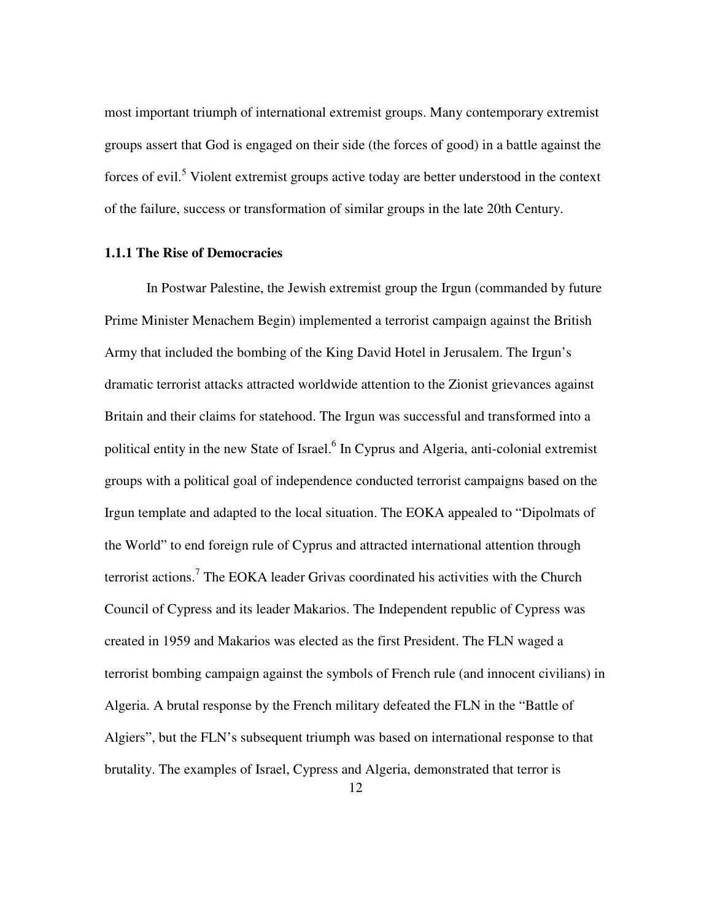most important triumph of international extremist groups. Many contemporary extremist groups assert that God is engaged on their side (the forces of good) in a battle against the forces of evil.<sup>5</sup> Violent extremist groups active today are better understood in the context of the failure, success or transformation of similar groups in the late 20th Century.

#### **1.1.1 The Rise of Democracies**

In Postwar Palestine, the Jewish extremist group the Irgun (commanded by future Prime Minister Menachem Begin) implemented a terrorist campaign against the British Army that included the bombing of the King David Hotel in Jerusalem. The Irgun's dramatic terrorist attacks attracted worldwide attention to the Zionist grievances against Britain and their claims for statehood. The Irgun was successful and transformed into a political entity in the new State of Israel.<sup>6</sup> In Cyprus and Algeria, anti-colonial extremist groups with a political goal of independence conducted terrorist campaigns based on the Irgun template and adapted to the local situation. The EOKA appealed to "Dipolmats of the World" to end foreign rule of Cyprus and attracted international attention through terrorist actions.<sup>7</sup> The EOKA leader Grivas coordinated his activities with the Church Council of Cypress and its leader Makarios. The Independent republic of Cypress was created in 1959 and Makarios was elected as the first President. The FLN waged a terrorist bombing campaign against the symbols of French rule (and innocent civilians) in Algeria. A brutal response by the French military defeated the FLN in the "Battle of Algiers", but the FLN's subsequent triumph was based on international response to that brutality. The examples of Israel, Cypress and Algeria, demonstrated that terror is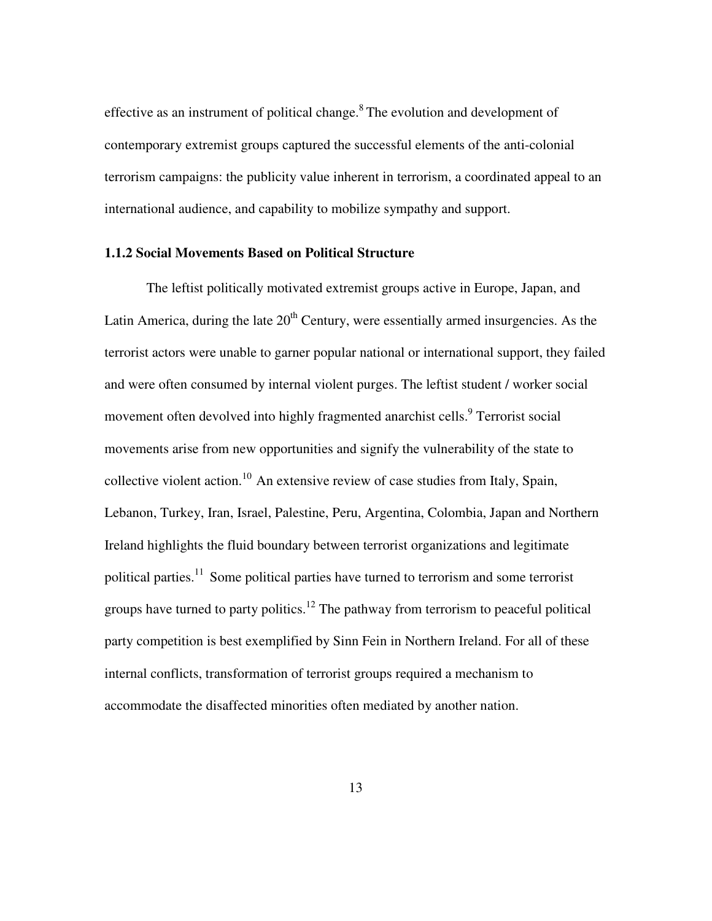effective as an instrument of political change. $8$  The evolution and development of contemporary extremist groups captured the successful elements of the anti-colonial terrorism campaigns: the publicity value inherent in terrorism, a coordinated appeal to an international audience, and capability to mobilize sympathy and support.

#### **1.1.2 Social Movements Based on Political Structure**

The leftist politically motivated extremist groups active in Europe, Japan, and Latin America, during the late  $20<sup>th</sup>$  Century, were essentially armed insurgencies. As the terrorist actors were unable to garner popular national or international support, they failed and were often consumed by internal violent purges. The leftist student / worker social movement often devolved into highly fragmented anarchist cells.<sup>9</sup> Terrorist social movements arise from new opportunities and signify the vulnerability of the state to collective violent action.<sup>10</sup>An extensive review of case studies from Italy, Spain, Lebanon, Turkey, Iran, Israel, Palestine, Peru, Argentina, Colombia, Japan and Northern Ireland highlights the fluid boundary between terrorist organizations and legitimate political parties.<sup>11</sup> Some political parties have turned to terrorism and some terrorist groups have turned to party politics.<sup>12</sup> The pathway from terrorism to peaceful political party competition is best exemplified by Sinn Fein in Northern Ireland. For all of these internal conflicts, transformation of terrorist groups required a mechanism to accommodate the disaffected minorities often mediated by another nation.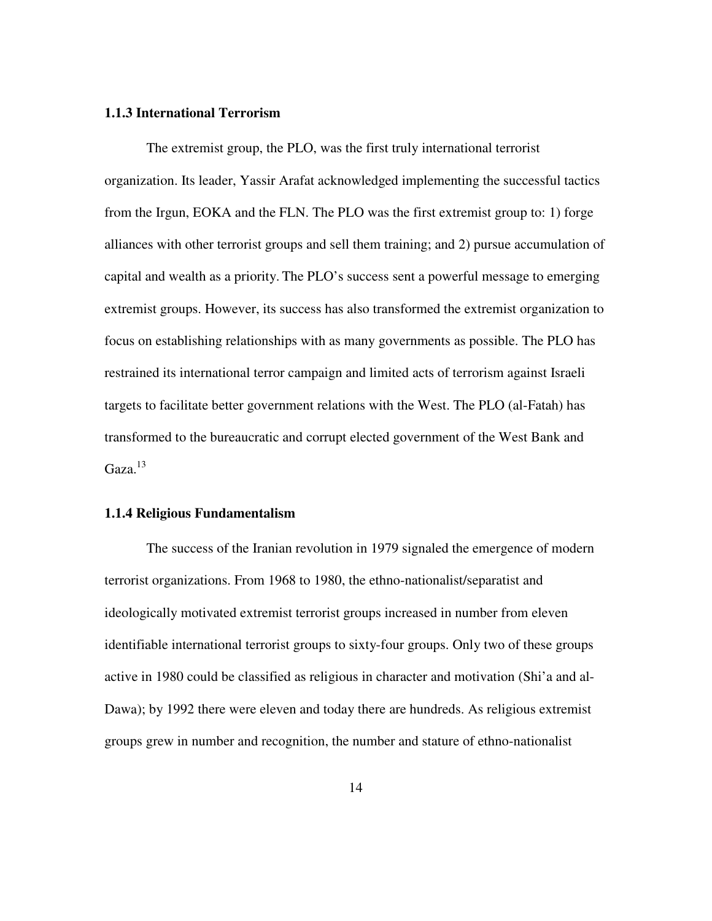#### **1.1.3 International Terrorism**

The extremist group, the PLO, was the first truly international terrorist organization. Its leader, Yassir Arafat acknowledged implementing the successful tactics from the Irgun, EOKA and the FLN. The PLO was the first extremist group to: 1) forge alliances with other terrorist groups and sell them training; and 2) pursue accumulation of capital and wealth as a priority. The PLO's success sent a powerful message to emerging extremist groups. However, its success has also transformed the extremist organization to focus on establishing relationships with as many governments as possible. The PLO has restrained its international terror campaign and limited acts of terrorism against Israeli targets to facilitate better government relations with the West. The PLO (al-Fatah) has transformed to the bureaucratic and corrupt elected government of the West Bank and  $Gaza.<sup>13</sup>$ 

#### **1.1.4 Religious Fundamentalism**

The success of the Iranian revolution in 1979 signaled the emergence of modern terrorist organizations. From 1968 to 1980, the ethno-nationalist/separatist and ideologically motivated extremist terrorist groups increased in number from eleven identifiable international terrorist groups to sixty-four groups. Only two of these groups active in 1980 could be classified as religious in character and motivation (Shi'a and al-Dawa); by 1992 there were eleven and today there are hundreds. As religious extremist groups grew in number and recognition, the number and stature of ethno-nationalist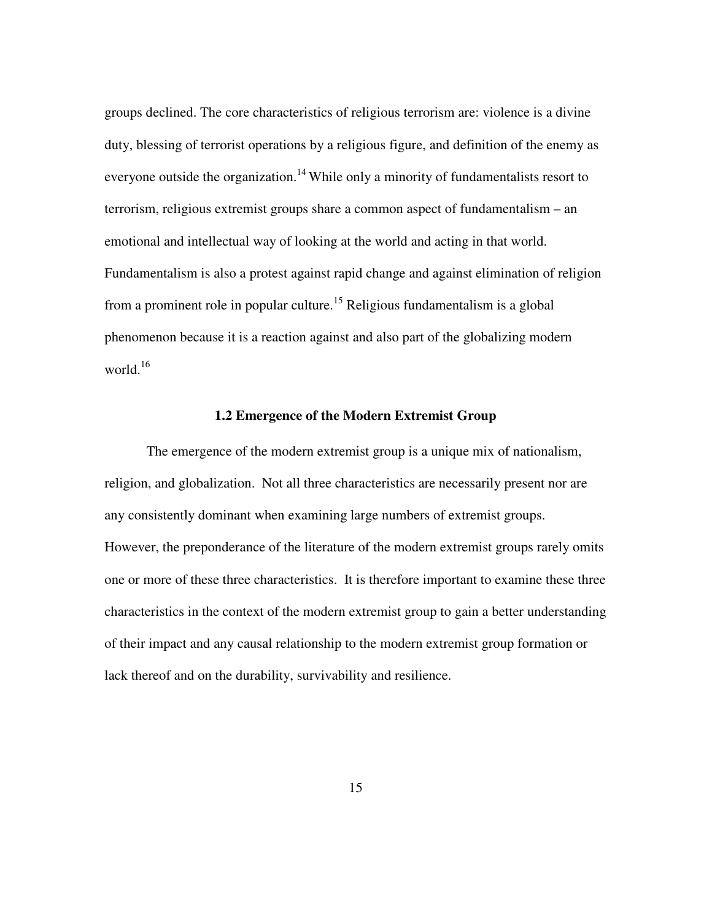groups declined. The core characteristics of religious terrorism are: violence is a divine duty, blessing of terrorist operations by a religious figure, and definition of the enemy as everyone outside the organization.<sup>14</sup> While only a minority of fundamentalists resort to terrorism, religious extremist groups share a common aspect of fundamentalism – an emotional and intellectual way of looking at the world and acting in that world. Fundamentalism is also a protest against rapid change and against elimination of religion from a prominent role in popular culture.<sup>15</sup> Religious fundamentalism is a global phenomenon because it is a reaction against and also part of the globalizing modern world. $16$ 

#### **1.2 Emergence of the Modern Extremist Group**

The emergence of the modern extremist group is a unique mix of nationalism, religion, and globalization. Not all three characteristics are necessarily present nor are any consistently dominant when examining large numbers of extremist groups. However, the preponderance of the literature of the modern extremist groups rarely omits one or more of these three characteristics. It is therefore important to examine these three characteristics in the context of the modern extremist group to gain a better understanding of their impact and any causal relationship to the modern extremist group formation or lack thereof and on the durability, survivability and resilience.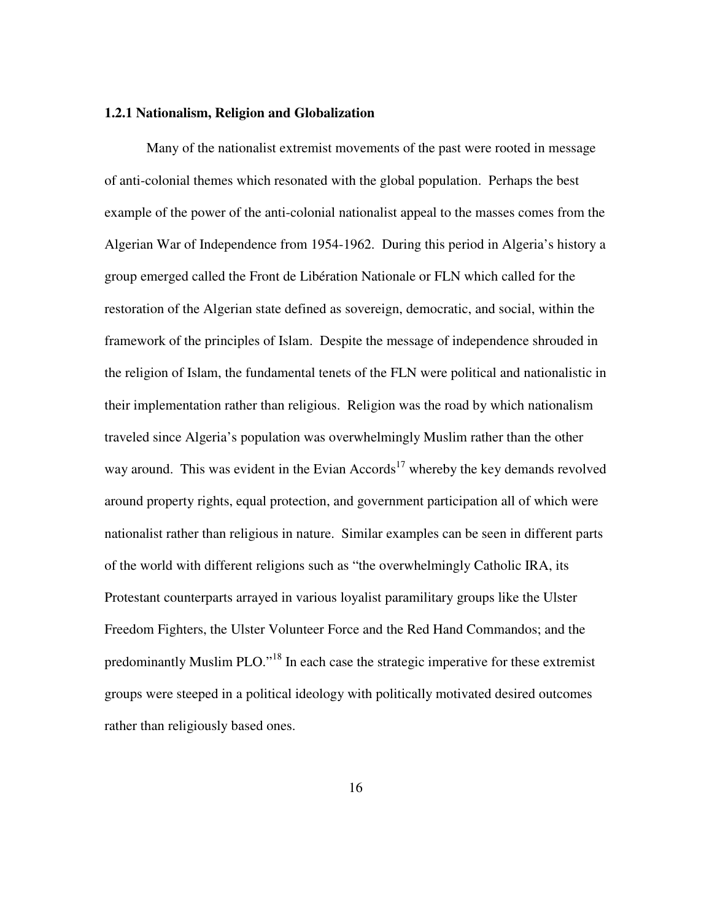#### **1.2.1 Nationalism, Religion and Globalization**

Many of the nationalist extremist movements of the past were rooted in message of anti-colonial themes which resonated with the global population. Perhaps the best example of the power of the anti-colonial nationalist appeal to the masses comes from the Algerian War of Independence from 1954-1962. During this period in Algeria's history a group emerged called the Front de Libération Nationale or FLN which called for the restoration of the Algerian state defined as sovereign, democratic, and social, within the framework of the principles of Islam. Despite the message of independence shrouded in the religion of Islam, the fundamental tenets of the FLN were political and nationalistic in their implementation rather than religious. Religion was the road by which nationalism traveled since Algeria's population was overwhelmingly Muslim rather than the other way around. This was evident in the Evian Accords<sup>17</sup> whereby the key demands revolved around property rights, equal protection, and government participation all of which were nationalist rather than religious in nature. Similar examples can be seen in different parts of the world with different religions such as "the overwhelmingly Catholic IRA, its Protestant counterparts arrayed in various loyalist paramilitary groups like the Ulster Freedom Fighters, the Ulster Volunteer Force and the Red Hand Commandos; and the predominantly Muslim PLO."<sup>18</sup> In each case the strategic imperative for these extremist groups were steeped in a political ideology with politically motivated desired outcomes rather than religiously based ones.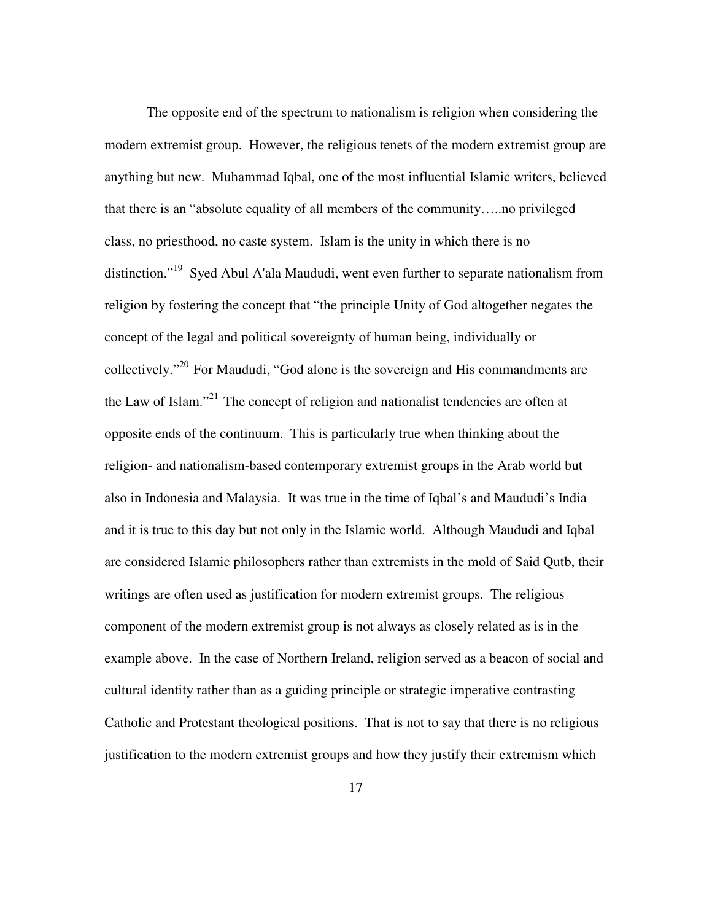The opposite end of the spectrum to nationalism is religion when considering the modern extremist group. However, the religious tenets of the modern extremist group are anything but new. Muhammad Iqbal, one of the most influential Islamic writers, believed that there is an "absolute equality of all members of the community…..no privileged class, no priesthood, no caste system. Islam is the unity in which there is no distinction."<sup>19</sup> Syed Abul A'ala Maududi, went even further to separate nationalism from religion by fostering the concept that "the principle Unity of God altogether negates the concept of the legal and political sovereignty of human being, individually or collectively."<sup>20</sup>For Maududi, "God alone is the sovereign and His commandments are the Law of Islam."<sup>21</sup>The concept of religion and nationalist tendencies are often at opposite ends of the continuum. This is particularly true when thinking about the religion- and nationalism-based contemporary extremist groups in the Arab world but also in Indonesia and Malaysia. It was true in the time of Iqbal's and Maududi's India and it is true to this day but not only in the Islamic world. Although Maududi and Iqbal are considered Islamic philosophers rather than extremists in the mold of Said Qutb, their writings are often used as justification for modern extremist groups. The religious component of the modern extremist group is not always as closely related as is in the example above. In the case of Northern Ireland, religion served as a beacon of social and cultural identity rather than as a guiding principle or strategic imperative contrasting Catholic and Protestant theological positions. That is not to say that there is no religious justification to the modern extremist groups and how they justify their extremism which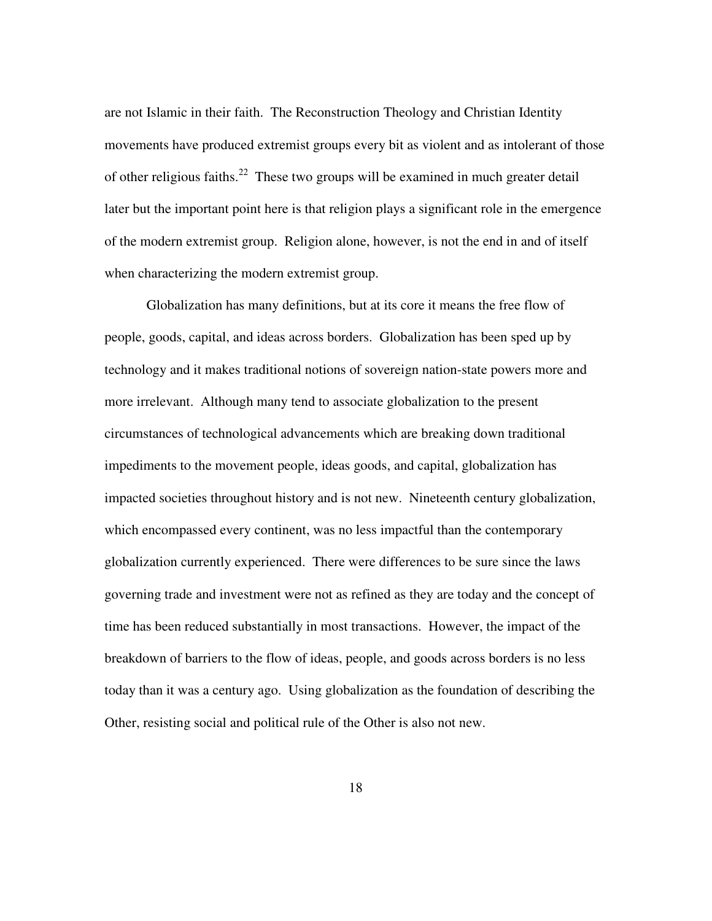are not Islamic in their faith. The Reconstruction Theology and Christian Identity movements have produced extremist groups every bit as violent and as intolerant of those of other religious faiths.<sup>22</sup> These two groups will be examined in much greater detail later but the important point here is that religion plays a significant role in the emergence of the modern extremist group. Religion alone, however, is not the end in and of itself when characterizing the modern extremist group.

Globalization has many definitions, but at its core it means the free flow of people, goods, capital, and ideas across borders. Globalization has been sped up by technology and it makes traditional notions of sovereign nation-state powers more and more irrelevant. Although many tend to associate globalization to the present circumstances of technological advancements which are breaking down traditional impediments to the movement people, ideas goods, and capital, globalization has impacted societies throughout history and is not new. Nineteenth century globalization, which encompassed every continent, was no less impactful than the contemporary globalization currently experienced. There were differences to be sure since the laws governing trade and investment were not as refined as they are today and the concept of time has been reduced substantially in most transactions. However, the impact of the breakdown of barriers to the flow of ideas, people, and goods across borders is no less today than it was a century ago. Using globalization as the foundation of describing the Other, resisting social and political rule of the Other is also not new.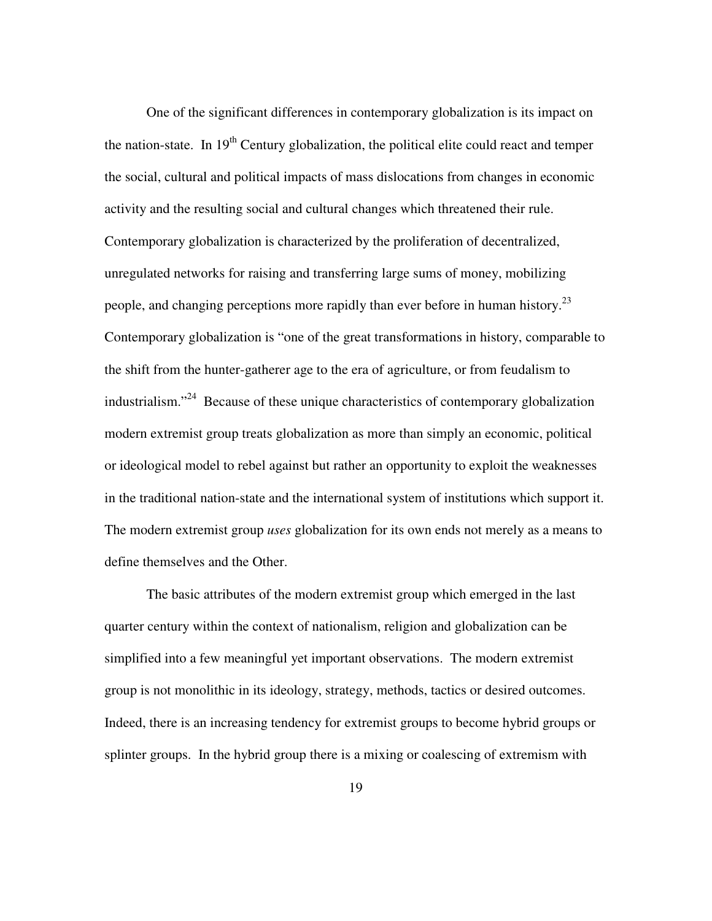One of the significant differences in contemporary globalization is its impact on the nation-state. In  $19<sup>th</sup>$  Century globalization, the political elite could react and temper the social, cultural and political impacts of mass dislocations from changes in economic activity and the resulting social and cultural changes which threatened their rule. Contemporary globalization is characterized by the proliferation of decentralized, unregulated networks for raising and transferring large sums of money, mobilizing people, and changing perceptions more rapidly than ever before in human history.<sup>23</sup> Contemporary globalization is "one of the great transformations in history, comparable to the shift from the hunter-gatherer age to the era of agriculture, or from feudalism to industrialism."<sup>24</sup> Because of these unique characteristics of contemporary globalization modern extremist group treats globalization as more than simply an economic, political or ideological model to rebel against but rather an opportunity to exploit the weaknesses in the traditional nation-state and the international system of institutions which support it. The modern extremist group *uses* globalization for its own ends not merely as a means to define themselves and the Other.

The basic attributes of the modern extremist group which emerged in the last quarter century within the context of nationalism, religion and globalization can be simplified into a few meaningful yet important observations. The modern extremist group is not monolithic in its ideology, strategy, methods, tactics or desired outcomes. Indeed, there is an increasing tendency for extremist groups to become hybrid groups or splinter groups. In the hybrid group there is a mixing or coalescing of extremism with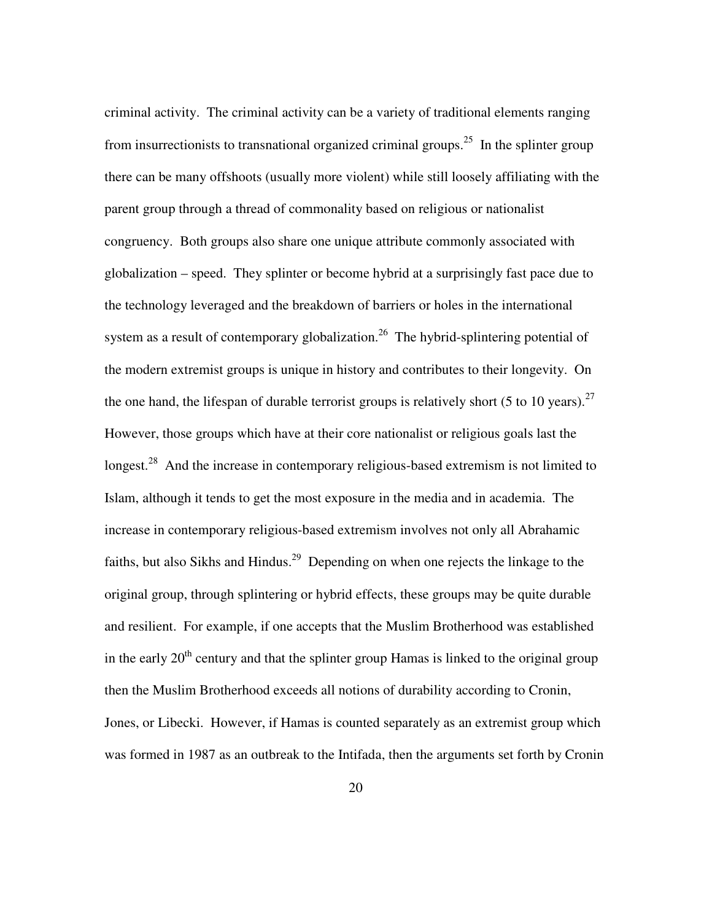criminal activity. The criminal activity can be a variety of traditional elements ranging from insurrectionists to transnational organized criminal groups.<sup>25</sup> In the splinter group there can be many offshoots (usually more violent) while still loosely affiliating with the parent group through a thread of commonality based on religious or nationalist congruency. Both groups also share one unique attribute commonly associated with globalization – speed. They splinter or become hybrid at a surprisingly fast pace due to the technology leveraged and the breakdown of barriers or holes in the international system as a result of contemporary globalization.<sup>26</sup> The hybrid-splintering potential of the modern extremist groups is unique in history and contributes to their longevity. On the one hand, the lifespan of durable terrorist groups is relatively short (5 to 10 years).<sup>27</sup> However, those groups which have at their core nationalist or religious goals last the longest.<sup>28</sup> And the increase in contemporary religious-based extremism is not limited to Islam, although it tends to get the most exposure in the media and in academia. The increase in contemporary religious-based extremism involves not only all Abrahamic faiths, but also Sikhs and Hindus.<sup>29</sup> Depending on when one rejects the linkage to the original group, through splintering or hybrid effects, these groups may be quite durable and resilient. For example, if one accepts that the Muslim Brotherhood was established in the early  $20<sup>th</sup>$  century and that the splinter group Hamas is linked to the original group then the Muslim Brotherhood exceeds all notions of durability according to Cronin, Jones, or Libecki. However, if Hamas is counted separately as an extremist group which was formed in 1987 as an outbreak to the Intifada, then the arguments set forth by Cronin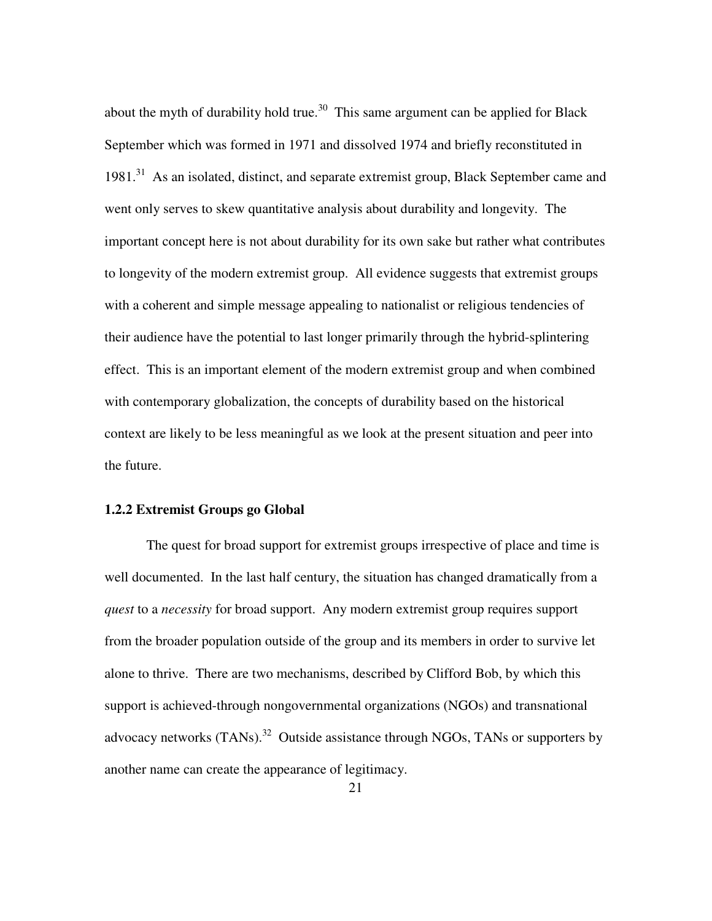about the myth of durability hold true.<sup>30</sup> This same argument can be applied for Black September which was formed in 1971 and dissolved 1974 and briefly reconstituted in 1981.<sup>31</sup> As an isolated, distinct, and separate extremist group, Black September came and went only serves to skew quantitative analysis about durability and longevity. The important concept here is not about durability for its own sake but rather what contributes to longevity of the modern extremist group. All evidence suggests that extremist groups with a coherent and simple message appealing to nationalist or religious tendencies of their audience have the potential to last longer primarily through the hybrid-splintering effect. This is an important element of the modern extremist group and when combined with contemporary globalization, the concepts of durability based on the historical context are likely to be less meaningful as we look at the present situation and peer into the future.

#### **1.2.2 Extremist Groups go Global**

The quest for broad support for extremist groups irrespective of place and time is well documented. In the last half century, the situation has changed dramatically from a *quest* to a *necessity* for broad support. Any modern extremist group requires support from the broader population outside of the group and its members in order to survive let alone to thrive. There are two mechanisms, described by Clifford Bob, by which this support is achieved-through nongovernmental organizations (NGOs) and transnational advocacy networks  $(TANs)$ <sup>32</sup> Outside assistance through NGOs, TANs or supporters by another name can create the appearance of legitimacy.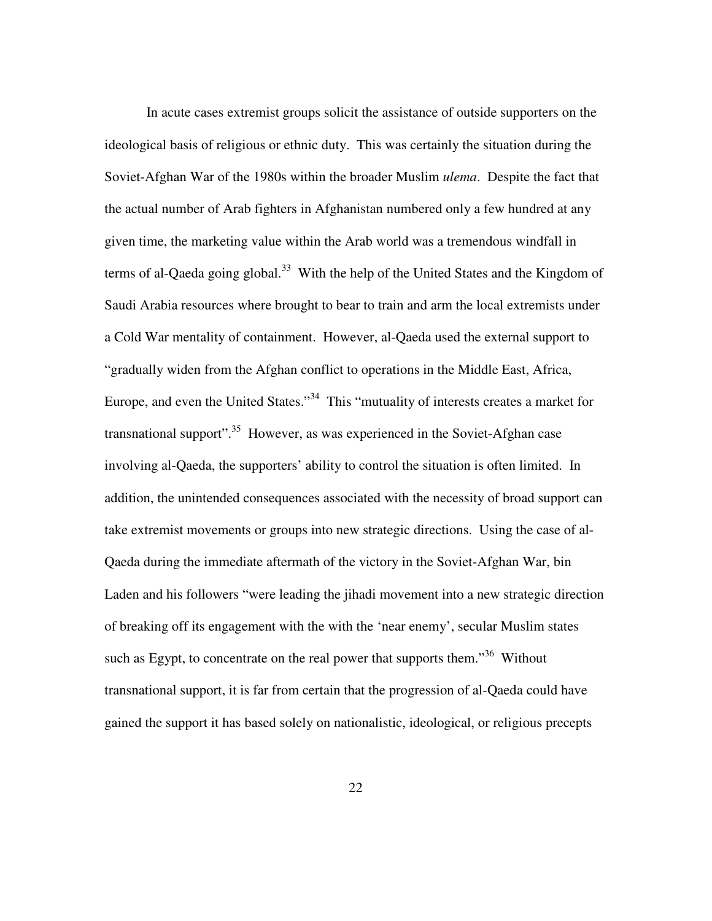In acute cases extremist groups solicit the assistance of outside supporters on the ideological basis of religious or ethnic duty. This was certainly the situation during the Soviet-Afghan War of the 1980s within the broader Muslim *ulema*. Despite the fact that the actual number of Arab fighters in Afghanistan numbered only a few hundred at any given time, the marketing value within the Arab world was a tremendous windfall in terms of al-Qaeda going global.<sup>33</sup> With the help of the United States and the Kingdom of Saudi Arabia resources where brought to bear to train and arm the local extremists under a Cold War mentality of containment. However, al-Qaeda used the external support to "gradually widen from the Afghan conflict to operations in the Middle East, Africa, Europe, and even the United States."<sup>34</sup> This "mutuality of interests creates a market for transnational support"<sup>35</sup>. However, as was experienced in the Soviet-Afghan case involving al-Qaeda, the supporters' ability to control the situation is often limited. In addition, the unintended consequences associated with the necessity of broad support can take extremist movements or groups into new strategic directions. Using the case of al-Qaeda during the immediate aftermath of the victory in the Soviet-Afghan War, bin Laden and his followers "were leading the jihadi movement into a new strategic direction of breaking off its engagement with the with the 'near enemy', secular Muslim states such as Egypt, to concentrate on the real power that supports them.<sup>36</sup> Without transnational support, it is far from certain that the progression of al-Qaeda could have gained the support it has based solely on nationalistic, ideological, or religious precepts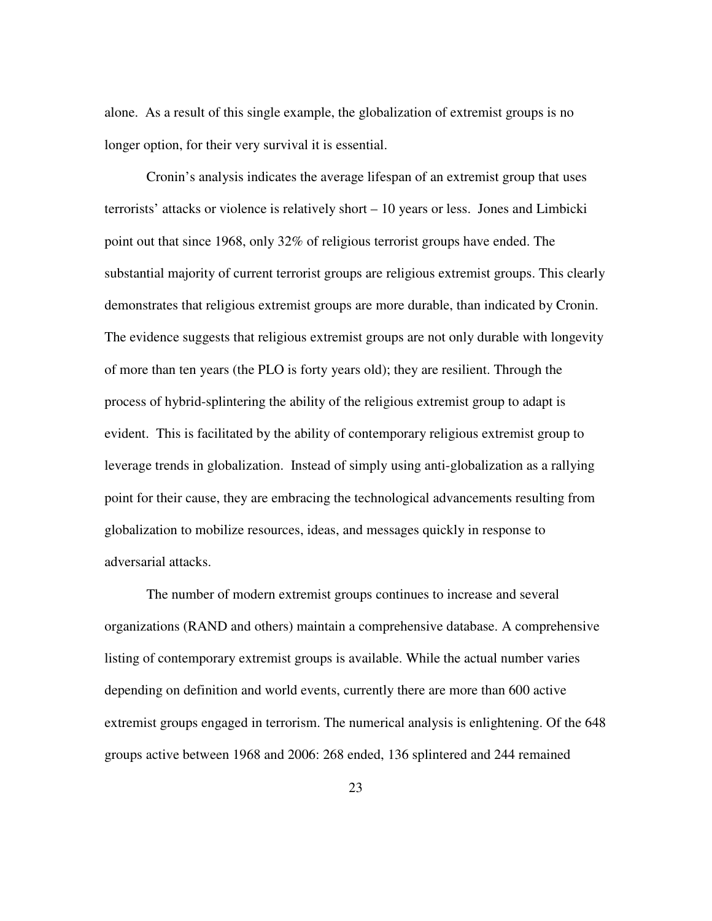alone. As a result of this single example, the globalization of extremist groups is no longer option, for their very survival it is essential.

Cronin's analysis indicates the average lifespan of an extremist group that uses terrorists' attacks or violence is relatively short – 10 years or less. Jones and Limbicki point out that since 1968, only 32% of religious terrorist groups have ended. The substantial majority of current terrorist groups are religious extremist groups. This clearly demonstrates that religious extremist groups are more durable, than indicated by Cronin. The evidence suggests that religious extremist groups are not only durable with longevity of more than ten years (the PLO is forty years old); they are resilient. Through the process of hybrid-splintering the ability of the religious extremist group to adapt is evident. This is facilitated by the ability of contemporary religious extremist group to leverage trends in globalization. Instead of simply using anti-globalization as a rallying point for their cause, they are embracing the technological advancements resulting from globalization to mobilize resources, ideas, and messages quickly in response to adversarial attacks.

The number of modern extremist groups continues to increase and several organizations (RAND and others) maintain a comprehensive database. A comprehensive listing of contemporary extremist groups is available. While the actual number varies depending on definition and world events, currently there are more than 600 active extremist groups engaged in terrorism. The numerical analysis is enlightening. Of the 648 groups active between 1968 and 2006: 268 ended, 136 splintered and 244 remained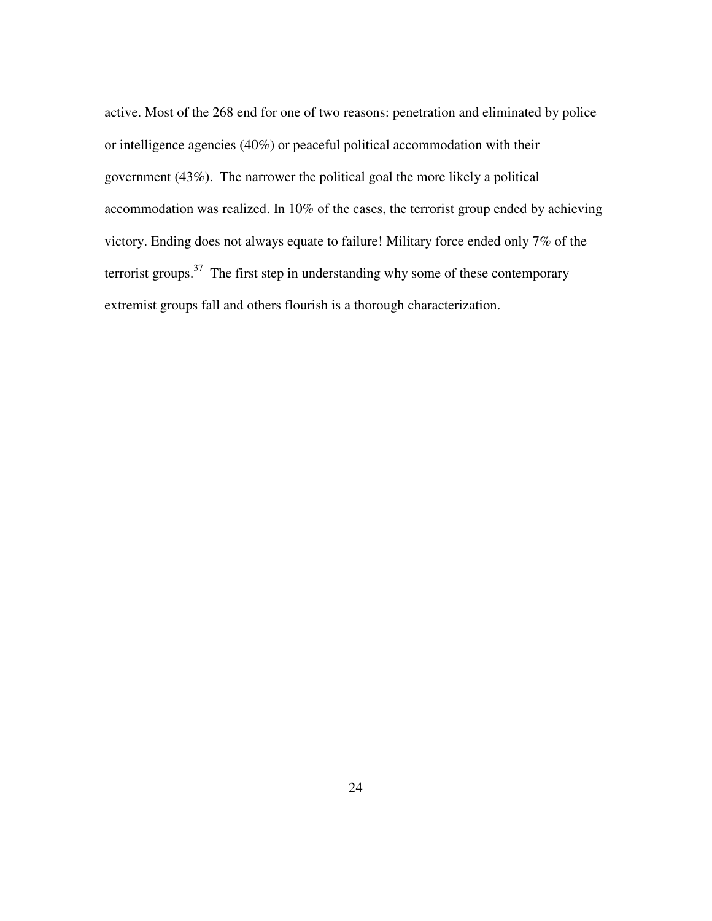active. Most of the 268 end for one of two reasons: penetration and eliminated by police or intelligence agencies (40%) or peaceful political accommodation with their government (43%). The narrower the political goal the more likely a political accommodation was realized. In 10% of the cases, the terrorist group ended by achieving victory. Ending does not always equate to failure! Military force ended only 7% of the terrorist groups. $37$  The first step in understanding why some of these contemporary extremist groups fall and others flourish is a thorough characterization.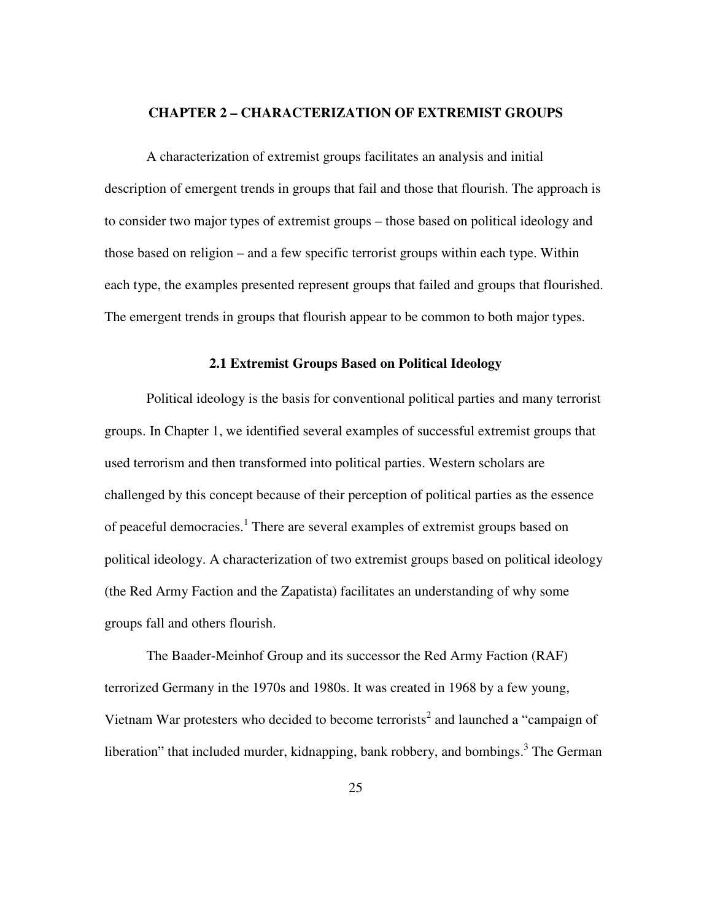#### **CHAPTER 2 – CHARACTERIZATION OF EXTREMIST GROUPS**

A characterization of extremist groups facilitates an analysis and initial description of emergent trends in groups that fail and those that flourish. The approach is to consider two major types of extremist groups – those based on political ideology and those based on religion – and a few specific terrorist groups within each type. Within each type, the examples presented represent groups that failed and groups that flourished. The emergent trends in groups that flourish appear to be common to both major types.

#### **2.1 Extremist Groups Based on Political Ideology**

Political ideology is the basis for conventional political parties and many terrorist groups. In Chapter 1, we identified several examples of successful extremist groups that used terrorism and then transformed into political parties. Western scholars are challenged by this concept because of their perception of political parties as the essence of peaceful democracies.<sup>1</sup> There are several examples of extremist groups based on political ideology. A characterization of two extremist groups based on political ideology (the Red Army Faction and the Zapatista) facilitates an understanding of why some groups fall and others flourish.

The Baader-Meinhof Group and its successor the Red Army Faction (RAF) terrorized Germany in the 1970s and 1980s. It was created in 1968 by a few young, Vietnam War protesters who decided to become terrorists<sup>2</sup> and launched a "campaign of liberation" that included murder, kidnapping, bank robbery, and bombings.<sup>3</sup> The German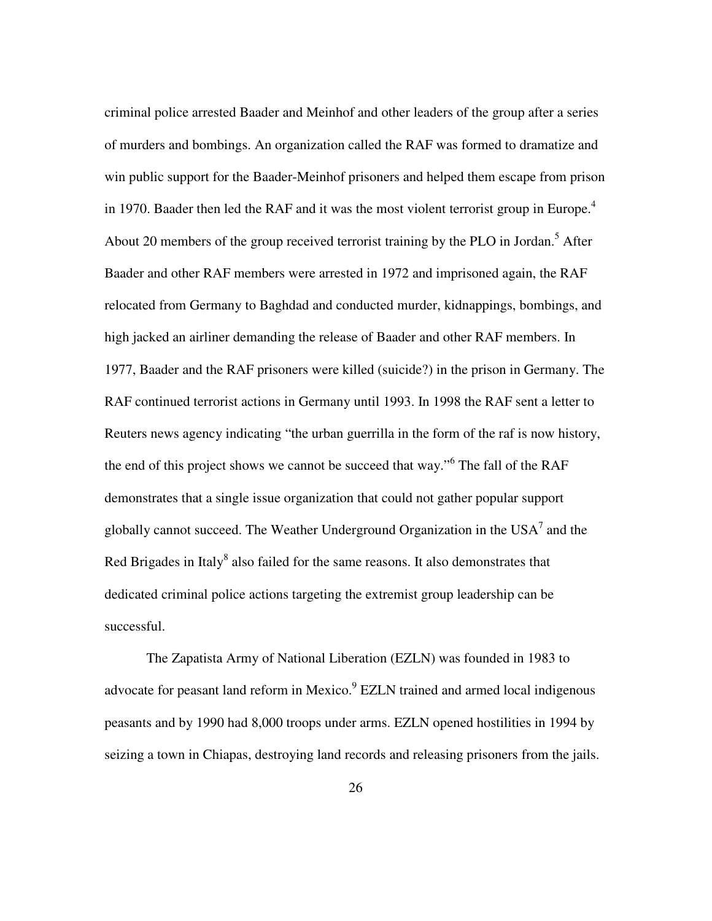criminal police arrested Baader and Meinhof and other leaders of the group after a series of murders and bombings. An organization called the RAF was formed to dramatize and win public support for the Baader-Meinhof prisoners and helped them escape from prison in 1970. Baader then led the RAF and it was the most violent terrorist group in Europe.<sup>4</sup> About 20 members of the group received terrorist training by the PLO in Jordan.<sup>5</sup> After Baader and other RAF members were arrested in 1972 and imprisoned again, the RAF relocated from Germany to Baghdad and conducted murder, kidnappings, bombings, and high jacked an airliner demanding the release of Baader and other RAF members. In 1977, Baader and the RAF prisoners were killed (suicide?) in the prison in Germany. The RAF continued terrorist actions in Germany until 1993. In 1998 the RAF sent a letter to Reuters news agency indicating "the urban guerrilla in the form of the raf is now history, the end of this project shows we cannot be succeed that way."<sup>6</sup> The fall of the RAF demonstrates that a single issue organization that could not gather popular support globally cannot succeed. The Weather Underground Organization in the USA $^7$  and the Red Brigades in Italy $^8$  also failed for the same reasons. It also demonstrates that dedicated criminal police actions targeting the extremist group leadership can be successful.

The Zapatista Army of National Liberation (EZLN) was founded in 1983 to advocate for peasant land reform in Mexico.<sup>9</sup> EZLN trained and armed local indigenous peasants and by 1990 had 8,000 troops under arms. EZLN opened hostilities in 1994 by seizing a town in Chiapas, destroying land records and releasing prisoners from the jails.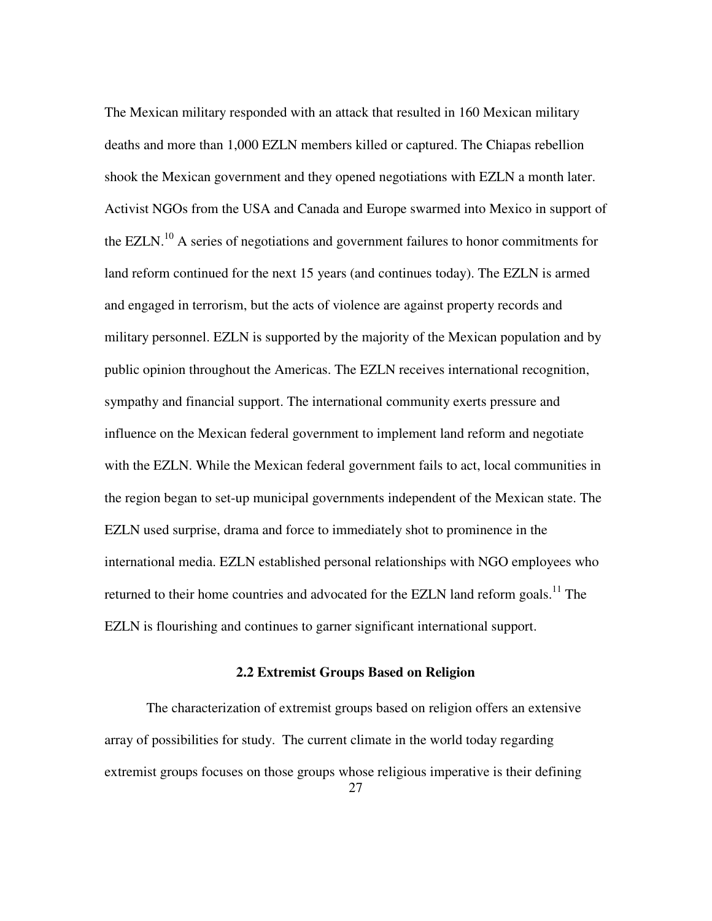The Mexican military responded with an attack that resulted in 160 Mexican military deaths and more than 1,000 EZLN members killed or captured. The Chiapas rebellion shook the Mexican government and they opened negotiations with EZLN a month later. Activist NGOs from the USA and Canada and Europe swarmed into Mexico in support of the EZLN.<sup>10</sup> A series of negotiations and government failures to honor commitments for land reform continued for the next 15 years (and continues today). The EZLN is armed and engaged in terrorism, but the acts of violence are against property records and military personnel. EZLN is supported by the majority of the Mexican population and by public opinion throughout the Americas. The EZLN receives international recognition, sympathy and financial support. The international community exerts pressure and influence on the Mexican federal government to implement land reform and negotiate with the EZLN. While the Mexican federal government fails to act, local communities in the region began to set-up municipal governments independent of the Mexican state. The EZLN used surprise, drama and force to immediately shot to prominence in the international media. EZLN established personal relationships with NGO employees who returned to their home countries and advocated for the EZLN land reform goals.<sup>11</sup> The EZLN is flourishing and continues to garner significant international support.

### **2.2 Extremist Groups Based on Religion**

The characterization of extremist groups based on religion offers an extensive array of possibilities for study. The current climate in the world today regarding extremist groups focuses on those groups whose religious imperative is their defining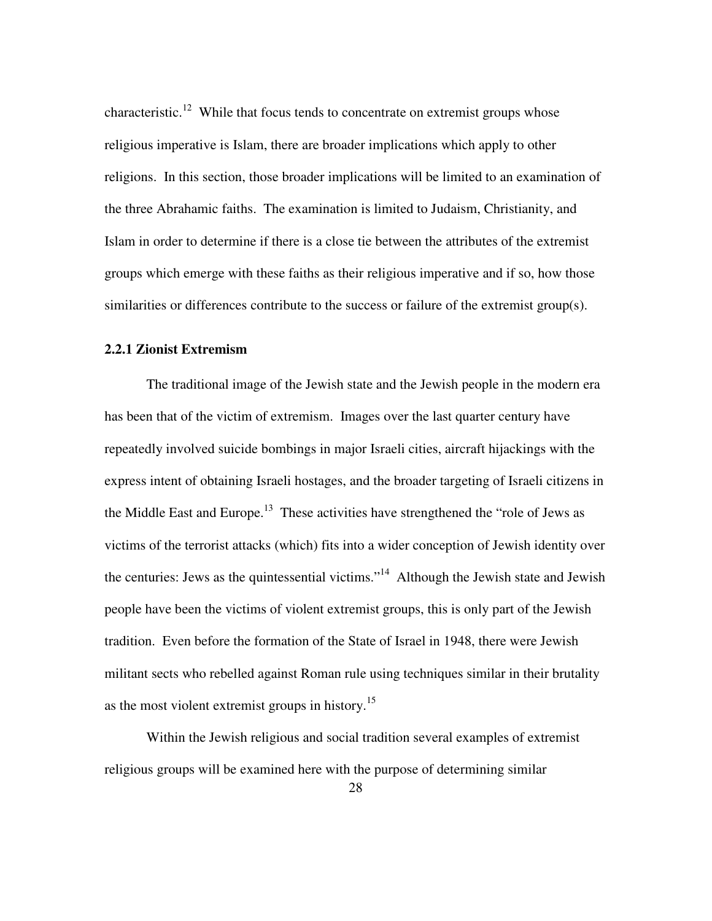characteristic.<sup>12</sup> While that focus tends to concentrate on extremist groups whose religious imperative is Islam, there are broader implications which apply to other religions. In this section, those broader implications will be limited to an examination of the three Abrahamic faiths. The examination is limited to Judaism, Christianity, and Islam in order to determine if there is a close tie between the attributes of the extremist groups which emerge with these faiths as their religious imperative and if so, how those similarities or differences contribute to the success or failure of the extremist group(s).

#### **2.2.1 Zionist Extremism**

The traditional image of the Jewish state and the Jewish people in the modern era has been that of the victim of extremism. Images over the last quarter century have repeatedly involved suicide bombings in major Israeli cities, aircraft hijackings with the express intent of obtaining Israeli hostages, and the broader targeting of Israeli citizens in the Middle East and Europe.<sup>13</sup> These activities have strengthened the "role of Jews as victims of the terrorist attacks (which) fits into a wider conception of Jewish identity over the centuries: Jews as the quintessential victims."<sup>14</sup> Although the Jewish state and Jewish people have been the victims of violent extremist groups, this is only part of the Jewish tradition. Even before the formation of the State of Israel in 1948, there were Jewish militant sects who rebelled against Roman rule using techniques similar in their brutality as the most violent extremist groups in history.<sup>15</sup>

Within the Jewish religious and social tradition several examples of extremist religious groups will be examined here with the purpose of determining similar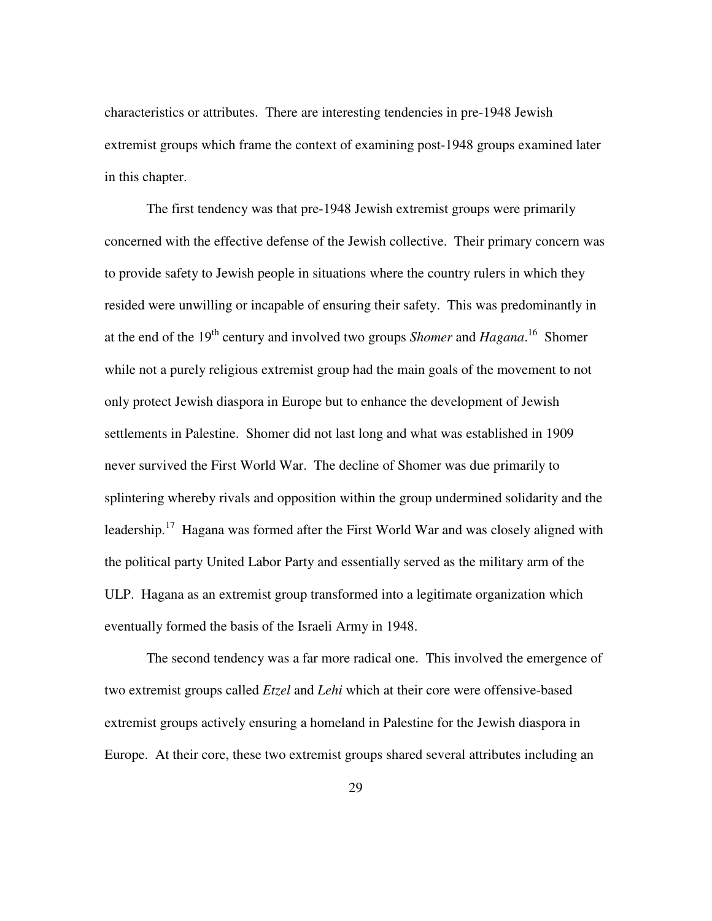characteristics or attributes. There are interesting tendencies in pre-1948 Jewish extremist groups which frame the context of examining post-1948 groups examined later in this chapter.

The first tendency was that pre-1948 Jewish extremist groups were primarily concerned with the effective defense of the Jewish collective. Their primary concern was to provide safety to Jewish people in situations where the country rulers in which they resided were unwilling or incapable of ensuring their safety. This was predominantly in at the end of the 19<sup>th</sup> century and involved two groups *Shomer* and *Hagana*.<sup>16</sup> Shomer while not a purely religious extremist group had the main goals of the movement to not only protect Jewish diaspora in Europe but to enhance the development of Jewish settlements in Palestine. Shomer did not last long and what was established in 1909 never survived the First World War. The decline of Shomer was due primarily to splintering whereby rivals and opposition within the group undermined solidarity and the leadership.<sup>17</sup> Hagana was formed after the First World War and was closely aligned with the political party United Labor Party and essentially served as the military arm of the ULP. Hagana as an extremist group transformed into a legitimate organization which eventually formed the basis of the Israeli Army in 1948.

The second tendency was a far more radical one. This involved the emergence of two extremist groups called *Etzel* and *Lehi* which at their core were offensive-based extremist groups actively ensuring a homeland in Palestine for the Jewish diaspora in Europe. At their core, these two extremist groups shared several attributes including an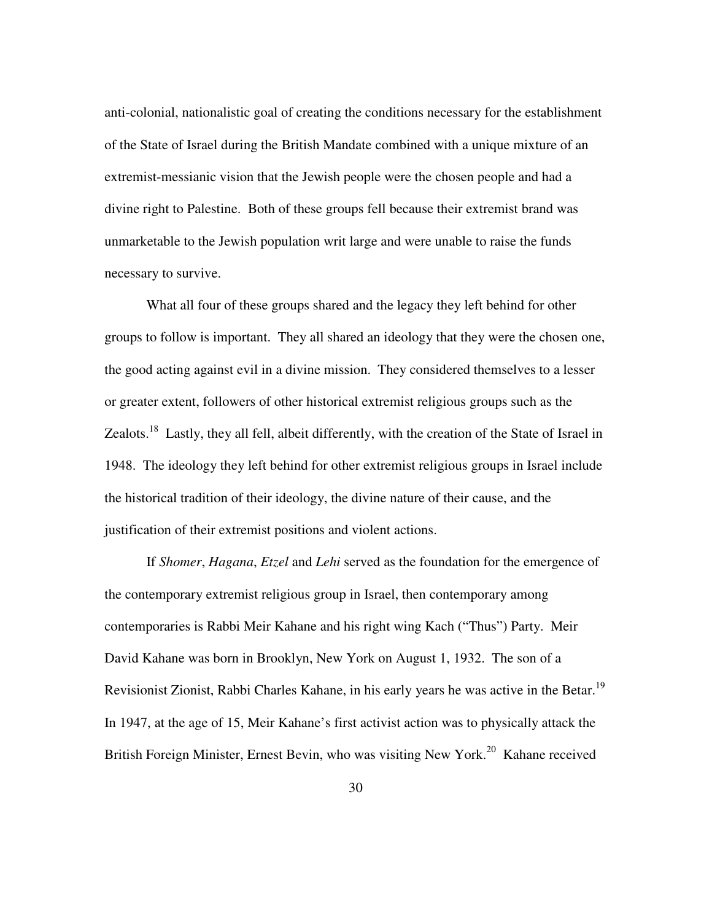anti-colonial, nationalistic goal of creating the conditions necessary for the establishment of the State of Israel during the British Mandate combined with a unique mixture of an extremist-messianic vision that the Jewish people were the chosen people and had a divine right to Palestine. Both of these groups fell because their extremist brand was unmarketable to the Jewish population writ large and were unable to raise the funds necessary to survive.

What all four of these groups shared and the legacy they left behind for other groups to follow is important. They all shared an ideology that they were the chosen one, the good acting against evil in a divine mission. They considered themselves to a lesser or greater extent, followers of other historical extremist religious groups such as the Zealots.<sup>18</sup> Lastly, they all fell, albeit differently, with the creation of the State of Israel in 1948. The ideology they left behind for other extremist religious groups in Israel include the historical tradition of their ideology, the divine nature of their cause, and the justification of their extremist positions and violent actions.

If *Shomer*, *Hagana*, *Etzel* and *Lehi* served as the foundation for the emergence of the contemporary extremist religious group in Israel, then contemporary among contemporaries is Rabbi Meir Kahane and his right wing Kach ("Thus") Party. Meir David Kahane was born in Brooklyn, New York on August 1, 1932. The son of a Revisionist Zionist, Rabbi Charles Kahane, in his early years he was active in the Betar.<sup>19</sup> In 1947, at the age of 15, Meir Kahane's first activist action was to physically attack the British Foreign Minister, Ernest Bevin, who was visiting New York.<sup>20</sup> Kahane received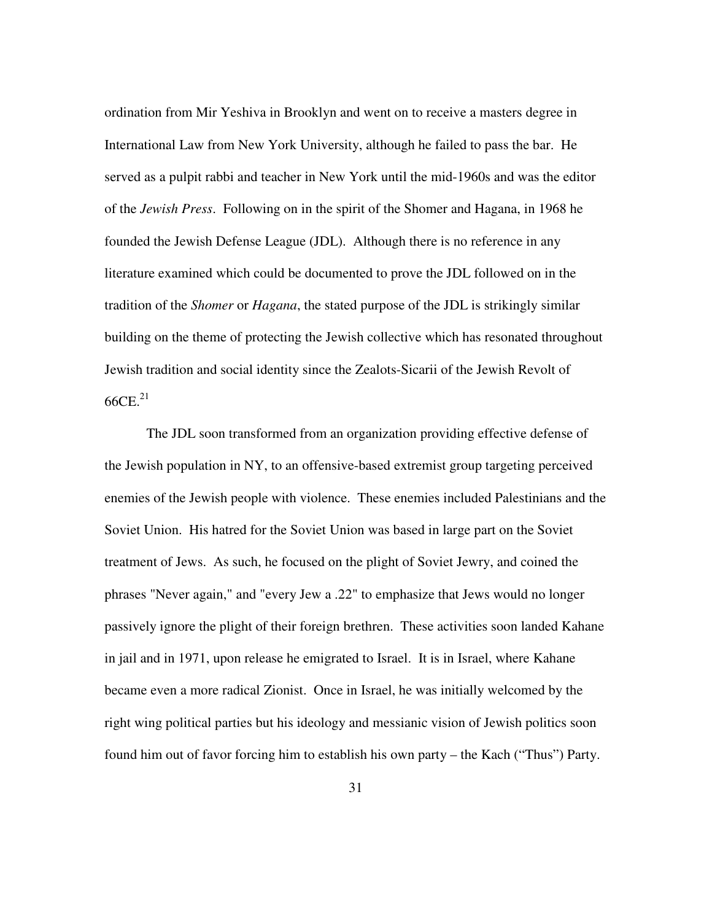ordination from Mir Yeshiva in Brooklyn and went on to receive a masters degree in International Law from New York University, although he failed to pass the bar. He served as a pulpit rabbi and teacher in New York until the mid-1960s and was the editor of the *Jewish Press*. Following on in the spirit of the Shomer and Hagana, in 1968 he founded the Jewish Defense League (JDL). Although there is no reference in any literature examined which could be documented to prove the JDL followed on in the tradition of the *Shomer* or *Hagana*, the stated purpose of the JDL is strikingly similar building on the theme of protecting the Jewish collective which has resonated throughout Jewish tradition and social identity since the Zealots-Sicarii of the Jewish Revolt of  $66CE.<sup>21</sup>$ 

The JDL soon transformed from an organization providing effective defense of the Jewish population in NY, to an offensive-based extremist group targeting perceived enemies of the Jewish people with violence. These enemies included Palestinians and the Soviet Union. His hatred for the Soviet Union was based in large part on the Soviet treatment of Jews. As such, he focused on the plight of Soviet Jewry, and coined the phrases "Never again," and "every Jew a .22" to emphasize that Jews would no longer passively ignore the plight of their foreign brethren. These activities soon landed Kahane in jail and in 1971, upon release he emigrated to Israel. It is in Israel, where Kahane became even a more radical Zionist. Once in Israel, he was initially welcomed by the right wing political parties but his ideology and messianic vision of Jewish politics soon found him out of favor forcing him to establish his own party – the Kach ("Thus") Party.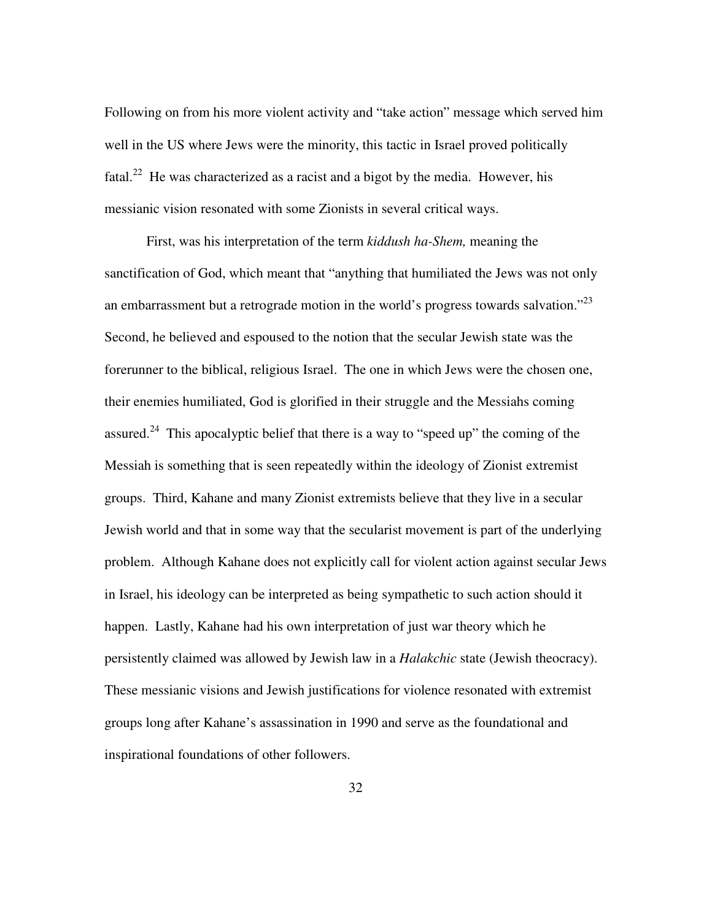Following on from his more violent activity and "take action" message which served him well in the US where Jews were the minority, this tactic in Israel proved politically fatal.<sup>22</sup> He was characterized as a racist and a bigot by the media. However, his messianic vision resonated with some Zionists in several critical ways.

First, was his interpretation of the term *kiddush ha-Shem,* meaning the sanctification of God, which meant that "anything that humiliated the Jews was not only an embarrassment but a retrograde motion in the world's progress towards salvation."<sup>23</sup> Second, he believed and espoused to the notion that the secular Jewish state was the forerunner to the biblical, religious Israel. The one in which Jews were the chosen one, their enemies humiliated, God is glorified in their struggle and the Messiahs coming assured.<sup>24</sup> This apocalyptic belief that there is a way to "speed up" the coming of the Messiah is something that is seen repeatedly within the ideology of Zionist extremist groups. Third, Kahane and many Zionist extremists believe that they live in a secular Jewish world and that in some way that the secularist movement is part of the underlying problem. Although Kahane does not explicitly call for violent action against secular Jews in Israel, his ideology can be interpreted as being sympathetic to such action should it happen. Lastly, Kahane had his own interpretation of just war theory which he persistently claimed was allowed by Jewish law in a *Halakchic* state (Jewish theocracy). These messianic visions and Jewish justifications for violence resonated with extremist groups long after Kahane's assassination in 1990 and serve as the foundational and inspirational foundations of other followers.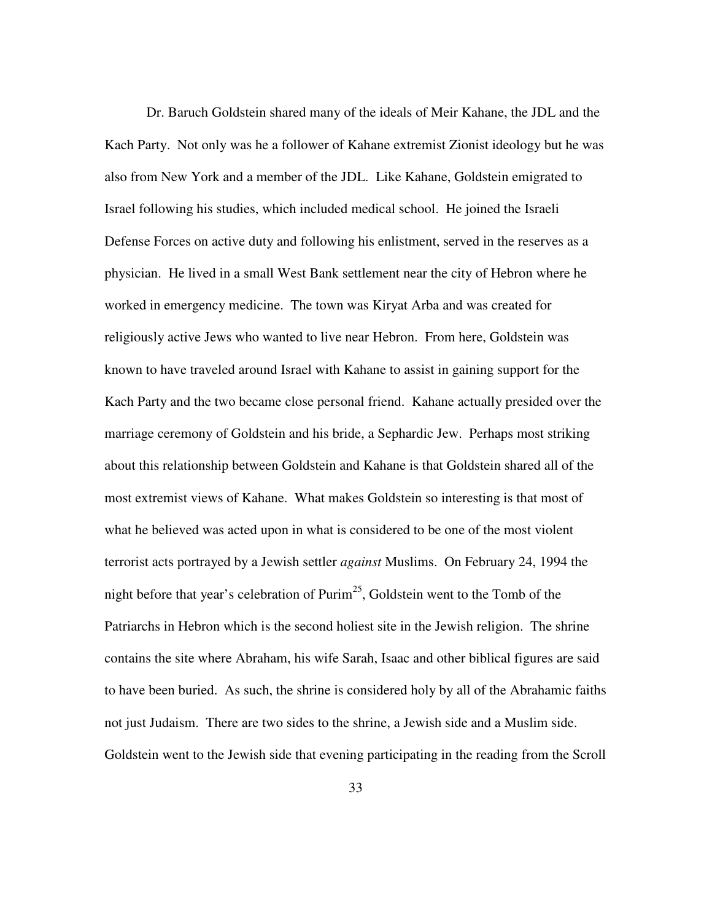Dr. Baruch Goldstein shared many of the ideals of Meir Kahane, the JDL and the Kach Party. Not only was he a follower of Kahane extremist Zionist ideology but he was also from New York and a member of the JDL. Like Kahane, Goldstein emigrated to Israel following his studies, which included medical school. He joined the Israeli Defense Forces on active duty and following his enlistment, served in the reserves as a physician. He lived in a small West Bank settlement near the city of Hebron where he worked in emergency medicine. The town was Kiryat Arba and was created for religiously active Jews who wanted to live near Hebron. From here, Goldstein was known to have traveled around Israel with Kahane to assist in gaining support for the Kach Party and the two became close personal friend. Kahane actually presided over the marriage ceremony of Goldstein and his bride, a Sephardic Jew. Perhaps most striking about this relationship between Goldstein and Kahane is that Goldstein shared all of the most extremist views of Kahane. What makes Goldstein so interesting is that most of what he believed was acted upon in what is considered to be one of the most violent terrorist acts portrayed by a Jewish settler *against* Muslims. On February 24, 1994 the night before that year's celebration of  $\text{Purim}^{25}$ , Goldstein went to the Tomb of the Patriarchs in Hebron which is the second holiest site in the Jewish religion. The shrine contains the site where Abraham, his wife Sarah, Isaac and other biblical figures are said to have been buried. As such, the shrine is considered holy by all of the Abrahamic faiths not just Judaism. There are two sides to the shrine, a Jewish side and a Muslim side. Goldstein went to the Jewish side that evening participating in the reading from the Scroll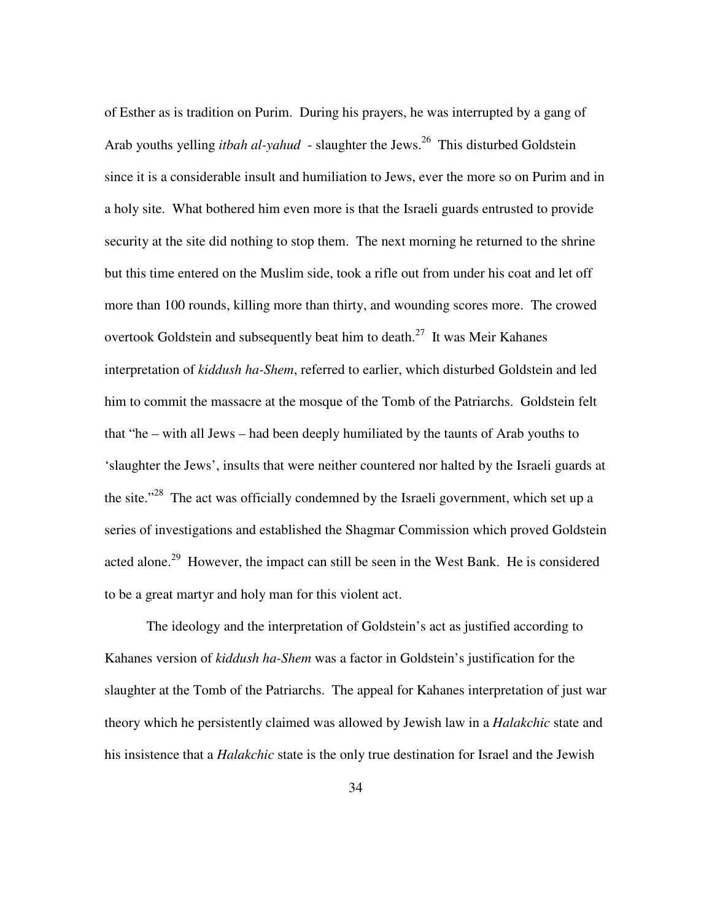of Esther as is tradition on Purim. During his prayers, he was interrupted by a gang of Arab youths yelling *itbah al-yahud* - slaughter the Jews.<sup>26</sup> This disturbed Goldstein since it is a considerable insult and humiliation to Jews, ever the more so on Purim and in a holy site. What bothered him even more is that the Israeli guards entrusted to provide security at the site did nothing to stop them. The next morning he returned to the shrine but this time entered on the Muslim side, took a rifle out from under his coat and let off more than 100 rounds, killing more than thirty, and wounding scores more. The crowed overtook Goldstein and subsequently beat him to death.<sup>27</sup> It was Meir Kahanes interpretation of *kiddush ha-Shem*, referred to earlier, which disturbed Goldstein and led him to commit the massacre at the mosque of the Tomb of the Patriarchs. Goldstein felt that "he – with all Jews – had been deeply humiliated by the taunts of Arab youths to 'slaughter the Jews', insults that were neither countered nor halted by the Israeli guards at the site."<sup>28</sup> The act was officially condemned by the Israeli government, which set up a series of investigations and established the Shagmar Commission which proved Goldstein acted alone.<sup>29</sup> However, the impact can still be seen in the West Bank. He is considered to be a great martyr and holy man for this violent act.

The ideology and the interpretation of Goldstein's act as justified according to Kahanes version of *kiddush ha-Shem* was a factor in Goldstein's justification for the slaughter at the Tomb of the Patriarchs. The appeal for Kahanes interpretation of just war theory which he persistently claimed was allowed by Jewish law in a *Halakchic* state and his insistence that a *Halakchic* state is the only true destination for Israel and the Jewish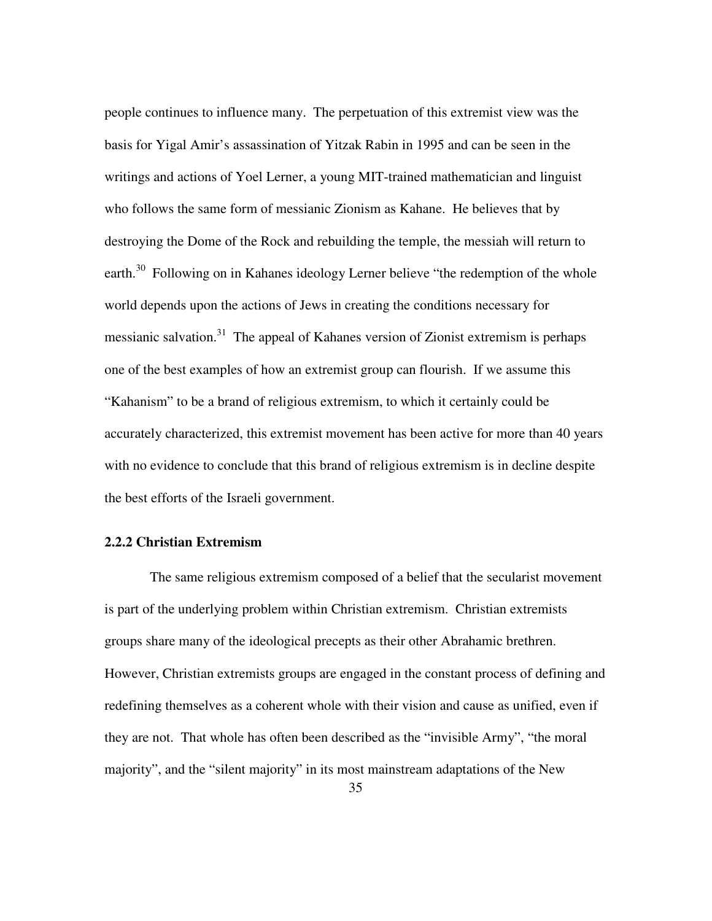people continues to influence many. The perpetuation of this extremist view was the basis for Yigal Amir's assassination of Yitzak Rabin in 1995 and can be seen in the writings and actions of Yoel Lerner, a young MIT-trained mathematician and linguist who follows the same form of messianic Zionism as Kahane. He believes that by destroying the Dome of the Rock and rebuilding the temple, the messiah will return to earth.<sup>30</sup> Following on in Kahanes ideology Lerner believe "the redemption of the whole world depends upon the actions of Jews in creating the conditions necessary for messianic salvation.<sup>31</sup> The appeal of Kahanes version of Zionist extremism is perhaps one of the best examples of how an extremist group can flourish. If we assume this "Kahanism" to be a brand of religious extremism, to which it certainly could be accurately characterized, this extremist movement has been active for more than 40 years with no evidence to conclude that this brand of religious extremism is in decline despite the best efforts of the Israeli government.

### **2.2.2 Christian Extremism**

 The same religious extremism composed of a belief that the secularist movement is part of the underlying problem within Christian extremism. Christian extremists groups share many of the ideological precepts as their other Abrahamic brethren. However, Christian extremists groups are engaged in the constant process of defining and redefining themselves as a coherent whole with their vision and cause as unified, even if they are not. That whole has often been described as the "invisible Army", "the moral majority", and the "silent majority" in its most mainstream adaptations of the New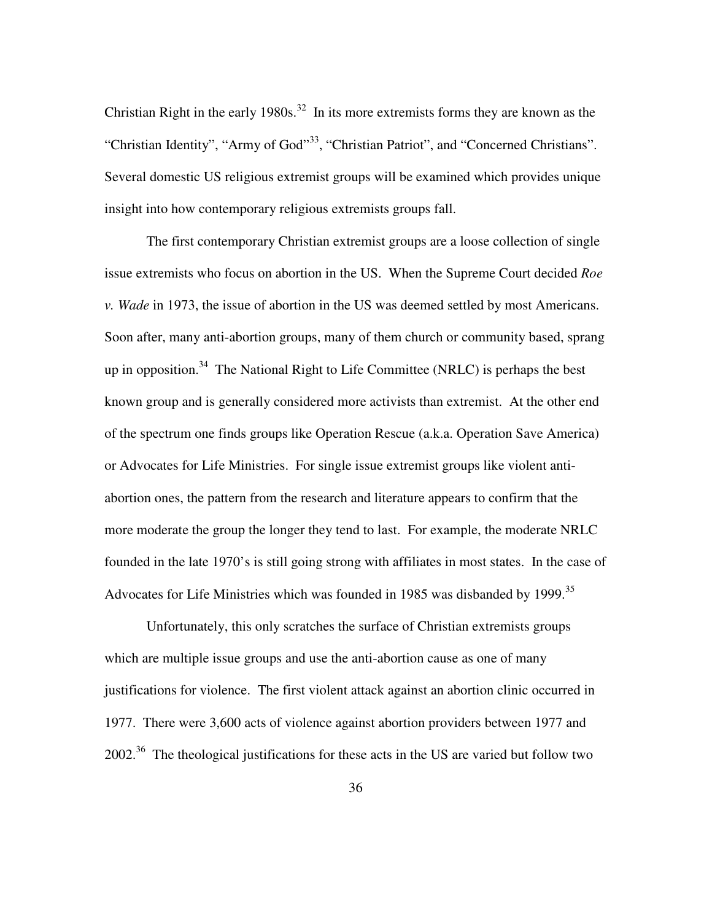Christian Right in the early 1980s.<sup>32</sup> In its more extremists forms they are known as the "Christian Identity", "Army of God"<sup>33</sup>, "Christian Patriot", and "Concerned Christians". Several domestic US religious extremist groups will be examined which provides unique insight into how contemporary religious extremists groups fall.

The first contemporary Christian extremist groups are a loose collection of single issue extremists who focus on abortion in the US. When the Supreme Court decided *Roe v. Wade* in 1973, the issue of abortion in the US was deemed settled by most Americans. Soon after, many anti-abortion groups, many of them church or community based, sprang up in opposition.<sup>34</sup> The National Right to Life Committee (NRLC) is perhaps the best known group and is generally considered more activists than extremist. At the other end of the spectrum one finds groups like Operation Rescue (a.k.a. Operation Save America) or Advocates for Life Ministries. For single issue extremist groups like violent antiabortion ones, the pattern from the research and literature appears to confirm that the more moderate the group the longer they tend to last. For example, the moderate NRLC founded in the late 1970's is still going strong with affiliates in most states. In the case of Advocates for Life Ministries which was founded in 1985 was disbanded by 1999.<sup>35</sup>

Unfortunately, this only scratches the surface of Christian extremists groups which are multiple issue groups and use the anti-abortion cause as one of many justifications for violence. The first violent attack against an abortion clinic occurred in 1977. There were 3,600 acts of violence against abortion providers between 1977 and 2002.<sup>36</sup> The theological justifications for these acts in the US are varied but follow two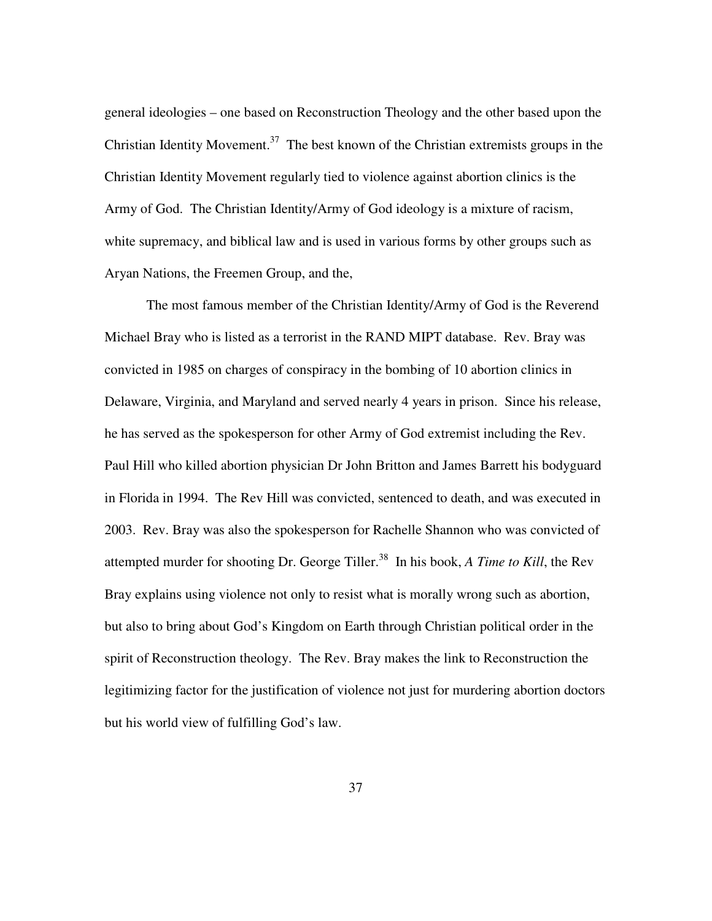general ideologies – one based on Reconstruction Theology and the other based upon the Christian Identity Movement.<sup>37</sup> The best known of the Christian extremists groups in the Christian Identity Movement regularly tied to violence against abortion clinics is the Army of God. The Christian Identity/Army of God ideology is a mixture of racism, white supremacy, and biblical law and is used in various forms by other groups such as Aryan Nations, the Freemen Group, and the,

The most famous member of the Christian Identity/Army of God is the Reverend Michael Bray who is listed as a terrorist in the RAND MIPT database. Rev. Bray was convicted in 1985 on charges of conspiracy in the bombing of 10 abortion clinics in Delaware, Virginia, and Maryland and served nearly 4 years in prison. Since his release, he has served as the spokesperson for other Army of God extremist including the Rev. Paul Hill who killed abortion physician Dr John Britton and James Barrett his bodyguard in Florida in 1994. The Rev Hill was convicted, sentenced to death, and was executed in 2003. Rev. Bray was also the spokesperson for Rachelle Shannon who was convicted of attempted murder for shooting Dr. George Tiller.<sup>38</sup> In his book, *A Time to Kill*, the Rev Bray explains using violence not only to resist what is morally wrong such as abortion, but also to bring about God's Kingdom on Earth through Christian political order in the spirit of Reconstruction theology. The Rev. Bray makes the link to Reconstruction the legitimizing factor for the justification of violence not just for murdering abortion doctors but his world view of fulfilling God's law.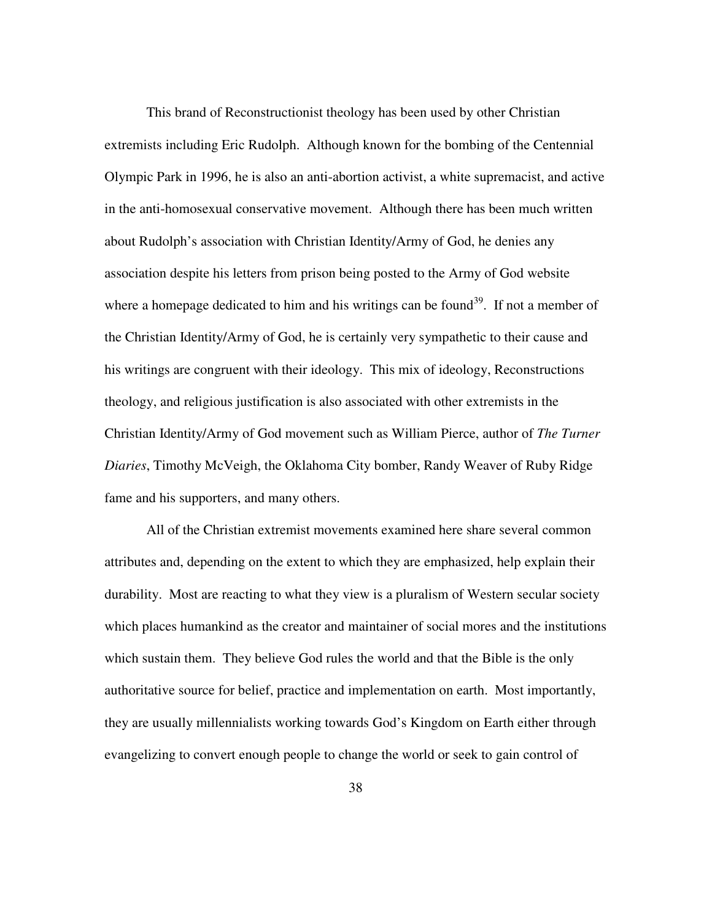This brand of Reconstructionist theology has been used by other Christian extremists including Eric Rudolph. Although known for the bombing of the Centennial Olympic Park in 1996, he is also an anti-abortion activist, a white supremacist, and active in the anti-homosexual conservative movement. Although there has been much written about Rudolph's association with Christian Identity/Army of God, he denies any association despite his letters from prison being posted to the Army of God website where a homepage dedicated to him and his writings can be found<sup>39</sup>. If not a member of the Christian Identity/Army of God, he is certainly very sympathetic to their cause and his writings are congruent with their ideology. This mix of ideology, Reconstructions theology, and religious justification is also associated with other extremists in the Christian Identity/Army of God movement such as William Pierce, author of *The Turner Diaries*, Timothy McVeigh, the Oklahoma City bomber, Randy Weaver of Ruby Ridge fame and his supporters, and many others.

All of the Christian extremist movements examined here share several common attributes and, depending on the extent to which they are emphasized, help explain their durability. Most are reacting to what they view is a pluralism of Western secular society which places humankind as the creator and maintainer of social mores and the institutions which sustain them. They believe God rules the world and that the Bible is the only authoritative source for belief, practice and implementation on earth. Most importantly, they are usually millennialists working towards God's Kingdom on Earth either through evangelizing to convert enough people to change the world or seek to gain control of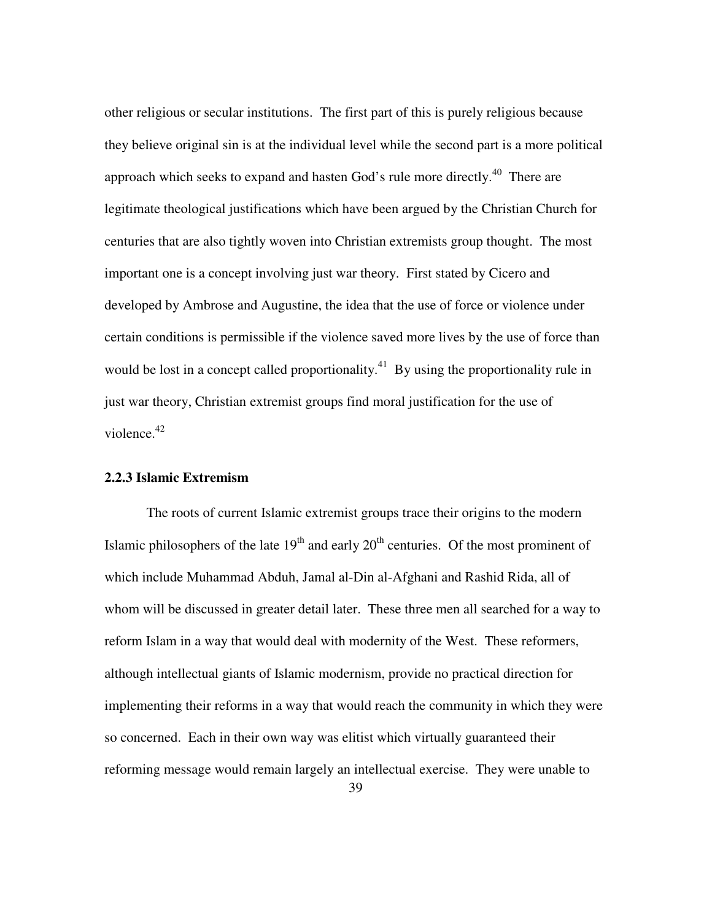other religious or secular institutions. The first part of this is purely religious because they believe original sin is at the individual level while the second part is a more political approach which seeks to expand and hasten God's rule more directly.<sup>40</sup> There are legitimate theological justifications which have been argued by the Christian Church for centuries that are also tightly woven into Christian extremists group thought. The most important one is a concept involving just war theory. First stated by Cicero and developed by Ambrose and Augustine, the idea that the use of force or violence under certain conditions is permissible if the violence saved more lives by the use of force than would be lost in a concept called proportionality.<sup>41</sup> By using the proportionality rule in just war theory, Christian extremist groups find moral justification for the use of violence. $42$ 

#### **2.2.3 Islamic Extremism**

The roots of current Islamic extremist groups trace their origins to the modern Islamic philosophers of the late  $19<sup>th</sup>$  and early  $20<sup>th</sup>$  centuries. Of the most prominent of which include Muhammad Abduh, Jamal al-Din al-Afghani and Rashid Rida, all of whom will be discussed in greater detail later. These three men all searched for a way to reform Islam in a way that would deal with modernity of the West. These reformers, although intellectual giants of Islamic modernism, provide no practical direction for implementing their reforms in a way that would reach the community in which they were so concerned. Each in their own way was elitist which virtually guaranteed their reforming message would remain largely an intellectual exercise. They were unable to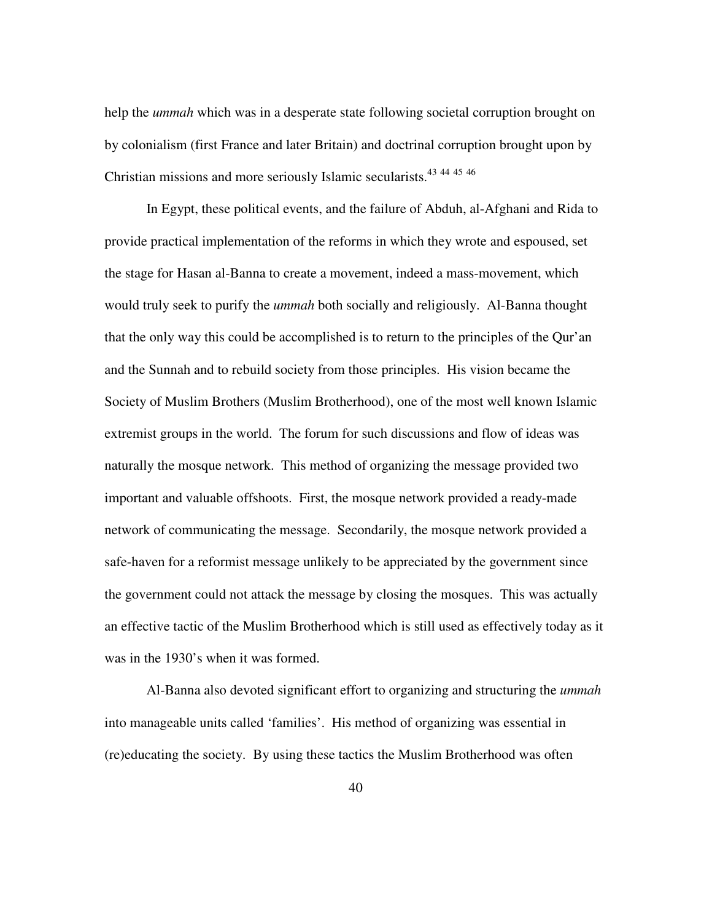help the *ummah* which was in a desperate state following societal corruption brought on by colonialism (first France and later Britain) and doctrinal corruption brought upon by Christian missions and more seriously Islamic secularists.<sup>43</sup> <sup>44</sup> <sup>45</sup> <sup>46</sup>

In Egypt, these political events, and the failure of Abduh, al-Afghani and Rida to provide practical implementation of the reforms in which they wrote and espoused, set the stage for Hasan al-Banna to create a movement, indeed a mass-movement, which would truly seek to purify the *ummah* both socially and religiously. Al-Banna thought that the only way this could be accomplished is to return to the principles of the Qur'an and the Sunnah and to rebuild society from those principles. His vision became the Society of Muslim Brothers (Muslim Brotherhood), one of the most well known Islamic extremist groups in the world. The forum for such discussions and flow of ideas was naturally the mosque network. This method of organizing the message provided two important and valuable offshoots. First, the mosque network provided a ready-made network of communicating the message. Secondarily, the mosque network provided a safe-haven for a reformist message unlikely to be appreciated by the government since the government could not attack the message by closing the mosques. This was actually an effective tactic of the Muslim Brotherhood which is still used as effectively today as it was in the 1930's when it was formed.

Al-Banna also devoted significant effort to organizing and structuring the *ummah* into manageable units called 'families'. His method of organizing was essential in (re)educating the society. By using these tactics the Muslim Brotherhood was often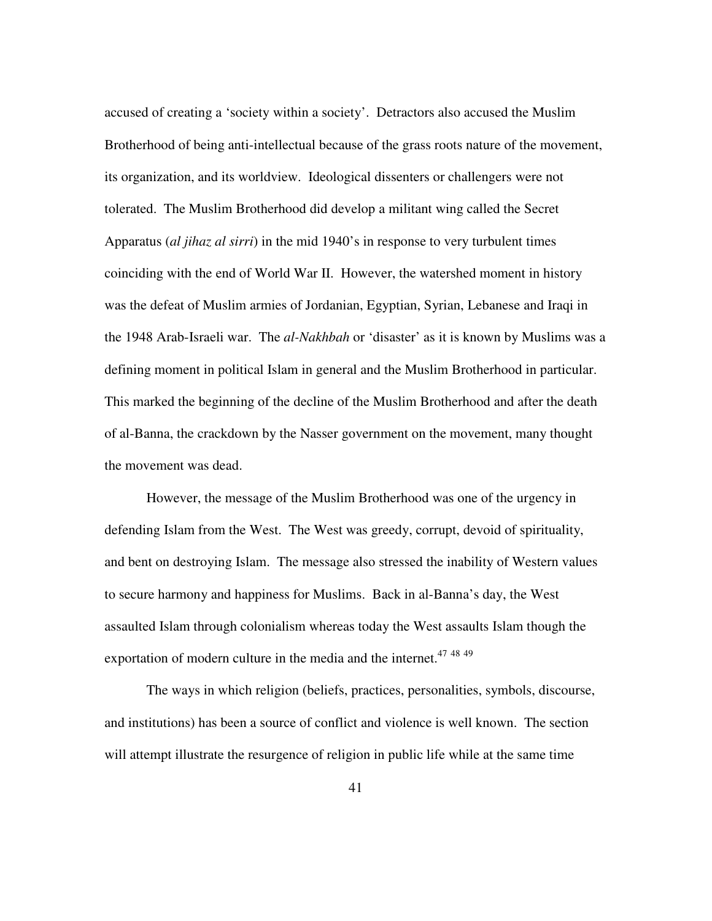accused of creating a 'society within a society'. Detractors also accused the Muslim Brotherhood of being anti-intellectual because of the grass roots nature of the movement, its organization, and its worldview. Ideological dissenters or challengers were not tolerated. The Muslim Brotherhood did develop a militant wing called the Secret Apparatus (*al jihaz al sirri*) in the mid 1940's in response to very turbulent times coinciding with the end of World War II. However, the watershed moment in history was the defeat of Muslim armies of Jordanian, Egyptian, Syrian, Lebanese and Iraqi in the 1948 Arab-Israeli war. The *al-Nakhbah* or 'disaster' as it is known by Muslims was a defining moment in political Islam in general and the Muslim Brotherhood in particular. This marked the beginning of the decline of the Muslim Brotherhood and after the death of al-Banna, the crackdown by the Nasser government on the movement, many thought the movement was dead.

However, the message of the Muslim Brotherhood was one of the urgency in defending Islam from the West. The West was greedy, corrupt, devoid of spirituality, and bent on destroying Islam. The message also stressed the inability of Western values to secure harmony and happiness for Muslims. Back in al-Banna's day, the West assaulted Islam through colonialism whereas today the West assaults Islam though the exportation of modern culture in the media and the internet.<sup>47 48 49</sup>

The ways in which religion (beliefs, practices, personalities, symbols, discourse, and institutions) has been a source of conflict and violence is well known. The section will attempt illustrate the resurgence of religion in public life while at the same time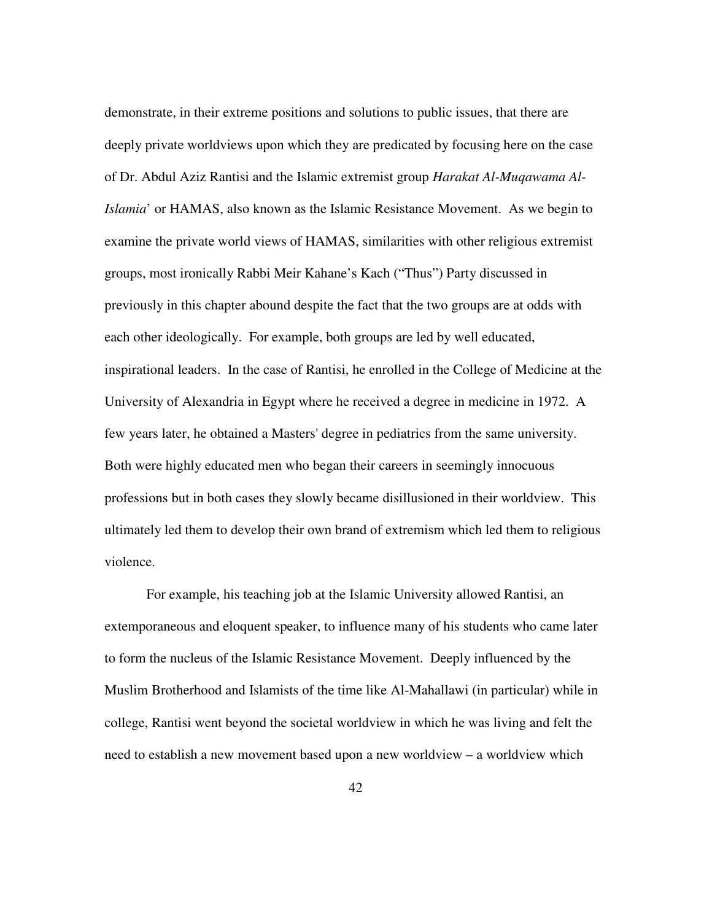demonstrate, in their extreme positions and solutions to public issues, that there are deeply private worldviews upon which they are predicated by focusing here on the case of Dr. Abdul Aziz Rantisi and the Islamic extremist group *Harakat Al-Muqawama Al-Islamia*' or HAMAS, also known as the Islamic Resistance Movement. As we begin to examine the private world views of HAMAS, similarities with other religious extremist groups, most ironically Rabbi Meir Kahane's Kach ("Thus") Party discussed in previously in this chapter abound despite the fact that the two groups are at odds with each other ideologically. For example, both groups are led by well educated, inspirational leaders. In the case of Rantisi, he enrolled in the College of Medicine at the University of Alexandria in Egypt where he received a degree in medicine in 1972. A few years later, he obtained a Masters' degree in pediatrics from the same university. Both were highly educated men who began their careers in seemingly innocuous professions but in both cases they slowly became disillusioned in their worldview. This ultimately led them to develop their own brand of extremism which led them to religious violence.

For example, his teaching job at the Islamic University allowed Rantisi, an extemporaneous and eloquent speaker, to influence many of his students who came later to form the nucleus of the Islamic Resistance Movement. Deeply influenced by the Muslim Brotherhood and Islamists of the time like Al-Mahallawi (in particular) while in college, Rantisi went beyond the societal worldview in which he was living and felt the need to establish a new movement based upon a new worldview – a worldview which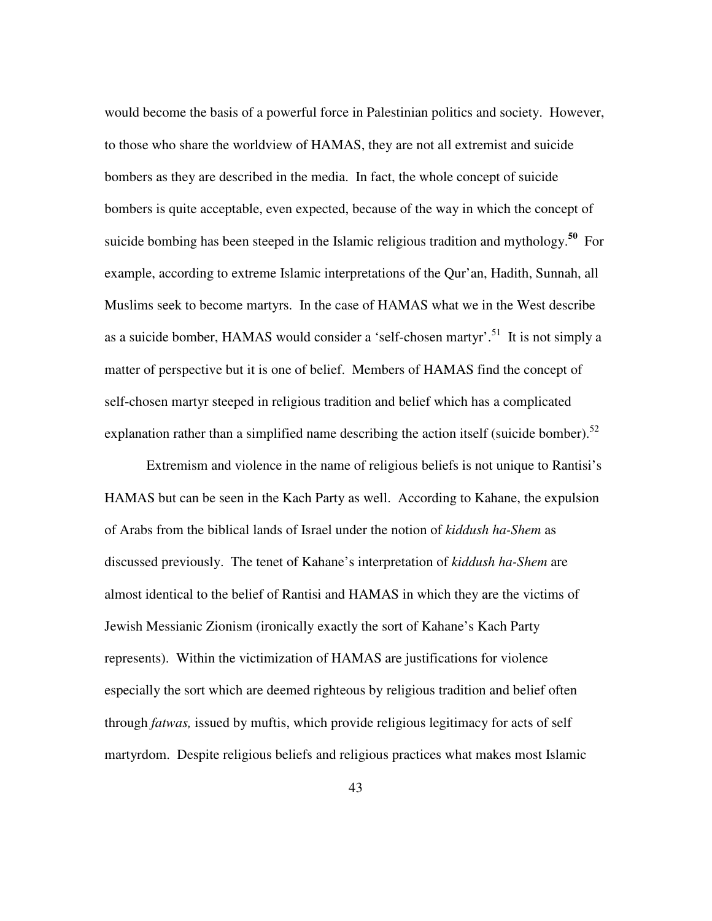would become the basis of a powerful force in Palestinian politics and society. However, to those who share the worldview of HAMAS, they are not all extremist and suicide bombers as they are described in the media. In fact, the whole concept of suicide bombers is quite acceptable, even expected, because of the way in which the concept of suicide bombing has been steeped in the Islamic religious tradition and mythology.**<sup>50</sup>** For example, according to extreme Islamic interpretations of the Qur'an, Hadith, Sunnah, all Muslims seek to become martyrs. In the case of HAMAS what we in the West describe as a suicide bomber, HAMAS would consider a 'self-chosen martyr'.<sup>51</sup> It is not simply a matter of perspective but it is one of belief. Members of HAMAS find the concept of self-chosen martyr steeped in religious tradition and belief which has a complicated explanation rather than a simplified name describing the action itself (suicide bomber).<sup>52</sup>

Extremism and violence in the name of religious beliefs is not unique to Rantisi's HAMAS but can be seen in the Kach Party as well. According to Kahane, the expulsion of Arabs from the biblical lands of Israel under the notion of *kiddush ha-Shem* as discussed previously. The tenet of Kahane's interpretation of *kiddush ha-Shem* are almost identical to the belief of Rantisi and HAMAS in which they are the victims of Jewish Messianic Zionism (ironically exactly the sort of Kahane's Kach Party represents). Within the victimization of HAMAS are justifications for violence especially the sort which are deemed righteous by religious tradition and belief often through *fatwas,* issued by muftis, which provide religious legitimacy for acts of self martyrdom. Despite religious beliefs and religious practices what makes most Islamic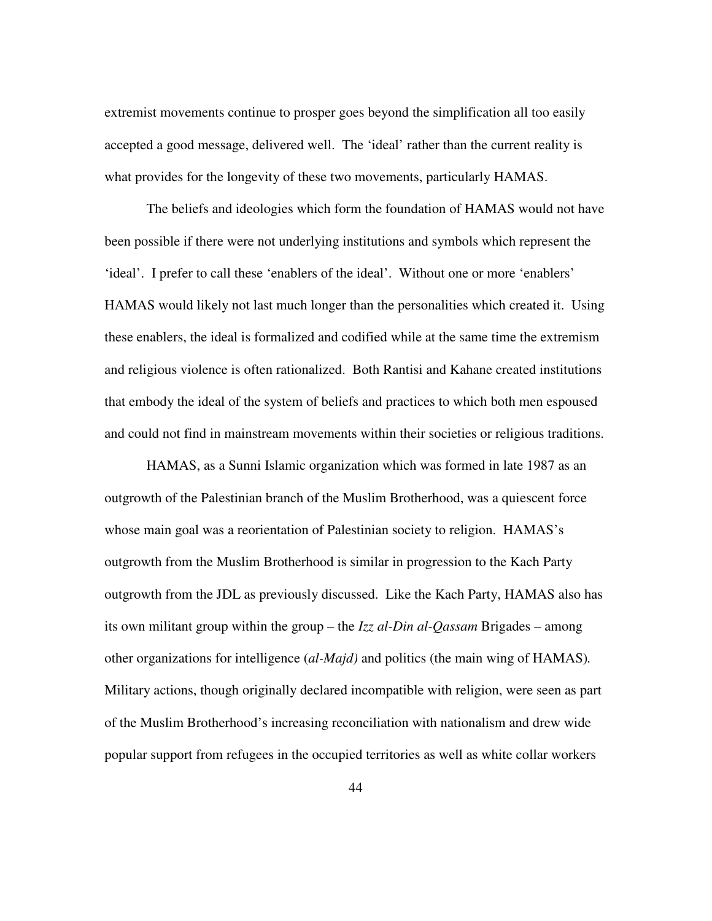extremist movements continue to prosper goes beyond the simplification all too easily accepted a good message, delivered well. The 'ideal' rather than the current reality is what provides for the longevity of these two movements, particularly HAMAS.

The beliefs and ideologies which form the foundation of HAMAS would not have been possible if there were not underlying institutions and symbols which represent the 'ideal'. I prefer to call these 'enablers of the ideal'. Without one or more 'enablers' HAMAS would likely not last much longer than the personalities which created it. Using these enablers, the ideal is formalized and codified while at the same time the extremism and religious violence is often rationalized. Both Rantisi and Kahane created institutions that embody the ideal of the system of beliefs and practices to which both men espoused and could not find in mainstream movements within their societies or religious traditions.

HAMAS, as a Sunni Islamic organization which was formed in late 1987 as an outgrowth of the Palestinian branch of the Muslim Brotherhood, was a quiescent force whose main goal was a reorientation of Palestinian society to religion. HAMAS's outgrowth from the Muslim Brotherhood is similar in progression to the Kach Party outgrowth from the JDL as previously discussed. Like the Kach Party, HAMAS also has its own militant group within the group – the *Izz al-Din al-Qassam* Brigades – among other organizations for intelligence (*al-Majd)* and politics (the main wing of HAMAS)*.* Military actions, though originally declared incompatible with religion, were seen as part of the Muslim Brotherhood's increasing reconciliation with nationalism and drew wide popular support from refugees in the occupied territories as well as white collar workers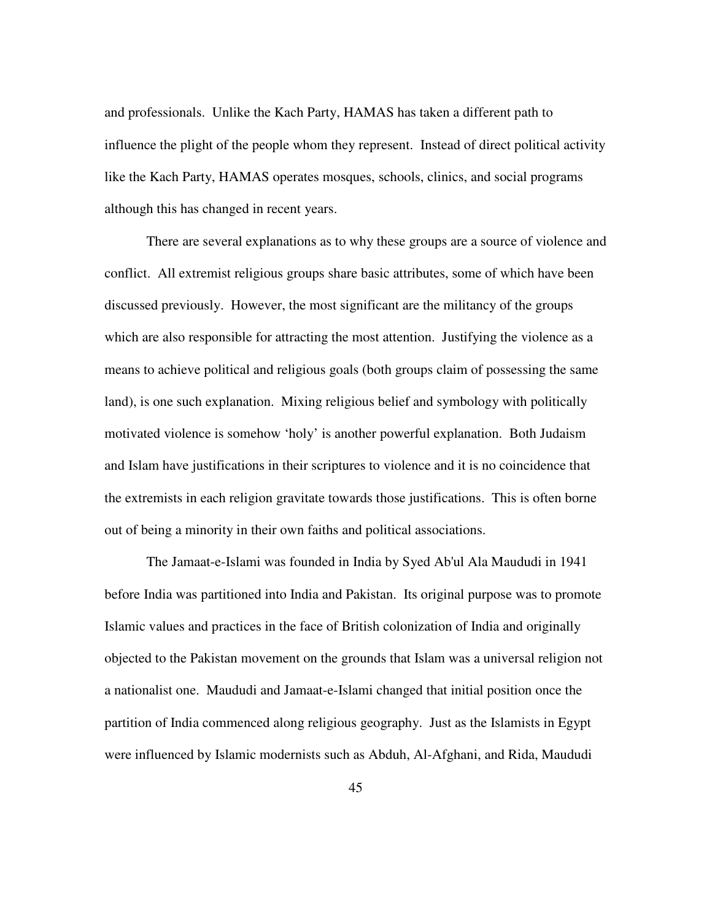and professionals. Unlike the Kach Party, HAMAS has taken a different path to influence the plight of the people whom they represent. Instead of direct political activity like the Kach Party, HAMAS operates mosques, schools, clinics, and social programs although this has changed in recent years.

There are several explanations as to why these groups are a source of violence and conflict. All extremist religious groups share basic attributes, some of which have been discussed previously. However, the most significant are the militancy of the groups which are also responsible for attracting the most attention. Justifying the violence as a means to achieve political and religious goals (both groups claim of possessing the same land), is one such explanation. Mixing religious belief and symbology with politically motivated violence is somehow 'holy' is another powerful explanation. Both Judaism and Islam have justifications in their scriptures to violence and it is no coincidence that the extremists in each religion gravitate towards those justifications. This is often borne out of being a minority in their own faiths and political associations.

The Jamaat-e-Islami was founded in India by Syed Ab'ul Ala Maududi in 1941 before India was partitioned into India and Pakistan. Its original purpose was to promote Islamic values and practices in the face of British colonization of India and originally objected to the Pakistan movement on the grounds that Islam was a universal religion not a nationalist one. Maududi and Jamaat-e-Islami changed that initial position once the partition of India commenced along religious geography. Just as the Islamists in Egypt were influenced by Islamic modernists such as Abduh, Al-Afghani, and Rida, Maududi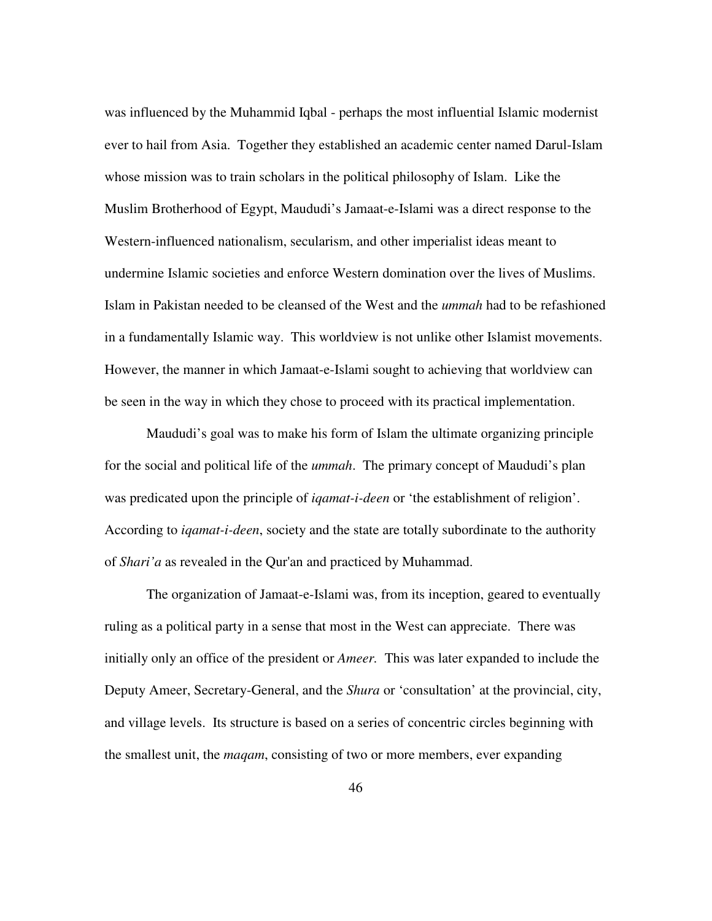was influenced by the Muhammid Iqbal - perhaps the most influential Islamic modernist ever to hail from Asia. Together they established an academic center named Darul-Islam whose mission was to train scholars in the political philosophy of Islam. Like the Muslim Brotherhood of Egypt, Maududi's Jamaat-e-Islami was a direct response to the Western-influenced nationalism, secularism, and other imperialist ideas meant to undermine Islamic societies and enforce Western domination over the lives of Muslims. Islam in Pakistan needed to be cleansed of the West and the *ummah* had to be refashioned in a fundamentally Islamic way. This worldview is not unlike other Islamist movements. However, the manner in which Jamaat-e-Islami sought to achieving that worldview can be seen in the way in which they chose to proceed with its practical implementation.

Maududi's goal was to make his form of Islam the ultimate organizing principle for the social and political life of the *ummah*. The primary concept of Maududi's plan was predicated upon the principle of *iqamat-i-deen* or 'the establishment of religion'. According to *iqamat-i-deen*, society and the state are totally subordinate to the authority of *Shari'a* as revealed in the Qur'an and practiced by Muhammad.

The organization of Jamaat-e-Islami was, from its inception, geared to eventually ruling as a political party in a sense that most in the West can appreciate. There was initially only an office of the president or *Ameer.* This was later expanded to include the Deputy Ameer, Secretary-General, and the *Shura* or 'consultation' at the provincial, city, and village levels. Its structure is based on a series of concentric circles beginning with the smallest unit, the *maqam*, consisting of two or more members, ever expanding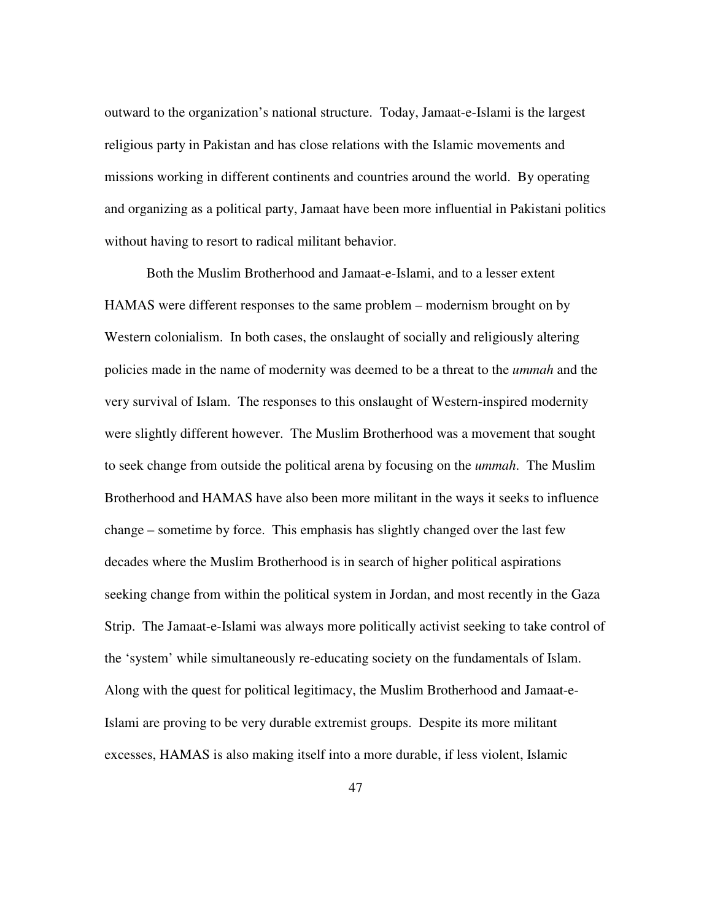outward to the organization's national structure. Today, Jamaat-e-Islami is the largest religious party in Pakistan and has close relations with the Islamic movements and missions working in different continents and countries around the world. By operating and organizing as a political party, Jamaat have been more influential in Pakistani politics without having to resort to radical militant behavior.

Both the Muslim Brotherhood and Jamaat-e-Islami, and to a lesser extent HAMAS were different responses to the same problem – modernism brought on by Western colonialism. In both cases, the onslaught of socially and religiously altering policies made in the name of modernity was deemed to be a threat to the *ummah* and the very survival of Islam. The responses to this onslaught of Western-inspired modernity were slightly different however. The Muslim Brotherhood was a movement that sought to seek change from outside the political arena by focusing on the *ummah*. The Muslim Brotherhood and HAMAS have also been more militant in the ways it seeks to influence change – sometime by force. This emphasis has slightly changed over the last few decades where the Muslim Brotherhood is in search of higher political aspirations seeking change from within the political system in Jordan, and most recently in the Gaza Strip. The Jamaat-e-Islami was always more politically activist seeking to take control of the 'system' while simultaneously re-educating society on the fundamentals of Islam. Along with the quest for political legitimacy, the Muslim Brotherhood and Jamaat-e-Islami are proving to be very durable extremist groups. Despite its more militant excesses, HAMAS is also making itself into a more durable, if less violent, Islamic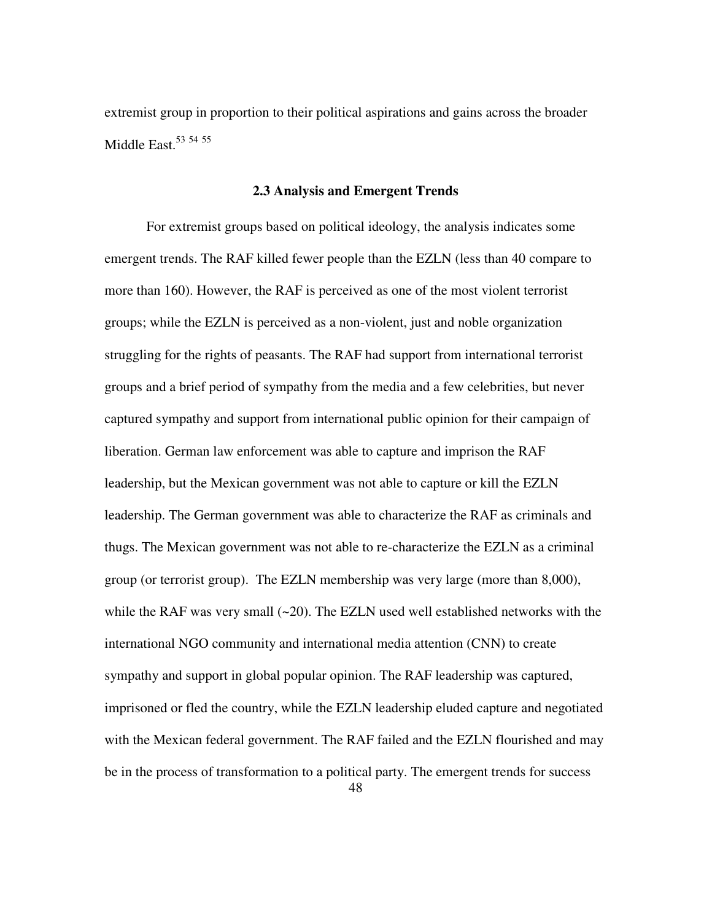extremist group in proportion to their political aspirations and gains across the broader Middle East.<sup>53</sup> 54 55

## **2.3 Analysis and Emergent Trends**

For extremist groups based on political ideology, the analysis indicates some emergent trends. The RAF killed fewer people than the EZLN (less than 40 compare to more than 160). However, the RAF is perceived as one of the most violent terrorist groups; while the EZLN is perceived as a non-violent, just and noble organization struggling for the rights of peasants. The RAF had support from international terrorist groups and a brief period of sympathy from the media and a few celebrities, but never captured sympathy and support from international public opinion for their campaign of liberation. German law enforcement was able to capture and imprison the RAF leadership, but the Mexican government was not able to capture or kill the EZLN leadership. The German government was able to characterize the RAF as criminals and thugs. The Mexican government was not able to re-characterize the EZLN as a criminal group (or terrorist group). The EZLN membership was very large (more than 8,000), while the RAF was very small  $(-20)$ . The EZLN used well established networks with the international NGO community and international media attention (CNN) to create sympathy and support in global popular opinion. The RAF leadership was captured, imprisoned or fled the country, while the EZLN leadership eluded capture and negotiated with the Mexican federal government. The RAF failed and the EZLN flourished and may be in the process of transformation to a political party. The emergent trends for success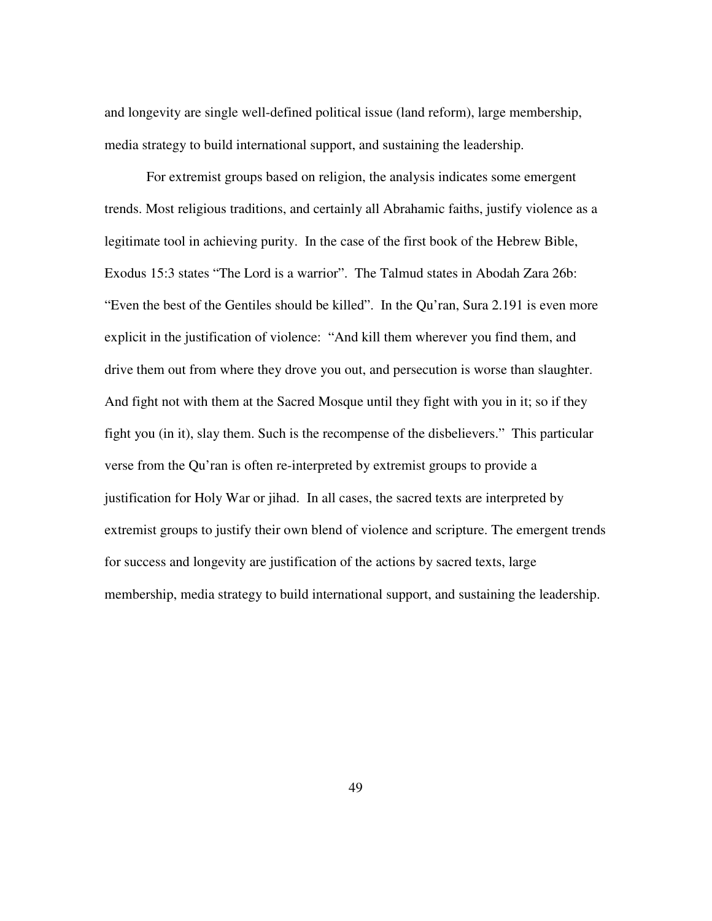and longevity are single well-defined political issue (land reform), large membership, media strategy to build international support, and sustaining the leadership.

For extremist groups based on religion, the analysis indicates some emergent trends. Most religious traditions, and certainly all Abrahamic faiths, justify violence as a legitimate tool in achieving purity. In the case of the first book of the Hebrew Bible, Exodus 15:3 states "The Lord is a warrior". The Talmud states in Abodah Zara 26b: "Even the best of the Gentiles should be killed". In the Qu'ran, Sura 2.191 is even more explicit in the justification of violence: "And kill them wherever you find them, and drive them out from where they drove you out, and persecution is worse than slaughter. And fight not with them at the Sacred Mosque until they fight with you in it; so if they fight you (in it), slay them. Such is the recompense of the disbelievers." This particular verse from the Qu'ran is often re-interpreted by extremist groups to provide a justification for Holy War or jihad. In all cases, the sacred texts are interpreted by extremist groups to justify their own blend of violence and scripture. The emergent trends for success and longevity are justification of the actions by sacred texts, large membership, media strategy to build international support, and sustaining the leadership.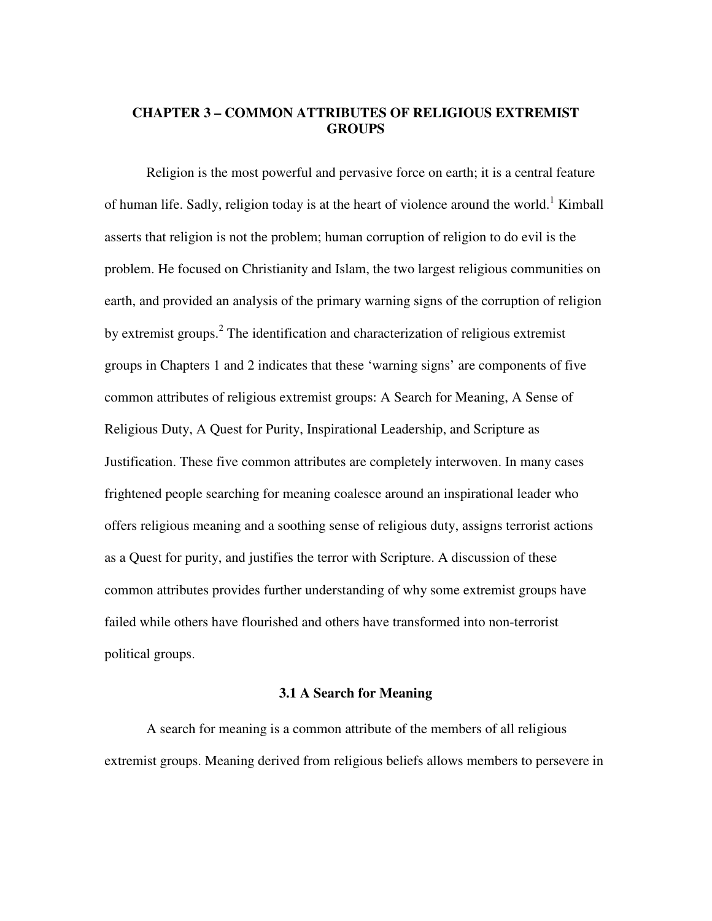# **CHAPTER 3 – COMMON ATTRIBUTES OF RELIGIOUS EXTREMIST GROUPS**

 Religion is the most powerful and pervasive force on earth; it is a central feature of human life. Sadly, religion today is at the heart of violence around the world.<sup>1</sup> Kimball asserts that religion is not the problem; human corruption of religion to do evil is the problem. He focused on Christianity and Islam, the two largest religious communities on earth, and provided an analysis of the primary warning signs of the corruption of religion by extremist groups.<sup>2</sup> The identification and characterization of religious extremist groups in Chapters 1 and 2 indicates that these 'warning signs' are components of five common attributes of religious extremist groups: A Search for Meaning, A Sense of Religious Duty, A Quest for Purity, Inspirational Leadership, and Scripture as Justification. These five common attributes are completely interwoven. In many cases frightened people searching for meaning coalesce around an inspirational leader who offers religious meaning and a soothing sense of religious duty, assigns terrorist actions as a Quest for purity, and justifies the terror with Scripture. A discussion of these common attributes provides further understanding of why some extremist groups have failed while others have flourished and others have transformed into non-terrorist political groups.

## **3.1 A Search for Meaning**

A search for meaning is a common attribute of the members of all religious extremist groups. Meaning derived from religious beliefs allows members to persevere in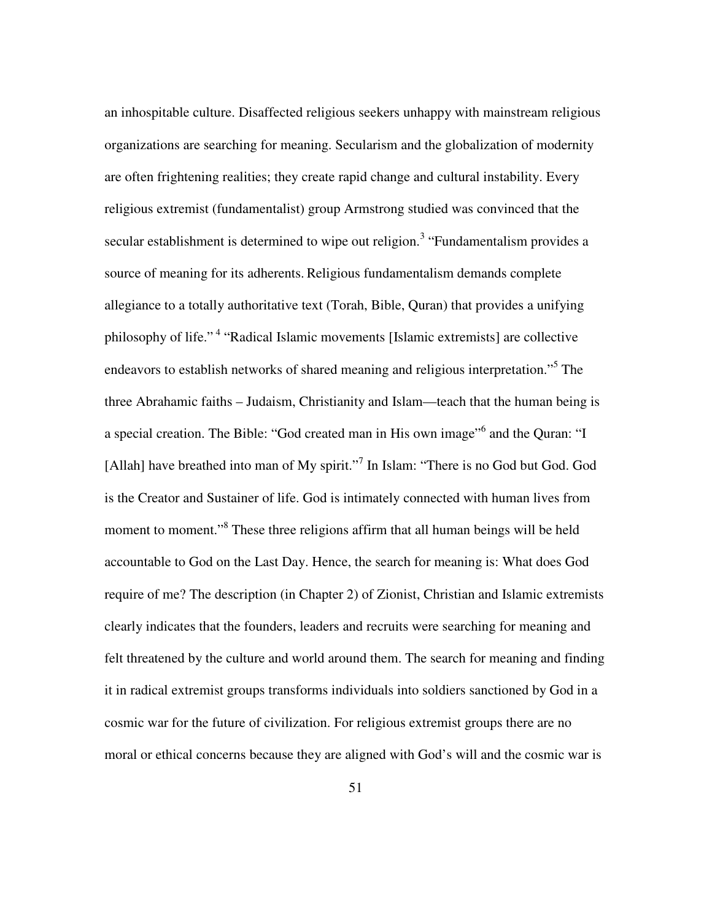an inhospitable culture. Disaffected religious seekers unhappy with mainstream religious organizations are searching for meaning. Secularism and the globalization of modernity are often frightening realities; they create rapid change and cultural instability. Every religious extremist (fundamentalist) group Armstrong studied was convinced that the secular establishment is determined to wipe out religion.<sup>3</sup> "Fundamentalism provides a source of meaning for its adherents. Religious fundamentalism demands complete allegiance to a totally authoritative text (Torah, Bible, Quran) that provides a unifying philosophy of life."<sup>4</sup> "Radical Islamic movements [Islamic extremists] are collective endeavors to establish networks of shared meaning and religious interpretation."<sup>5</sup> The three Abrahamic faiths – Judaism, Christianity and Islam—teach that the human being is a special creation. The Bible: "God created man in His own image"<sup>6</sup> and the Quran: "I [Allah] have breathed into man of My spirit."<sup>7</sup> In Islam: "There is no God but God. God is the Creator and Sustainer of life. God is intimately connected with human lives from moment to moment."<sup>8</sup> These three religions affirm that all human beings will be held accountable to God on the Last Day. Hence, the search for meaning is: What does God require of me? The description (in Chapter 2) of Zionist, Christian and Islamic extremists clearly indicates that the founders, leaders and recruits were searching for meaning and felt threatened by the culture and world around them. The search for meaning and finding it in radical extremist groups transforms individuals into soldiers sanctioned by God in a cosmic war for the future of civilization. For religious extremist groups there are no moral or ethical concerns because they are aligned with God's will and the cosmic war is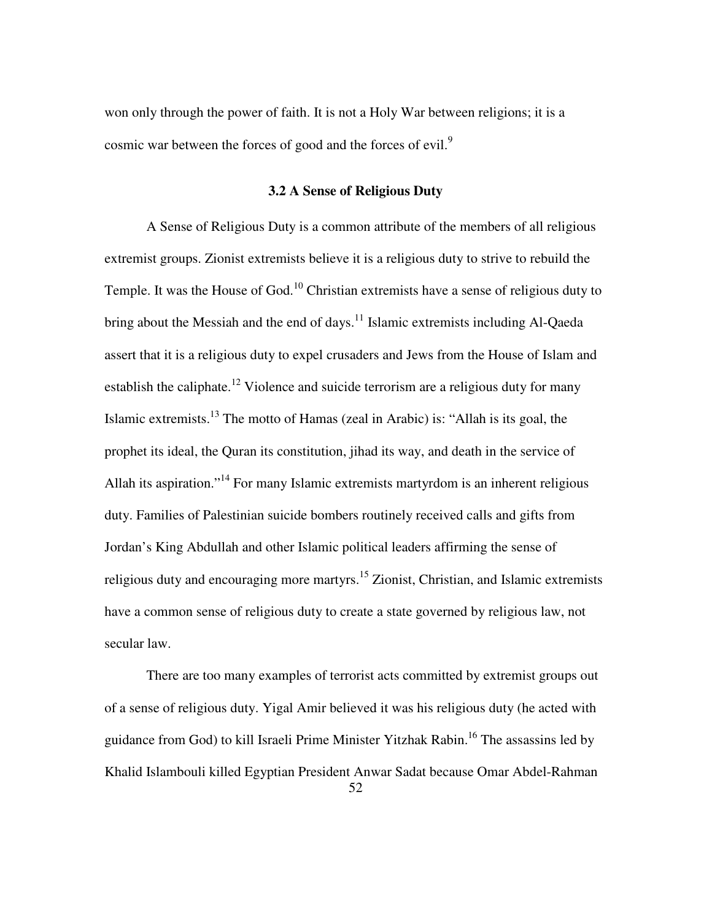won only through the power of faith. It is not a Holy War between religions; it is a cosmic war between the forces of good and the forces of evil.<sup>9</sup>

# **3.2 A Sense of Religious Duty**

A Sense of Religious Duty is a common attribute of the members of all religious extremist groups. Zionist extremists believe it is a religious duty to strive to rebuild the Temple. It was the House of God.<sup>10</sup> Christian extremists have a sense of religious duty to bring about the Messiah and the end of days.<sup>11</sup> Islamic extremists including Al-Qaeda assert that it is a religious duty to expel crusaders and Jews from the House of Islam and establish the caliphate.<sup>12</sup> Violence and suicide terrorism are a religious duty for many Islamic extremists.<sup>13</sup> The motto of Hamas (zeal in Arabic) is: "Allah is its goal, the prophet its ideal, the Quran its constitution, jihad its way, and death in the service of Allah its aspiration."<sup>14</sup> For many Islamic extremists martyrdom is an inherent religious duty. Families of Palestinian suicide bombers routinely received calls and gifts from Jordan's King Abdullah and other Islamic political leaders affirming the sense of religious duty and encouraging more martyrs.<sup>15</sup> Zionist, Christian, and Islamic extremists have a common sense of religious duty to create a state governed by religious law, not secular law.

There are too many examples of terrorist acts committed by extremist groups out of a sense of religious duty. Yigal Amir believed it was his religious duty (he acted with guidance from God) to kill Israeli Prime Minister Yitzhak Rabin.<sup>16</sup> The assassins led by Khalid Islambouli killed Egyptian President Anwar Sadat because Omar Abdel-Rahman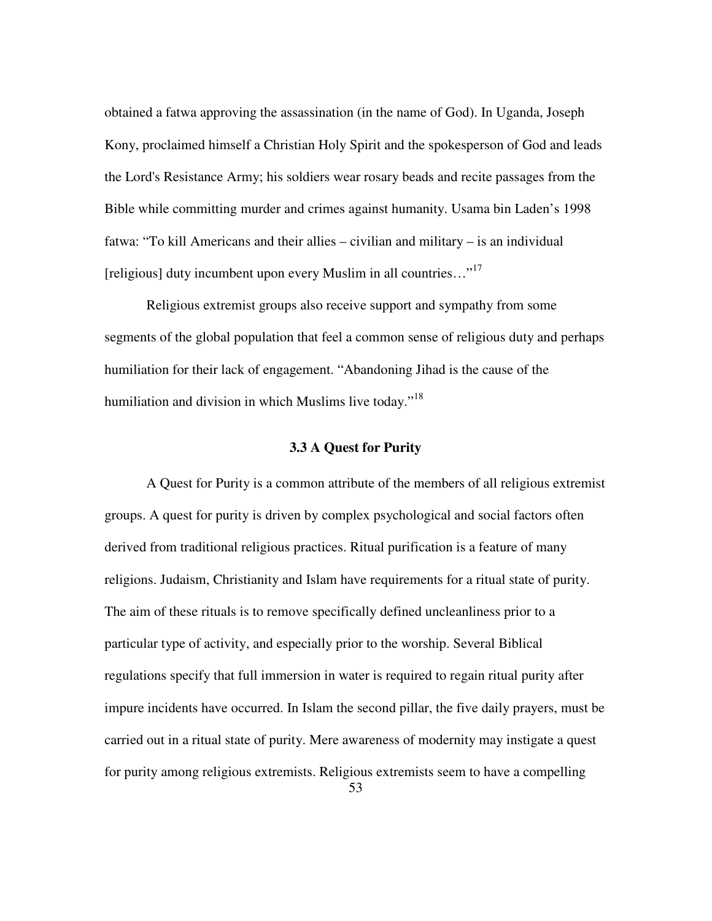obtained a fatwa approving the assassination (in the name of God). In Uganda, Joseph Kony, proclaimed himself a Christian Holy Spirit and the spokesperson of God and leads the Lord's Resistance Army; his soldiers wear rosary beads and recite passages from the Bible while committing murder and crimes against humanity. Usama bin Laden's 1998 fatwa: "To kill Americans and their allies – civilian and military – is an individual [religious] duty incumbent upon every Muslim in all countries..."<sup>17</sup>

Religious extremist groups also receive support and sympathy from some segments of the global population that feel a common sense of religious duty and perhaps humiliation for their lack of engagement. "Abandoning Jihad is the cause of the humiliation and division in which Muslims live today."<sup>18</sup>

### **3.3 A Quest for Purity**

A Quest for Purity is a common attribute of the members of all religious extremist groups. A quest for purity is driven by complex psychological and social factors often derived from traditional religious practices. Ritual purification is a feature of many religions. Judaism, Christianity and Islam have requirements for a ritual state of purity. The aim of these rituals is to remove specifically defined uncleanliness prior to a particular type of activity, and especially prior to the worship. Several Biblical regulations specify that full immersion in water is required to regain ritual purity after impure incidents have occurred. In Islam the second pillar, the five daily prayers, must be carried out in a ritual state of purity. Mere awareness of modernity may instigate a quest for purity among religious extremists. Religious extremists seem to have a compelling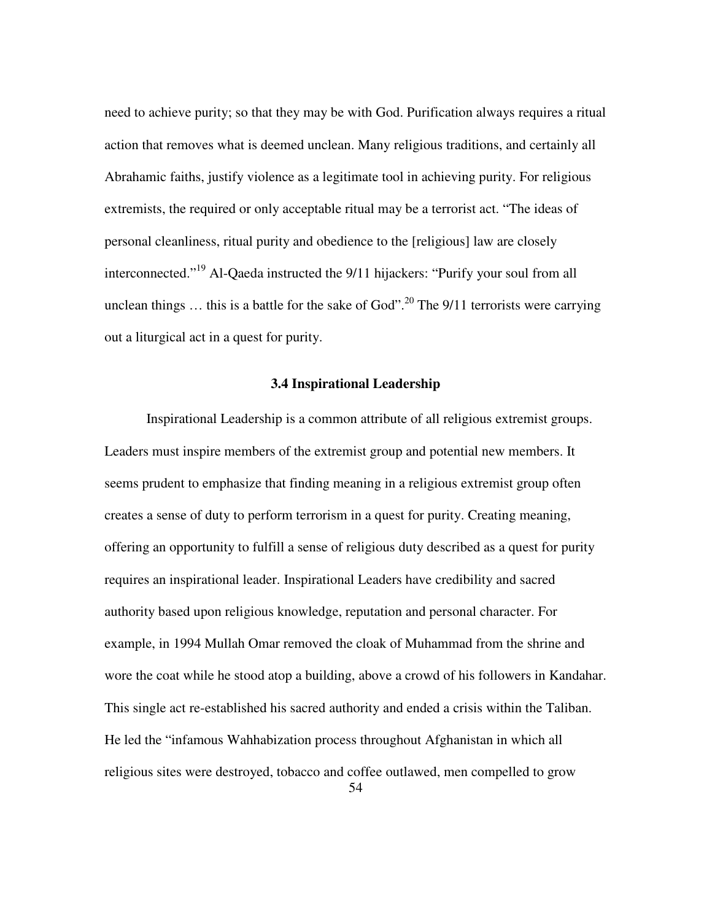need to achieve purity; so that they may be with God. Purification always requires a ritual action that removes what is deemed unclean. Many religious traditions, and certainly all Abrahamic faiths, justify violence as a legitimate tool in achieving purity. For religious extremists, the required or only acceptable ritual may be a terrorist act. "The ideas of personal cleanliness, ritual purity and obedience to the [religious] law are closely interconnected."<sup>19</sup> Al-Qaeda instructed the 9/11 hijackers: "Purify your soul from all unclean things  $\ldots$  this is a battle for the sake of God".<sup>20</sup> The 9/11 terrorists were carrying out a liturgical act in a quest for purity.

# **3.4 Inspirational Leadership**

Inspirational Leadership is a common attribute of all religious extremist groups. Leaders must inspire members of the extremist group and potential new members. It seems prudent to emphasize that finding meaning in a religious extremist group often creates a sense of duty to perform terrorism in a quest for purity. Creating meaning, offering an opportunity to fulfill a sense of religious duty described as a quest for purity requires an inspirational leader. Inspirational Leaders have credibility and sacred authority based upon religious knowledge, reputation and personal character. For example, in 1994 Mullah Omar removed the cloak of Muhammad from the shrine and wore the coat while he stood atop a building, above a crowd of his followers in Kandahar. This single act re-established his sacred authority and ended a crisis within the Taliban. He led the "infamous Wahhabization process throughout Afghanistan in which all religious sites were destroyed, tobacco and coffee outlawed, men compelled to grow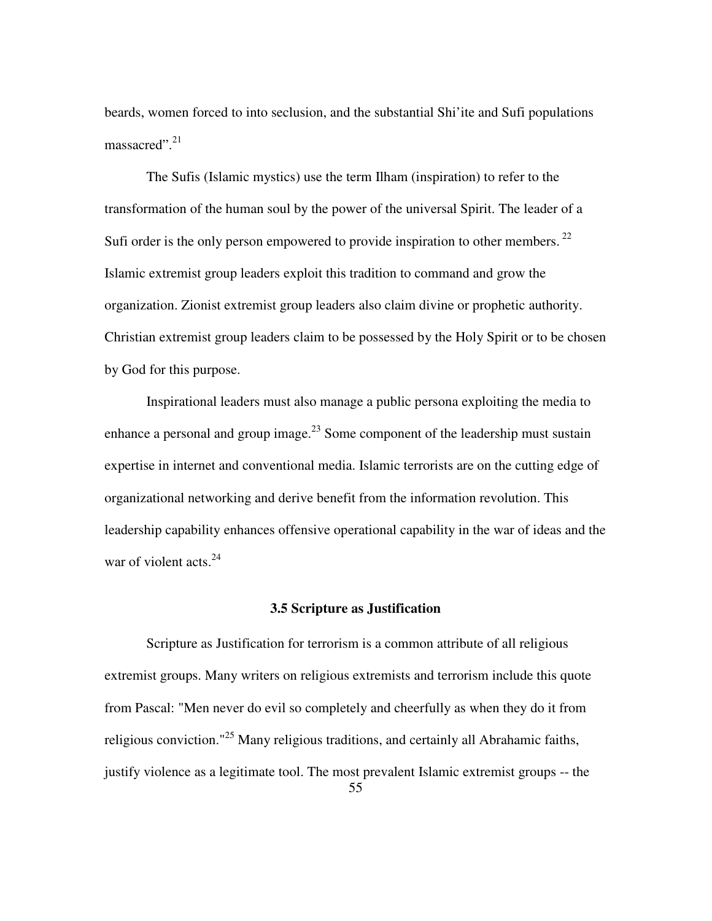beards, women forced to into seclusion, and the substantial Shi'ite and Sufi populations massacred". $21$ 

The Sufis (Islamic mystics) use the term Ilham (inspiration) to refer to the transformation of the human soul by the power of the universal Spirit. The leader of a Sufi order is the only person empowered to provide inspiration to other members.<sup>22</sup> Islamic extremist group leaders exploit this tradition to command and grow the organization. Zionist extremist group leaders also claim divine or prophetic authority. Christian extremist group leaders claim to be possessed by the Holy Spirit or to be chosen by God for this purpose.

Inspirational leaders must also manage a public persona exploiting the media to enhance a personal and group image.<sup>23</sup> Some component of the leadership must sustain expertise in internet and conventional media. Islamic terrorists are on the cutting edge of organizational networking and derive benefit from the information revolution. This leadership capability enhances offensive operational capability in the war of ideas and the war of violent acts. $^{24}$ 

#### **3.5 Scripture as Justification**

Scripture as Justification for terrorism is a common attribute of all religious extremist groups. Many writers on religious extremists and terrorism include this quote from Pascal: "Men never do evil so completely and cheerfully as when they do it from religious conviction."<sup>25</sup> Many religious traditions, and certainly all Abrahamic faiths, justify violence as a legitimate tool. The most prevalent Islamic extremist groups -- the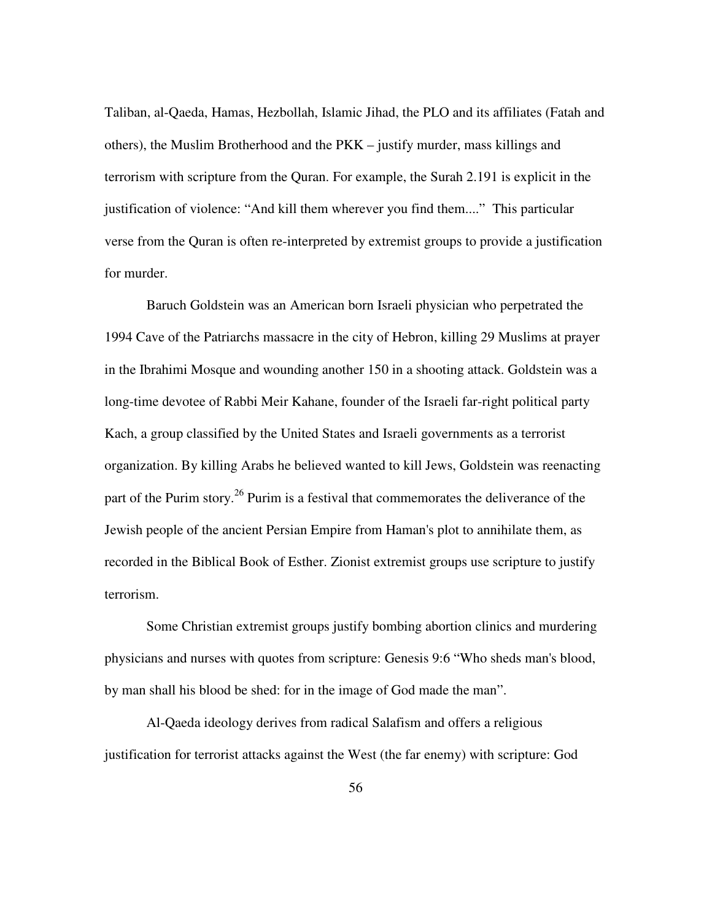Taliban, al-Qaeda, Hamas, Hezbollah, Islamic Jihad, the PLO and its affiliates (Fatah and others), the Muslim Brotherhood and the PKK – justify murder, mass killings and terrorism with scripture from the Quran. For example, the Surah 2.191 is explicit in the justification of violence: "And kill them wherever you find them...." This particular verse from the Quran is often re-interpreted by extremist groups to provide a justification for murder.

Baruch Goldstein was an American born Israeli physician who perpetrated the 1994 Cave of the Patriarchs massacre in the city of Hebron, killing 29 Muslims at prayer in the Ibrahimi Mosque and wounding another 150 in a shooting attack. Goldstein was a long-time devotee of Rabbi Meir Kahane, founder of the Israeli far-right political party Kach, a group classified by the United States and Israeli governments as a terrorist organization. By killing Arabs he believed wanted to kill Jews, Goldstein was reenacting part of the Purim story.<sup>26</sup> Purim is a festival that commemorates the deliverance of the Jewish people of the ancient Persian Empire from Haman's plot to annihilate them, as recorded in the Biblical Book of Esther. Zionist extremist groups use scripture to justify terrorism.

Some Christian extremist groups justify bombing abortion clinics and murdering physicians and nurses with quotes from scripture: Genesis 9:6 "Who sheds man's blood, by man shall his blood be shed: for in the image of God made the man".

Al-Qaeda ideology derives from radical Salafism and offers a religious justification for terrorist attacks against the West (the far enemy) with scripture: God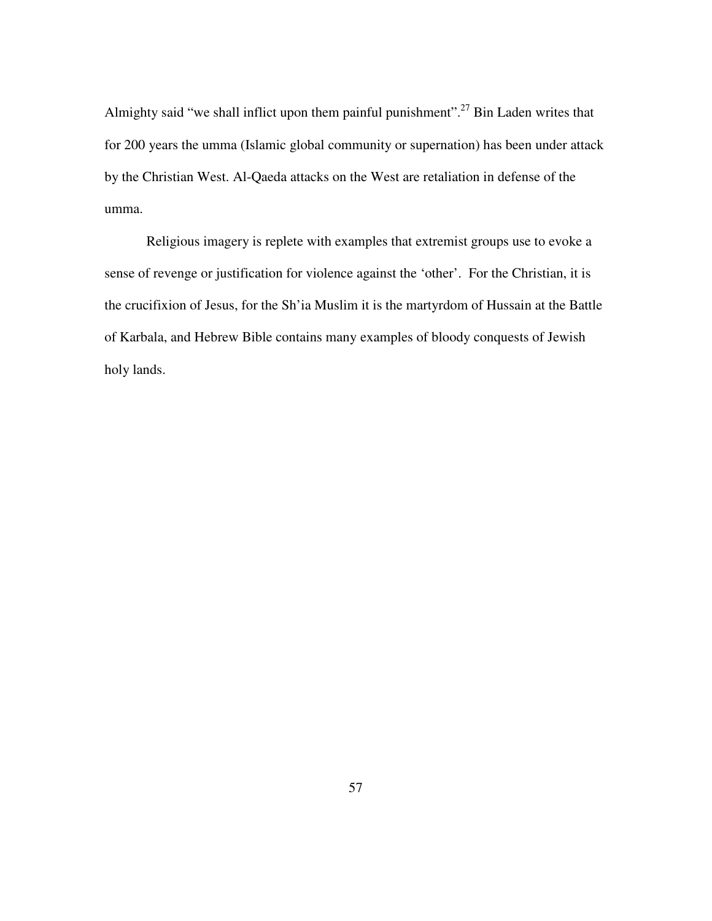Almighty said "we shall inflict upon them painful punishment".<sup>27</sup> Bin Laden writes that for 200 years the umma (Islamic global community or supernation) has been under attack by the Christian West. Al-Qaeda attacks on the West are retaliation in defense of the umma.

Religious imagery is replete with examples that extremist groups use to evoke a sense of revenge or justification for violence against the 'other'. For the Christian, it is the crucifixion of Jesus, for the Sh'ia Muslim it is the martyrdom of Hussain at the Battle of Karbala, and Hebrew Bible contains many examples of bloody conquests of Jewish holy lands.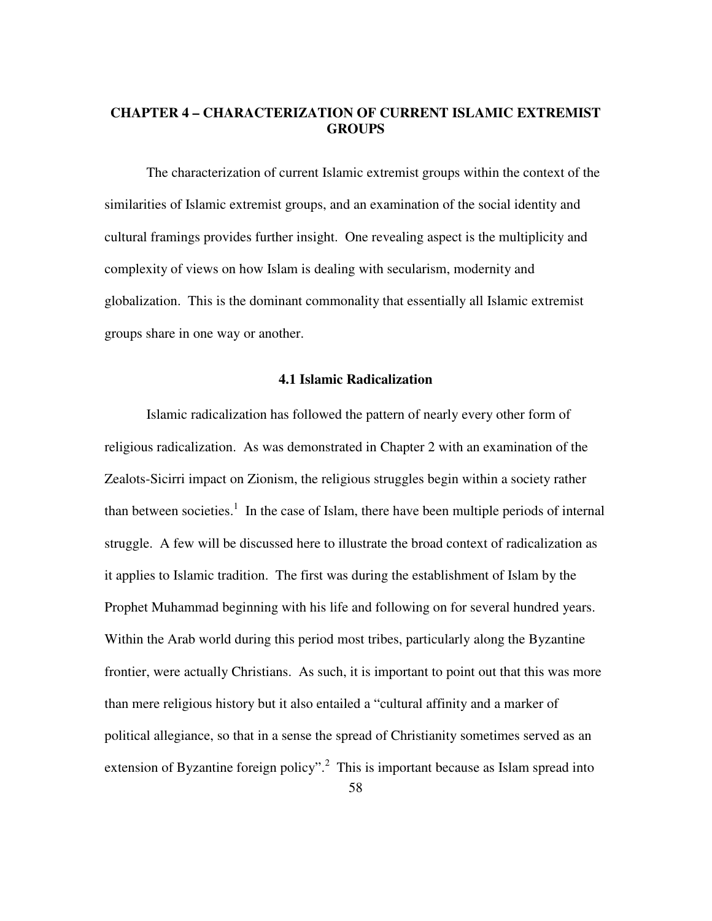# **CHAPTER 4 – CHARACTERIZATION OF CURRENT ISLAMIC EXTREMIST GROUPS**

The characterization of current Islamic extremist groups within the context of the similarities of Islamic extremist groups, and an examination of the social identity and cultural framings provides further insight. One revealing aspect is the multiplicity and complexity of views on how Islam is dealing with secularism, modernity and globalization. This is the dominant commonality that essentially all Islamic extremist groups share in one way or another.

# **4.1 Islamic Radicalization**

Islamic radicalization has followed the pattern of nearly every other form of religious radicalization. As was demonstrated in Chapter 2 with an examination of the Zealots-Sicirri impact on Zionism, the religious struggles begin within a society rather than between societies.<sup>1</sup> In the case of Islam, there have been multiple periods of internal struggle. A few will be discussed here to illustrate the broad context of radicalization as it applies to Islamic tradition. The first was during the establishment of Islam by the Prophet Muhammad beginning with his life and following on for several hundred years. Within the Arab world during this period most tribes, particularly along the Byzantine frontier, were actually Christians. As such, it is important to point out that this was more than mere religious history but it also entailed a "cultural affinity and a marker of political allegiance, so that in a sense the spread of Christianity sometimes served as an extension of Byzantine foreign policy".<sup>2</sup> This is important because as Islam spread into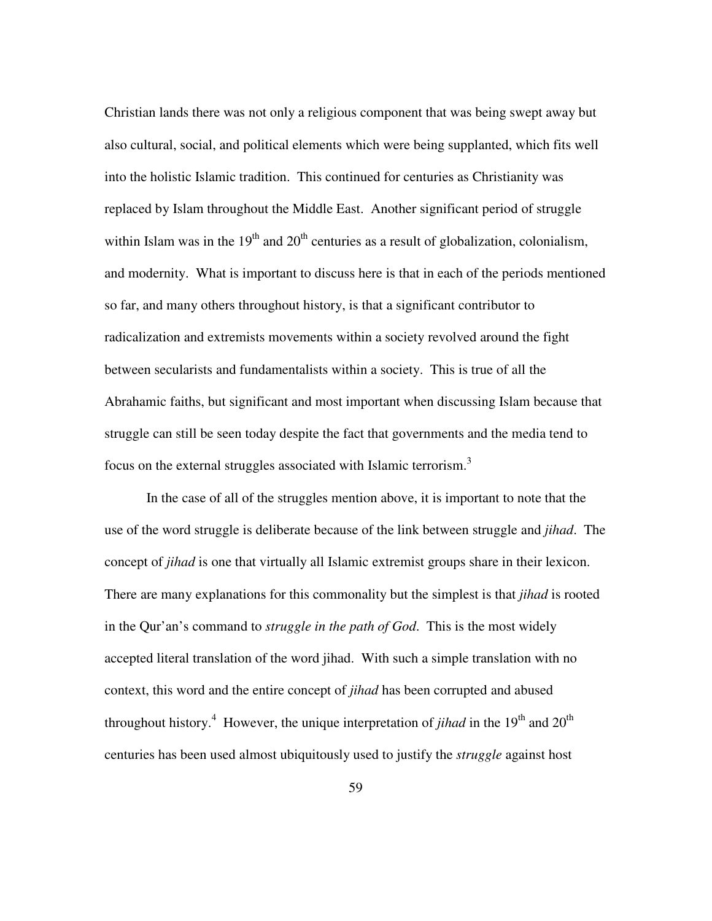Christian lands there was not only a religious component that was being swept away but also cultural, social, and political elements which were being supplanted, which fits well into the holistic Islamic tradition. This continued for centuries as Christianity was replaced by Islam throughout the Middle East. Another significant period of struggle within Islam was in the  $19<sup>th</sup>$  and  $20<sup>th</sup>$  centuries as a result of globalization, colonialism, and modernity. What is important to discuss here is that in each of the periods mentioned so far, and many others throughout history, is that a significant contributor to radicalization and extremists movements within a society revolved around the fight between secularists and fundamentalists within a society. This is true of all the Abrahamic faiths, but significant and most important when discussing Islam because that struggle can still be seen today despite the fact that governments and the media tend to focus on the external struggles associated with Islamic terrorism.<sup>3</sup>

In the case of all of the struggles mention above, it is important to note that the use of the word struggle is deliberate because of the link between struggle and *jihad*. The concept of *jihad* is one that virtually all Islamic extremist groups share in their lexicon. There are many explanations for this commonality but the simplest is that *jihad* is rooted in the Qur'an's command to *struggle in the path of God*. This is the most widely accepted literal translation of the word jihad. With such a simple translation with no context, this word and the entire concept of *jihad* has been corrupted and abused throughout history.<sup>4</sup> However, the unique interpretation of *jihad* in the 19<sup>th</sup> and 20<sup>th</sup> centuries has been used almost ubiquitously used to justify the *struggle* against host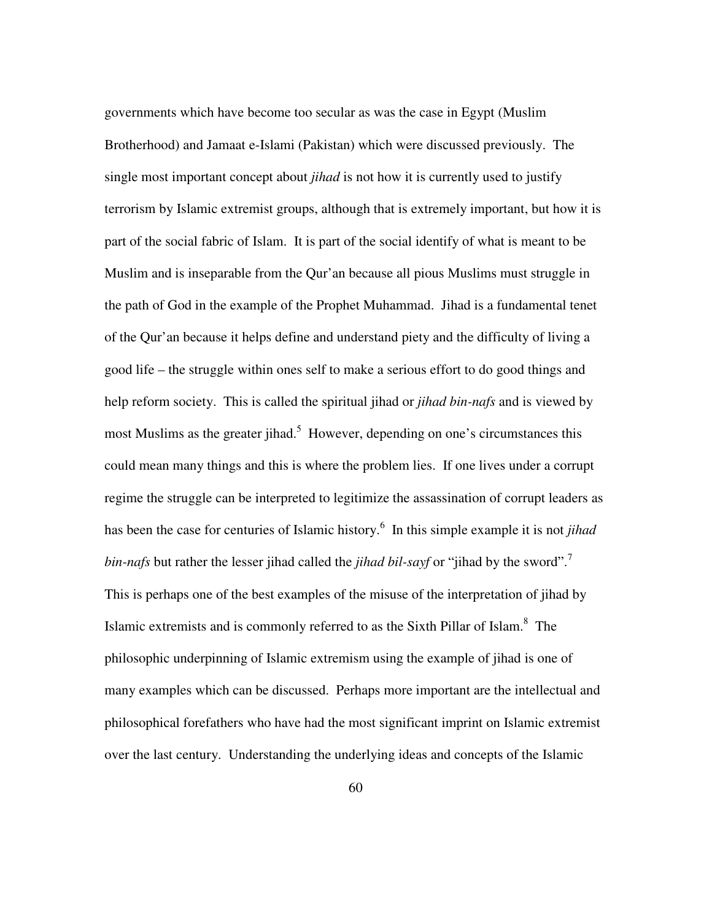governments which have become too secular as was the case in Egypt (Muslim Brotherhood) and Jamaat e-Islami (Pakistan) which were discussed previously. The single most important concept about *jihad* is not how it is currently used to justify terrorism by Islamic extremist groups, although that is extremely important, but how it is part of the social fabric of Islam. It is part of the social identify of what is meant to be Muslim and is inseparable from the Qur'an because all pious Muslims must struggle in the path of God in the example of the Prophet Muhammad. Jihad is a fundamental tenet of the Qur'an because it helps define and understand piety and the difficulty of living a good life – the struggle within ones self to make a serious effort to do good things and help reform society. This is called the spiritual jihad or *jihad bin-nafs* and is viewed by most Muslims as the greater jihad.<sup>5</sup> However, depending on one's circumstances this could mean many things and this is where the problem lies. If one lives under a corrupt regime the struggle can be interpreted to legitimize the assassination of corrupt leaders as has been the case for centuries of Islamic history.<sup>6</sup> In this simple example it is not *jihad* bin-nafs but rather the lesser jihad called the *jihad bil-sayf* or "jihad by the sword".<sup>7</sup> This is perhaps one of the best examples of the misuse of the interpretation of jihad by Islamic extremists and is commonly referred to as the Sixth Pillar of Islam.<sup>8</sup> The philosophic underpinning of Islamic extremism using the example of jihad is one of many examples which can be discussed. Perhaps more important are the intellectual and philosophical forefathers who have had the most significant imprint on Islamic extremist over the last century. Understanding the underlying ideas and concepts of the Islamic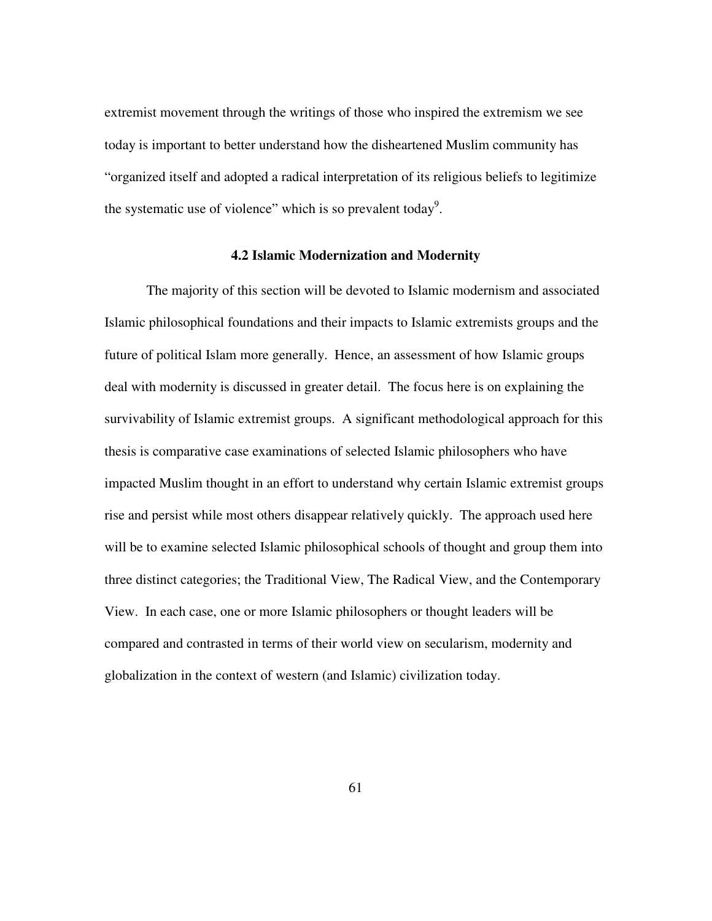extremist movement through the writings of those who inspired the extremism we see today is important to better understand how the disheartened Muslim community has "organized itself and adopted a radical interpretation of its religious beliefs to legitimize the systematic use of violence" which is so prevalent today<sup>9</sup>.

# **4.2 Islamic Modernization and Modernity**

The majority of this section will be devoted to Islamic modernism and associated Islamic philosophical foundations and their impacts to Islamic extremists groups and the future of political Islam more generally. Hence, an assessment of how Islamic groups deal with modernity is discussed in greater detail. The focus here is on explaining the survivability of Islamic extremist groups. A significant methodological approach for this thesis is comparative case examinations of selected Islamic philosophers who have impacted Muslim thought in an effort to understand why certain Islamic extremist groups rise and persist while most others disappear relatively quickly. The approach used here will be to examine selected Islamic philosophical schools of thought and group them into three distinct categories; the Traditional View, The Radical View, and the Contemporary View. In each case, one or more Islamic philosophers or thought leaders will be compared and contrasted in terms of their world view on secularism, modernity and globalization in the context of western (and Islamic) civilization today.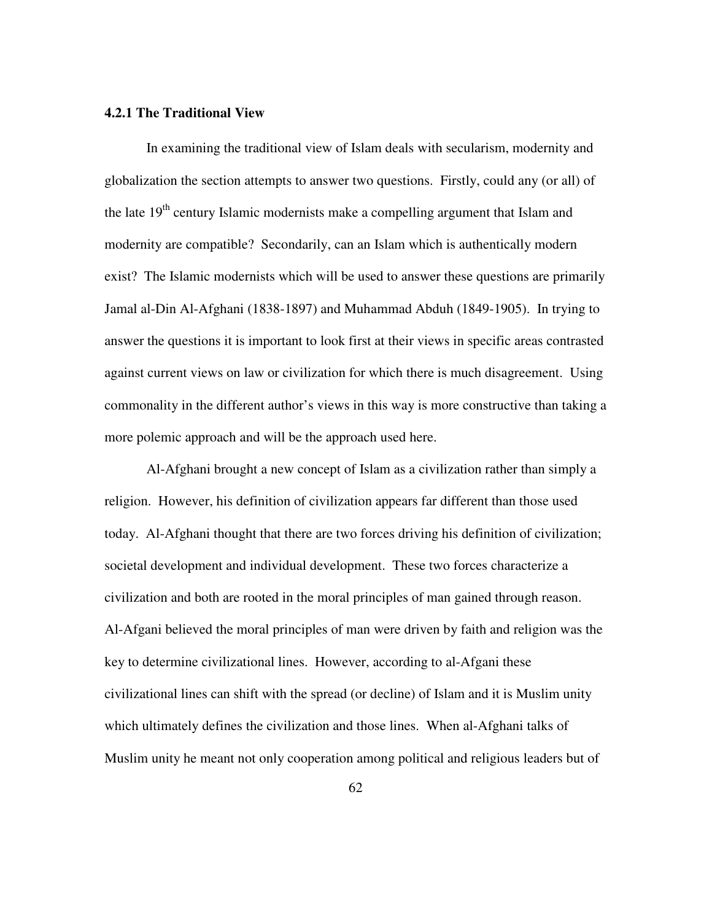## **4.2.1 The Traditional View**

In examining the traditional view of Islam deals with secularism, modernity and globalization the section attempts to answer two questions. Firstly, could any (or all) of the late  $19<sup>th</sup>$  century Islamic modernists make a compelling argument that Islam and modernity are compatible? Secondarily, can an Islam which is authentically modern exist? The Islamic modernists which will be used to answer these questions are primarily Jamal al-Din Al-Afghani (1838-1897) and Muhammad Abduh (1849-1905). In trying to answer the questions it is important to look first at their views in specific areas contrasted against current views on law or civilization for which there is much disagreement. Using commonality in the different author's views in this way is more constructive than taking a more polemic approach and will be the approach used here.

Al-Afghani brought a new concept of Islam as a civilization rather than simply a religion. However, his definition of civilization appears far different than those used today. Al-Afghani thought that there are two forces driving his definition of civilization; societal development and individual development. These two forces characterize a civilization and both are rooted in the moral principles of man gained through reason. Al-Afgani believed the moral principles of man were driven by faith and religion was the key to determine civilizational lines. However, according to al-Afgani these civilizational lines can shift with the spread (or decline) of Islam and it is Muslim unity which ultimately defines the civilization and those lines. When al-Afghani talks of Muslim unity he meant not only cooperation among political and religious leaders but of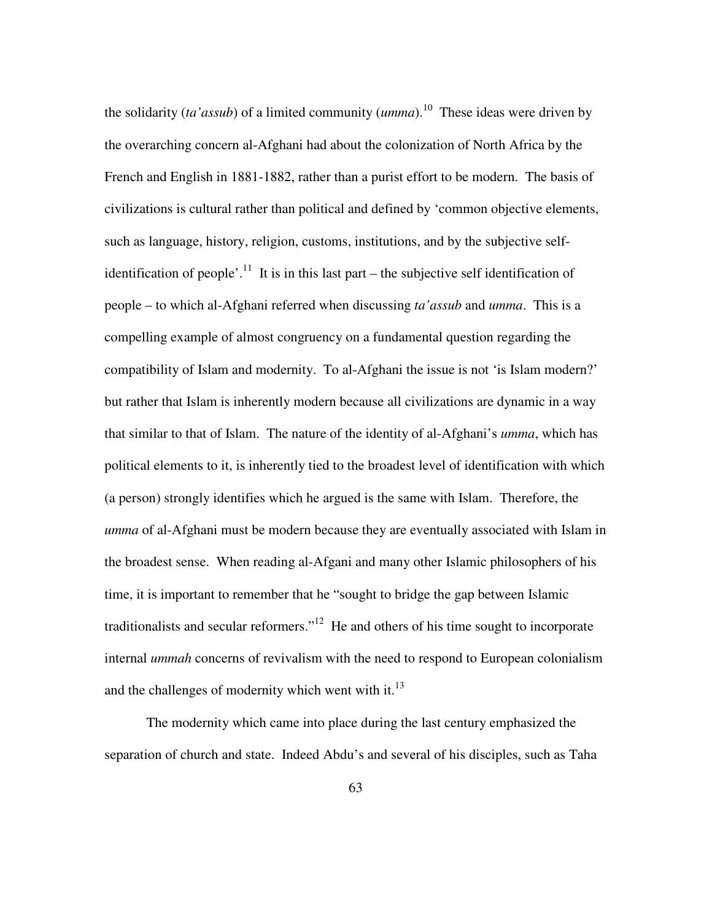the solidarity (*ta'assub*) of a limited community ( $umma$ ).<sup>10</sup> These ideas were driven by the overarching concern al-Afghani had about the colonization of North Africa by the French and English in 1881-1882, rather than a purist effort to be modern. The basis of civilizations is cultural rather than political and defined by 'common objective elements, such as language, history, religion, customs, institutions, and by the subjective selfidentification of people'.<sup>11</sup> It is in this last part – the subjective self identification of people – to which al-Afghani referred when discussing *ta'assub* and *umma*. This is a compelling example of almost congruency on a fundamental question regarding the compatibility of Islam and modernity. To al-Afghani the issue is not 'is Islam modern?' but rather that Islam is inherently modern because all civilizations are dynamic in a way that similar to that of Islam. The nature of the identity of al-Afghani's *umma*, which has political elements to it, is inherently tied to the broadest level of identification with which (a person) strongly identifies which he argued is the same with Islam. Therefore, the *umma* of al-Afghani must be modern because they are eventually associated with Islam in the broadest sense. When reading al-Afgani and many other Islamic philosophers of his time, it is important to remember that he "sought to bridge the gap between Islamic traditionalists and secular reformers."<sup>12</sup> He and others of his time sought to incorporate internal *ummah* concerns of revivalism with the need to respond to European colonialism and the challenges of modernity which went with it. $^{13}$ 

The modernity which came into place during the last century emphasized the separation of church and state. Indeed Abdu's and several of his disciples, such as Taha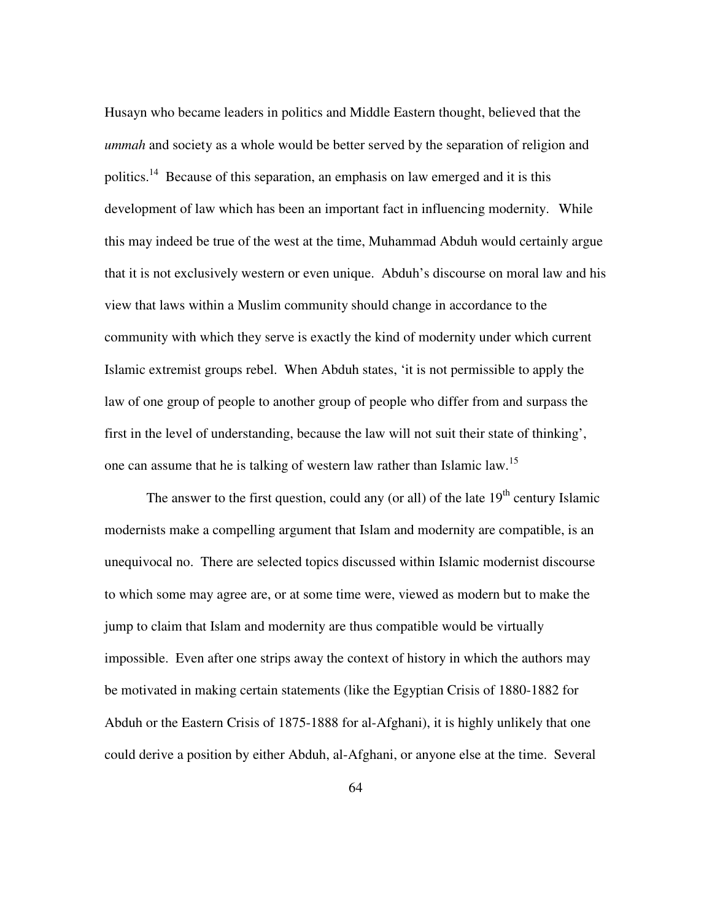Husayn who became leaders in politics and Middle Eastern thought, believed that the *ummah* and society as a whole would be better served by the separation of religion and politics.<sup>14</sup> Because of this separation, an emphasis on law emerged and it is this development of law which has been an important fact in influencing modernity. While this may indeed be true of the west at the time, Muhammad Abduh would certainly argue that it is not exclusively western or even unique. Abduh's discourse on moral law and his view that laws within a Muslim community should change in accordance to the community with which they serve is exactly the kind of modernity under which current Islamic extremist groups rebel. When Abduh states, 'it is not permissible to apply the law of one group of people to another group of people who differ from and surpass the first in the level of understanding, because the law will not suit their state of thinking', one can assume that he is talking of western law rather than Islamic law.<sup>15</sup>

The answer to the first question, could any (or all) of the late  $19<sup>th</sup>$  century Islamic modernists make a compelling argument that Islam and modernity are compatible, is an unequivocal no. There are selected topics discussed within Islamic modernist discourse to which some may agree are, or at some time were, viewed as modern but to make the jump to claim that Islam and modernity are thus compatible would be virtually impossible. Even after one strips away the context of history in which the authors may be motivated in making certain statements (like the Egyptian Crisis of 1880-1882 for Abduh or the Eastern Crisis of 1875-1888 for al-Afghani), it is highly unlikely that one could derive a position by either Abduh, al-Afghani, or anyone else at the time. Several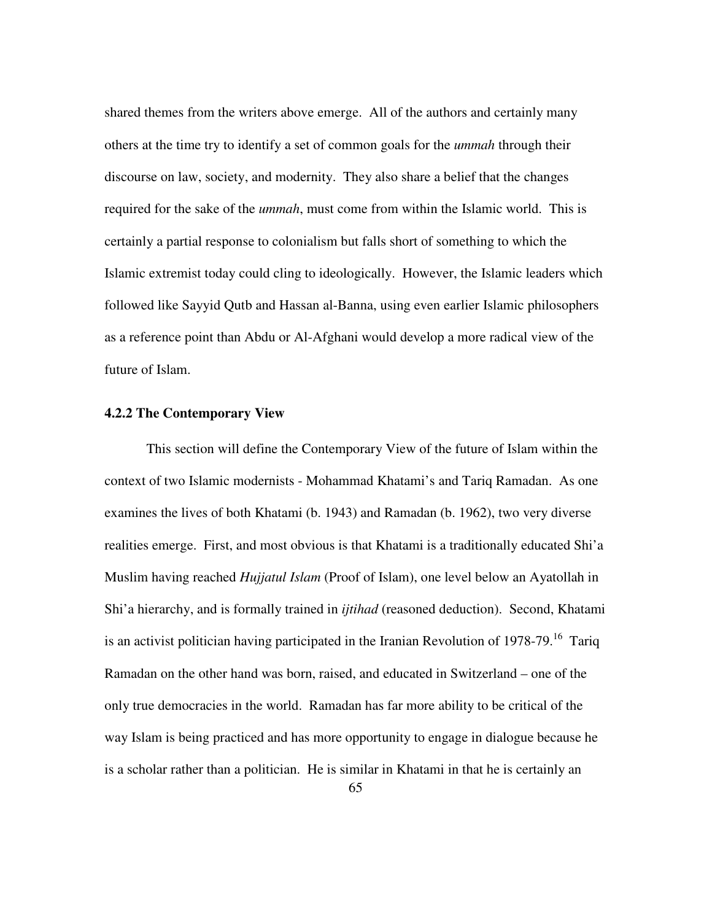shared themes from the writers above emerge. All of the authors and certainly many others at the time try to identify a set of common goals for the *ummah* through their discourse on law, society, and modernity. They also share a belief that the changes required for the sake of the *ummah*, must come from within the Islamic world. This is certainly a partial response to colonialism but falls short of something to which the Islamic extremist today could cling to ideologically. However, the Islamic leaders which followed like Sayyid Qutb and Hassan al-Banna, using even earlier Islamic philosophers as a reference point than Abdu or Al-Afghani would develop a more radical view of the future of Islam.

## **4.2.2 The Contemporary View**

This section will define the Contemporary View of the future of Islam within the context of two Islamic modernists - Mohammad Khatami's and Tariq Ramadan. As one examines the lives of both Khatami (b. 1943) and Ramadan (b. 1962), two very diverse realities emerge. First, and most obvious is that Khatami is a traditionally educated Shi'a Muslim having reached *Hujjatul Islam* (Proof of Islam), one level below an Ayatollah in Shi'a hierarchy, and is formally trained in *ijtihad* (reasoned deduction). Second, Khatami is an activist politician having participated in the Iranian Revolution of 1978-79.<sup>16</sup> Tariq Ramadan on the other hand was born, raised, and educated in Switzerland – one of the only true democracies in the world. Ramadan has far more ability to be critical of the way Islam is being practiced and has more opportunity to engage in dialogue because he is a scholar rather than a politician. He is similar in Khatami in that he is certainly an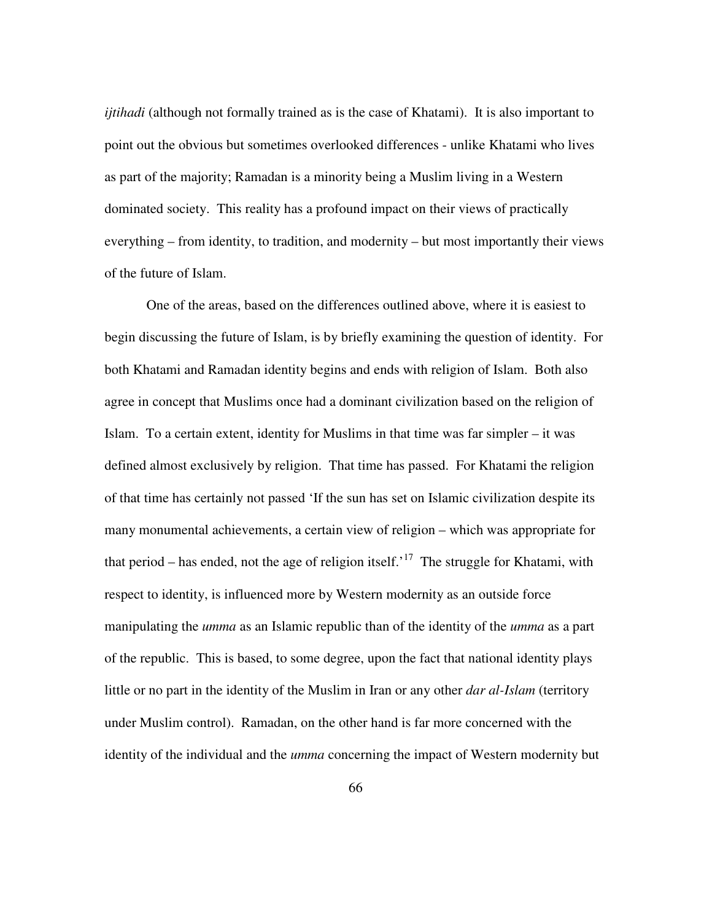*ijtihadi* (although not formally trained as is the case of Khatami). It is also important to point out the obvious but sometimes overlooked differences - unlike Khatami who lives as part of the majority; Ramadan is a minority being a Muslim living in a Western dominated society. This reality has a profound impact on their views of practically everything – from identity, to tradition, and modernity – but most importantly their views of the future of Islam.

One of the areas, based on the differences outlined above, where it is easiest to begin discussing the future of Islam, is by briefly examining the question of identity. For both Khatami and Ramadan identity begins and ends with religion of Islam. Both also agree in concept that Muslims once had a dominant civilization based on the religion of Islam. To a certain extent, identity for Muslims in that time was far simpler – it was defined almost exclusively by religion. That time has passed. For Khatami the religion of that time has certainly not passed 'If the sun has set on Islamic civilization despite its many monumental achievements, a certain view of religion – which was appropriate for that period – has ended, not the age of religion itself.<sup>17</sup> The struggle for Khatami, with respect to identity, is influenced more by Western modernity as an outside force manipulating the *umma* as an Islamic republic than of the identity of the *umma* as a part of the republic. This is based, to some degree, upon the fact that national identity plays little or no part in the identity of the Muslim in Iran or any other *dar al-Islam* (territory under Muslim control). Ramadan, on the other hand is far more concerned with the identity of the individual and the *umma* concerning the impact of Western modernity but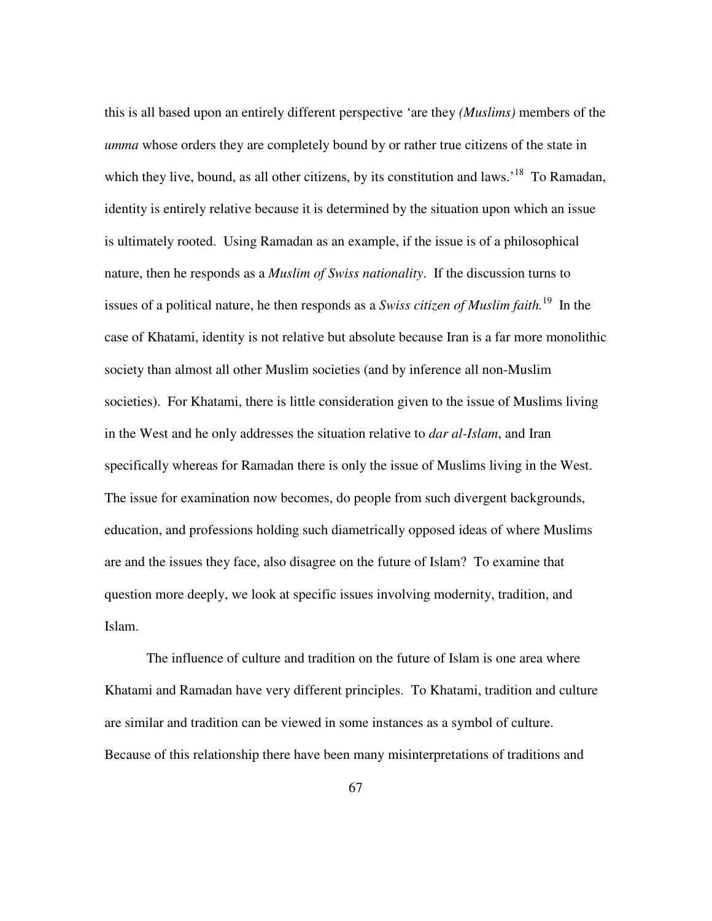this is all based upon an entirely different perspective 'are they *(Muslims)* members of the *umma* whose orders they are completely bound by or rather true citizens of the state in which they live, bound, as all other citizens, by its constitution and laws.<sup>18</sup> To Ramadan, identity is entirely relative because it is determined by the situation upon which an issue is ultimately rooted. Using Ramadan as an example, if the issue is of a philosophical nature, then he responds as a *Muslim of Swiss nationality*. If the discussion turns to issues of a political nature, he then responds as a *Swiss citizen of Muslim faith.*<sup>19</sup> In the case of Khatami, identity is not relative but absolute because Iran is a far more monolithic society than almost all other Muslim societies (and by inference all non-Muslim societies). For Khatami, there is little consideration given to the issue of Muslims living in the West and he only addresses the situation relative to *dar al-Islam*, and Iran specifically whereas for Ramadan there is only the issue of Muslims living in the West. The issue for examination now becomes, do people from such divergent backgrounds, education, and professions holding such diametrically opposed ideas of where Muslims are and the issues they face, also disagree on the future of Islam? To examine that question more deeply, we look at specific issues involving modernity, tradition, and Islam.

The influence of culture and tradition on the future of Islam is one area where Khatami and Ramadan have very different principles. To Khatami, tradition and culture are similar and tradition can be viewed in some instances as a symbol of culture. Because of this relationship there have been many misinterpretations of traditions and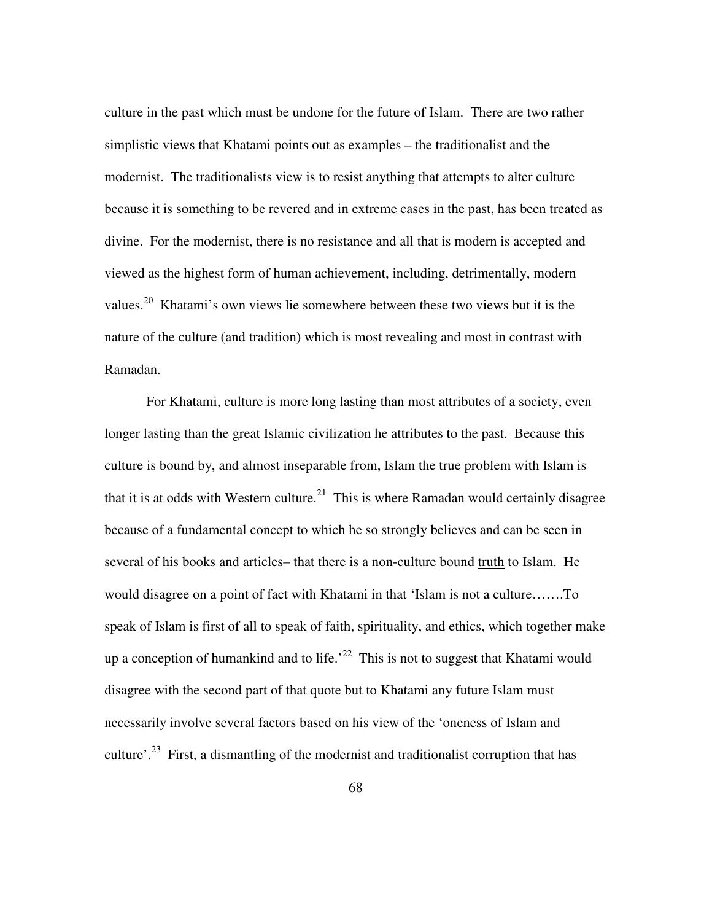culture in the past which must be undone for the future of Islam. There are two rather simplistic views that Khatami points out as examples – the traditionalist and the modernist. The traditionalists view is to resist anything that attempts to alter culture because it is something to be revered and in extreme cases in the past, has been treated as divine. For the modernist, there is no resistance and all that is modern is accepted and viewed as the highest form of human achievement, including, detrimentally, modern values.<sup>20</sup> Khatami's own views lie somewhere between these two views but it is the nature of the culture (and tradition) which is most revealing and most in contrast with Ramadan.

For Khatami, culture is more long lasting than most attributes of a society, even longer lasting than the great Islamic civilization he attributes to the past. Because this culture is bound by, and almost inseparable from, Islam the true problem with Islam is that it is at odds with Western culture.<sup>21</sup> This is where Ramadan would certainly disagree because of a fundamental concept to which he so strongly believes and can be seen in several of his books and articles– that there is a non-culture bound truth to Islam. He would disagree on a point of fact with Khatami in that 'Islam is not a culture…….To speak of Islam is first of all to speak of faith, spirituality, and ethics, which together make up a conception of humankind and to life.<sup>22</sup> This is not to suggest that Khatami would disagree with the second part of that quote but to Khatami any future Islam must necessarily involve several factors based on his view of the 'oneness of Islam and culture'.<sup>23</sup> First, a dismantling of the modernist and traditionalist corruption that has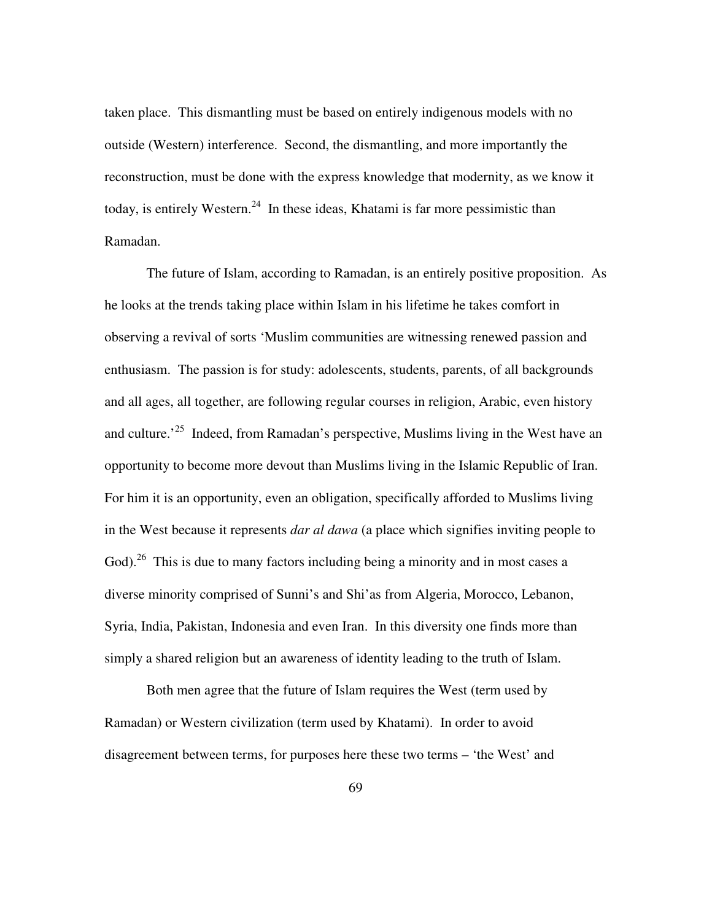taken place. This dismantling must be based on entirely indigenous models with no outside (Western) interference. Second, the dismantling, and more importantly the reconstruction, must be done with the express knowledge that modernity, as we know it today, is entirely Western.<sup>24</sup> In these ideas, Khatami is far more pessimistic than Ramadan.

The future of Islam, according to Ramadan, is an entirely positive proposition. As he looks at the trends taking place within Islam in his lifetime he takes comfort in observing a revival of sorts 'Muslim communities are witnessing renewed passion and enthusiasm. The passion is for study: adolescents, students, parents, of all backgrounds and all ages, all together, are following regular courses in religion, Arabic, even history and culture.<sup>25</sup> Indeed, from Ramadan's perspective, Muslims living in the West have an opportunity to become more devout than Muslims living in the Islamic Republic of Iran. For him it is an opportunity, even an obligation, specifically afforded to Muslims living in the West because it represents *dar al dawa* (a place which signifies inviting people to God).<sup>26</sup> This is due to many factors including being a minority and in most cases a diverse minority comprised of Sunni's and Shi'as from Algeria, Morocco, Lebanon, Syria, India, Pakistan, Indonesia and even Iran. In this diversity one finds more than simply a shared religion but an awareness of identity leading to the truth of Islam.

Both men agree that the future of Islam requires the West (term used by Ramadan) or Western civilization (term used by Khatami). In order to avoid disagreement between terms, for purposes here these two terms – 'the West' and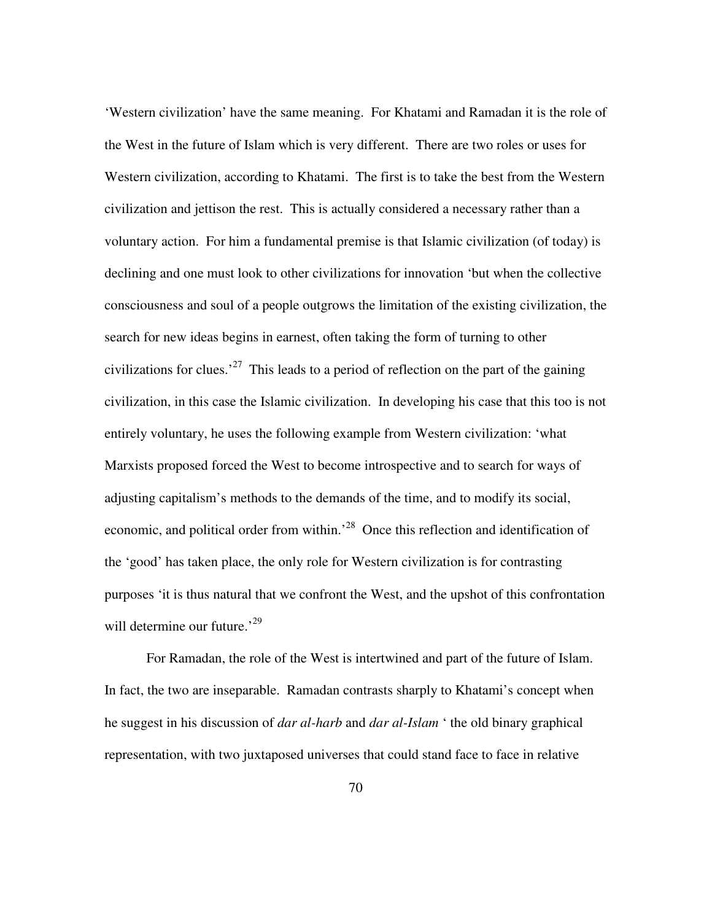'Western civilization' have the same meaning. For Khatami and Ramadan it is the role of the West in the future of Islam which is very different. There are two roles or uses for Western civilization, according to Khatami. The first is to take the best from the Western civilization and jettison the rest. This is actually considered a necessary rather than a voluntary action. For him a fundamental premise is that Islamic civilization (of today) is declining and one must look to other civilizations for innovation 'but when the collective consciousness and soul of a people outgrows the limitation of the existing civilization, the search for new ideas begins in earnest, often taking the form of turning to other civilizations for clues.<sup>27</sup> This leads to a period of reflection on the part of the gaining civilization, in this case the Islamic civilization. In developing his case that this too is not entirely voluntary, he uses the following example from Western civilization: 'what Marxists proposed forced the West to become introspective and to search for ways of adjusting capitalism's methods to the demands of the time, and to modify its social, economic, and political order from within.<sup>28</sup> Once this reflection and identification of the 'good' has taken place, the only role for Western civilization is for contrasting purposes 'it is thus natural that we confront the West, and the upshot of this confrontation will determine our future.<sup>'29</sup>

For Ramadan, the role of the West is intertwined and part of the future of Islam. In fact, the two are inseparable. Ramadan contrasts sharply to Khatami's concept when he suggest in his discussion of *dar al-harb* and *dar al-Islam* ' the old binary graphical representation, with two juxtaposed universes that could stand face to face in relative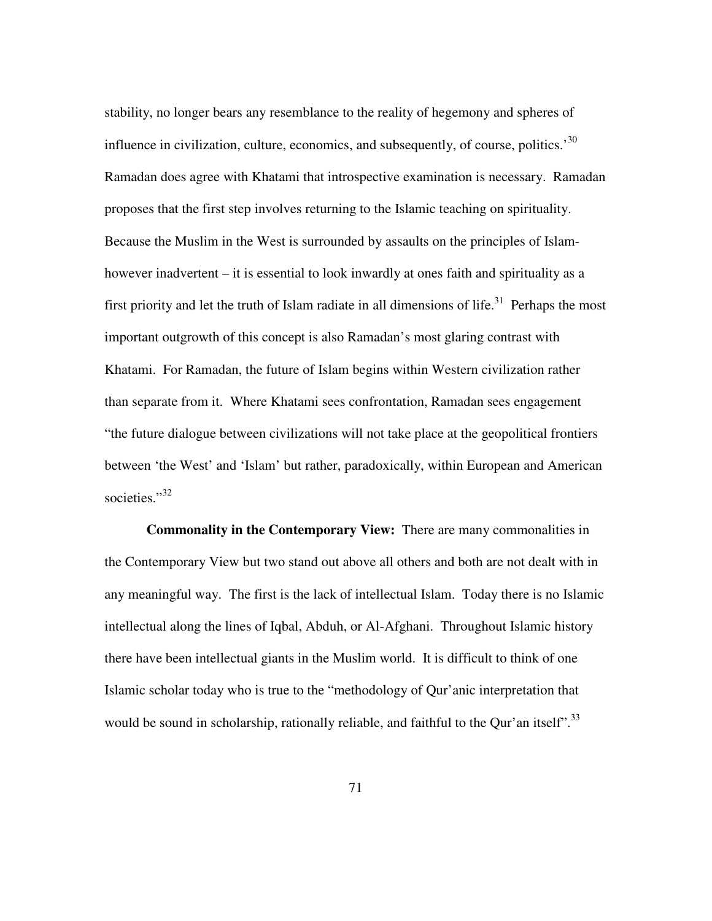stability, no longer bears any resemblance to the reality of hegemony and spheres of influence in civilization, culture, economics, and subsequently, of course, politics.<sup>30</sup> Ramadan does agree with Khatami that introspective examination is necessary. Ramadan proposes that the first step involves returning to the Islamic teaching on spirituality. Because the Muslim in the West is surrounded by assaults on the principles of Islamhowever inadvertent – it is essential to look inwardly at ones faith and spirituality as a first priority and let the truth of Islam radiate in all dimensions of life.<sup>31</sup> Perhaps the most important outgrowth of this concept is also Ramadan's most glaring contrast with Khatami. For Ramadan, the future of Islam begins within Western civilization rather than separate from it. Where Khatami sees confrontation, Ramadan sees engagement "the future dialogue between civilizations will not take place at the geopolitical frontiers between 'the West' and 'Islam' but rather, paradoxically, within European and American societies."<sup>32</sup>

**Commonality in the Contemporary View:** There are many commonalities in the Contemporary View but two stand out above all others and both are not dealt with in any meaningful way. The first is the lack of intellectual Islam. Today there is no Islamic intellectual along the lines of Iqbal, Abduh, or Al-Afghani. Throughout Islamic history there have been intellectual giants in the Muslim world. It is difficult to think of one Islamic scholar today who is true to the "methodology of Qur'anic interpretation that would be sound in scholarship, rationally reliable, and faithful to the Qur'an itself".<sup>33</sup>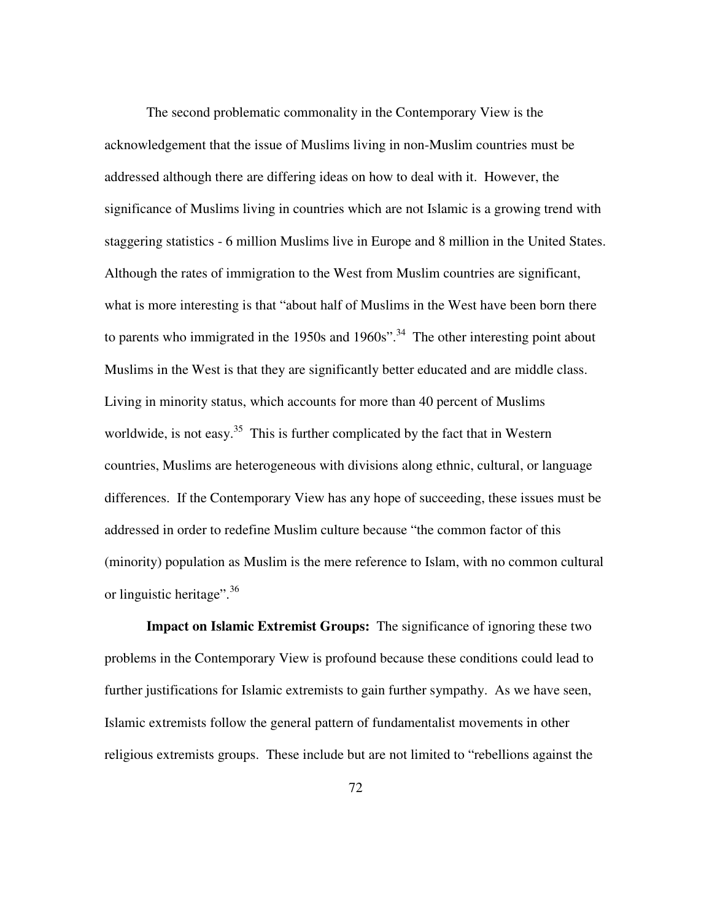The second problematic commonality in the Contemporary View is the acknowledgement that the issue of Muslims living in non-Muslim countries must be addressed although there are differing ideas on how to deal with it. However, the significance of Muslims living in countries which are not Islamic is a growing trend with staggering statistics - 6 million Muslims live in Europe and 8 million in the United States. Although the rates of immigration to the West from Muslim countries are significant, what is more interesting is that "about half of Muslims in the West have been born there to parents who immigrated in the 1950s and 1960s".<sup>34</sup> The other interesting point about Muslims in the West is that they are significantly better educated and are middle class. Living in minority status, which accounts for more than 40 percent of Muslims worldwide, is not easy.<sup>35</sup> This is further complicated by the fact that in Western countries, Muslims are heterogeneous with divisions along ethnic, cultural, or language differences. If the Contemporary View has any hope of succeeding, these issues must be addressed in order to redefine Muslim culture because "the common factor of this (minority) population as Muslim is the mere reference to Islam, with no common cultural or linguistic heritage".<sup>36</sup>

**Impact on Islamic Extremist Groups:** The significance of ignoring these two problems in the Contemporary View is profound because these conditions could lead to further justifications for Islamic extremists to gain further sympathy. As we have seen, Islamic extremists follow the general pattern of fundamentalist movements in other religious extremists groups. These include but are not limited to "rebellions against the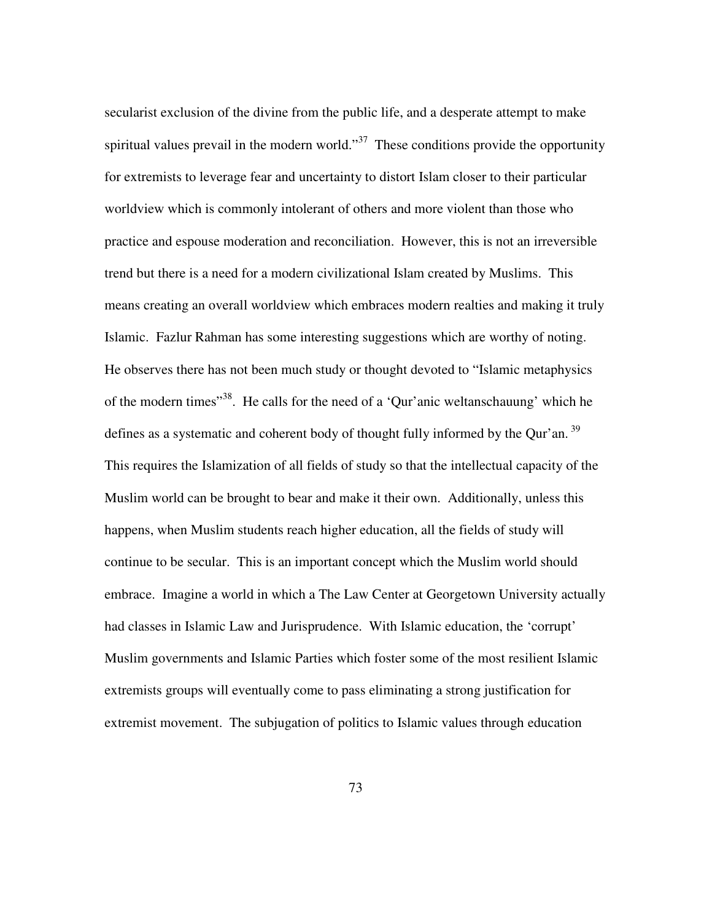secularist exclusion of the divine from the public life, and a desperate attempt to make spiritual values prevail in the modern world."<sup>37</sup> These conditions provide the opportunity for extremists to leverage fear and uncertainty to distort Islam closer to their particular worldview which is commonly intolerant of others and more violent than those who practice and espouse moderation and reconciliation. However, this is not an irreversible trend but there is a need for a modern civilizational Islam created by Muslims. This means creating an overall worldview which embraces modern realties and making it truly Islamic. Fazlur Rahman has some interesting suggestions which are worthy of noting. He observes there has not been much study or thought devoted to "Islamic metaphysics of the modern times"<sup>38</sup>. He calls for the need of a 'Qur'anic weltanschauung' which he defines as a systematic and coherent body of thought fully informed by the Qur'an.<sup>39</sup> This requires the Islamization of all fields of study so that the intellectual capacity of the Muslim world can be brought to bear and make it their own. Additionally, unless this happens, when Muslim students reach higher education, all the fields of study will continue to be secular. This is an important concept which the Muslim world should embrace. Imagine a world in which a The Law Center at Georgetown University actually had classes in Islamic Law and Jurisprudence. With Islamic education, the 'corrupt' Muslim governments and Islamic Parties which foster some of the most resilient Islamic extremists groups will eventually come to pass eliminating a strong justification for extremist movement. The subjugation of politics to Islamic values through education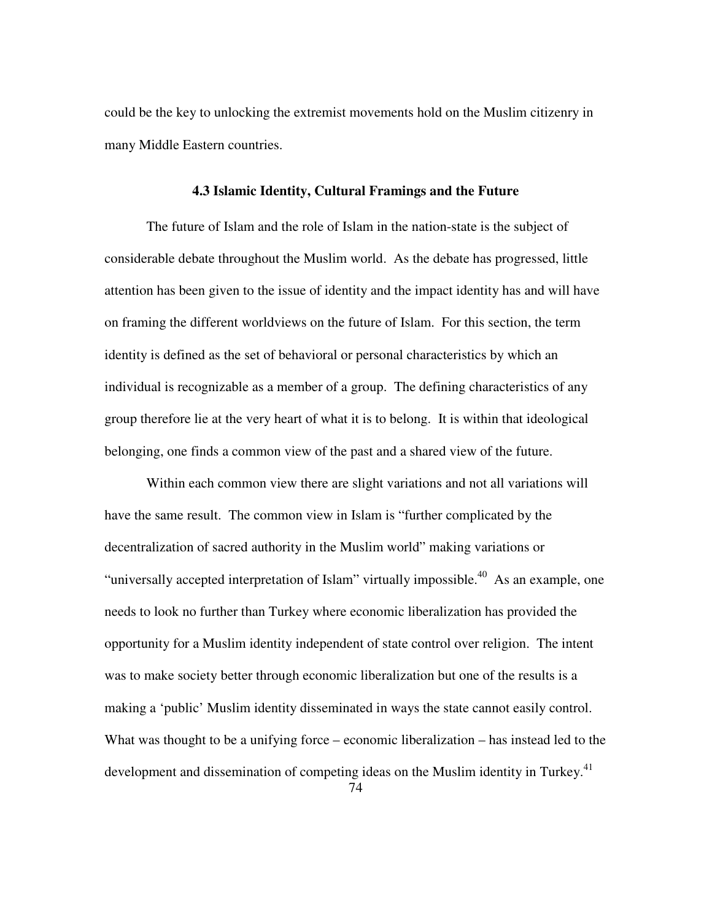could be the key to unlocking the extremist movements hold on the Muslim citizenry in many Middle Eastern countries.

## **4.3 Islamic Identity, Cultural Framings and the Future**

The future of Islam and the role of Islam in the nation-state is the subject of considerable debate throughout the Muslim world. As the debate has progressed, little attention has been given to the issue of identity and the impact identity has and will have on framing the different worldviews on the future of Islam. For this section, the term identity is defined as the set of behavioral or personal characteristics by which an individual is recognizable as a member of a group. The defining characteristics of any group therefore lie at the very heart of what it is to belong. It is within that ideological belonging, one finds a common view of the past and a shared view of the future.

Within each common view there are slight variations and not all variations will have the same result. The common view in Islam is "further complicated by the decentralization of sacred authority in the Muslim world" making variations or "universally accepted interpretation of Islam" virtually impossible.<sup>40</sup> As an example, one needs to look no further than Turkey where economic liberalization has provided the opportunity for a Muslim identity independent of state control over religion. The intent was to make society better through economic liberalization but one of the results is a making a 'public' Muslim identity disseminated in ways the state cannot easily control. What was thought to be a unifying force – economic liberalization – has instead led to the development and dissemination of competing ideas on the Muslim identity in Turkey.<sup>41</sup>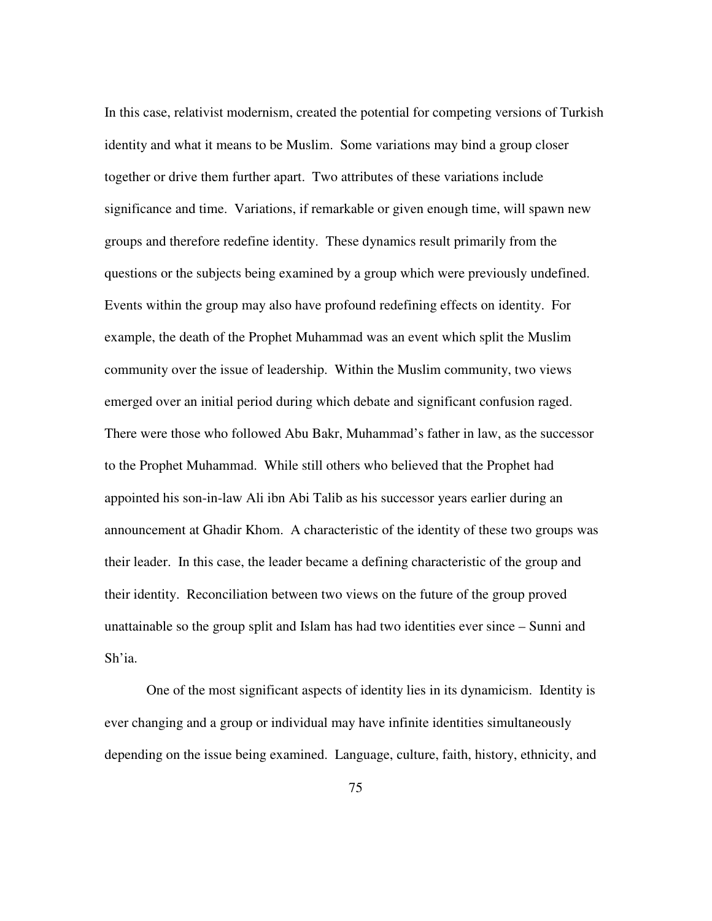In this case, relativist modernism, created the potential for competing versions of Turkish identity and what it means to be Muslim. Some variations may bind a group closer together or drive them further apart. Two attributes of these variations include significance and time. Variations, if remarkable or given enough time, will spawn new groups and therefore redefine identity. These dynamics result primarily from the questions or the subjects being examined by a group which were previously undefined. Events within the group may also have profound redefining effects on identity. For example, the death of the Prophet Muhammad was an event which split the Muslim community over the issue of leadership. Within the Muslim community, two views emerged over an initial period during which debate and significant confusion raged. There were those who followed Abu Bakr, Muhammad's father in law, as the successor to the Prophet Muhammad. While still others who believed that the Prophet had appointed his son-in-law Ali ibn Abi Talib as his successor years earlier during an announcement at Ghadir Khom. A characteristic of the identity of these two groups was their leader. In this case, the leader became a defining characteristic of the group and their identity. Reconciliation between two views on the future of the group proved unattainable so the group split and Islam has had two identities ever since – Sunni and Sh'ia.

One of the most significant aspects of identity lies in its dynamicism. Identity is ever changing and a group or individual may have infinite identities simultaneously depending on the issue being examined. Language, culture, faith, history, ethnicity, and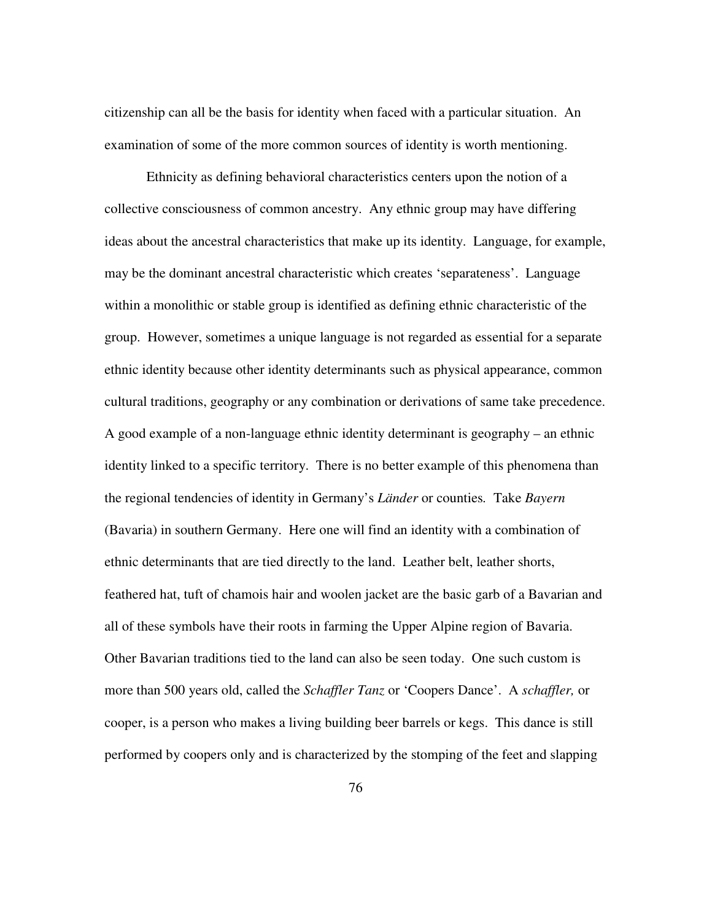citizenship can all be the basis for identity when faced with a particular situation. An examination of some of the more common sources of identity is worth mentioning.

Ethnicity as defining behavioral characteristics centers upon the notion of a collective consciousness of common ancestry. Any ethnic group may have differing ideas about the ancestral characteristics that make up its identity. Language, for example, may be the dominant ancestral characteristic which creates 'separateness'. Language within a monolithic or stable group is identified as defining ethnic characteristic of the group. However, sometimes a unique language is not regarded as essential for a separate ethnic identity because other identity determinants such as physical appearance, common cultural traditions, geography or any combination or derivations of same take precedence. A good example of a non-language ethnic identity determinant is geography – an ethnic identity linked to a specific territory. There is no better example of this phenomena than the regional tendencies of identity in Germany's *Länder* or counties*.* Take *Bayern* (Bavaria) in southern Germany. Here one will find an identity with a combination of ethnic determinants that are tied directly to the land. Leather belt, leather shorts, feathered hat, tuft of chamois hair and woolen jacket are the basic garb of a Bavarian and all of these symbols have their roots in farming the Upper Alpine region of Bavaria. Other Bavarian traditions tied to the land can also be seen today. One such custom is more than 500 years old, called the *Schaffler Tanz* or 'Coopers Dance'. A *schaffler,* or cooper, is a person who makes a living building beer barrels or kegs. This dance is still performed by coopers only and is characterized by the stomping of the feet and slapping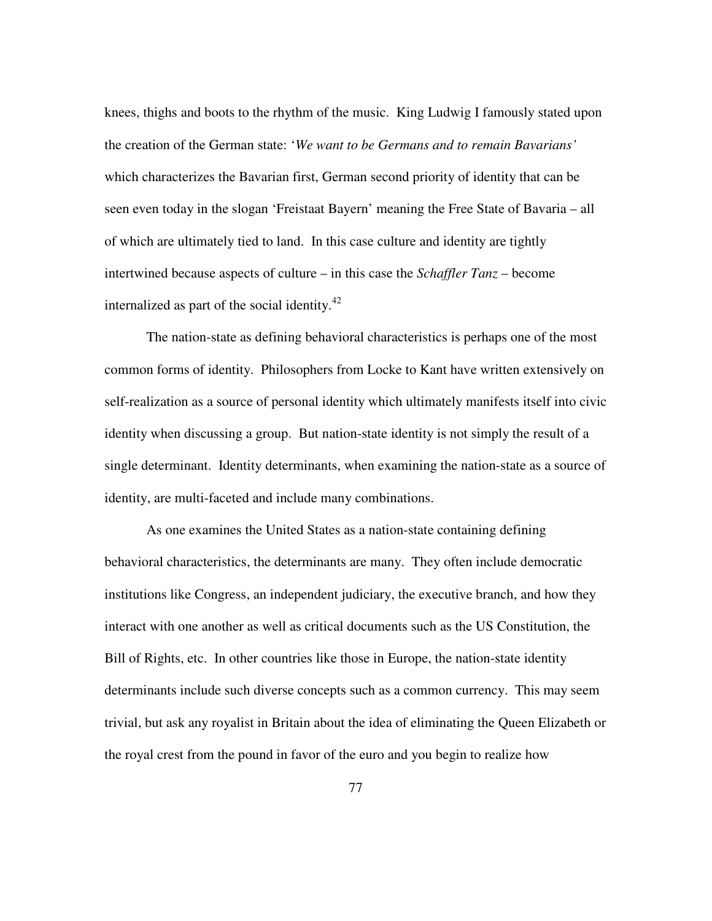knees, thighs and boots to the rhythm of the music. King Ludwig I famously stated upon the creation of the German state: '*We want to be Germans and to remain Bavarians'*  which characterizes the Bavarian first, German second priority of identity that can be seen even today in the slogan 'Freistaat Bayern' meaning the Free State of Bavaria – all of which are ultimately tied to land. In this case culture and identity are tightly intertwined because aspects of culture – in this case the *Schaffler Tanz* – become internalized as part of the social identity. $42$ 

The nation-state as defining behavioral characteristics is perhaps one of the most common forms of identity. Philosophers from Locke to Kant have written extensively on self-realization as a source of personal identity which ultimately manifests itself into civic identity when discussing a group. But nation-state identity is not simply the result of a single determinant. Identity determinants, when examining the nation-state as a source of identity, are multi-faceted and include many combinations.

As one examines the United States as a nation-state containing defining behavioral characteristics, the determinants are many. They often include democratic institutions like Congress, an independent judiciary, the executive branch, and how they interact with one another as well as critical documents such as the US Constitution, the Bill of Rights, etc. In other countries like those in Europe, the nation-state identity determinants include such diverse concepts such as a common currency. This may seem trivial, but ask any royalist in Britain about the idea of eliminating the Queen Elizabeth or the royal crest from the pound in favor of the euro and you begin to realize how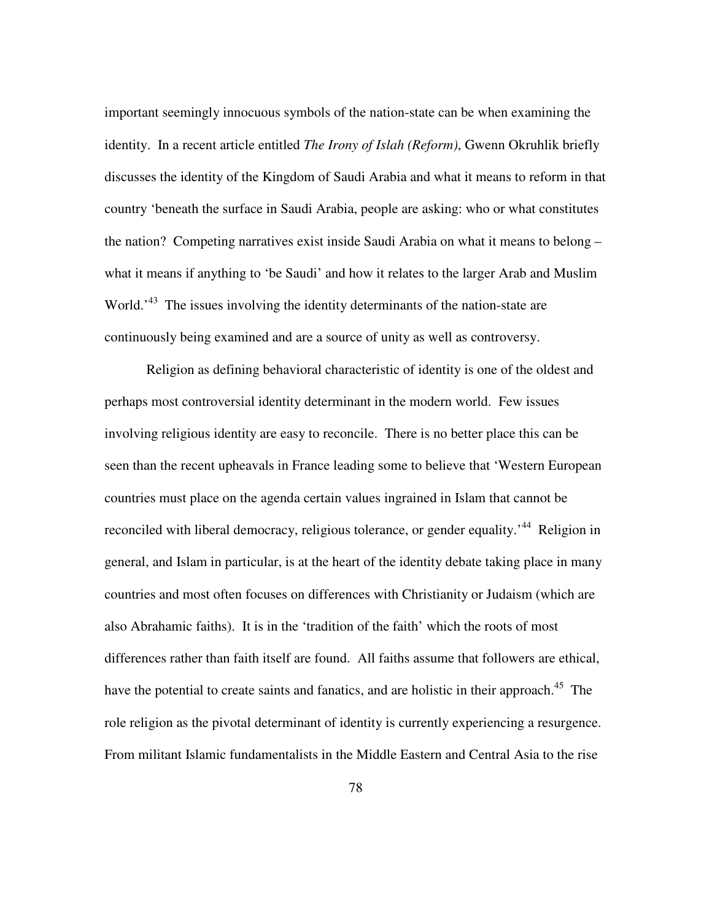important seemingly innocuous symbols of the nation-state can be when examining the identity. In a recent article entitled *The Irony of Islah (Reform)*, Gwenn Okruhlik briefly discusses the identity of the Kingdom of Saudi Arabia and what it means to reform in that country 'beneath the surface in Saudi Arabia, people are asking: who or what constitutes the nation? Competing narratives exist inside Saudi Arabia on what it means to belong – what it means if anything to 'be Saudi' and how it relates to the larger Arab and Muslim World.<sup>43</sup> The issues involving the identity determinants of the nation-state are continuously being examined and are a source of unity as well as controversy.

Religion as defining behavioral characteristic of identity is one of the oldest and perhaps most controversial identity determinant in the modern world. Few issues involving religious identity are easy to reconcile. There is no better place this can be seen than the recent upheavals in France leading some to believe that 'Western European countries must place on the agenda certain values ingrained in Islam that cannot be reconciled with liberal democracy, religious tolerance, or gender equality.<sup>44</sup> Religion in general, and Islam in particular, is at the heart of the identity debate taking place in many countries and most often focuses on differences with Christianity or Judaism (which are also Abrahamic faiths). It is in the 'tradition of the faith' which the roots of most differences rather than faith itself are found. All faiths assume that followers are ethical, have the potential to create saints and fanatics, and are holistic in their approach.<sup>45</sup> The role religion as the pivotal determinant of identity is currently experiencing a resurgence. From militant Islamic fundamentalists in the Middle Eastern and Central Asia to the rise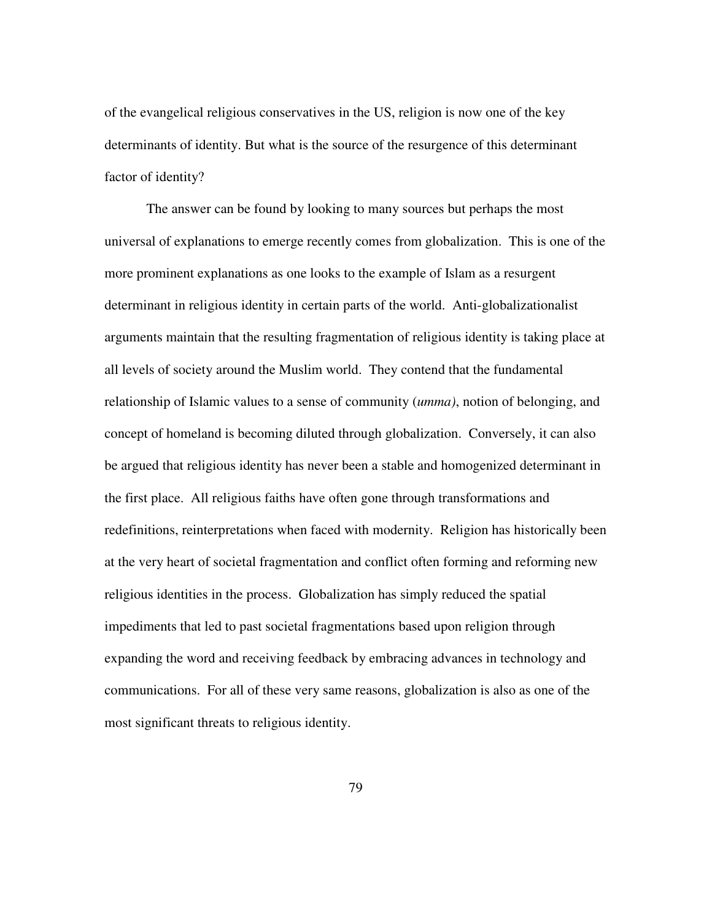of the evangelical religious conservatives in the US, religion is now one of the key determinants of identity. But what is the source of the resurgence of this determinant factor of identity?

The answer can be found by looking to many sources but perhaps the most universal of explanations to emerge recently comes from globalization. This is one of the more prominent explanations as one looks to the example of Islam as a resurgent determinant in religious identity in certain parts of the world. Anti-globalizationalist arguments maintain that the resulting fragmentation of religious identity is taking place at all levels of society around the Muslim world. They contend that the fundamental relationship of Islamic values to a sense of community (*umma)*, notion of belonging, and concept of homeland is becoming diluted through globalization. Conversely, it can also be argued that religious identity has never been a stable and homogenized determinant in the first place. All religious faiths have often gone through transformations and redefinitions, reinterpretations when faced with modernity. Religion has historically been at the very heart of societal fragmentation and conflict often forming and reforming new religious identities in the process. Globalization has simply reduced the spatial impediments that led to past societal fragmentations based upon religion through expanding the word and receiving feedback by embracing advances in technology and communications. For all of these very same reasons, globalization is also as one of the most significant threats to religious identity.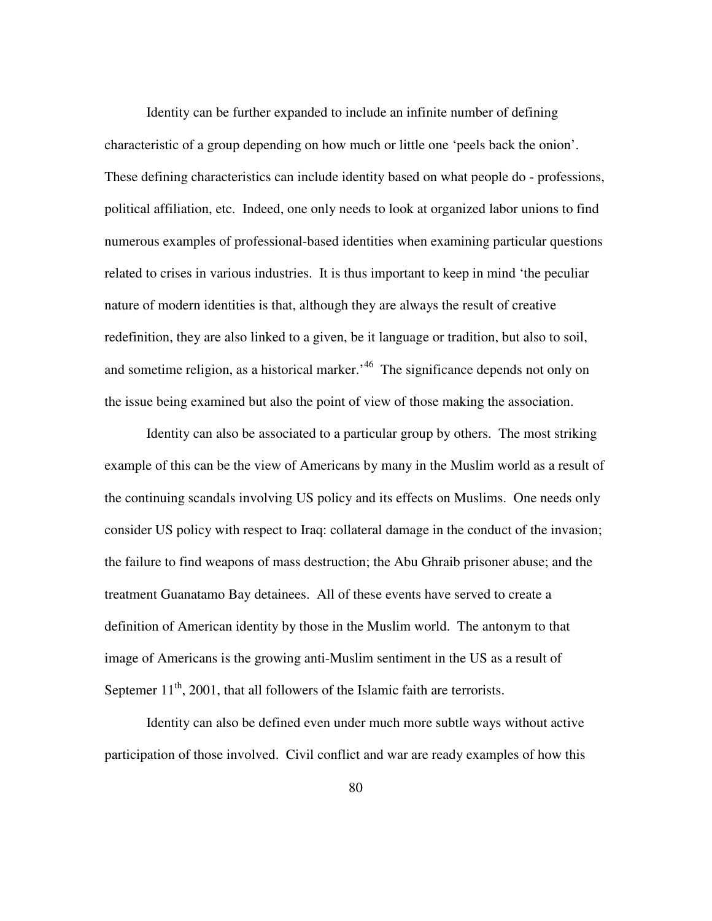Identity can be further expanded to include an infinite number of defining characteristic of a group depending on how much or little one 'peels back the onion'. These defining characteristics can include identity based on what people do - professions, political affiliation, etc. Indeed, one only needs to look at organized labor unions to find numerous examples of professional-based identities when examining particular questions related to crises in various industries. It is thus important to keep in mind 'the peculiar nature of modern identities is that, although they are always the result of creative redefinition, they are also linked to a given, be it language or tradition, but also to soil, and sometime religion, as a historical marker.<sup>46</sup> The significance depends not only on the issue being examined but also the point of view of those making the association.

Identity can also be associated to a particular group by others. The most striking example of this can be the view of Americans by many in the Muslim world as a result of the continuing scandals involving US policy and its effects on Muslims. One needs only consider US policy with respect to Iraq: collateral damage in the conduct of the invasion; the failure to find weapons of mass destruction; the Abu Ghraib prisoner abuse; and the treatment Guanatamo Bay detainees. All of these events have served to create a definition of American identity by those in the Muslim world. The antonym to that image of Americans is the growing anti-Muslim sentiment in the US as a result of Septemer  $11<sup>th</sup>$ , 2001, that all followers of the Islamic faith are terrorists.

Identity can also be defined even under much more subtle ways without active participation of those involved. Civil conflict and war are ready examples of how this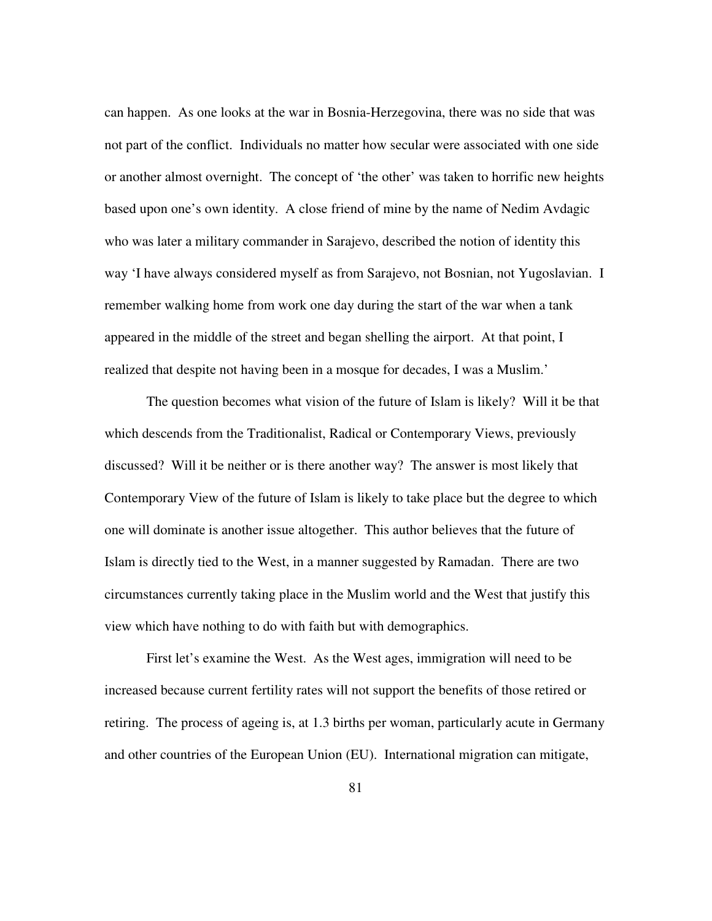can happen. As one looks at the war in Bosnia-Herzegovina, there was no side that was not part of the conflict. Individuals no matter how secular were associated with one side or another almost overnight. The concept of 'the other' was taken to horrific new heights based upon one's own identity. A close friend of mine by the name of Nedim Avdagic who was later a military commander in Sarajevo, described the notion of identity this way 'I have always considered myself as from Sarajevo, not Bosnian, not Yugoslavian. I remember walking home from work one day during the start of the war when a tank appeared in the middle of the street and began shelling the airport. At that point, I realized that despite not having been in a mosque for decades, I was a Muslim.'

The question becomes what vision of the future of Islam is likely? Will it be that which descends from the Traditionalist, Radical or Contemporary Views, previously discussed? Will it be neither or is there another way? The answer is most likely that Contemporary View of the future of Islam is likely to take place but the degree to which one will dominate is another issue altogether. This author believes that the future of Islam is directly tied to the West, in a manner suggested by Ramadan. There are two circumstances currently taking place in the Muslim world and the West that justify this view which have nothing to do with faith but with demographics.

First let's examine the West. As the West ages, immigration will need to be increased because current fertility rates will not support the benefits of those retired or retiring. The process of ageing is, at 1.3 births per woman, particularly acute in Germany and other countries of the European Union (EU). International migration can mitigate,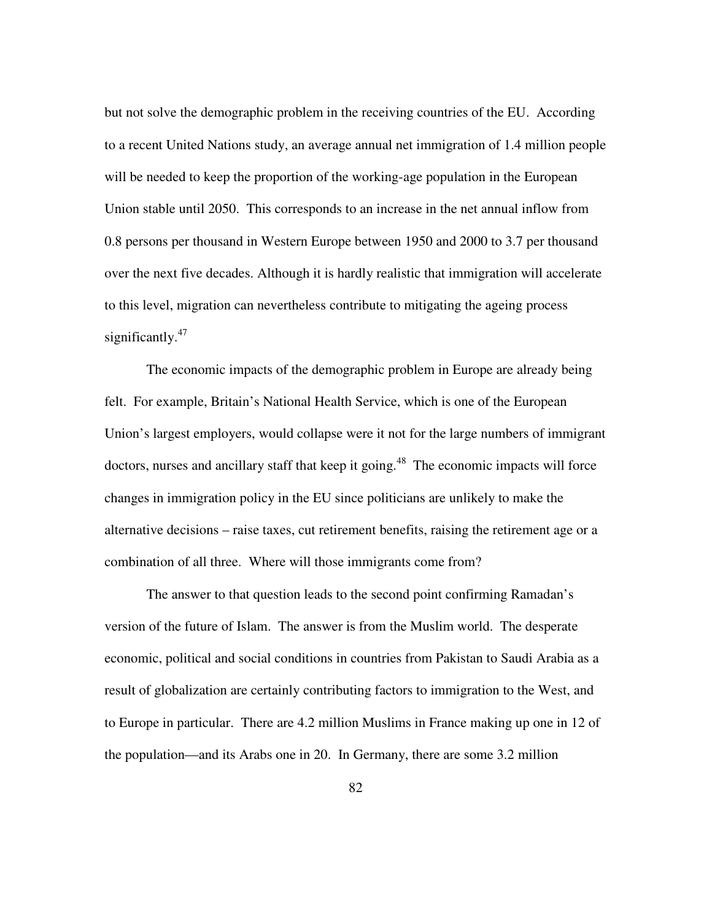but not solve the demographic problem in the receiving countries of the EU. According to a recent United Nations study, an average annual net immigration of 1.4 million people will be needed to keep the proportion of the working-age population in the European Union stable until 2050. This corresponds to an increase in the net annual inflow from 0.8 persons per thousand in Western Europe between 1950 and 2000 to 3.7 per thousand over the next five decades. Although it is hardly realistic that immigration will accelerate to this level, migration can nevertheless contribute to mitigating the ageing process significantly. $47$ 

The economic impacts of the demographic problem in Europe are already being felt. For example, Britain's National Health Service, which is one of the European Union's largest employers, would collapse were it not for the large numbers of immigrant doctors, nurses and ancillary staff that keep it going.<sup>48</sup> The economic impacts will force changes in immigration policy in the EU since politicians are unlikely to make the alternative decisions – raise taxes, cut retirement benefits, raising the retirement age or a combination of all three. Where will those immigrants come from?

The answer to that question leads to the second point confirming Ramadan's version of the future of Islam. The answer is from the Muslim world. The desperate economic, political and social conditions in countries from Pakistan to Saudi Arabia as a result of globalization are certainly contributing factors to immigration to the West, and to Europe in particular. There are 4.2 million Muslims in France making up one in 12 of the population—and its Arabs one in 20. In Germany, there are some 3.2 million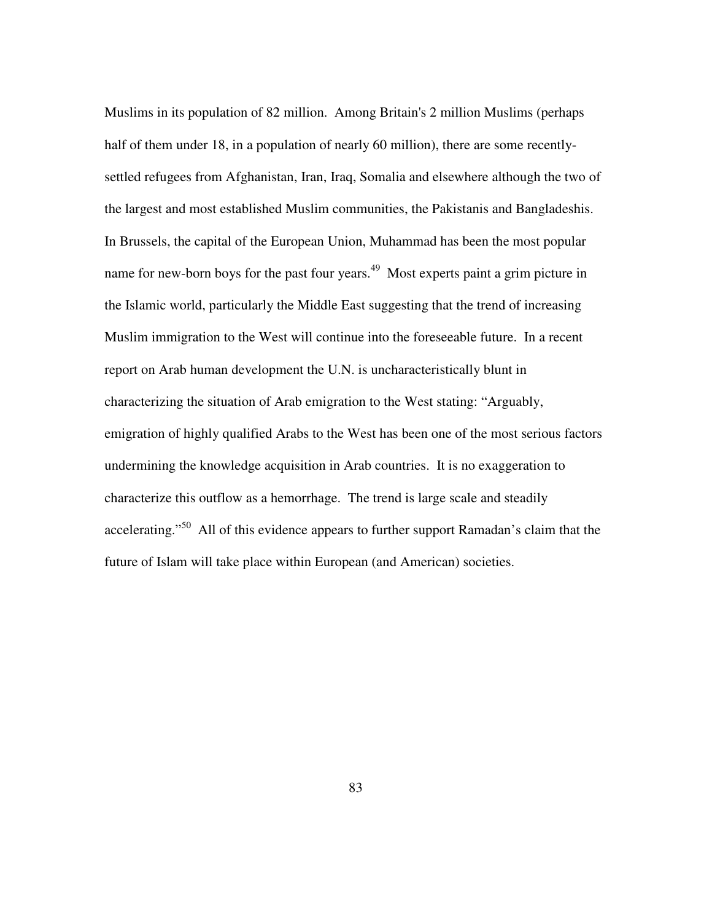Muslims in its population of 82 million. Among Britain's 2 million Muslims (perhaps half of them under 18, in a population of nearly 60 million), there are some recentlysettled refugees from Afghanistan, Iran, Iraq, Somalia and elsewhere although the two of the largest and most established Muslim communities, the Pakistanis and Bangladeshis. In Brussels, the capital of the European Union, Muhammad has been the most popular name for new-born boys for the past four years.<sup>49</sup> Most experts paint a grim picture in the Islamic world, particularly the Middle East suggesting that the trend of increasing Muslim immigration to the West will continue into the foreseeable future. In a recent report on Arab human development the U.N. is uncharacteristically blunt in characterizing the situation of Arab emigration to the West stating: "Arguably, emigration of highly qualified Arabs to the West has been one of the most serious factors undermining the knowledge acquisition in Arab countries. It is no exaggeration to characterize this outflow as a hemorrhage. The trend is large scale and steadily accelerating."<sup>50</sup> All of this evidence appears to further support Ramadan's claim that the future of Islam will take place within European (and American) societies.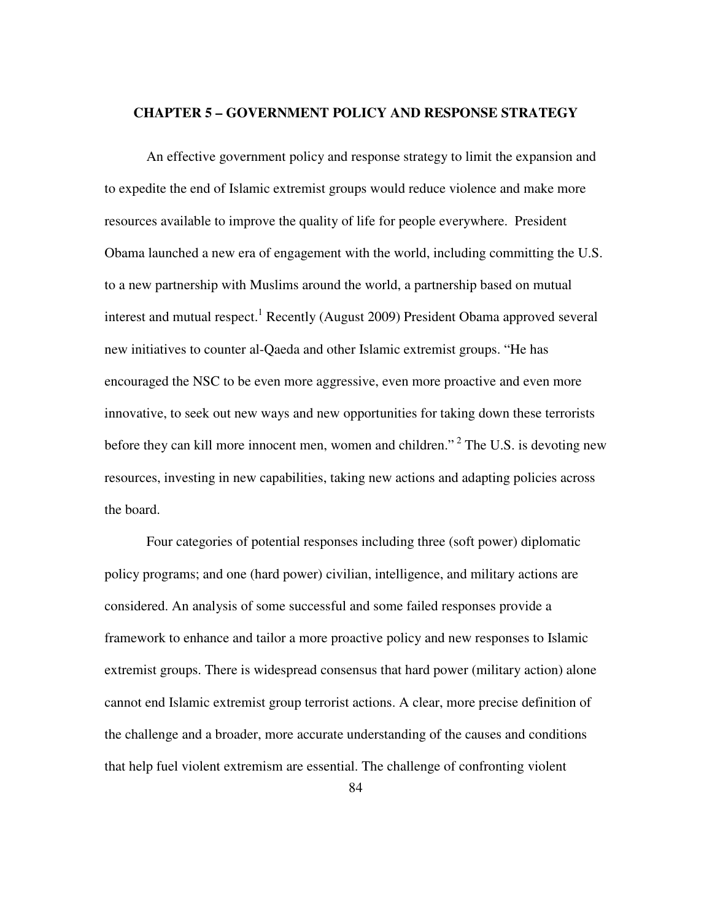### **CHAPTER 5 – GOVERNMENT POLICY AND RESPONSE STRATEGY**

An effective government policy and response strategy to limit the expansion and to expedite the end of Islamic extremist groups would reduce violence and make more resources available to improve the quality of life for people everywhere. President Obama launched a new era of engagement with the world, including committing the U.S. to a new partnership with Muslims around the world, a partnership based on mutual interest and mutual respect.<sup>1</sup> Recently (August 2009) President Obama approved several new initiatives to counter al-Qaeda and other Islamic extremist groups. "He has encouraged the NSC to be even more aggressive, even more proactive and even more innovative, to seek out new ways and new opportunities for taking down these terrorists before they can kill more innocent men, women and children."<sup>2</sup> The U.S. is devoting new resources, investing in new capabilities, taking new actions and adapting policies across the board.

Four categories of potential responses including three (soft power) diplomatic policy programs; and one (hard power) civilian, intelligence, and military actions are considered. An analysis of some successful and some failed responses provide a framework to enhance and tailor a more proactive policy and new responses to Islamic extremist groups. There is widespread consensus that hard power (military action) alone cannot end Islamic extremist group terrorist actions. A clear, more precise definition of the challenge and a broader, more accurate understanding of the causes and conditions that help fuel violent extremism are essential. The challenge of confronting violent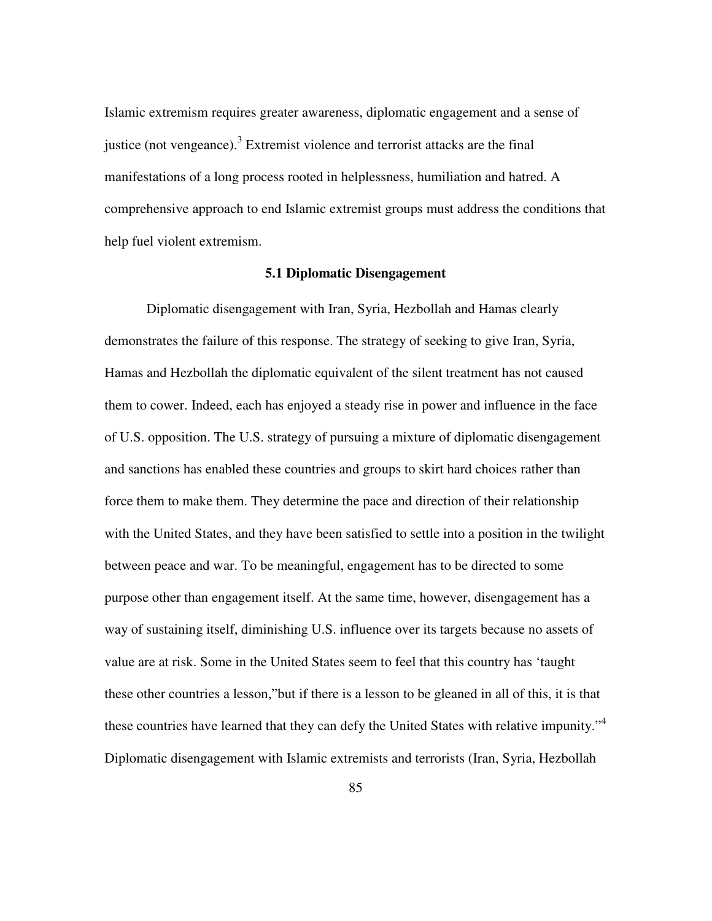Islamic extremism requires greater awareness, diplomatic engagement and a sense of justice (not vengeance). $3$  Extremist violence and terrorist attacks are the final manifestations of a long process rooted in helplessness, humiliation and hatred. A comprehensive approach to end Islamic extremist groups must address the conditions that help fuel violent extremism.

#### **5.1 Diplomatic Disengagement**

Diplomatic disengagement with Iran, Syria, Hezbollah and Hamas clearly demonstrates the failure of this response. The strategy of seeking to give Iran, Syria, Hamas and Hezbollah the diplomatic equivalent of the silent treatment has not caused them to cower. Indeed, each has enjoyed a steady rise in power and influence in the face of U.S. opposition. The U.S. strategy of pursuing a mixture of diplomatic disengagement and sanctions has enabled these countries and groups to skirt hard choices rather than force them to make them. They determine the pace and direction of their relationship with the United States, and they have been satisfied to settle into a position in the twilight between peace and war. To be meaningful, engagement has to be directed to some purpose other than engagement itself. At the same time, however, disengagement has a way of sustaining itself, diminishing U.S. influence over its targets because no assets of value are at risk. Some in the United States seem to feel that this country has 'taught these other countries a lesson,"but if there is a lesson to be gleaned in all of this, it is that these countries have learned that they can defy the United States with relative impunity."<sup>4</sup> Diplomatic disengagement with Islamic extremists and terrorists (Iran, Syria, Hezbollah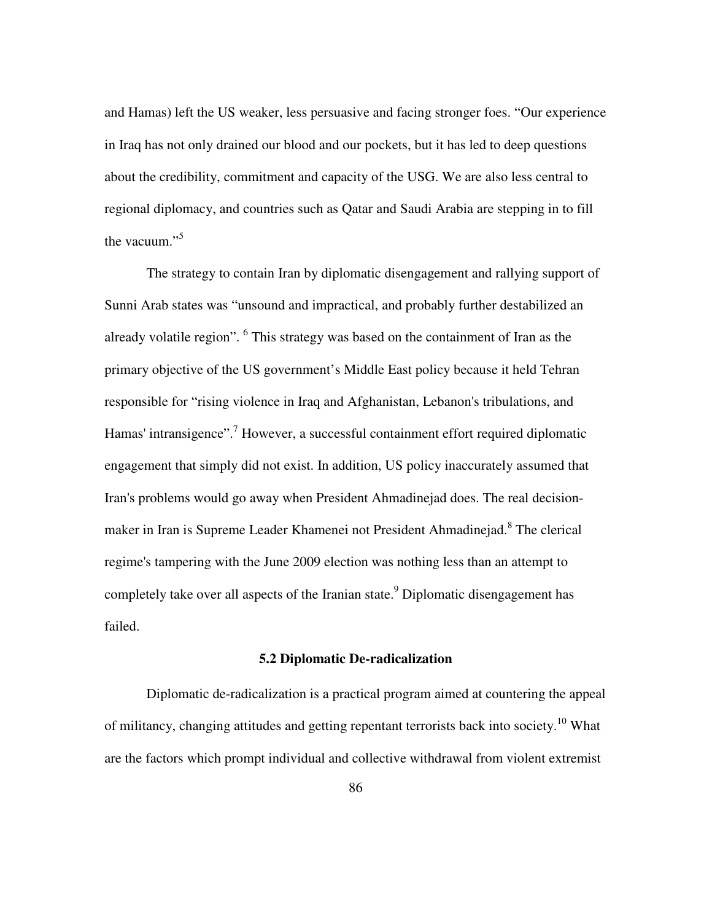and Hamas) left the US weaker, less persuasive and facing stronger foes. "Our experience in Iraq has not only drained our blood and our pockets, but it has led to deep questions about the credibility, commitment and capacity of the USG. We are also less central to regional diplomacy, and countries such as Qatar and Saudi Arabia are stepping in to fill the vacuum."<sup>5</sup>

The strategy to contain Iran by diplomatic disengagement and rallying support of Sunni Arab states was "unsound and impractical, and probably further destabilized an already volatile region". <sup>6</sup> This strategy was based on the containment of Iran as the primary objective of the US government's Middle East policy because it held Tehran responsible for "rising violence in Iraq and Afghanistan, Lebanon's tribulations, and Hamas' intransigence".<sup>7</sup> However, a successful containment effort required diplomatic engagement that simply did not exist. In addition, US policy inaccurately assumed that Iran's problems would go away when President Ahmadinejad does. The real decisionmaker in Iran is Supreme Leader Khamenei not President Ahmadinejad.<sup>8</sup> The clerical regime's tampering with the June 2009 election was nothing less than an attempt to completely take over all aspects of the Iranian state.<sup>9</sup> Diplomatic disengagement has failed.

## **5.2 Diplomatic De-radicalization**

Diplomatic de-radicalization is a practical program aimed at countering the appeal of militancy, changing attitudes and getting repentant terrorists back into society.<sup>10</sup> What are the factors which prompt individual and collective withdrawal from violent extremist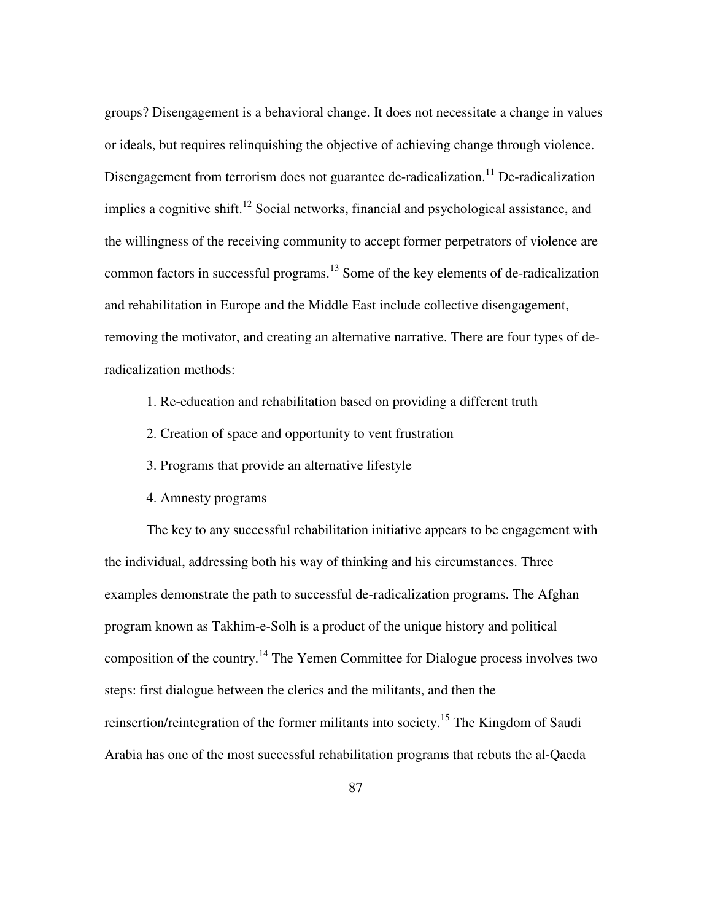groups? Disengagement is a behavioral change. It does not necessitate a change in values or ideals, but requires relinquishing the objective of achieving change through violence. Disengagement from terrorism does not guarantee de-radicalization.<sup>11</sup> De-radicalization implies a cognitive shift.<sup>12</sup> Social networks, financial and psychological assistance, and the willingness of the receiving community to accept former perpetrators of violence are common factors in successful programs.<sup>13</sup> Some of the key elements of de-radicalization and rehabilitation in Europe and the Middle East include collective disengagement, removing the motivator, and creating an alternative narrative. There are four types of deradicalization methods:

1. Re-education and rehabilitation based on providing a different truth

- 2. Creation of space and opportunity to vent frustration
- 3. Programs that provide an alternative lifestyle
- 4. Amnesty programs

The key to any successful rehabilitation initiative appears to be engagement with the individual, addressing both his way of thinking and his circumstances. Three examples demonstrate the path to successful de-radicalization programs. The Afghan program known as Takhim-e-Solh is a product of the unique history and political composition of the country.<sup>14</sup> The Yemen Committee for Dialogue process involves two steps: first dialogue between the clerics and the militants, and then the reinsertion/reintegration of the former militants into society.<sup>15</sup> The Kingdom of Saudi Arabia has one of the most successful rehabilitation programs that rebuts the al-Qaeda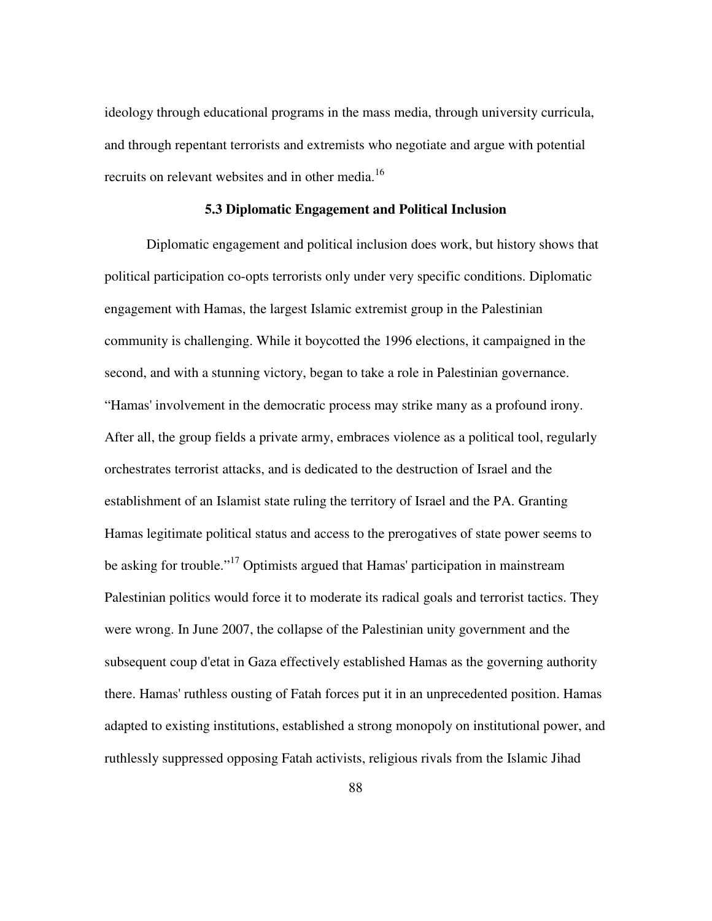ideology through educational programs in the mass media, through university curricula, and through repentant terrorists and extremists who negotiate and argue with potential recruits on relevant websites and in other media.<sup>16</sup>

## **5.3 Diplomatic Engagement and Political Inclusion**

Diplomatic engagement and political inclusion does work, but history shows that political participation co-opts terrorists only under very specific conditions. Diplomatic engagement with Hamas, the largest Islamic extremist group in the Palestinian community is challenging. While it boycotted the 1996 elections, it campaigned in the second, and with a stunning victory, began to take a role in Palestinian governance. "Hamas' involvement in the democratic process may strike many as a profound irony. After all, the group fields a private army, embraces violence as a political tool, regularly orchestrates terrorist attacks, and is dedicated to the destruction of Israel and the establishment of an Islamist state ruling the territory of Israel and the PA. Granting Hamas legitimate political status and access to the prerogatives of state power seems to be asking for trouble."<sup>17</sup> Optimists argued that Hamas' participation in mainstream Palestinian politics would force it to moderate its radical goals and terrorist tactics. They were wrong. In June 2007, the collapse of the Palestinian unity government and the subsequent coup d'etat in Gaza effectively established Hamas as the governing authority there. Hamas' ruthless ousting of Fatah forces put it in an unprecedented position. Hamas adapted to existing institutions, established a strong monopoly on institutional power, and ruthlessly suppressed opposing Fatah activists, religious rivals from the Islamic Jihad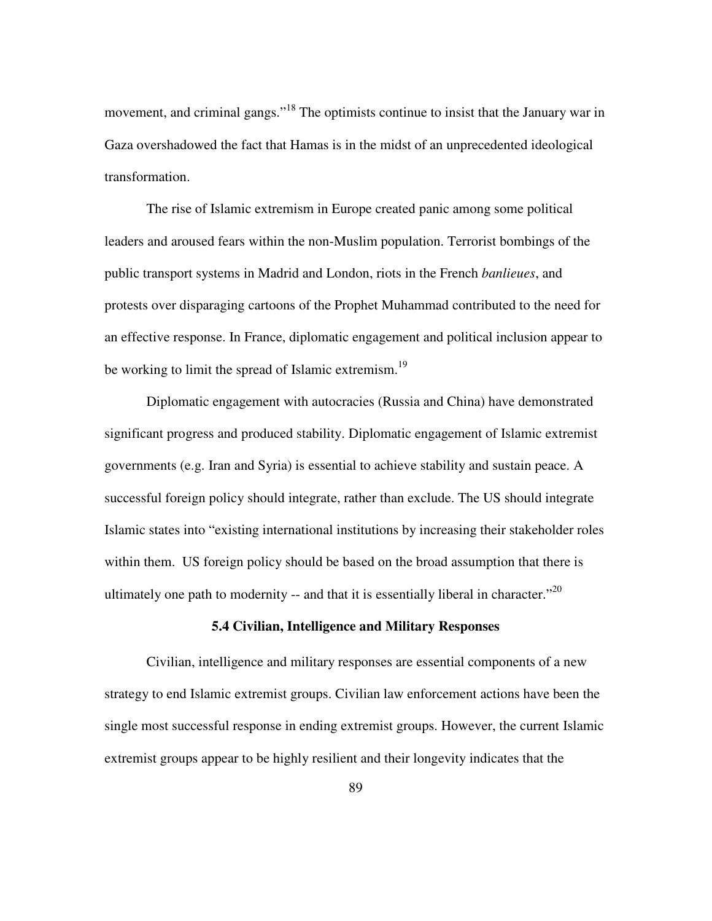movement, and criminal gangs."<sup>18</sup> The optimists continue to insist that the January war in Gaza overshadowed the fact that Hamas is in the midst of an unprecedented ideological transformation.

The rise of Islamic extremism in Europe created panic among some political leaders and aroused fears within the non-Muslim population. Terrorist bombings of the public transport systems in Madrid and London, riots in the French *banlieues*, and protests over disparaging cartoons of the Prophet Muhammad contributed to the need for an effective response. In France, diplomatic engagement and political inclusion appear to be working to limit the spread of Islamic extremism.<sup>19</sup>

Diplomatic engagement with autocracies (Russia and China) have demonstrated significant progress and produced stability. Diplomatic engagement of Islamic extremist governments (e.g. Iran and Syria) is essential to achieve stability and sustain peace. A successful foreign policy should integrate, rather than exclude. The US should integrate Islamic states into "existing international institutions by increasing their stakeholder roles within them. US foreign policy should be based on the broad assumption that there is ultimately one path to modernity  $-$  and that it is essentially liberal in character.<sup> $20$ </sup>

## **5.4 Civilian, Intelligence and Military Responses**

Civilian, intelligence and military responses are essential components of a new strategy to end Islamic extremist groups. Civilian law enforcement actions have been the single most successful response in ending extremist groups. However, the current Islamic extremist groups appear to be highly resilient and their longevity indicates that the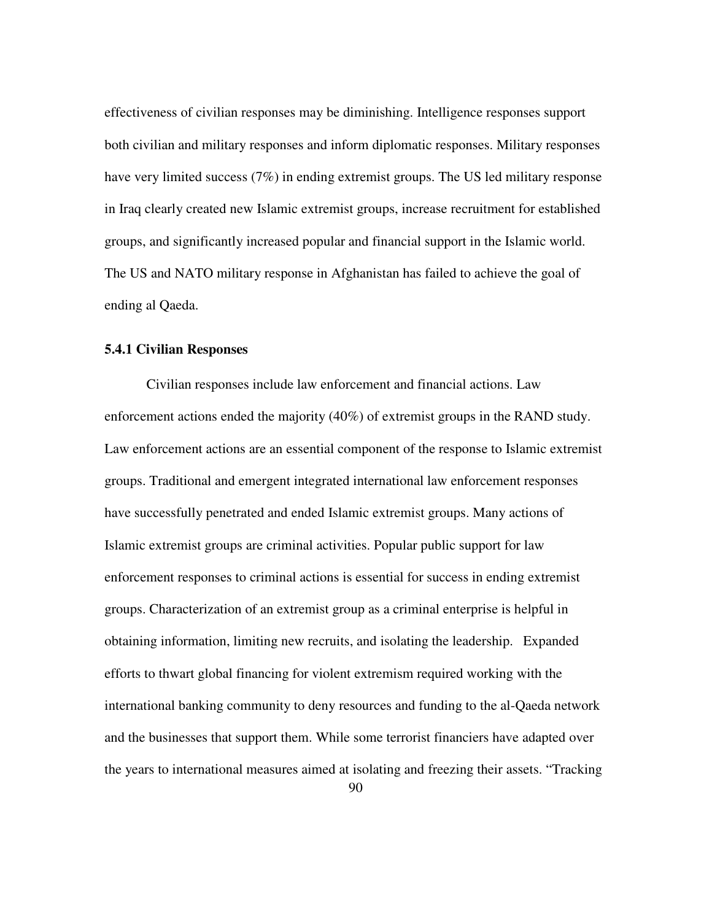effectiveness of civilian responses may be diminishing. Intelligence responses support both civilian and military responses and inform diplomatic responses. Military responses have very limited success (7%) in ending extremist groups. The US led military response in Iraq clearly created new Islamic extremist groups, increase recruitment for established groups, and significantly increased popular and financial support in the Islamic world. The US and NATO military response in Afghanistan has failed to achieve the goal of ending al Qaeda.

### **5.4.1 Civilian Responses**

Civilian responses include law enforcement and financial actions. Law enforcement actions ended the majority (40%) of extremist groups in the RAND study. Law enforcement actions are an essential component of the response to Islamic extremist groups. Traditional and emergent integrated international law enforcement responses have successfully penetrated and ended Islamic extremist groups. Many actions of Islamic extremist groups are criminal activities. Popular public support for law enforcement responses to criminal actions is essential for success in ending extremist groups. Characterization of an extremist group as a criminal enterprise is helpful in obtaining information, limiting new recruits, and isolating the leadership. Expanded efforts to thwart global financing for violent extremism required working with the international banking community to deny resources and funding to the al-Qaeda network and the businesses that support them. While some terrorist financiers have adapted over the years to international measures aimed at isolating and freezing their assets. "Tracking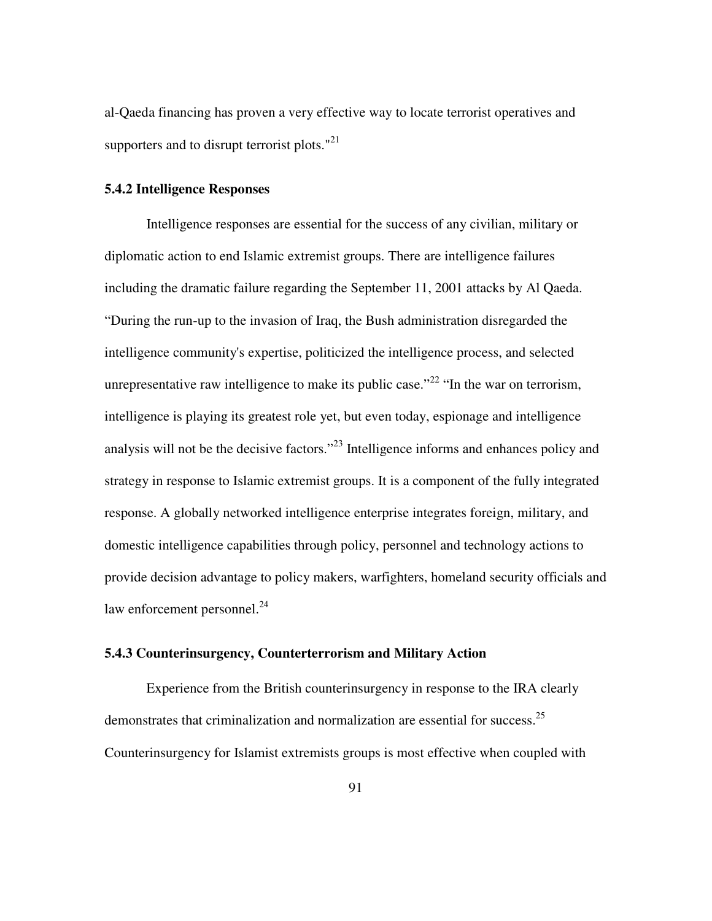al-Qaeda financing has proven a very effective way to locate terrorist operatives and supporters and to disrupt terrorist plots."<sup>21</sup>

## **5.4.2 Intelligence Responses**

Intelligence responses are essential for the success of any civilian, military or diplomatic action to end Islamic extremist groups. There are intelligence failures including the dramatic failure regarding the September 11, 2001 attacks by Al Qaeda. "During the run-up to the invasion of Iraq, the Bush administration disregarded the intelligence community's expertise, politicized the intelligence process, and selected unrepresentative raw intelligence to make its public case."<sup>22</sup> "In the war on terrorism, intelligence is playing its greatest role yet, but even today, espionage and intelligence analysis will not be the decisive factors."<sup>23</sup> Intelligence informs and enhances policy and strategy in response to Islamic extremist groups. It is a component of the fully integrated response. A globally networked intelligence enterprise integrates foreign, military, and domestic intelligence capabilities through policy, personnel and technology actions to provide decision advantage to policy makers, warfighters, homeland security officials and law enforcement personnel. $^{24}$ 

# **5.4.3 Counterinsurgency, Counterterrorism and Military Action**

Experience from the British counterinsurgency in response to the IRA clearly demonstrates that criminalization and normalization are essential for success.<sup>25</sup> Counterinsurgency for Islamist extremists groups is most effective when coupled with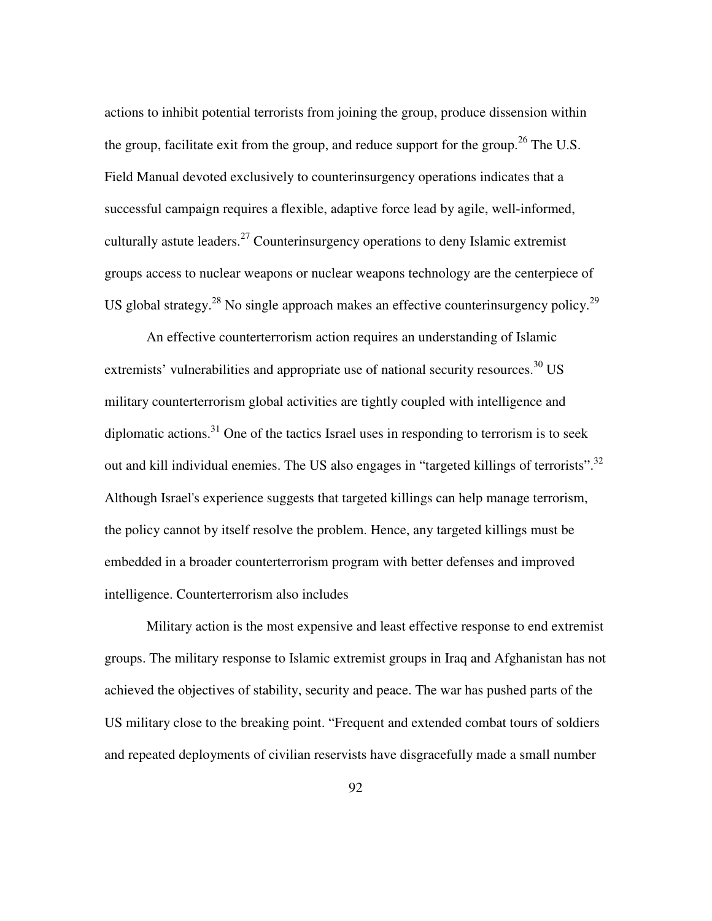actions to inhibit potential terrorists from joining the group, produce dissension within the group, facilitate exit from the group, and reduce support for the group.<sup>26</sup> The U.S. Field Manual devoted exclusively to counterinsurgency operations indicates that a successful campaign requires a flexible, adaptive force lead by agile, well-informed, culturally astute leaders.<sup>27</sup> Counterinsurgency operations to deny Islamic extremist groups access to nuclear weapons or nuclear weapons technology are the centerpiece of US global strategy.<sup>28</sup> No single approach makes an effective counterinsurgency policy.<sup>29</sup>

An effective counterterrorism action requires an understanding of Islamic extremists' vulnerabilities and appropriate use of national security resources.<sup>30</sup> US military counterterrorism global activities are tightly coupled with intelligence and diplomatic actions. $31$  One of the tactics Israel uses in responding to terrorism is to seek out and kill individual enemies. The US also engages in "targeted killings of terrorists".<sup>32</sup> Although Israel's experience suggests that targeted killings can help manage terrorism, the policy cannot by itself resolve the problem. Hence, any targeted killings must be embedded in a broader counterterrorism program with better defenses and improved intelligence. Counterterrorism also includes

Military action is the most expensive and least effective response to end extremist groups. The military response to Islamic extremist groups in Iraq and Afghanistan has not achieved the objectives of stability, security and peace. The war has pushed parts of the US military close to the breaking point. "Frequent and extended combat tours of soldiers and repeated deployments of civilian reservists have disgracefully made a small number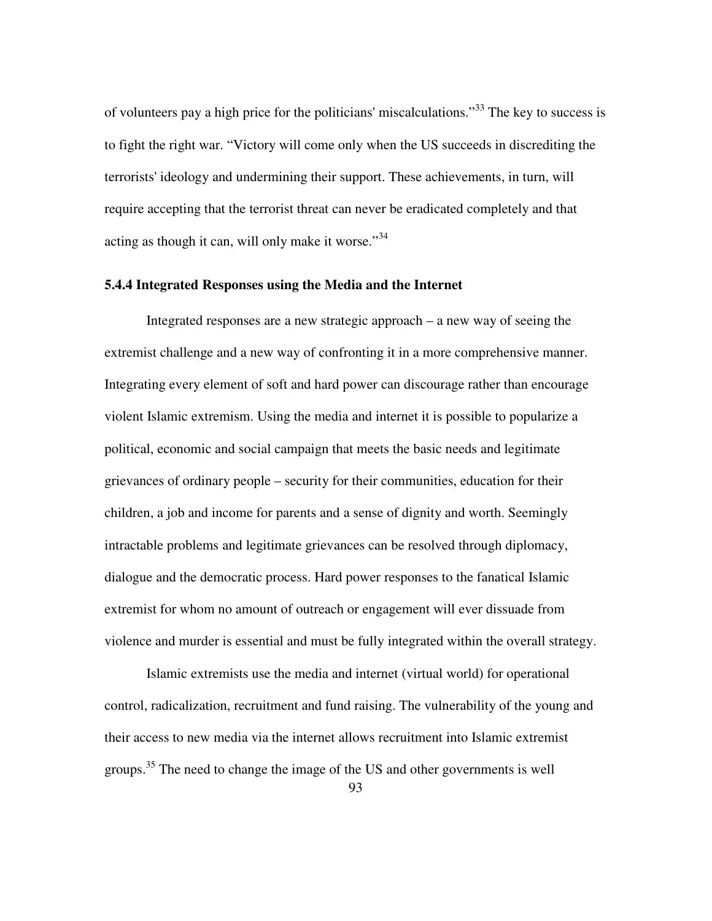of volunteers pay a high price for the politicians' miscalculations.<sup>33</sup> The key to success is to fight the right war. "Victory will come only when the US succeeds in discrediting the terrorists' ideology and undermining their support. These achievements, in turn, will require accepting that the terrorist threat can never be eradicated completely and that acting as though it can, will only make it worse." $34$ 

## **5.4.4 Integrated Responses using the Media and the Internet**

Integrated responses are a new strategic approach – a new way of seeing the extremist challenge and a new way of confronting it in a more comprehensive manner. Integrating every element of soft and hard power can discourage rather than encourage violent Islamic extremism. Using the media and internet it is possible to popularize a political, economic and social campaign that meets the basic needs and legitimate grievances of ordinary people – security for their communities, education for their children, a job and income for parents and a sense of dignity and worth. Seemingly intractable problems and legitimate grievances can be resolved through diplomacy, dialogue and the democratic process. Hard power responses to the fanatical Islamic extremist for whom no amount of outreach or engagement will ever dissuade from violence and murder is essential and must be fully integrated within the overall strategy.

Islamic extremists use the media and internet (virtual world) for operational control, radicalization, recruitment and fund raising. The vulnerability of the young and their access to new media via the internet allows recruitment into Islamic extremist groups.<sup>35</sup> The need to change the image of the US and other governments is well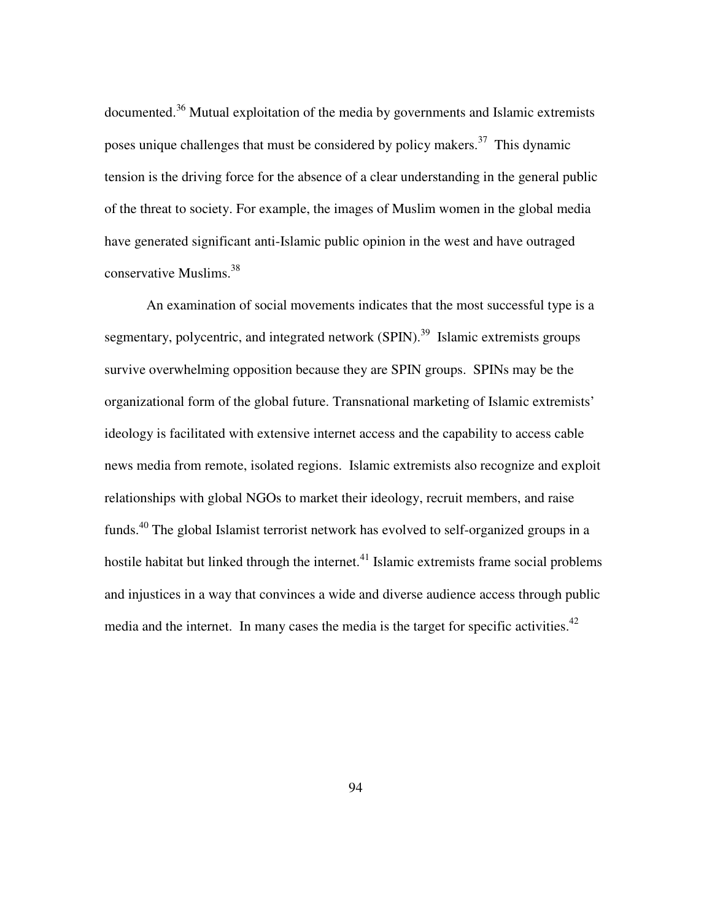documented.<sup>36</sup> Mutual exploitation of the media by governments and Islamic extremists poses unique challenges that must be considered by policy makers.<sup>37</sup> This dynamic tension is the driving force for the absence of a clear understanding in the general public of the threat to society. For example, the images of Muslim women in the global media have generated significant anti-Islamic public opinion in the west and have outraged conservative Muslims.<sup>38</sup>

An examination of social movements indicates that the most successful type is a segmentary, polycentric, and integrated network (SPIN).<sup>39</sup> Islamic extremists groups survive overwhelming opposition because they are SPIN groups. SPINs may be the organizational form of the global future. Transnational marketing of Islamic extremists' ideology is facilitated with extensive internet access and the capability to access cable news media from remote, isolated regions. Islamic extremists also recognize and exploit relationships with global NGOs to market their ideology, recruit members, and raise funds.<sup>40</sup> The global Islamist terrorist network has evolved to self-organized groups in a hostile habitat but linked through the internet. $^{41}$  Islamic extremists frame social problems and injustices in a way that convinces a wide and diverse audience access through public media and the internet. In many cases the media is the target for specific activities.<sup>42</sup>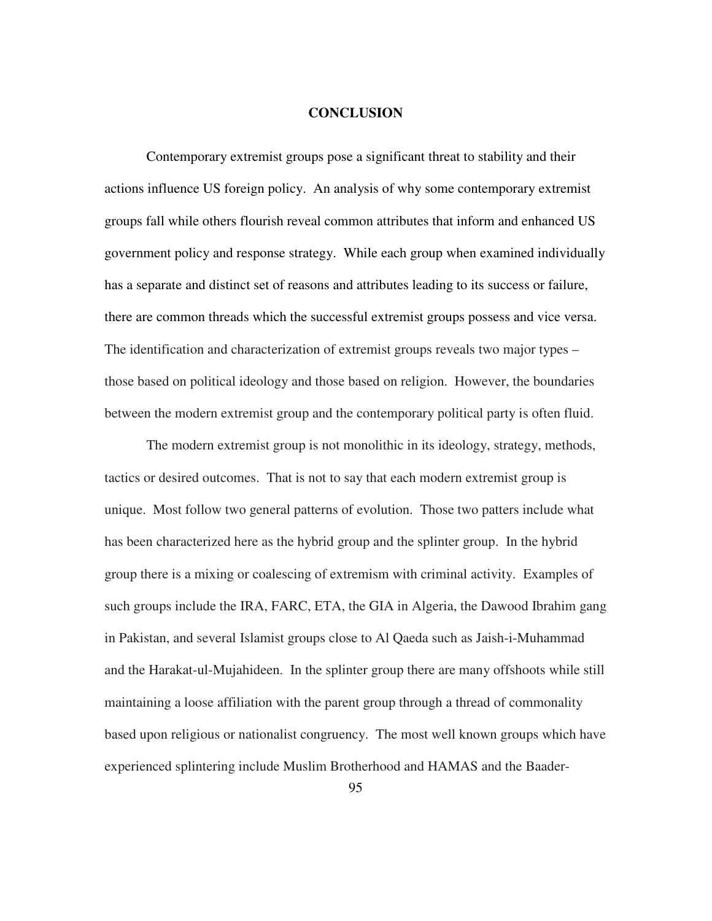#### **CONCLUSION**

Contemporary extremist groups pose a significant threat to stability and their actions influence US foreign policy. An analysis of why some contemporary extremist groups fall while others flourish reveal common attributes that inform and enhanced US government policy and response strategy. While each group when examined individually has a separate and distinct set of reasons and attributes leading to its success or failure, there are common threads which the successful extremist groups possess and vice versa. The identification and characterization of extremist groups reveals two major types – those based on political ideology and those based on religion. However, the boundaries between the modern extremist group and the contemporary political party is often fluid.

The modern extremist group is not monolithic in its ideology, strategy, methods, tactics or desired outcomes. That is not to say that each modern extremist group is unique. Most follow two general patterns of evolution. Those two patters include what has been characterized here as the hybrid group and the splinter group. In the hybrid group there is a mixing or coalescing of extremism with criminal activity. Examples of such groups include the IRA, FARC, ETA, the GIA in Algeria, the Dawood Ibrahim gang in Pakistan, and several Islamist groups close to Al Qaeda such as Jaish-i-Muhammad and the Harakat-ul-Mujahideen. In the splinter group there are many offshoots while still maintaining a loose affiliation with the parent group through a thread of commonality based upon religious or nationalist congruency. The most well known groups which have experienced splintering include Muslim Brotherhood and HAMAS and the Baader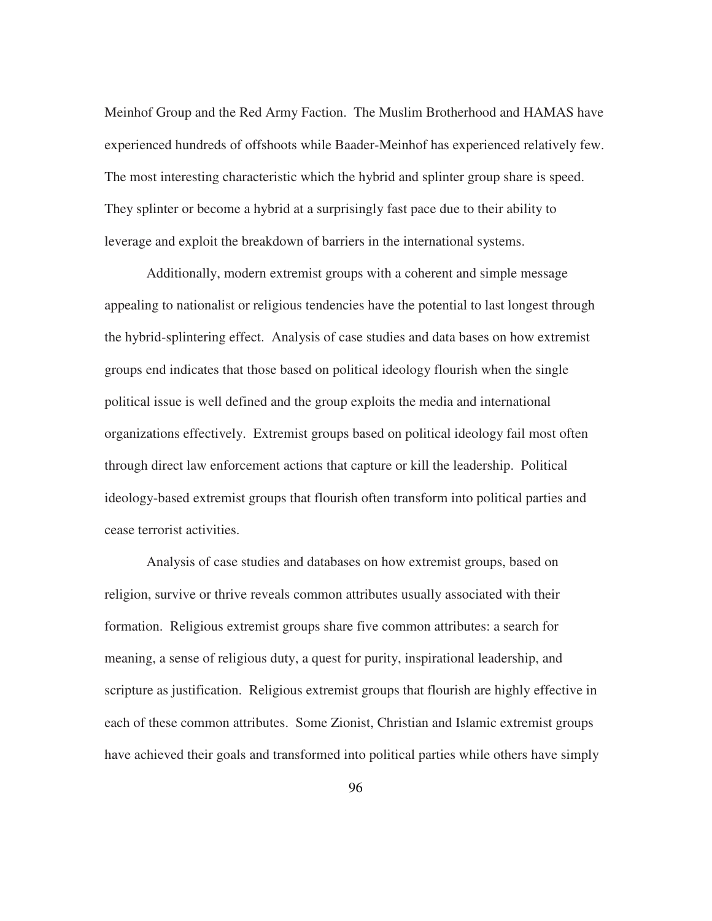Meinhof Group and the Red Army Faction. The Muslim Brotherhood and HAMAS have experienced hundreds of offshoots while Baader-Meinhof has experienced relatively few. The most interesting characteristic which the hybrid and splinter group share is speed. They splinter or become a hybrid at a surprisingly fast pace due to their ability to leverage and exploit the breakdown of barriers in the international systems.

Additionally, modern extremist groups with a coherent and simple message appealing to nationalist or religious tendencies have the potential to last longest through the hybrid-splintering effect. Analysis of case studies and data bases on how extremist groups end indicates that those based on political ideology flourish when the single political issue is well defined and the group exploits the media and international organizations effectively. Extremist groups based on political ideology fail most often through direct law enforcement actions that capture or kill the leadership. Political ideology-based extremist groups that flourish often transform into political parties and cease terrorist activities.

Analysis of case studies and databases on how extremist groups, based on religion, survive or thrive reveals common attributes usually associated with their formation. Religious extremist groups share five common attributes: a search for meaning, a sense of religious duty, a quest for purity, inspirational leadership, and scripture as justification. Religious extremist groups that flourish are highly effective in each of these common attributes. Some Zionist, Christian and Islamic extremist groups have achieved their goals and transformed into political parties while others have simply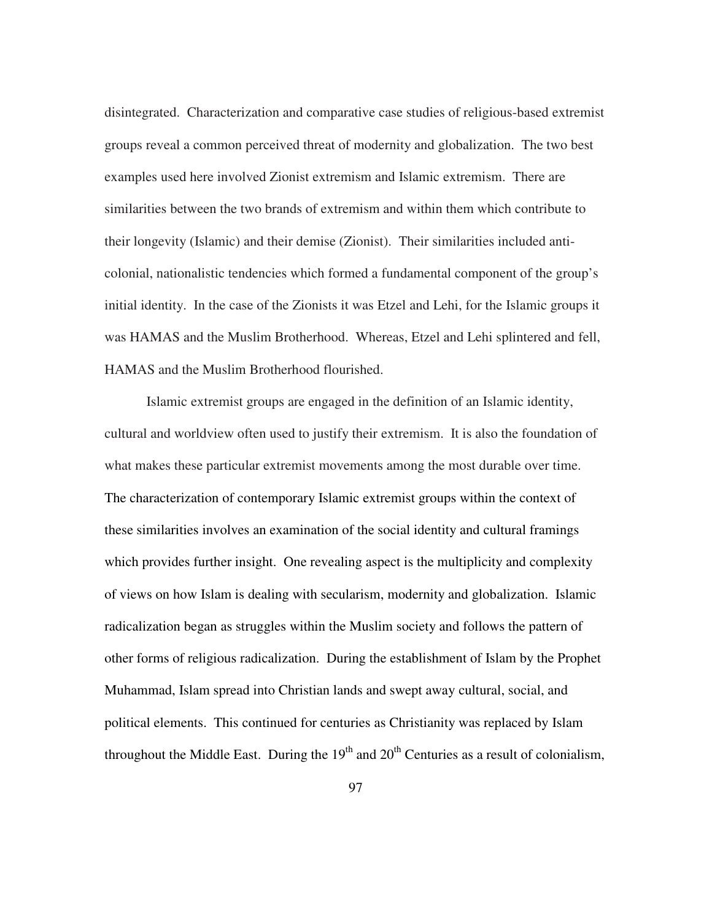disintegrated. Characterization and comparative case studies of religious-based extremist groups reveal a common perceived threat of modernity and globalization. The two best examples used here involved Zionist extremism and Islamic extremism. There are similarities between the two brands of extremism and within them which contribute to their longevity (Islamic) and their demise (Zionist). Their similarities included anticolonial, nationalistic tendencies which formed a fundamental component of the group's initial identity. In the case of the Zionists it was Etzel and Lehi, for the Islamic groups it was HAMAS and the Muslim Brotherhood. Whereas, Etzel and Lehi splintered and fell, HAMAS and the Muslim Brotherhood flourished.

Islamic extremist groups are engaged in the definition of an Islamic identity, cultural and worldview often used to justify their extremism. It is also the foundation of what makes these particular extremist movements among the most durable over time. The characterization of contemporary Islamic extremist groups within the context of these similarities involves an examination of the social identity and cultural framings which provides further insight. One revealing aspect is the multiplicity and complexity of views on how Islam is dealing with secularism, modernity and globalization. Islamic radicalization began as struggles within the Muslim society and follows the pattern of other forms of religious radicalization. During the establishment of Islam by the Prophet Muhammad, Islam spread into Christian lands and swept away cultural, social, and political elements. This continued for centuries as Christianity was replaced by Islam throughout the Middle East. During the  $19<sup>th</sup>$  and  $20<sup>th</sup>$  Centuries as a result of colonialism,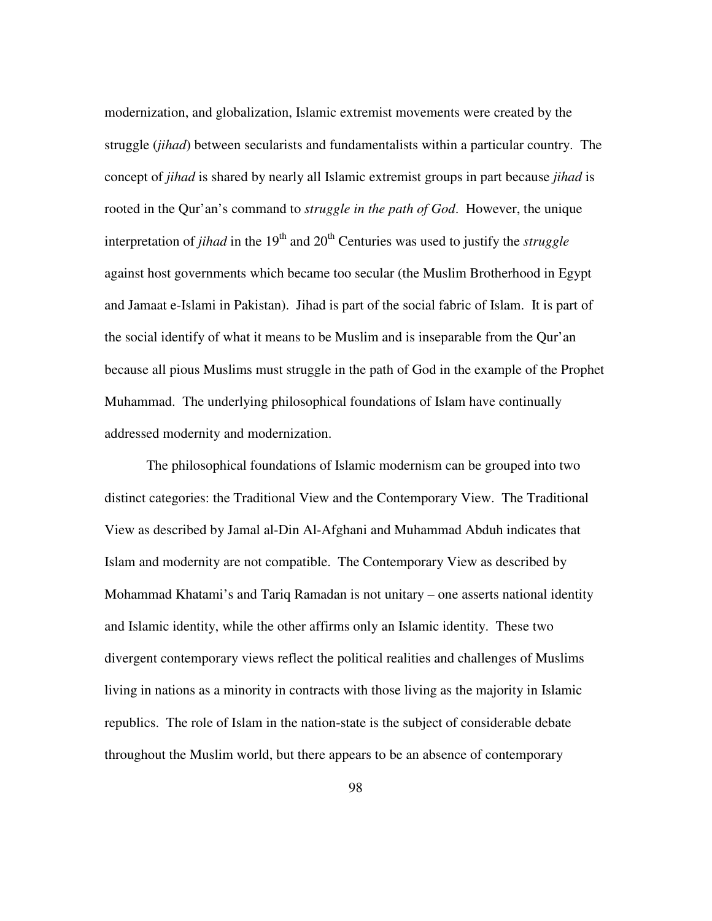modernization, and globalization, Islamic extremist movements were created by the struggle (*jihad*) between secularists and fundamentalists within a particular country. The concept of *jihad* is shared by nearly all Islamic extremist groups in part because *jihad* is rooted in the Qur'an's command to *struggle in the path of God*. However, the unique interpretation of *jihad* in the  $19<sup>th</sup>$  and  $20<sup>th</sup>$  Centuries was used to justify the *struggle* against host governments which became too secular (the Muslim Brotherhood in Egypt and Jamaat e-Islami in Pakistan). Jihad is part of the social fabric of Islam. It is part of the social identify of what it means to be Muslim and is inseparable from the Qur'an because all pious Muslims must struggle in the path of God in the example of the Prophet Muhammad. The underlying philosophical foundations of Islam have continually addressed modernity and modernization.

The philosophical foundations of Islamic modernism can be grouped into two distinct categories: the Traditional View and the Contemporary View. The Traditional View as described by Jamal al-Din Al-Afghani and Muhammad Abduh indicates that Islam and modernity are not compatible. The Contemporary View as described by Mohammad Khatami's and Tariq Ramadan is not unitary – one asserts national identity and Islamic identity, while the other affirms only an Islamic identity. These two divergent contemporary views reflect the political realities and challenges of Muslims living in nations as a minority in contracts with those living as the majority in Islamic republics. The role of Islam in the nation-state is the subject of considerable debate throughout the Muslim world, but there appears to be an absence of contemporary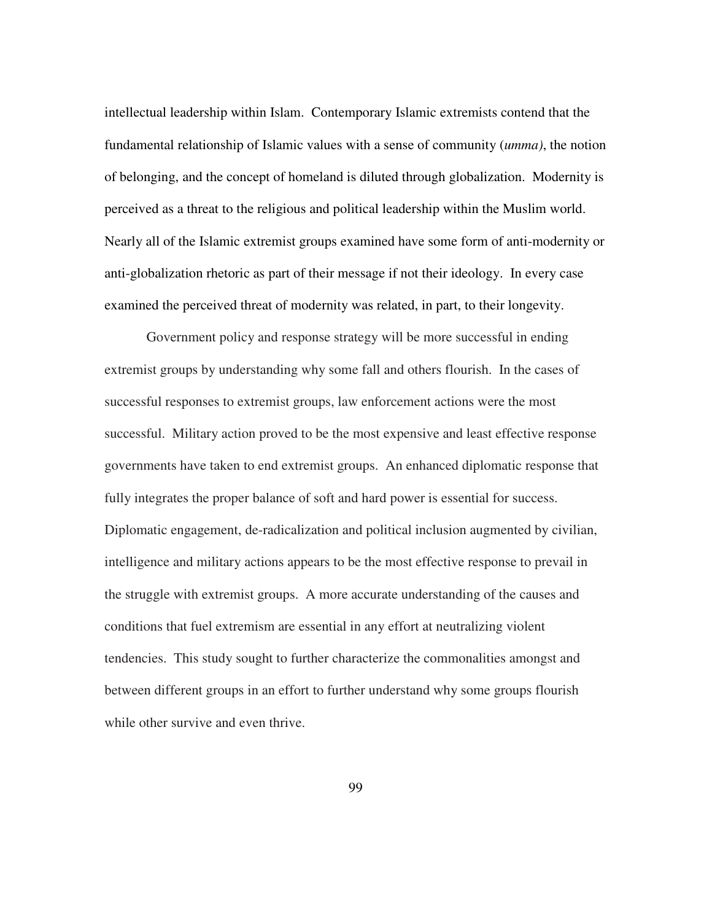intellectual leadership within Islam. Contemporary Islamic extremists contend that the fundamental relationship of Islamic values with a sense of community (*umma)*, the notion of belonging, and the concept of homeland is diluted through globalization. Modernity is perceived as a threat to the religious and political leadership within the Muslim world. Nearly all of the Islamic extremist groups examined have some form of anti-modernity or anti-globalization rhetoric as part of their message if not their ideology. In every case examined the perceived threat of modernity was related, in part, to their longevity.

Government policy and response strategy will be more successful in ending extremist groups by understanding why some fall and others flourish. In the cases of successful responses to extremist groups, law enforcement actions were the most successful. Military action proved to be the most expensive and least effective response governments have taken to end extremist groups. An enhanced diplomatic response that fully integrates the proper balance of soft and hard power is essential for success. Diplomatic engagement, de-radicalization and political inclusion augmented by civilian, intelligence and military actions appears to be the most effective response to prevail in the struggle with extremist groups. A more accurate understanding of the causes and conditions that fuel extremism are essential in any effort at neutralizing violent tendencies. This study sought to further characterize the commonalities amongst and between different groups in an effort to further understand why some groups flourish while other survive and even thrive.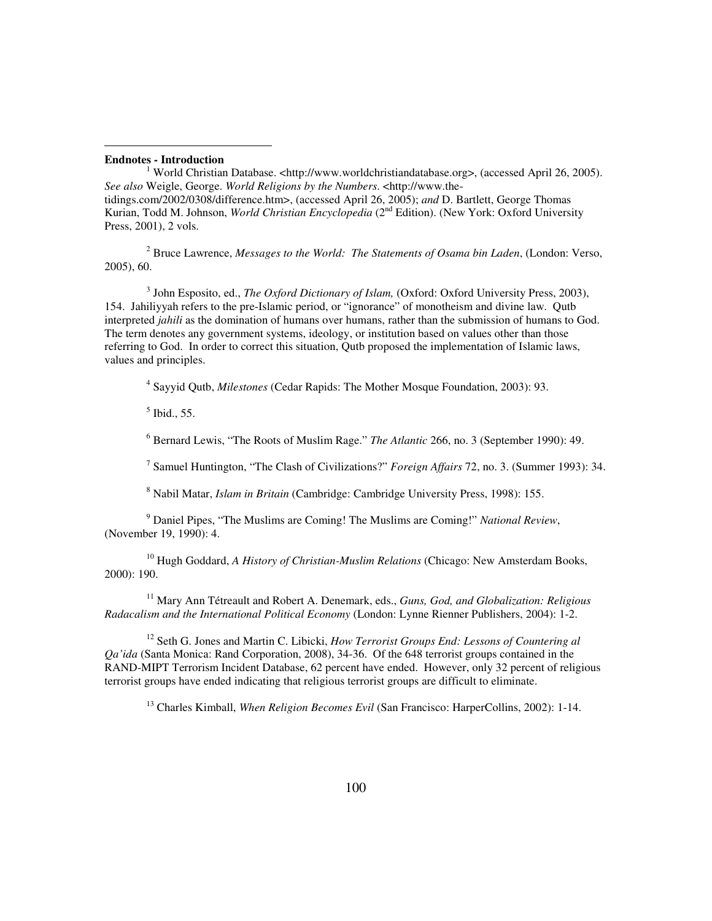#### **Endnotes - Introduction**

-

1 World Christian Database. <http://www.worldchristiandatabase.org>, (accessed April 26, 2005). *See also* Weigle, George. *World Religions by the Numbers*. <http://www.thetidings.com/2002/0308/difference.htm>, (accessed April 26, 2005); *and* D. Bartlett, George Thomas Kurian, Todd M. Johnson, *World Christian Encyclopedia* (2nd Edition). (New York: Oxford University Press, 2001), 2 vols.

2 Bruce Lawrence, *Messages to the World: The Statements of Osama bin Laden*, (London: Verso, 2005), 60.

3 John Esposito, ed., *The Oxford Dictionary of Islam,* (Oxford: Oxford University Press, 2003), 154. Jahiliyyah refers to the pre-Islamic period, or "ignorance" of monotheism and divine law. Qutb interpreted *jahili* as the domination of humans over humans, rather than the submission of humans to God. The term denotes any government systems, ideology, or institution based on values other than those referring to God. In order to correct this situation, Qutb proposed the implementation of Islamic laws, values and principles.

4 Sayyid Qutb, *Milestones* (Cedar Rapids: The Mother Mosque Foundation, 2003): 93.

5 Ibid., 55.

6 Bernard Lewis, "The Roots of Muslim Rage." *The Atlantic* 266, no. 3 (September 1990): 49.

7 Samuel Huntington, "The Clash of Civilizations?" *Foreign Affairs* 72, no. 3. (Summer 1993): 34.

8 Nabil Matar, *Islam in Britain* (Cambridge: Cambridge University Press, 1998): 155.

9 Daniel Pipes, "The Muslims are Coming! The Muslims are Coming!" *National Review*, (November 19, 1990): 4.

<sup>10</sup> Hugh Goddard, *A History of Christian-Muslim Relations* (Chicago: New Amsterdam Books, 2000): 190.

<sup>11</sup> Mary Ann Tétreault and Robert A. Denemark, eds., *Guns, God, and Globalization: Religious Radacalism and the International Political Economy* (London: Lynne Rienner Publishers, 2004): 1-2.

<sup>12</sup> Seth G. Jones and Martin C. Libicki, *How Terrorist Groups End: Lessons of Countering al Qa'ida* (Santa Monica: Rand Corporation, 2008), 34-36. Of the 648 terrorist groups contained in the RAND-MIPT Terrorism Incident Database, 62 percent have ended. However, only 32 percent of religious terrorist groups have ended indicating that religious terrorist groups are difficult to eliminate.

<sup>13</sup> Charles Kimball, *When Religion Becomes Evil* (San Francisco: HarperCollins, 2002): 1-14.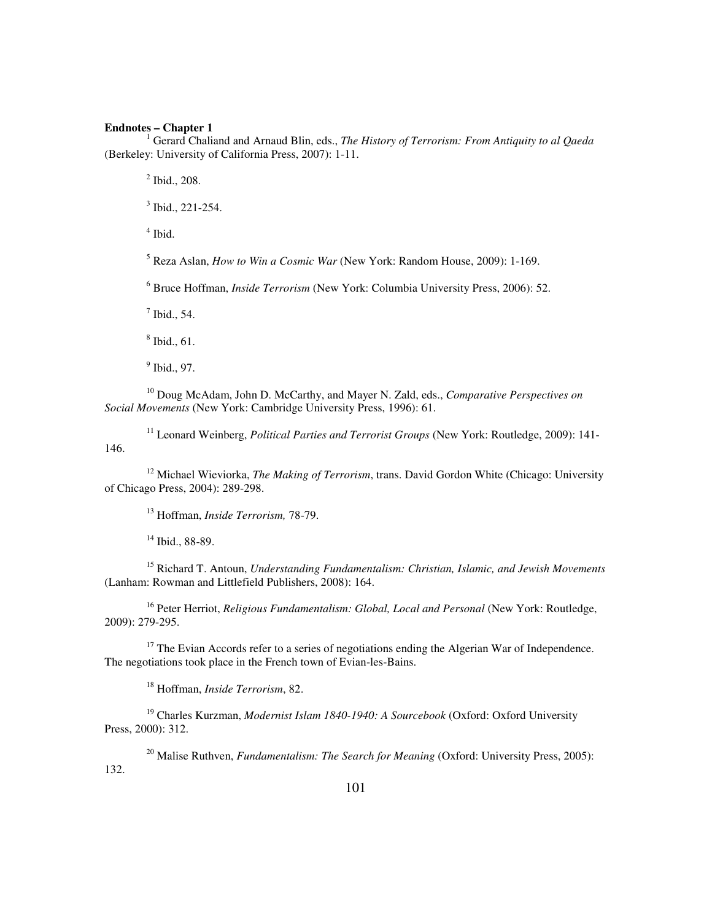## **Endnotes – Chapter 1**

<sup>1</sup> Gerard Chaliand and Arnaud Blin, eds., *The History of Terrorism: From Antiquity to al Qaeda* (Berkeley: University of California Press, 2007): 1-11.

2 Ibid., 208.

 $3$  Ibid., 221-254.

4 Ibid.

5 Reza Aslan, *How to Win a Cosmic War* (New York: Random House, 2009): 1-169.

6 Bruce Hoffman, *Inside Terrorism* (New York: Columbia University Press, 2006): 52.

 $<sup>7</sup>$  Ibid., 54.</sup>

8 Ibid., 61.

<sup>9</sup> Ibid., 97.

<sup>10</sup> Doug McAdam, John D. McCarthy, and Mayer N. Zald, eds., *Comparative Perspectives on Social Movements* (New York: Cambridge University Press, 1996): 61.

<sup>11</sup> Leonard Weinberg, *Political Parties and Terrorist Groups* (New York: Routledge, 2009): 141- 146.

<sup>12</sup> Michael Wieviorka, *The Making of Terrorism*, trans. David Gordon White (Chicago: University of Chicago Press, 2004): 289-298.

<sup>13</sup> Hoffman, *Inside Terrorism,* 78-79.

 $14$  Ibid., 88-89.

<sup>15</sup> Richard T. Antoun, *Understanding Fundamentalism: Christian, Islamic, and Jewish Movements* (Lanham: Rowman and Littlefield Publishers, 2008): 164.

<sup>16</sup> Peter Herriot, *Religious Fundamentalism: Global, Local and Personal* (New York: Routledge, 2009): 279-295.

 $17$  The Evian Accords refer to a series of negotiations ending the Algerian War of Independence. The negotiations took place in the French town of Evian-les-Bains.

<sup>18</sup> Hoffman, *Inside Terrorism*, 82.

<sup>19</sup> Charles Kurzman, *Modernist Islam 1840-1940: A Sourcebook* (Oxford: Oxford University Press, 2000): 312.

<sup>20</sup> Malise Ruthven, *Fundamentalism: The Search for Meaning* (Oxford: University Press, 2005): 132.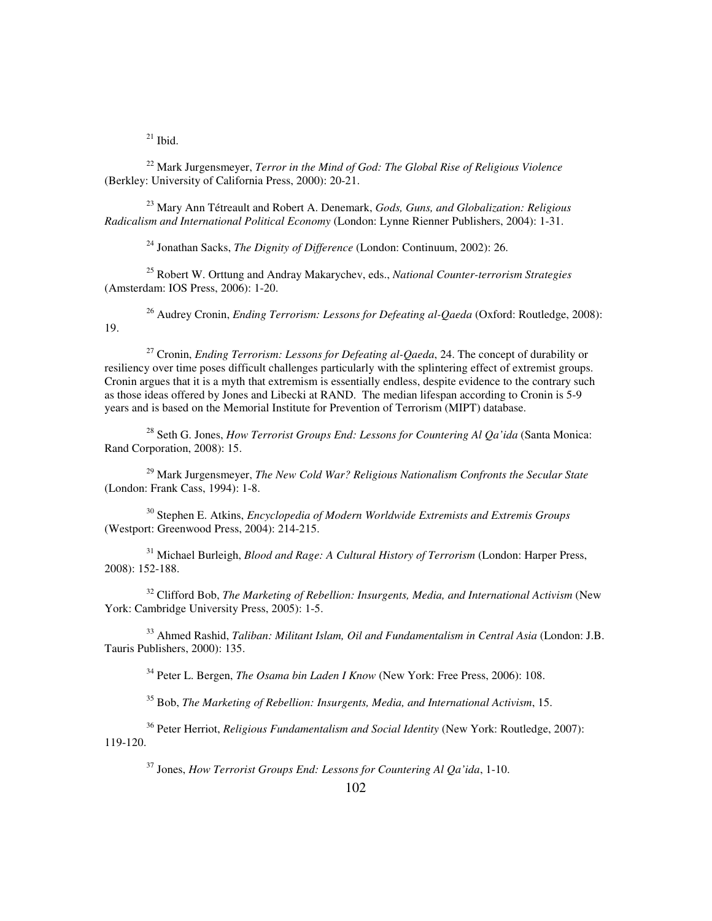$^{21}$  Ibid.

<sup>22</sup> Mark Jurgensmeyer, *Terror in the Mind of God: The Global Rise of Religious Violence* (Berkley: University of California Press, 2000): 20-21.

<sup>23</sup> Mary Ann Tétreault and Robert A. Denemark, *Gods, Guns, and Globalization: Religious Radicalism and International Political Economy* (London: Lynne Rienner Publishers, 2004): 1-31.

<sup>24</sup> Jonathan Sacks, *The Dignity of Difference* (London: Continuum, 2002): 26.

<sup>25</sup> Robert W. Orttung and Andray Makarychev, eds., *National Counter-terrorism Strategies*  (Amsterdam: IOS Press, 2006): 1-20.

<sup>26</sup> Audrey Cronin, *Ending Terrorism: Lessons for Defeating al-Qaeda* (Oxford: Routledge, 2008): 19.

<sup>27</sup> Cronin, *Ending Terrorism: Lessons for Defeating al-Qaeda*, 24. The concept of durability or resiliency over time poses difficult challenges particularly with the splintering effect of extremist groups. Cronin argues that it is a myth that extremism is essentially endless, despite evidence to the contrary such as those ideas offered by Jones and Libecki at RAND. The median lifespan according to Cronin is 5-9 years and is based on the Memorial Institute for Prevention of Terrorism (MIPT) database.

<sup>28</sup> Seth G. Jones, *How Terrorist Groups End: Lessons for Countering Al Qa'ida* (Santa Monica: Rand Corporation, 2008): 15.

<sup>29</sup> Mark Jurgensmeyer, *The New Cold War? Religious Nationalism Confronts the Secular State* (London: Frank Cass, 1994): 1-8.

<sup>30</sup> Stephen E. Atkins, *Encyclopedia of Modern Worldwide Extremists and Extremis Groups* (Westport: Greenwood Press, 2004): 214-215.

<sup>31</sup> Michael Burleigh, *Blood and Rage: A Cultural History of Terrorism* (London: Harper Press, 2008): 152-188.

<sup>32</sup> Clifford Bob, *The Marketing of Rebellion: Insurgents, Media, and International Activism* (New York: Cambridge University Press, 2005): 1-5.

<sup>33</sup> Ahmed Rashid, *Taliban: Militant Islam, Oil and Fundamentalism in Central Asia* (London: J.B. Tauris Publishers, 2000): 135.

<sup>34</sup> Peter L. Bergen, *The Osama bin Laden I Know* (New York: Free Press, 2006): 108.

<sup>35</sup> Bob, *The Marketing of Rebellion: Insurgents, Media, and International Activism*, 15.

<sup>36</sup> Peter Herriot, *Religious Fundamentalism and Social Identity* (New York: Routledge, 2007): 119-120.

<sup>37</sup> Jones, *How Terrorist Groups End: Lessons for Countering Al Qa'ida*, 1-10.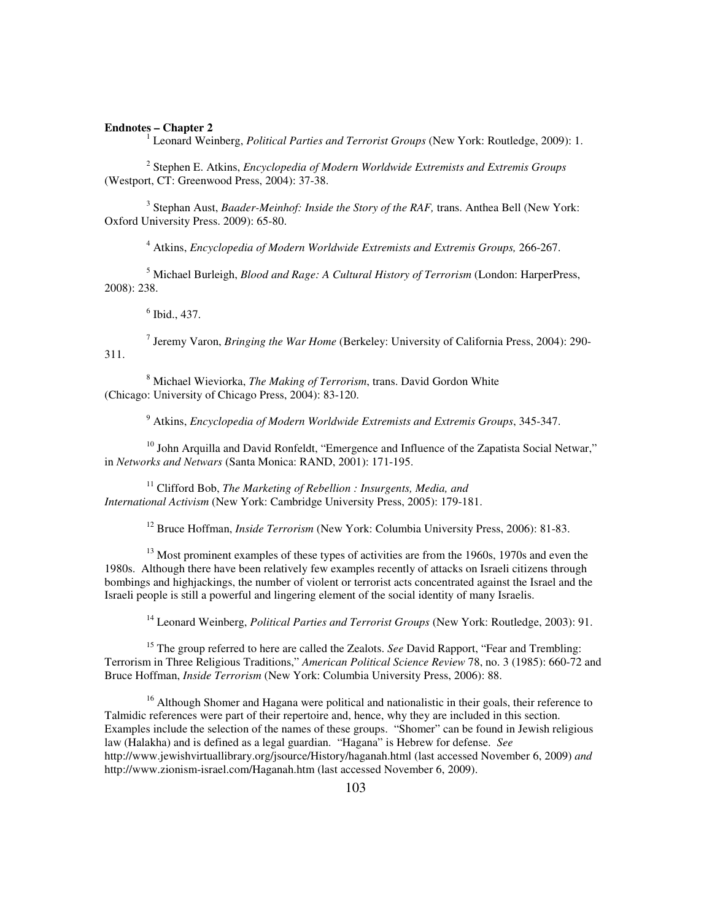#### **Endnotes – Chapter 2**

<sup>1</sup> Leonard Weinberg, *Political Parties and Terrorist Groups* (New York: Routledge, 2009): 1.

2 Stephen E. Atkins, *Encyclopedia of Modern Worldwide Extremists and Extremis Groups* (Westport, CT: Greenwood Press, 2004): 37-38.

<sup>3</sup> Stephan Aust, *Baader-Meinhof: Inside the Story of the RAF*, trans. Anthea Bell (New York: Oxford University Press. 2009): 65-80.

4 Atkins, *Encyclopedia of Modern Worldwide Extremists and Extremis Groups,* 266-267.

5 Michael Burleigh, *Blood and Rage: A Cultural History of Terrorism* (London: HarperPress, 2008): 238.

6 Ibid., 437.

7 Jeremy Varon, *Bringing the War Home* (Berkeley: University of California Press, 2004): 290- 311.

8 Michael Wieviorka, *The Making of Terrorism*, trans. David Gordon White (Chicago: University of Chicago Press, 2004): 83-120.

9 Atkins, *Encyclopedia of Modern Worldwide Extremists and Extremis Groups*, 345-347.

 $10$  John Arquilla and David Ronfeldt, "Emergence and Influence of the Zapatista Social Netwar," in *Networks and Netwars* (Santa Monica: RAND, 2001): 171-195.

<sup>11</sup> Clifford Bob, *The Marketing of Rebellion : Insurgents, Media, and International Activism* (New York: Cambridge University Press, 2005): 179-181.

<sup>12</sup> Bruce Hoffman, *Inside Terrorism* (New York: Columbia University Press, 2006): 81-83.

<sup>13</sup> Most prominent examples of these types of activities are from the 1960s, 1970s and even the 1980s. Although there have been relatively few examples recently of attacks on Israeli citizens through bombings and highjackings, the number of violent or terrorist acts concentrated against the Israel and the Israeli people is still a powerful and lingering element of the social identity of many Israelis.

<sup>14</sup> Leonard Weinberg, *Political Parties and Terrorist Groups* (New York: Routledge, 2003): 91.

<sup>15</sup> The group referred to here are called the Zealots. *See* David Rapport, "Fear and Trembling: Terrorism in Three Religious Traditions," *American Political Science Review* 78, no. 3 (1985): 660-72 and Bruce Hoffman, *Inside Terrorism* (New York: Columbia University Press, 2006): 88.

<sup>16</sup> Although Shomer and Hagana were political and nationalistic in their goals, their reference to Talmidic references were part of their repertoire and, hence, why they are included in this section. Examples include the selection of the names of these groups. "Shomer" can be found in Jewish religious law (Halakha) and is defined as a legal guardian. "Hagana" is Hebrew for defense. *See* http://www.jewishvirtuallibrary.org/jsource/History/haganah.html (last accessed November 6, 2009) *and* http://www.zionism-israel.com/Haganah.htm (last accessed November 6, 2009).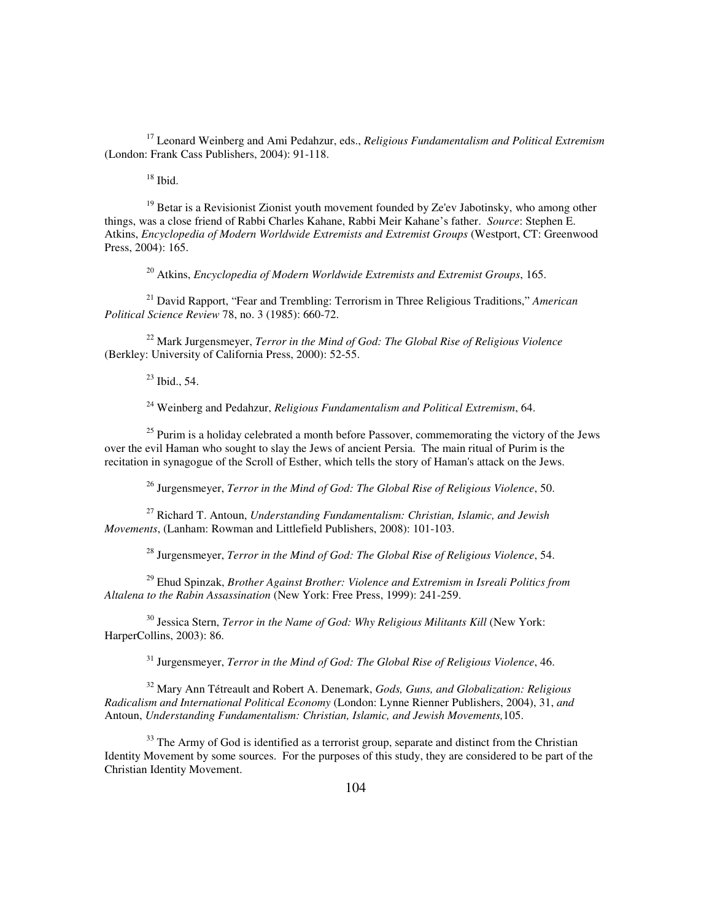<sup>17</sup> Leonard Weinberg and Ami Pedahzur, eds., *Religious Fundamentalism and Political Extremism* (London: Frank Cass Publishers, 2004): 91-118.

 $18$  Ibid.

 $19$  Betar is a Revisionist Zionist youth movement founded by Ze'ev Jabotinsky, who among other things, was a close friend of Rabbi Charles Kahane, Rabbi Meir Kahane's father. *Source*: Stephen E. Atkins, *Encyclopedia of Modern Worldwide Extremists and Extremist Groups* (Westport, CT: Greenwood Press, 2004): 165.

<sup>20</sup> Atkins, *Encyclopedia of Modern Worldwide Extremists and Extremist Groups*, 165.

<sup>21</sup> David Rapport, "Fear and Trembling: Terrorism in Three Religious Traditions," *American Political Science Review* 78, no. 3 (1985): 660-72.

<sup>22</sup> Mark Jurgensmeyer, *Terror in the Mind of God: The Global Rise of Religious Violence* (Berkley: University of California Press, 2000): 52-55.

 $^{23}$  Ibid., 54.

<sup>24</sup> Weinberg and Pedahzur, *Religious Fundamentalism and Political Extremism*, 64.

 $25$  Purim is a holiday celebrated a month before Passover, commemorating the victory of the Jews over the evil Haman who sought to slay the Jews of ancient Persia. The main ritual of Purim is the recitation in synagogue of the Scroll of Esther, which tells the story of Haman's attack on the Jews.

<sup>26</sup> Jurgensmeyer, *Terror in the Mind of God: The Global Rise of Religious Violence*, 50.

<sup>27</sup> Richard T. Antoun, *Understanding Fundamentalism: Christian, Islamic, and Jewish Movements*, (Lanham: Rowman and Littlefield Publishers, 2008): 101-103.

<sup>28</sup> Jurgensmeyer, *Terror in the Mind of God: The Global Rise of Religious Violence*, 54.

<sup>29</sup> Ehud Spinzak, *Brother Against Brother: Violence and Extremism in Isreali Politics from Altalena to the Rabin Assassination* (New York: Free Press, 1999): 241-259.

<sup>30</sup> Jessica Stern, *Terror in the Name of God: Why Religious Militants Kill* (New York: HarperCollins, 2003): 86.

<sup>31</sup> Jurgensmeyer, *Terror in the Mind of God: The Global Rise of Religious Violence*, 46.

<sup>32</sup> Mary Ann Tétreault and Robert A. Denemark, *Gods, Guns, and Globalization: Religious Radicalism and International Political Economy* (London: Lynne Rienner Publishers, 2004), 31, *and* Antoun, *Understanding Fundamentalism: Christian, Islamic, and Jewish Movements,*105.

<sup>33</sup> The Army of God is identified as a terrorist group, separate and distinct from the Christian Identity Movement by some sources. For the purposes of this study, they are considered to be part of the Christian Identity Movement.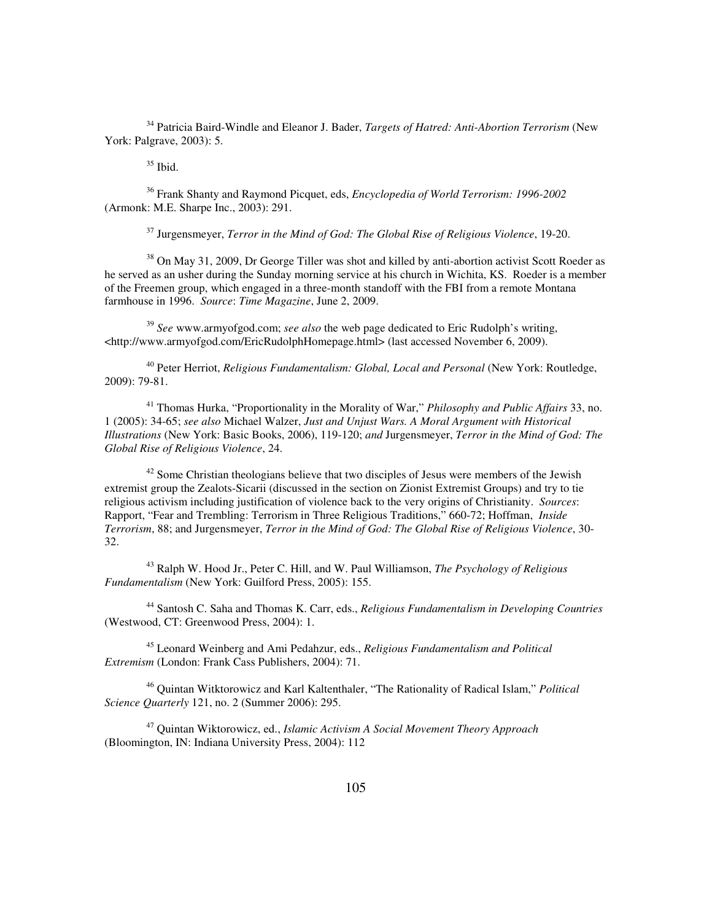<sup>34</sup> Patricia Baird-Windle and Eleanor J. Bader, *Targets of Hatred: Anti-Abortion Terrorism* (New York: Palgrave, 2003): 5.

 $35$  Ibid.

<sup>36</sup> Frank Shanty and Raymond Picquet, eds, *Encyclopedia of World Terrorism: 1996-2002*  (Armonk: M.E. Sharpe Inc., 2003): 291.

<sup>37</sup> Jurgensmeyer, *Terror in the Mind of God: The Global Rise of Religious Violence*, 19-20.

<sup>38</sup> On May 31, 2009, Dr George Tiller was shot and killed by anti-abortion activist Scott Roeder as he served as an usher during the Sunday morning service at his church in Wichita, KS. Roeder is a member of the Freemen group, which engaged in a three-month standoff with the FBI from a remote Montana farmhouse in 1996. *Source*: *Time Magazine*, June 2, 2009.

<sup>39</sup> *See* www.armyofgod.com; *see also* the web page dedicated to Eric Rudolph's writing, <http://www.armyofgod.com/EricRudolphHomepage.html> (last accessed November 6, 2009).

<sup>40</sup> Peter Herriot, *Religious Fundamentalism: Global, Local and Personal* (New York: Routledge, 2009): 79-81.

<sup>41</sup> Thomas Hurka, "Proportionality in the Morality of War," *Philosophy and Public Affairs* 33, no. 1 (2005): 34-65; *see also* Michael Walzer, *Just and Unjust Wars. A Moral Argument with Historical Illustrations* (New York: Basic Books, 2006), 119-120; *and* Jurgensmeyer, *Terror in the Mind of God: The Global Rise of Religious Violence*, 24.

<sup>42</sup> Some Christian theologians believe that two disciples of Jesus were members of the Jewish extremist group the Zealots-Sicarii (discussed in the section on Zionist Extremist Groups) and try to tie religious activism including justification of violence back to the very origins of Christianity. *Sources*: Rapport, "Fear and Trembling: Terrorism in Three Religious Traditions," 660-72; Hoffman, *Inside Terrorism*, 88; and Jurgensmeyer, *Terror in the Mind of God: The Global Rise of Religious Violence*, 30- 32.

<sup>43</sup> Ralph W. Hood Jr., Peter C. Hill, and W. Paul Williamson, *The Psychology of Religious Fundamentalism* (New York: Guilford Press, 2005): 155.

<sup>44</sup> Santosh C. Saha and Thomas K. Carr, eds., *Religious Fundamentalism in Developing Countries*  (Westwood, CT: Greenwood Press, 2004): 1.

<sup>45</sup> Leonard Weinberg and Ami Pedahzur, eds., *Religious Fundamentalism and Political Extremism* (London: Frank Cass Publishers, 2004): 71.

<sup>46</sup> Quintan Witktorowicz and Karl Kaltenthaler, "The Rationality of Radical Islam," *Political Science Quarterly* 121, no. 2 (Summer 2006): 295.

<sup>47</sup> Quintan Wiktorowicz, ed., *Islamic Activism A Social Movement Theory Approach* (Bloomington, IN: Indiana University Press, 2004): 112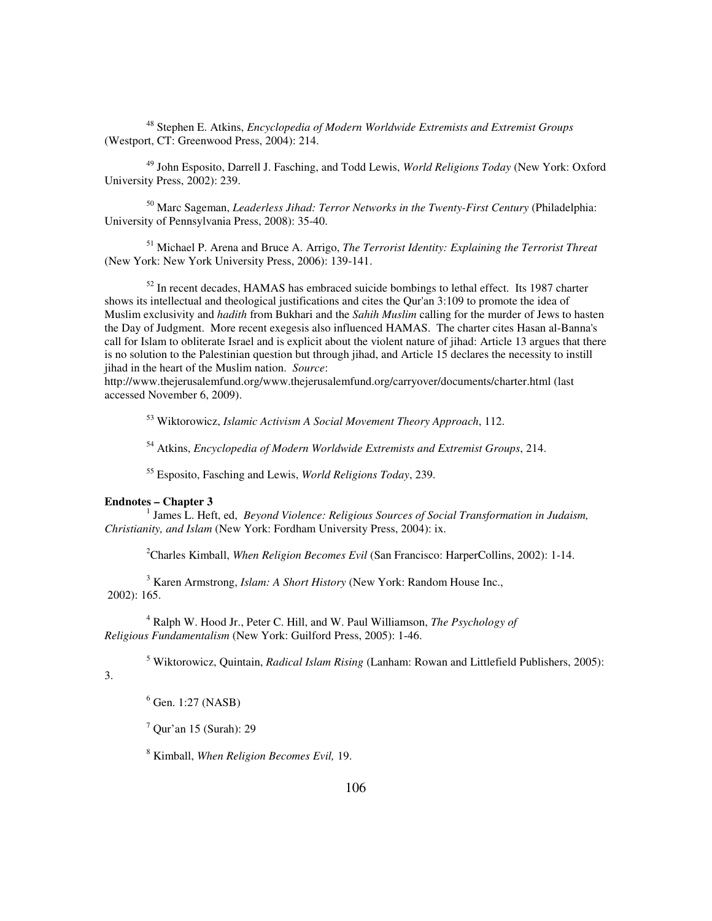<sup>48</sup> Stephen E. Atkins, *Encyclopedia of Modern Worldwide Extremists and Extremist Groups* (Westport, CT: Greenwood Press, 2004): 214.

<sup>49</sup> John Esposito, Darrell J. Fasching, and Todd Lewis, *World Religions Today* (New York: Oxford University Press, 2002): 239.

<sup>50</sup> Marc Sageman, *Leaderless Jihad: Terror Networks in the Twenty-First Century* (Philadelphia: University of Pennsylvania Press, 2008): 35-40.

<sup>51</sup> Michael P. Arena and Bruce A. Arrigo, *The Terrorist Identity: Explaining the Terrorist Threat* (New York: New York University Press, 2006): 139-141.

 $52$  In recent decades, HAMAS has embraced suicide bombings to lethal effect. Its 1987 charter shows its intellectual and theological justifications and cites the Qur'an 3:109 to promote the idea of Muslim exclusivity and *hadith* from Bukhari and the *Sahih Muslim* calling for the murder of Jews to hasten the Day of Judgment. More recent exegesis also influenced HAMAS. The charter cites Hasan al-Banna's call for Islam to obliterate Israel and is explicit about the violent nature of jihad: Article 13 argues that there is no solution to the Palestinian question but through jihad, and Article 15 declares the necessity to instill jihad in the heart of the Muslim nation. *Source*:

http://www.thejerusalemfund.org/www.thejerusalemfund.org/carryover/documents/charter.html (last accessed November 6, 2009).

<sup>53</sup> Wiktorowicz, *Islamic Activism A Social Movement Theory Approach*, 112.

<sup>54</sup> Atkins, *Encyclopedia of Modern Worldwide Extremists and Extremist Groups*, 214.

<sup>55</sup> Esposito, Fasching and Lewis, *World Religions Today*, 239.

## **Endnotes – Chapter 3**

<sup>1</sup> James L. Heft, ed, *Beyond Violence: Religious Sources of Social Transformation in Judaism, Christianity, and Islam* (New York: Fordham University Press, 2004): ix.

<sup>2</sup>Charles Kimball, *When Religion Becomes Evil* (San Francisco: HarperCollins, 2002): 1-14.

3 Karen Armstrong, *Islam: A Short History* (New York: Random House Inc., 2002): 165.

4 Ralph W. Hood Jr., Peter C. Hill, and W. Paul Williamson, *The Psychology of Religious Fundamentalism* (New York: Guilford Press, 2005): 1-46.

5 Wiktorowicz, Quintain, *Radical Islam Rising* (Lanham: Rowan and Littlefield Publishers, 2005):

3.

<sup>6</sup> Gen. 1:27 (NASB)

 $7$  Qur'an 15 (Surah): 29

8 Kimball, *When Religion Becomes Evil,* 19.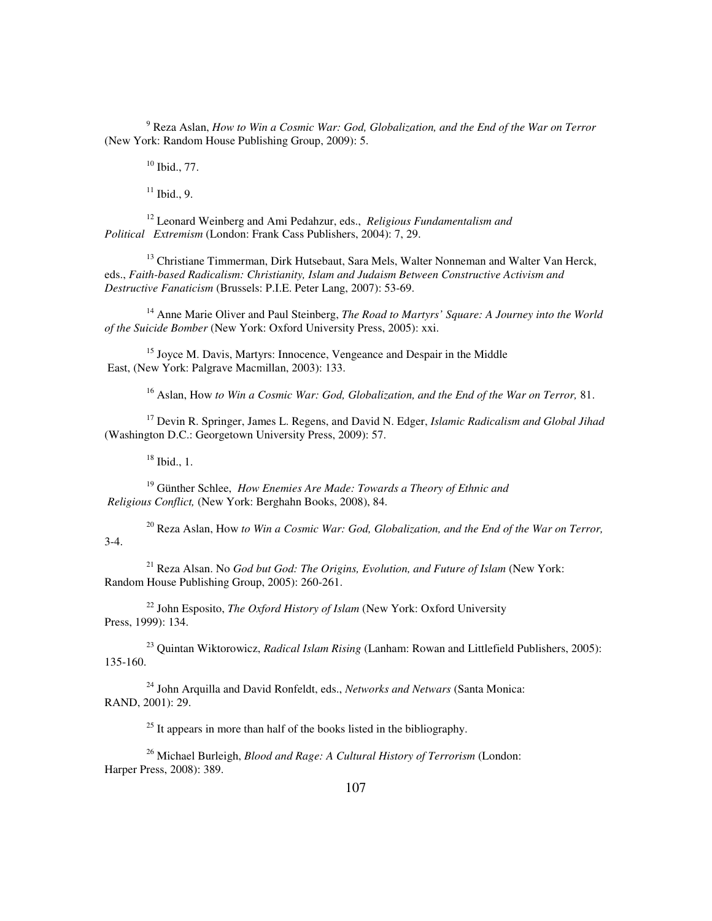<sup>9</sup> Reza Aslan, *How to Win a Cosmic War: God, Globalization, and the End of the War on Terror* (New York: Random House Publishing Group, 2009): 5.

<sup>10</sup> Ibid., 77.

 $11$  Ibid., 9.

<sup>12</sup> Leonard Weinberg and Ami Pedahzur, eds., *Religious Fundamentalism and Political Extremism* (London: Frank Cass Publishers, 2004): 7, 29.

<sup>13</sup> Christiane Timmerman, Dirk Hutsebaut, Sara Mels, Walter Nonneman and Walter Van Herck, eds., *Faith-based Radicalism: Christianity, Islam and Judaism Between Constructive Activism and Destructive Fanaticism* (Brussels: P.I.E. Peter Lang, 2007): 53-69.

<sup>14</sup> Anne Marie Oliver and Paul Steinberg, *The Road to Martyrs' Square: A Journey into the World of the Suicide Bomber* (New York: Oxford University Press, 2005): xxi.

<sup>15</sup> Joyce M. Davis, Martyrs: Innocence, Vengeance and Despair in the Middle East, (New York: Palgrave Macmillan, 2003): 133.

<sup>16</sup> Aslan, How *to Win a Cosmic War: God, Globalization, and the End of the War on Terror,* 81.

<sup>17</sup> Devin R. Springer, James L. Regens, and David N. Edger, *Islamic Radicalism and Global Jihad* (Washington D.C.: Georgetown University Press, 2009): 57.

 $18$  Ibid., 1.

<sup>19</sup> Günther Schlee, *How Enemies Are Made: Towards a Theory of Ethnic and Religious Conflict,* (New York: Berghahn Books, 2008), 84.

<sup>20</sup> Reza Aslan, How *to Win a Cosmic War: God, Globalization, and the End of the War on Terror,* 3-4.

<sup>21</sup> Reza Alsan. No *God but God: The Origins, Evolution, and Future of Islam* (New York: Random House Publishing Group, 2005): 260-261.

<sup>22</sup> John Esposito, *The Oxford History of Islam* (New York: Oxford University Press, 1999): 134.

<sup>23</sup> Quintan Wiktorowicz, *Radical Islam Rising* (Lanham: Rowan and Littlefield Publishers, 2005): 135-160.

<sup>24</sup> John Arquilla and David Ronfeldt, eds., *Networks and Netwars* (Santa Monica: RAND, 2001): 29.

 $25$  It appears in more than half of the books listed in the bibliography.

<sup>26</sup> Michael Burleigh, *Blood and Rage: A Cultural History of Terrorism* (London: Harper Press, 2008): 389.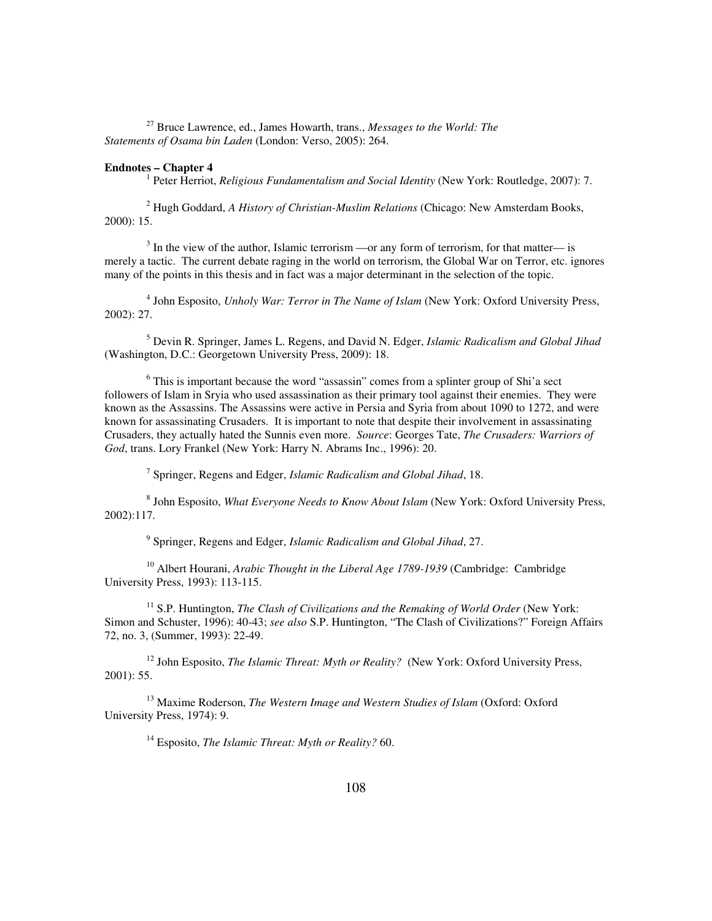<sup>27</sup> Bruce Lawrence, ed., James Howarth, trans., *Messages to the World: The Statements of Osama bin Laden* (London: Verso, 2005): 264.

## **Endnotes – Chapter 4**

<sup>1</sup> Peter Herriot, *Religious Fundamentalism and Social Identity* (New York: Routledge, 2007): 7.

2 Hugh Goddard, *A History of Christian-Muslim Relations* (Chicago: New Amsterdam Books, 2000): 15.

 $3$  In the view of the author, Islamic terrorism —or any form of terrorism, for that matter— is merely a tactic. The current debate raging in the world on terrorism, the Global War on Terror, etc. ignores many of the points in this thesis and in fact was a major determinant in the selection of the topic.

<sup>4</sup> John Esposito, *Unholy War: Terror in The Name of Islam* (New York: Oxford University Press, 2002): 27.

5 Devin R. Springer, James L. Regens, and David N. Edger, *Islamic Radicalism and Global Jihad*  (Washington, D.C.: Georgetown University Press, 2009): 18.

<sup>6</sup> This is important because the word "assassin" comes from a splinter group of Shi'a sect followers of Islam in Sryia who used assassination as their primary tool against their enemies. They were known as the Assassins. The Assassins were active in Persia and Syria from about 1090 to 1272, and were known for assassinating Crusaders. It is important to note that despite their involvement in assassinating Crusaders, they actually hated the Sunnis even more. *Source*: Georges Tate, *The Crusaders: Warriors of God*, trans. Lory Frankel (New York: Harry N. Abrams Inc., 1996): 20.

7 Springer, Regens and Edger, *Islamic Radicalism and Global Jihad*, 18.

8 John Esposito, *What Everyone Needs to Know About Islam* (New York: Oxford University Press, 2002):117.

9 Springer, Regens and Edger, *Islamic Radicalism and Global Jihad*, 27.

<sup>10</sup> Albert Hourani, *Arabic Thought in the Liberal Age 1789-1939* (Cambridge: Cambridge University Press, 1993): 113-115.

<sup>11</sup> S.P. Huntington, *The Clash of Civilizations and the Remaking of World Order* (New York: Simon and Schuster, 1996): 40-43; *see also* S.P. Huntington, "The Clash of Civilizations?" Foreign Affairs 72, no. 3, (Summer, 1993): 22-49.

<sup>12</sup> John Esposito, *The Islamic Threat: Myth or Reality?* (New York: Oxford University Press, 2001): 55.

<sup>13</sup> Maxime Roderson, *The Western Image and Western Studies of Islam* (Oxford: Oxford University Press, 1974): 9.

<sup>14</sup> Esposito, *The Islamic Threat: Myth or Reality?* 60.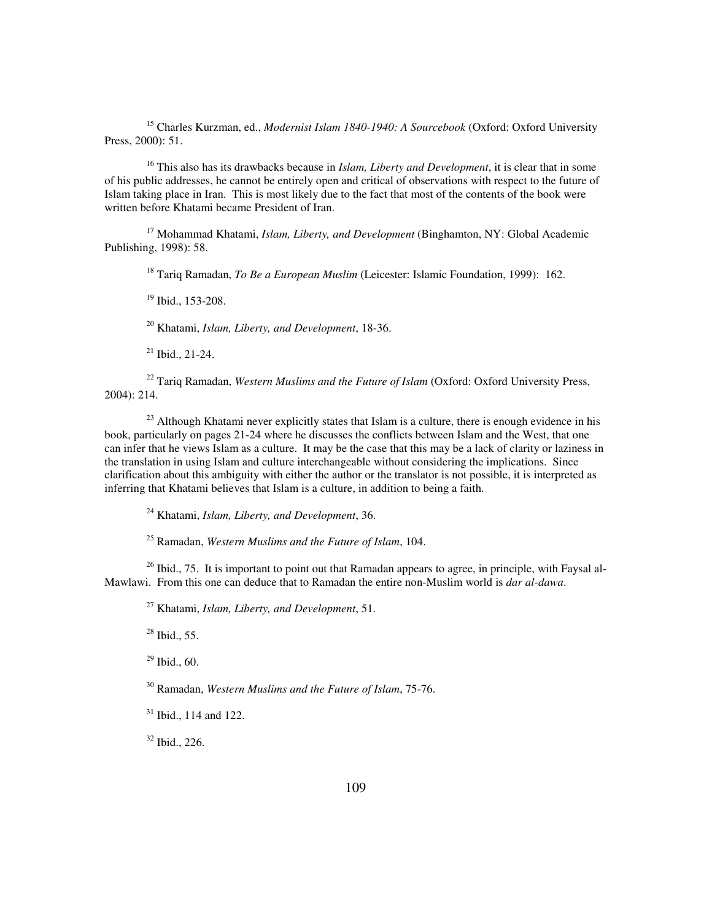<sup>15</sup> Charles Kurzman, ed., *Modernist Islam 1840-1940: A Sourcebook* (Oxford: Oxford University Press, 2000): 51.

<sup>16</sup> This also has its drawbacks because in *Islam, Liberty and Development*, it is clear that in some of his public addresses, he cannot be entirely open and critical of observations with respect to the future of Islam taking place in Iran. This is most likely due to the fact that most of the contents of the book were written before Khatami became President of Iran.

<sup>17</sup> Mohammad Khatami, *Islam, Liberty, and Development* (Binghamton, NY: Global Academic Publishing, 1998): 58.

<sup>18</sup> Tariq Ramadan, *To Be a European Muslim* (Leicester: Islamic Foundation, 1999): 162.

<sup>19</sup> Ibid., 153-208.

<sup>20</sup> Khatami, *Islam, Liberty, and Development*, 18-36.

 $21$  Ibid., 21-24.

<sup>22</sup> Tariq Ramadan, *Western Muslims and the Future of Islam* (Oxford: Oxford University Press, 2004): 214.

<sup>23</sup> Although Khatami never explicitly states that Islam is a culture, there is enough evidence in his book, particularly on pages 21-24 where he discusses the conflicts between Islam and the West, that one can infer that he views Islam as a culture. It may be the case that this may be a lack of clarity or laziness in the translation in using Islam and culture interchangeable without considering the implications. Since clarification about this ambiguity with either the author or the translator is not possible, it is interpreted as inferring that Khatami believes that Islam is a culture, in addition to being a faith.

<sup>24</sup> Khatami, *Islam, Liberty, and Development*, 36.

<sup>25</sup> Ramadan, *Western Muslims and the Future of Islam*, 104.

 $^{26}$  Ibid., 75. It is important to point out that Ramadan appears to agree, in principle, with Faysal al-Mawlawi. From this one can deduce that to Ramadan the entire non-Muslim world is *dar al-dawa*.

<sup>27</sup> Khatami, *Islam, Liberty, and Development*, 51.

<sup>28</sup> Ibid., 55.

 $29$  Ibid., 60.

<sup>30</sup> Ramadan, *Western Muslims and the Future of Islam*, 75-76.

 $31$  Ibid., 114 and 122.

<sup>32</sup> Ibid., 226.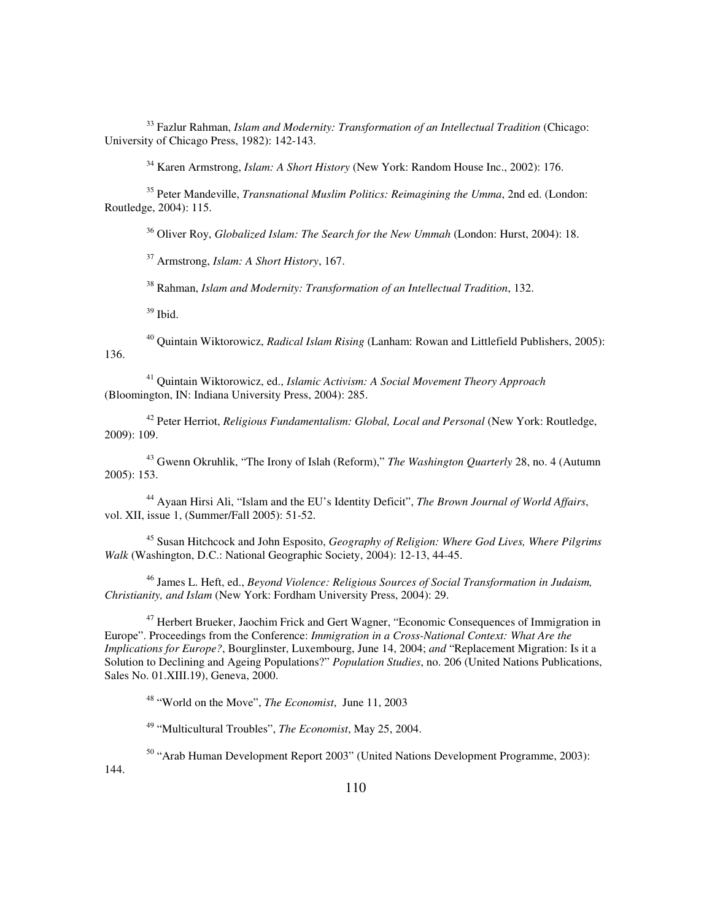<sup>33</sup> Fazlur Rahman, *Islam and Modernity: Transformation of an Intellectual Tradition* (Chicago: University of Chicago Press, 1982): 142-143.

<sup>34</sup> Karen Armstrong, *Islam: A Short History* (New York: Random House Inc., 2002): 176.

<sup>35</sup> Peter Mandeville, *Transnational Muslim Politics: Reimagining the Umma*, 2nd ed. (London: Routledge, 2004): 115.

<sup>36</sup> Oliver Roy, *Globalized Islam: The Search for the New Ummah* (London: Hurst, 2004): 18.

<sup>37</sup> Armstrong, *Islam: A Short History*, 167.

<sup>38</sup> Rahman, *Islam and Modernity: Transformation of an Intellectual Tradition*, 132.

<sup>39</sup> Ibid.

<sup>40</sup> Quintain Wiktorowicz, *Radical Islam Rising* (Lanham: Rowan and Littlefield Publishers, 2005): 136.

<sup>41</sup> Quintain Wiktorowicz, ed., *Islamic Activism: A Social Movement Theory Approach* (Bloomington, IN: Indiana University Press, 2004): 285.

<sup>42</sup> Peter Herriot, *Religious Fundamentalism: Global, Local and Personal* (New York: Routledge, 2009): 109.

<sup>43</sup> Gwenn Okruhlik, "The Irony of Islah (Reform)," *The Washington Quarterly* 28, no. 4 (Autumn 2005): 153.

<sup>44</sup> Ayaan Hirsi Ali, "Islam and the EU's Identity Deficit", *The Brown Journal of World Affairs*, vol. XII, issue 1, (Summer/Fall 2005): 51-52.

<sup>45</sup> Susan Hitchcock and John Esposito, *Geography of Religion: Where God Lives, Where Pilgrims Walk* (Washington, D.C.: National Geographic Society, 2004): 12-13, 44-45.

<sup>46</sup> James L. Heft, ed., *Beyond Violence: Religious Sources of Social Transformation in Judaism, Christianity, and Islam* (New York: Fordham University Press, 2004): 29.

<sup>47</sup> Herbert Brueker, Jaochim Frick and Gert Wagner, "Economic Consequences of Immigration in Europe". Proceedings from the Conference: *Immigration in a Cross-National Context: What Are the Implications for Europe?*, Bourglinster, Luxembourg, June 14, 2004; *and* "Replacement Migration: Is it a Solution to Declining and Ageing Populations?" *Population Studies*, no. 206 (United Nations Publications, Sales No. 01.XIII.19), Geneva, 2000.

<sup>48</sup> "World on the Move", *The Economist*, June 11, 2003

<sup>49</sup> "Multicultural Troubles", *The Economist*, May 25, 2004.

<sup>50</sup> "Arab Human Development Report 2003" (United Nations Development Programme, 2003):

144.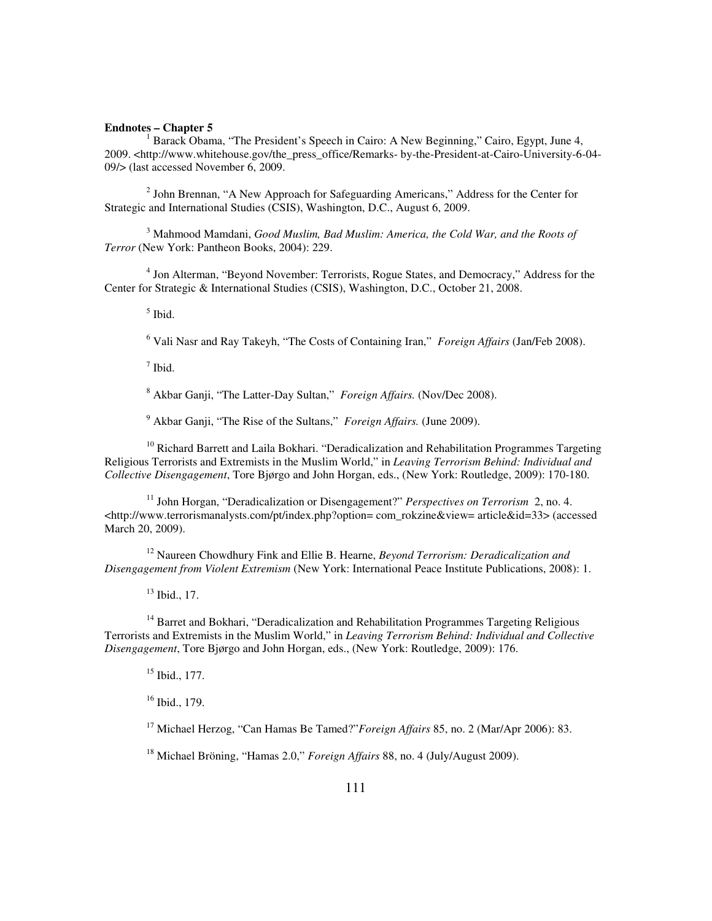## **Endnotes – Chapter 5**

<sup>1</sup> Barack Obama, "The President's Speech in Cairo: A New Beginning," Cairo, Egypt, June 4, 2009. <http://www.whitehouse.gov/the\_press\_office/Remarks- by-the-President-at-Cairo-University-6-04- 09/> (last accessed November 6, 2009.

<sup>2</sup> John Brennan, "A New Approach for Safeguarding Americans," Address for the Center for Strategic and International Studies (CSIS), Washington, D.C., August 6, 2009.

3 Mahmood Mamdani, *Good Muslim, Bad Muslim: America, the Cold War, and the Roots of Terror* (New York: Pantheon Books, 2004): 229.

<sup>4</sup> Jon Alterman, "Beyond November: Terrorists, Rogue States, and Democracy," Address for the Center for Strategic & International Studies (CSIS), Washington, D.C., October 21, 2008.

5 Ibid.

6 Vali Nasr and Ray Takeyh, "The Costs of Containing Iran," *Foreign Affairs* (Jan/Feb 2008).

 $<sup>7</sup>$  Ibid.</sup>

8 Akbar Ganji, "The Latter-Day Sultan," *Foreign Affairs.* (Nov/Dec 2008).

9 Akbar Ganji, "The Rise of the Sultans," *Foreign Affairs.* (June 2009).

 $10$  Richard Barrett and Laila Bokhari. "Deradicalization and Rehabilitation Programmes Targeting Religious Terrorists and Extremists in the Muslim World," in *Leaving Terrorism Behind: Individual and Collective Disengagement*, Tore Bjørgo and John Horgan, eds., (New York: Routledge, 2009): 170-180.

<sup>11</sup> John Horgan, "Deradicalization or Disengagement?" *Perspectives on Terrorism* 2, no. 4. <http://www.terrorismanalysts.com/pt/index.php?option= com\_rokzine&view= article&id=33> (accessed March 20, 2009).

<sup>12</sup> Naureen Chowdhury Fink and Ellie B. Hearne, *Beyond Terrorism: Deradicalization and Disengagement from Violent Extremism* (New York: International Peace Institute Publications, 2008): 1.

<sup>13</sup> Ibid., 17.

<sup>14</sup> Barret and Bokhari, "Deradicalization and Rehabilitation Programmes Targeting Religious Terrorists and Extremists in the Muslim World," in *Leaving Terrorism Behind: Individual and Collective Disengagement*, Tore Bjørgo and John Horgan, eds., (New York: Routledge, 2009): 176.

 $15$  Ibid., 177.

<sup>16</sup> Ibid., 179.

<sup>17</sup> Michael Herzog, "Can Hamas Be Tamed?"*Foreign Affairs* 85, no. 2 (Mar/Apr 2006): 83.

<sup>18</sup> Michael Bröning, "Hamas 2.0," *Foreign Affairs* 88, no. 4 (July/August 2009).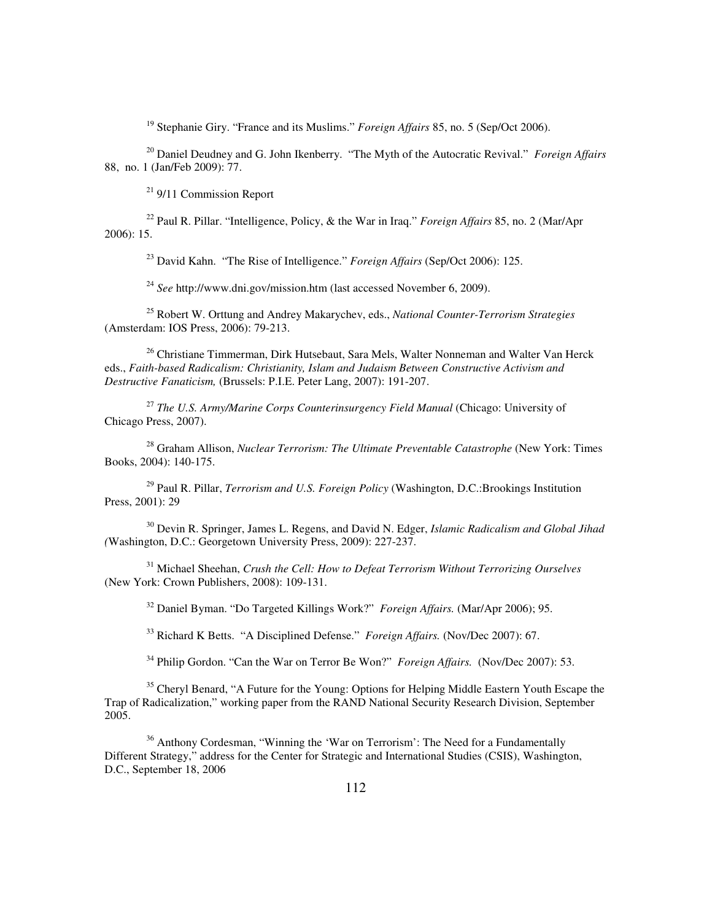<sup>19</sup> Stephanie Giry. "France and its Muslims." *Foreign Affairs* 85, no. 5 (Sep/Oct 2006).

<sup>20</sup> Daniel Deudney and G. John Ikenberry. "The Myth of the Autocratic Revival." *Foreign Affairs* 88, no. 1 (Jan/Feb 2009): 77.

<sup>21</sup> 9/11 Commission Report

<sup>22</sup> Paul R. Pillar. "Intelligence, Policy, & the War in Iraq." *Foreign Affairs* 85, no. 2 (Mar/Apr 2006): 15.

<sup>23</sup> David Kahn. "The Rise of Intelligence." *Foreign Affairs* (Sep/Oct 2006): 125.

<sup>24</sup> *See* http://www.dni.gov/mission.htm (last accessed November 6, 2009).

<sup>25</sup> Robert W. Orttung and Andrey Makarychev, eds., *National Counter-Terrorism Strategies*  (Amsterdam: IOS Press, 2006): 79-213.

<sup>26</sup> Christiane Timmerman, Dirk Hutsebaut, Sara Mels, Walter Nonneman and Walter Van Herck eds., *Faith-based Radicalism: Christianity, Islam and Judaism Between Constructive Activism and Destructive Fanaticism,* (Brussels: P.I.E. Peter Lang, 2007): 191-207.

<sup>27</sup> *The U.S. Army/Marine Corps Counterinsurgency Field Manual* (Chicago: University of Chicago Press, 2007).

<sup>28</sup> Graham Allison, *Nuclear Terrorism: The Ultimate Preventable Catastrophe* (New York: Times Books, 2004): 140-175.

<sup>29</sup> Paul R. Pillar, *Terrorism and U.S. Foreign Policy* (Washington, D.C.:Brookings Institution Press, 2001): 29

<sup>30</sup> Devin R. Springer, James L. Regens, and David N. Edger, *Islamic Radicalism and Global Jihad (*Washington, D.C.: Georgetown University Press, 2009): 227-237.

<sup>31</sup> Michael Sheehan, *Crush the Cell: How to Defeat Terrorism Without Terrorizing Ourselves*  (New York: Crown Publishers, 2008): 109-131.

<sup>32</sup> Daniel Byman. "Do Targeted Killings Work?" *Foreign Affairs.* (Mar/Apr 2006); 95.

<sup>33</sup> Richard K Betts. "A Disciplined Defense." *Foreign Affairs.* (Nov/Dec 2007): 67.

<sup>34</sup> Philip Gordon. "Can the War on Terror Be Won?" *Foreign Affairs.* (Nov/Dec 2007): 53.

<sup>35</sup> Cheryl Benard, "A Future for the Young: Options for Helping Middle Eastern Youth Escape the Trap of Radicalization," working paper from the RAND National Security Research Division, September 2005.

<sup>36</sup> Anthony Cordesman, "Winning the 'War on Terrorism': The Need for a Fundamentally Different Strategy," address for the Center for Strategic and International Studies (CSIS), Washington, D.C., September 18, 2006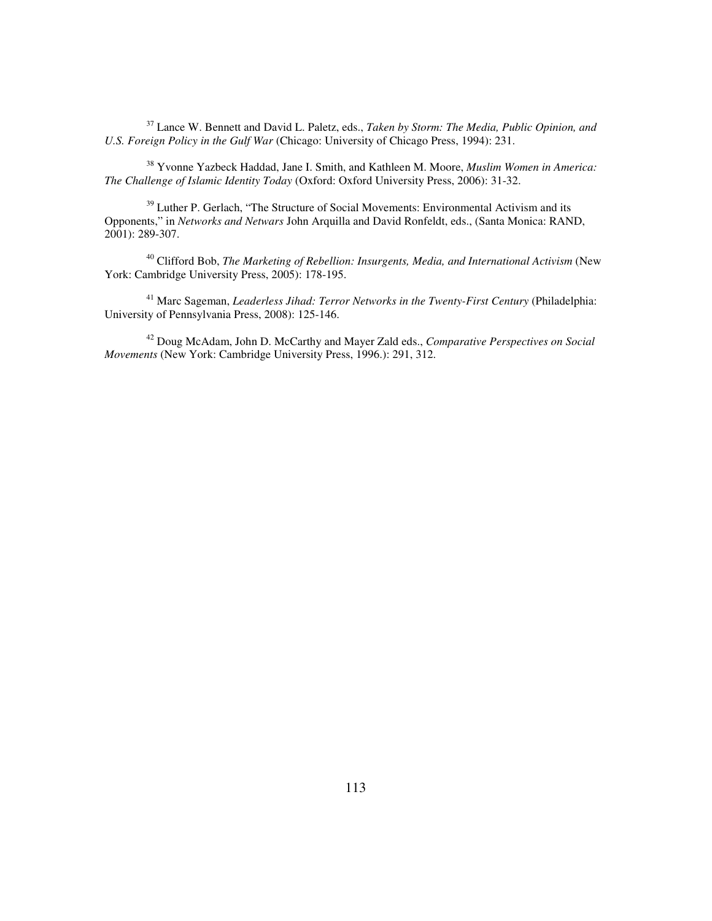<sup>37</sup> Lance W. Bennett and David L. Paletz, eds., *Taken by Storm: The Media, Public Opinion, and U.S. Foreign Policy in the Gulf War* (Chicago: University of Chicago Press, 1994): 231.

<sup>38</sup> Yvonne Yazbeck Haddad, Jane I. Smith, and Kathleen M. Moore, *Muslim Women in America: The Challenge of Islamic Identity Today* (Oxford: Oxford University Press, 2006): 31-32.

<sup>39</sup> Luther P. Gerlach, "The Structure of Social Movements: Environmental Activism and its Opponents," in *Networks and Netwars* John Arquilla and David Ronfeldt, eds., (Santa Monica: RAND, 2001): 289-307.

<sup>40</sup> Clifford Bob, *The Marketing of Rebellion: Insurgents, Media, and International Activism* (New York: Cambridge University Press, 2005): 178-195.

<sup>41</sup> Marc Sageman, *Leaderless Jihad: Terror Networks in the Twenty-First Century* (Philadelphia: University of Pennsylvania Press, 2008): 125-146.

<sup>42</sup> Doug McAdam, John D. McCarthy and Mayer Zald eds., *Comparative Perspectives on Social Movements* (New York: Cambridge University Press, 1996.): 291, 312.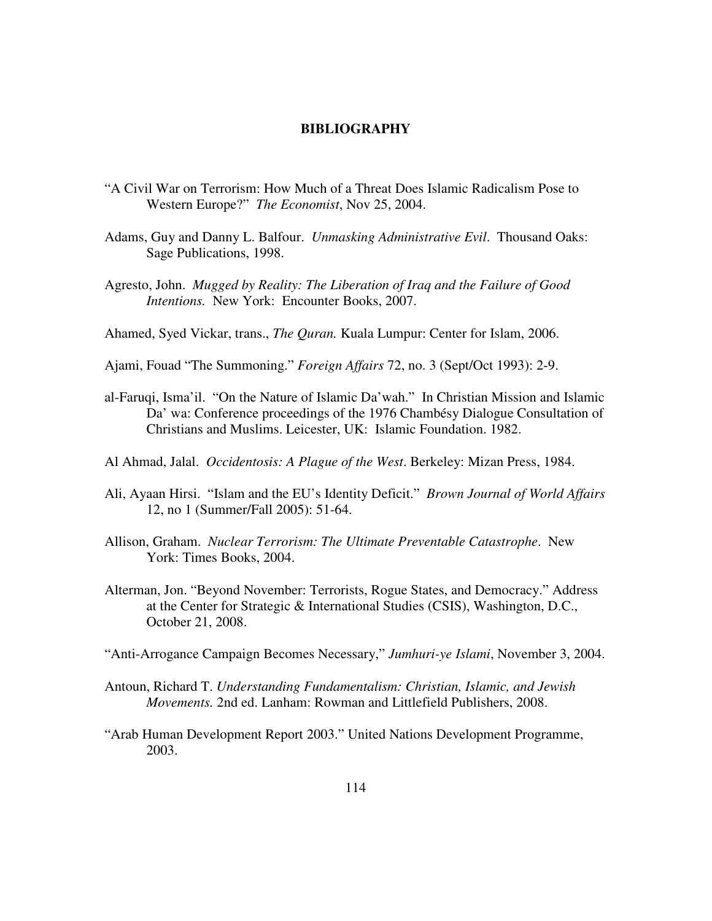## **BIBLIOGRAPHY**

- "A Civil War on Terrorism: How Much of a Threat Does Islamic Radicalism Pose to Western Europe?" *The Economist*, Nov 25, 2004.
- Adams, Guy and Danny L. Balfour. *Unmasking Administrative Evil*. Thousand Oaks: Sage Publications, 1998.
- Agresto, John. *Mugged by Reality: The Liberation of Iraq and the Failure of Good Intentions.* New York: Encounter Books, 2007.

Ahamed, Syed Vickar, trans., *The Quran.* Kuala Lumpur: Center for Islam, 2006.

- Ajami, Fouad "The Summoning." *Foreign Affairs* 72, no. 3 (Sept/Oct 1993): 2-9.
- al-Faruqi, Isma'il. "On the Nature of Islamic Da'wah." In Christian Mission and Islamic Da' wa: Conference proceedings of the 1976 Chambésy Dialogue Consultation of Christians and Muslims. Leicester, UK: Islamic Foundation. 1982.
- Al Ahmad, Jalal. *Occidentosis: A Plague of the West*. Berkeley: Mizan Press, 1984.
- Ali, Ayaan Hirsi. "Islam and the EU's Identity Deficit." *Brown Journal of World Affairs* 12, no 1 (Summer/Fall 2005): 51-64.
- Allison, Graham. *Nuclear Terrorism: The Ultimate Preventable Catastrophe*. New York: Times Books, 2004.
- Alterman, Jon. "Beyond November: Terrorists, Rogue States, and Democracy." Address at the Center for Strategic & International Studies (CSIS), Washington, D.C., October 21, 2008.
- "Anti-Arrogance Campaign Becomes Necessary," *Jumhuri-ye Islami*, November 3, 2004.
- Antoun, Richard T. *Understanding Fundamentalism: Christian, Islamic, and Jewish Movements.* 2nd ed. Lanham: Rowman and Littlefield Publishers, 2008.
- "Arab Human Development Report 2003." United Nations Development Programme, 2003.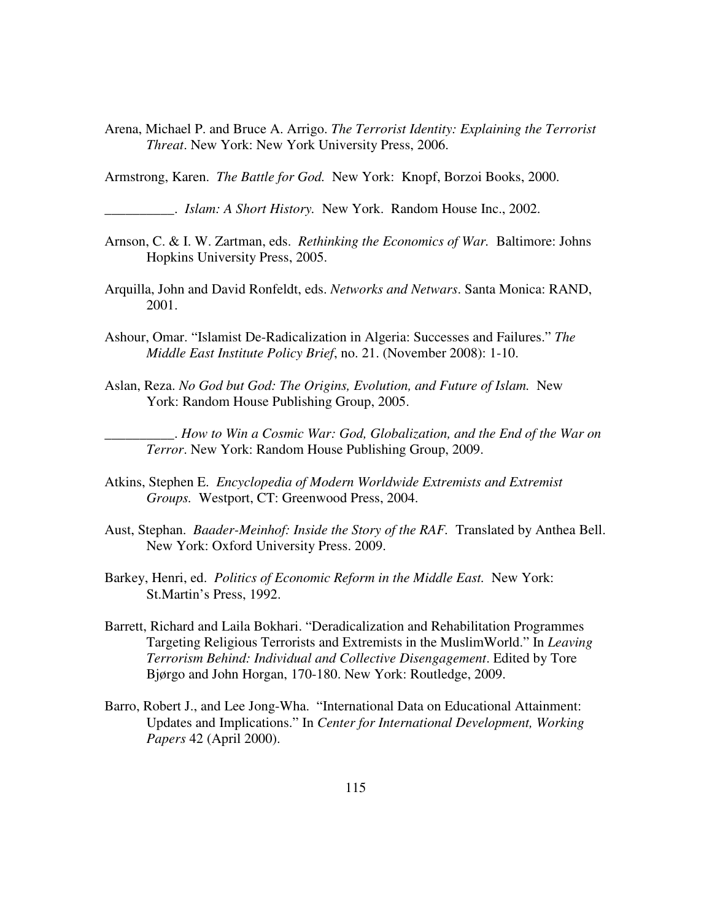Arena, Michael P. and Bruce A. Arrigo. *The Terrorist Identity: Explaining the Terrorist Threat*. New York: New York University Press, 2006.

Armstrong, Karen. *The Battle for God.* New York: Knopf, Borzoi Books, 2000.

\_\_\_\_\_\_\_\_\_\_. *Islam: A Short History.* New York. Random House Inc., 2002.

- Arnson, C. & I. W. Zartman, eds. *Rethinking the Economics of War.* Baltimore: Johns Hopkins University Press, 2005.
- Arquilla, John and David Ronfeldt, eds. *Networks and Netwars*. Santa Monica: RAND, 2001.
- Ashour, Omar. "Islamist De-Radicalization in Algeria: Successes and Failures." *The Middle East Institute Policy Brief*, no. 21. (November 2008): 1-10.
- Aslan, Reza. *No God but God: The Origins, Evolution, and Future of Islam.* New York: Random House Publishing Group, 2005.

\_\_\_\_\_\_\_\_\_\_. *How to Win a Cosmic War: God, Globalization, and the End of the War on Terror*. New York: Random House Publishing Group, 2009.

- Atkins, Stephen E. *Encyclopedia of Modern Worldwide Extremists and Extremist Groups.* Westport, CT: Greenwood Press, 2004.
- Aust, Stephan. *Baader-Meinhof: Inside the Story of the RAF.* Translated by Anthea Bell. New York: Oxford University Press. 2009.
- Barkey, Henri, ed. *Politics of Economic Reform in the Middle East.* New York: St.Martin's Press, 1992.
- Barrett, Richard and Laila Bokhari. "Deradicalization and Rehabilitation Programmes Targeting Religious Terrorists and Extremists in the MuslimWorld." In *Leaving Terrorism Behind: Individual and Collective Disengagement*. Edited by Tore Bjørgo and John Horgan, 170-180. New York: Routledge, 2009.
- Barro, Robert J., and Lee Jong-Wha. "International Data on Educational Attainment: Updates and Implications." In *Center for International Development, Working Papers* 42 (April 2000).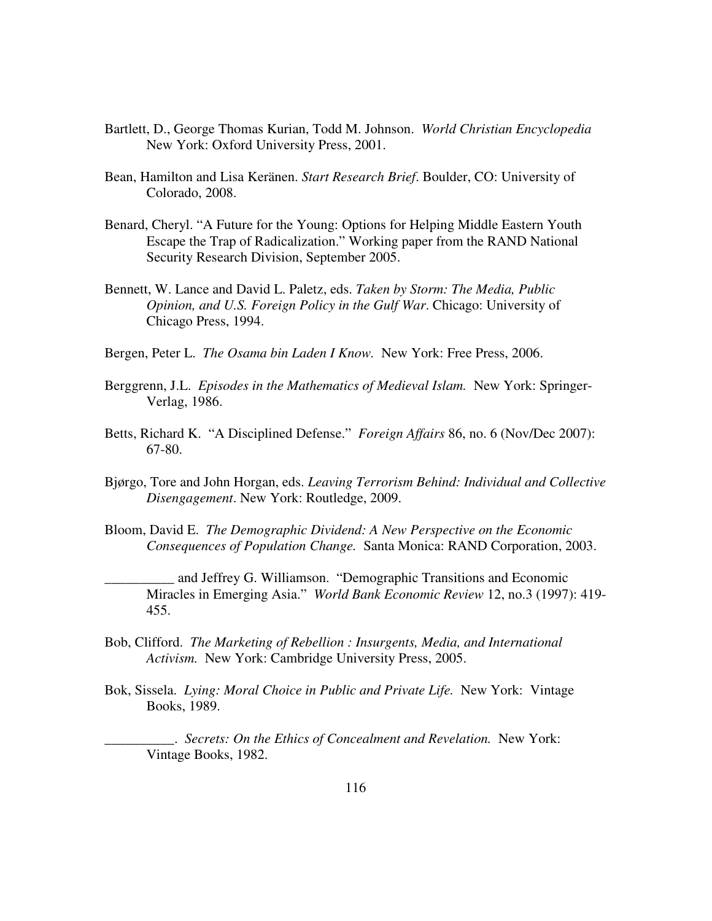- Bartlett, D., George Thomas Kurian, Todd M. Johnson. *World Christian Encyclopedia*  New York: Oxford University Press, 2001.
- Bean, Hamilton and Lisa Keränen. *Start Research Brief*. Boulder, CO: University of Colorado, 2008.
- Benard, Cheryl. "A Future for the Young: Options for Helping Middle Eastern Youth Escape the Trap of Radicalization." Working paper from the RAND National Security Research Division, September 2005.
- Bennett, W. Lance and David L. Paletz, eds. *Taken by Storm: The Media, Public Opinion, and U.S. Foreign Policy in the Gulf War*. Chicago: University of Chicago Press, 1994.
- Bergen, Peter L. *The Osama bin Laden I Know.* New York: Free Press, 2006.
- Berggrenn, J.L. *Episodes in the Mathematics of Medieval Islam.* New York: Springer-Verlag, 1986.
- Betts, Richard K. "A Disciplined Defense." *Foreign Affairs* 86, no. 6 (Nov/Dec 2007): 67-80.
- Bjørgo, Tore and John Horgan, eds. *Leaving Terrorism Behind: Individual and Collective Disengagement*. New York: Routledge, 2009.
- Bloom, David E. *The Demographic Dividend: A New Perspective on the Economic Consequences of Population Change.* Santa Monica: RAND Corporation, 2003.
- \_\_\_\_\_\_\_\_\_\_ and Jeffrey G. Williamson. "Demographic Transitions and Economic Miracles in Emerging Asia." *World Bank Economic Review* 12, no.3 (1997): 419- 455.
- Bob, Clifford. *The Marketing of Rebellion : Insurgents, Media, and International Activism.* New York: Cambridge University Press, 2005.
- Bok, Sissela. *Lying: Moral Choice in Public and Private Life.* New York: Vintage Books, 1989.
	- \_\_\_\_\_\_\_\_\_\_. *Secrets: On the Ethics of Concealment and Revelation.* New York: Vintage Books, 1982.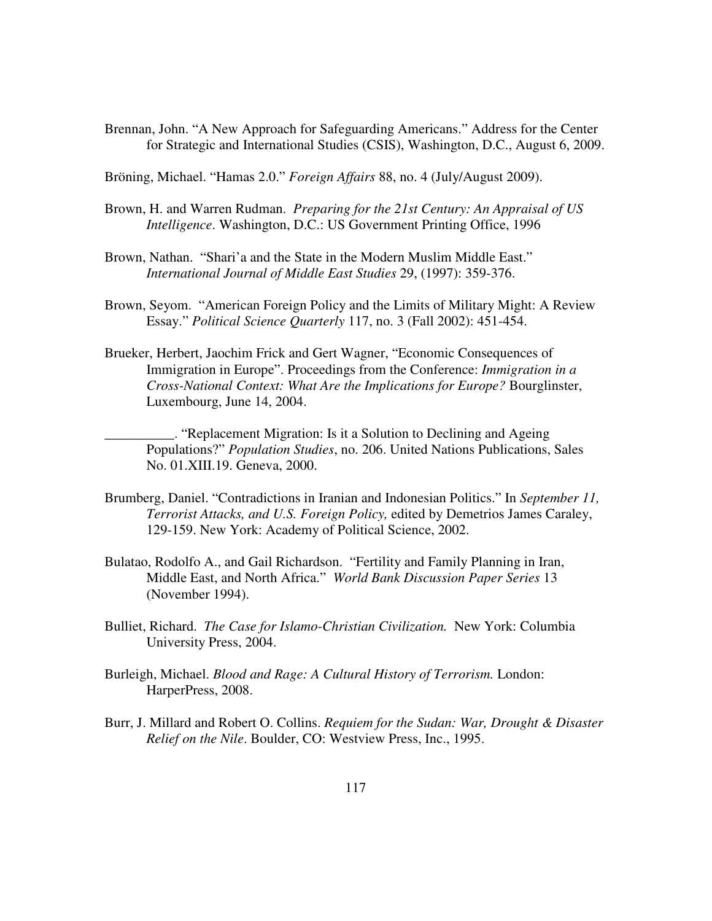Brennan, John. "A New Approach for Safeguarding Americans." Address for the Center for Strategic and International Studies (CSIS), Washington, D.C., August 6, 2009.

Bröning, Michael. "Hamas 2.0." *Foreign Affairs* 88, no. 4 (July/August 2009).

- Brown, H. and Warren Rudman. *Preparing for the 21st Century: An Appraisal of US Intelligence*. Washington, D.C.: US Government Printing Office, 1996
- Brown, Nathan. "Shari'a and the State in the Modern Muslim Middle East." *International Journal of Middle East Studies* 29, (1997): 359-376.
- Brown, Seyom. "American Foreign Policy and the Limits of Military Might: A Review Essay." *Political Science Quarterly* 117, no. 3 (Fall 2002): 451-454.
- Brueker, Herbert, Jaochim Frick and Gert Wagner, "Economic Consequences of Immigration in Europe". Proceedings from the Conference: *Immigration in a Cross-National Context: What Are the Implications for Europe?* Bourglinster, Luxembourg, June 14, 2004.

\_\_\_\_\_\_\_\_\_\_. "Replacement Migration: Is it a Solution to Declining and Ageing Populations?" *Population Studies*, no. 206. United Nations Publications, Sales No. 01.XIII.19. Geneva, 2000.

- Brumberg, Daniel. "Contradictions in Iranian and Indonesian Politics." In *September 11, Terrorist Attacks, and U.S. Foreign Policy,* edited by Demetrios James Caraley, 129-159. New York: Academy of Political Science, 2002.
- Bulatao, Rodolfo A., and Gail Richardson. "Fertility and Family Planning in Iran, Middle East, and North Africa." *World Bank Discussion Paper Series* 13 (November 1994).
- Bulliet, Richard. *The Case for Islamo-Christian Civilization.* New York: Columbia University Press, 2004.
- Burleigh, Michael. *Blood and Rage: A Cultural History of Terrorism.* London: HarperPress, 2008.
- Burr, J. Millard and Robert O. Collins. *Requiem for the Sudan: War, Drought & Disaster Relief on the Nile*. Boulder, CO: Westview Press, Inc., 1995.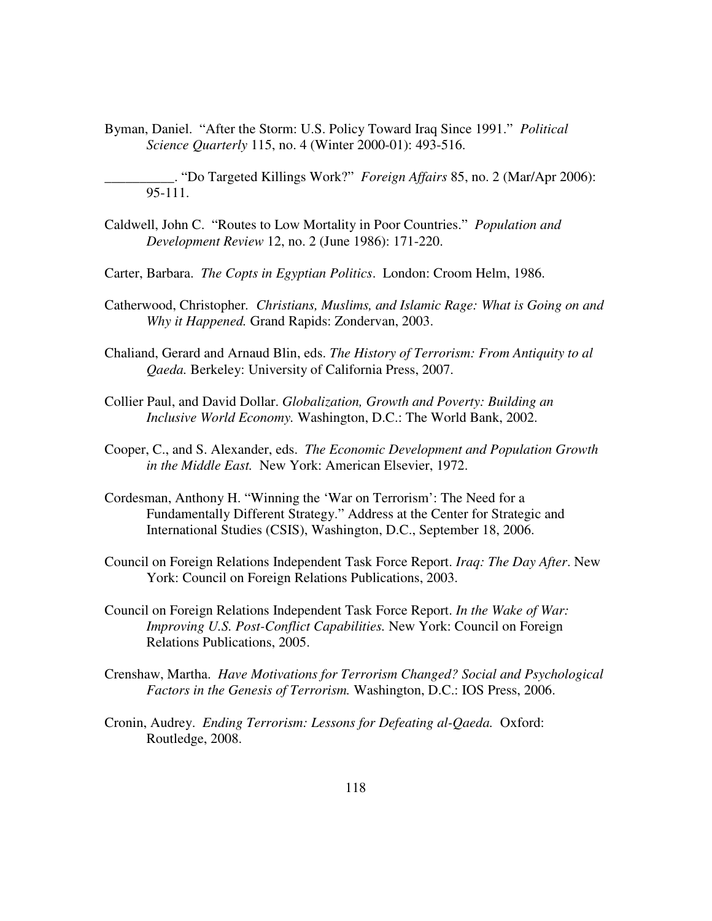Byman, Daniel. "After the Storm: U.S. Policy Toward Iraq Since 1991." *Political Science Quarterly* 115, no. 4 (Winter 2000-01): 493-516.

\_\_\_\_\_\_\_\_\_\_. "Do Targeted Killings Work?" *Foreign Affairs* 85, no. 2 (Mar/Apr 2006): 95-111.

- Caldwell, John C. "Routes to Low Mortality in Poor Countries." *Population and Development Review* 12, no. 2 (June 1986): 171-220.
- Carter, Barbara. *The Copts in Egyptian Politics*. London: Croom Helm, 1986.
- Catherwood, Christopher*. Christians, Muslims, and Islamic Rage: What is Going on and Why it Happened.* Grand Rapids: Zondervan, 2003.
- Chaliand, Gerard and Arnaud Blin, eds. *The History of Terrorism: From Antiquity to al Qaeda.* Berkeley: University of California Press, 2007.
- Collier Paul, and David Dollar. *Globalization, Growth and Poverty: Building an Inclusive World Economy.* Washington, D.C.: The World Bank, 2002.
- Cooper, C., and S. Alexander, eds. *The Economic Development and Population Growth in the Middle East.* New York: American Elsevier, 1972.
- Cordesman, Anthony H. "Winning the 'War on Terrorism': The Need for a Fundamentally Different Strategy." Address at the Center for Strategic and International Studies (CSIS), Washington, D.C., September 18, 2006.
- Council on Foreign Relations Independent Task Force Report. *Iraq: The Day After*. New York: Council on Foreign Relations Publications, 2003.
- Council on Foreign Relations Independent Task Force Report. *In the Wake of War: Improving U.S. Post-Conflict Capabilities.* New York: Council on Foreign Relations Publications, 2005.
- Crenshaw, Martha. *Have Motivations for Terrorism Changed? Social and Psychological Factors in the Genesis of Terrorism.* Washington, D.C.: IOS Press, 2006.
- Cronin, Audrey. *Ending Terrorism: Lessons for Defeating al-Qaeda.* Oxford: Routledge, 2008.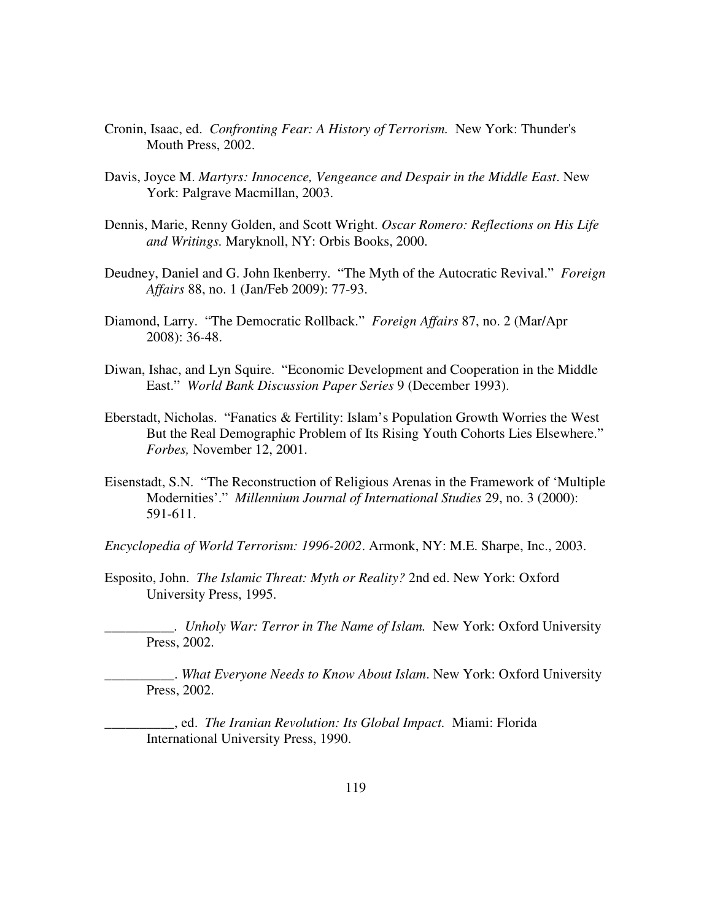- Cronin, Isaac, ed. *Confronting Fear: A History of Terrorism.* New York: Thunder's Mouth Press, 2002.
- Davis, Joyce M. *Martyrs: Innocence, Vengeance and Despair in the Middle East*. New York: Palgrave Macmillan, 2003.
- Dennis, Marie, Renny Golden, and Scott Wright. *Oscar Romero: Reflections on His Life and Writings.* Maryknoll, NY: Orbis Books, 2000.
- Deudney, Daniel and G. John Ikenberry. "The Myth of the Autocratic Revival." *Foreign Affairs* 88, no. 1 (Jan/Feb 2009): 77-93.
- Diamond, Larry. "The Democratic Rollback." *Foreign Affairs* 87, no. 2 (Mar/Apr 2008): 36-48.
- Diwan, Ishac, and Lyn Squire. "Economic Development and Cooperation in the Middle East." *World Bank Discussion Paper Series* 9 (December 1993).
- Eberstadt, Nicholas. "Fanatics & Fertility: Islam's Population Growth Worries the West But the Real Demographic Problem of Its Rising Youth Cohorts Lies Elsewhere." *Forbes,* November 12, 2001.
- Eisenstadt, S.N. "The Reconstruction of Religious Arenas in the Framework of 'Multiple Modernities'." *Millennium Journal of International Studies* 29, no. 3 (2000): 591-611.
- *Encyclopedia of World Terrorism: 1996-2002*. Armonk, NY: M.E. Sharpe, Inc., 2003.
- Esposito, John. *The Islamic Threat: Myth or Reality?* 2nd ed. New York: Oxford University Press, 1995.

*\_\_\_\_\_\_\_\_\_\_. Unholy War: Terror in The Name of Islam.* New York: Oxford University Press, 2002.

\_\_\_\_\_\_\_\_\_\_. *What Everyone Needs to Know About Islam*. New York: Oxford University Press, 2002.

\_\_\_\_\_\_\_\_\_\_, ed. *The Iranian Revolution: Its Global Impact.* Miami: Florida International University Press, 1990.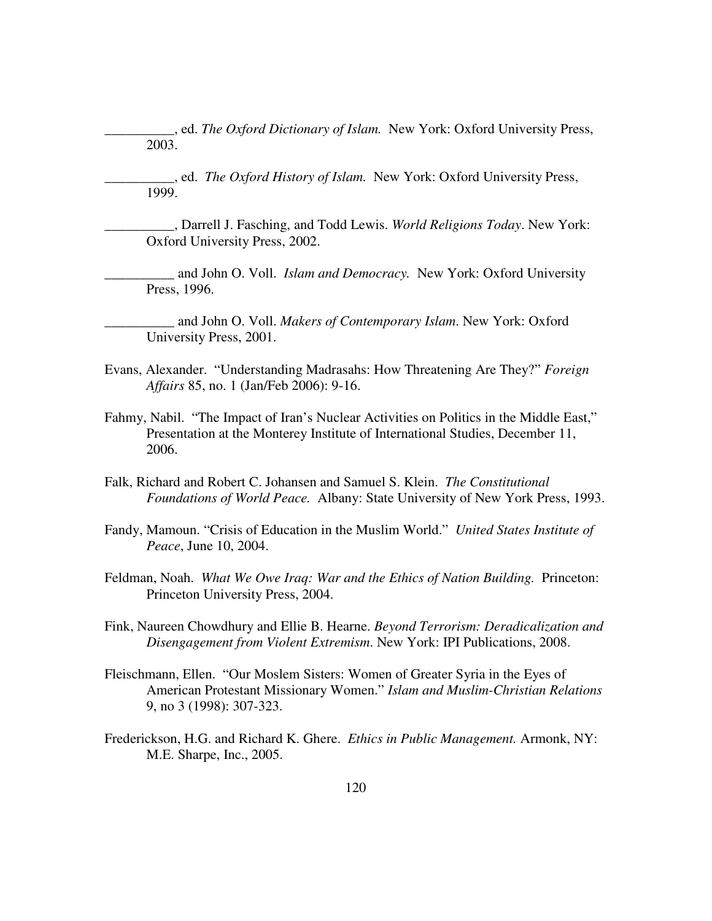\_\_\_\_\_\_\_\_\_\_, ed. *The Oxford Dictionary of Islam.* New York: Oxford University Press, 2003.

\_\_\_\_\_\_\_\_\_\_, ed. *The Oxford History of Islam.* New York: Oxford University Press, 1999.

\_\_\_\_\_\_\_\_\_\_, Darrell J. Fasching, and Todd Lewis. *World Religions Today*. New York: Oxford University Press, 2002.

\_\_\_\_\_\_\_\_\_\_ and John O. Voll. *Islam and Democracy.* New York: Oxford University Press, 1996.

\_\_\_\_\_\_\_\_\_\_ and John O. Voll. *Makers of Contemporary Islam*. New York: Oxford University Press, 2001.

- Evans, Alexander. "Understanding Madrasahs: How Threatening Are They?" *Foreign Affairs* 85, no. 1 (Jan/Feb 2006): 9-16.
- Fahmy, Nabil. "The Impact of Iran's Nuclear Activities on Politics in the Middle East," Presentation at the Monterey Institute of International Studies, December 11, 2006.
- Falk, Richard and Robert C. Johansen and Samuel S. Klein. *The Constitutional Foundations of World Peace.* Albany: State University of New York Press, 1993.
- Fandy, Mamoun. "Crisis of Education in the Muslim World." *United States Institute of Peace*, June 10, 2004.
- Feldman, Noah. *What We Owe Iraq: War and the Ethics of Nation Building.* Princeton: Princeton University Press, 2004.
- Fink, Naureen Chowdhury and Ellie B. Hearne. *Beyond Terrorism: Deradicalization and Disengagement from Violent Extremism*. New York: IPI Publications, 2008.
- Fleischmann, Ellen. "Our Moslem Sisters: Women of Greater Syria in the Eyes of American Protestant Missionary Women." *Islam and Muslim-Christian Relations*  9, no 3 (1998): 307-323.
- Frederickson, H.G. and Richard K. Ghere. *Ethics in Public Management.* Armonk, NY: M.E. Sharpe, Inc., 2005.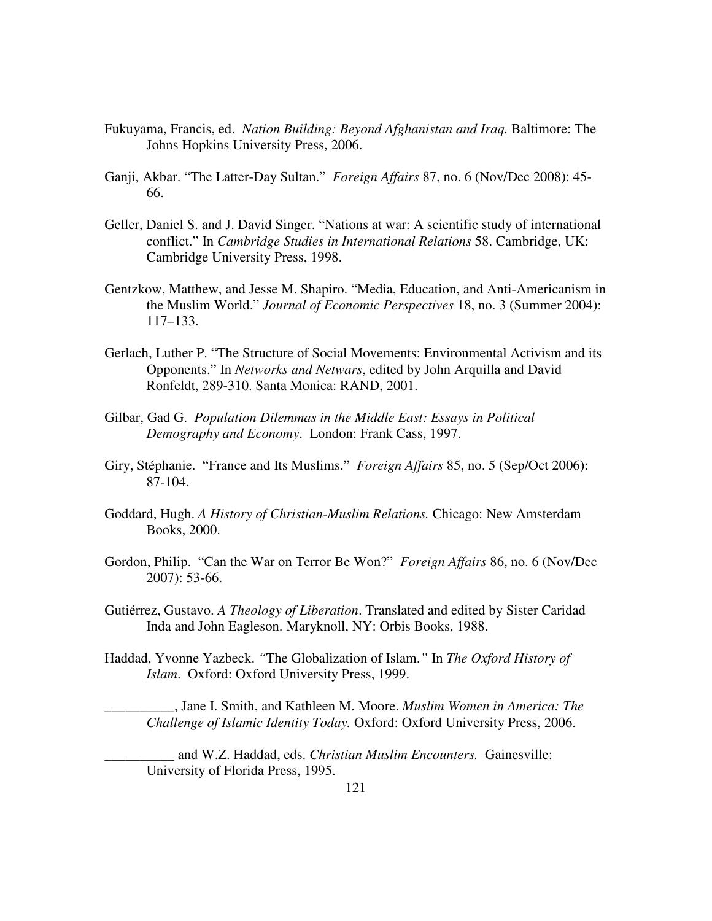- Fukuyama, Francis, ed. *Nation Building: Beyond Afghanistan and Iraq.* Baltimore: The Johns Hopkins University Press, 2006.
- Ganji, Akbar. "The Latter-Day Sultan." *Foreign Affairs* 87, no. 6 (Nov/Dec 2008): 45- 66.
- Geller, Daniel S. and J. David Singer. "Nations at war: A scientific study of international conflict." In *Cambridge Studies in International Relations* 58. Cambridge, UK: Cambridge University Press, 1998.
- Gentzkow, Matthew, and Jesse M. Shapiro. "Media, Education, and Anti-Americanism in the Muslim World." *Journal of Economic Perspectives* 18, no. 3 (Summer 2004): 117–133.
- Gerlach, Luther P. "The Structure of Social Movements: Environmental Activism and its Opponents." In *Networks and Netwars*, edited by John Arquilla and David Ronfeldt, 289-310. Santa Monica: RAND, 2001.
- Gilbar, Gad G. *Population Dilemmas in the Middle East: Essays in Political Demography and Economy*. London: Frank Cass, 1997.
- Giry, Stéphanie. "France and Its Muslims." *Foreign Affairs* 85, no. 5 (Sep/Oct 2006): 87-104.
- Goddard, Hugh. *A History of Christian-Muslim Relations.* Chicago: New Amsterdam Books, 2000.
- Gordon, Philip. "Can the War on Terror Be Won?" *Foreign Affairs* 86, no. 6 (Nov/Dec 2007): 53-66.
- Gutiérrez, Gustavo. *A Theology of Liberation*. Translated and edited by Sister Caridad Inda and John Eagleson. Maryknoll, NY: Orbis Books, 1988.
- Haddad, Yvonne Yazbeck. *"*The Globalization of Islam.*"* In *The Oxford History of Islam*. Oxford: Oxford University Press, 1999.

\_\_\_\_\_\_\_\_\_\_, Jane I. Smith, and Kathleen M. Moore. *Muslim Women in America: The Challenge of Islamic Identity Today.* Oxford: Oxford University Press, 2006.

\_\_\_\_\_\_\_\_\_\_ and W.Z. Haddad, eds. *Christian Muslim Encounters.* Gainesville: University of Florida Press, 1995.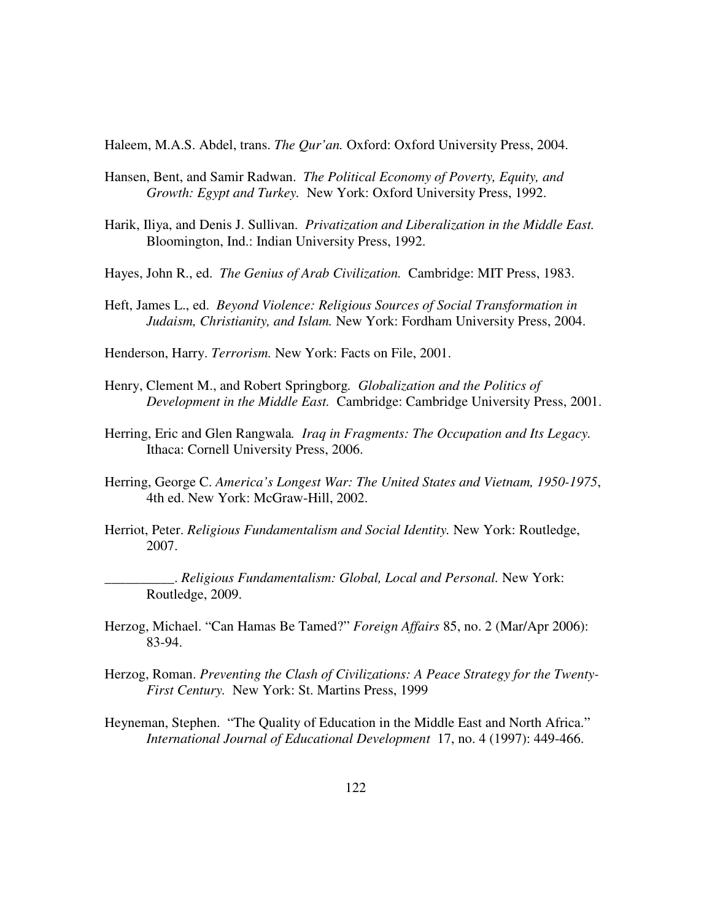Haleem, M.A.S. Abdel, trans. *The Qur'an.* Oxford: Oxford University Press, 2004.

- Hansen, Bent, and Samir Radwan. *The Political Economy of Poverty, Equity, and Growth: Egypt and Turkey.* New York: Oxford University Press, 1992.
- Harik, Iliya, and Denis J. Sullivan. *Privatization and Liberalization in the Middle East.*  Bloomington, Ind.: Indian University Press, 1992.
- Hayes, John R., ed. *The Genius of Arab Civilization.* Cambridge: MIT Press, 1983.
- Heft, James L., ed. *Beyond Violence: Religious Sources of Social Transformation in Judaism, Christianity, and Islam.* New York: Fordham University Press, 2004.
- Henderson, Harry. *Terrorism.* New York: Facts on File, 2001.
- Henry, Clement M., and Robert Springborg*. Globalization and the Politics of Development in the Middle East.* Cambridge: Cambridge University Press, 2001.
- Herring, Eric and Glen Rangwala*. Iraq in Fragments: The Occupation and Its Legacy.*  Ithaca: Cornell University Press, 2006.
- Herring, George C. *America's Longest War: The United States and Vietnam, 1950-1975*, 4th ed. New York: McGraw-Hill, 2002.
- Herriot, Peter. *Religious Fundamentalism and Social Identity.* New York: Routledge, 2007.

\_\_\_\_\_\_\_\_\_\_. *Religious Fundamentalism: Global, Local and Personal.* New York: Routledge, 2009.

- Herzog, Michael. "Can Hamas Be Tamed?" *Foreign Affairs* 85, no. 2 (Mar/Apr 2006): 83-94.
- Herzog, Roman. *Preventing the Clash of Civilizations: A Peace Strategy for the Twenty-First Century.* New York: St. Martins Press, 1999
- Heyneman, Stephen. "The Quality of Education in the Middle East and North Africa." *International Journal of Educational Development* 17, no. 4 (1997): 449-466.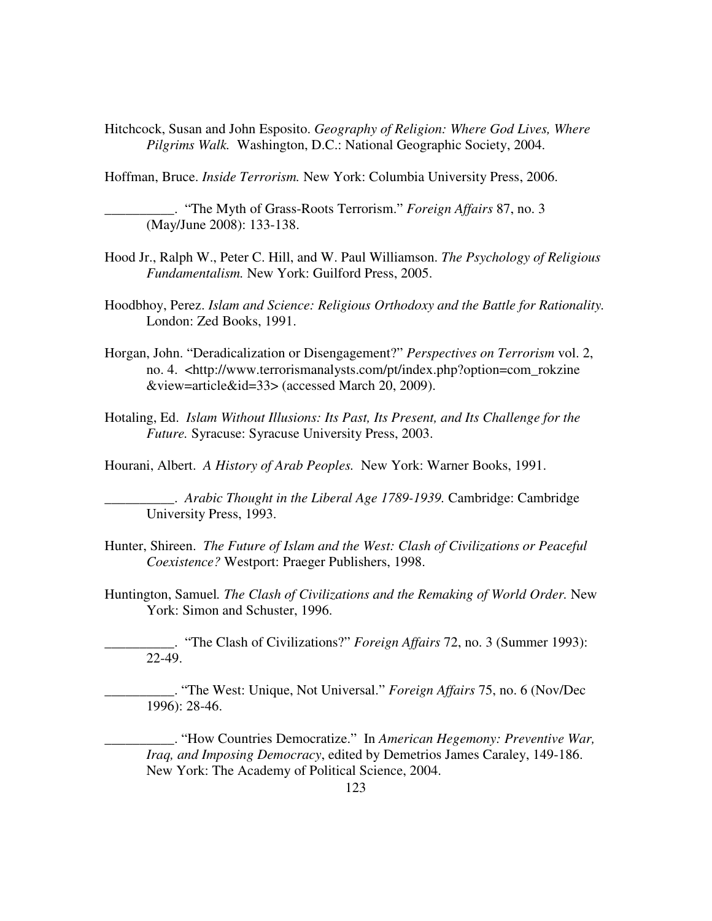Hitchcock, Susan and John Esposito. *Geography of Religion: Where God Lives, Where Pilgrims Walk.* Washington, D.C.: National Geographic Society, 2004.

Hoffman, Bruce. *Inside Terrorism.* New York: Columbia University Press, 2006.

\_\_\_\_\_\_\_\_\_\_. "The Myth of Grass-Roots Terrorism." *Foreign Affairs* 87, no. 3 (May/June 2008): 133-138.

- Hood Jr., Ralph W., Peter C. Hill, and W. Paul Williamson. *The Psychology of Religious Fundamentalism.* New York: Guilford Press, 2005.
- Hoodbhoy, Perez. *Islam and Science: Religious Orthodoxy and the Battle for Rationality.* London: Zed Books, 1991.
- Horgan, John. "Deradicalization or Disengagement?" *Perspectives on Terrorism* vol. 2, no. 4. <http://www.terrorismanalysts.com/pt/index.php?option=com\_rokzine &view=article&id=33> (accessed March 20, 2009).
- Hotaling, Ed. *Islam Without Illusions: Its Past, Its Present, and Its Challenge for the Future.* Syracuse: Syracuse University Press, 2003.

Hourani, Albert. *A History of Arab Peoples.* New York: Warner Books, 1991.

\_\_\_\_\_\_\_\_\_\_. *Arabic Thought in the Liberal Age 1789-1939.* Cambridge: Cambridge University Press, 1993.

- Hunter, Shireen. *The Future of Islam and the West: Clash of Civilizations or Peaceful Coexistence?* Westport: Praeger Publishers, 1998.
- Huntington, Samuel*. The Clash of Civilizations and the Remaking of World Order.* New York: Simon and Schuster, 1996.

\_\_\_\_\_\_\_\_\_\_. "The Clash of Civilizations?" *Foreign Affairs* 72, no. 3 (Summer 1993): 22-49.

\_\_\_\_\_\_\_\_\_\_. "The West: Unique, Not Universal." *Foreign Affairs* 75, no. 6 (Nov/Dec 1996): 28-46.

\_\_\_\_\_\_\_\_\_\_. "How Countries Democratize." In *American Hegemony: Preventive War, Iraq, and Imposing Democracy*, edited by Demetrios James Caraley, 149-186. New York: The Academy of Political Science, 2004.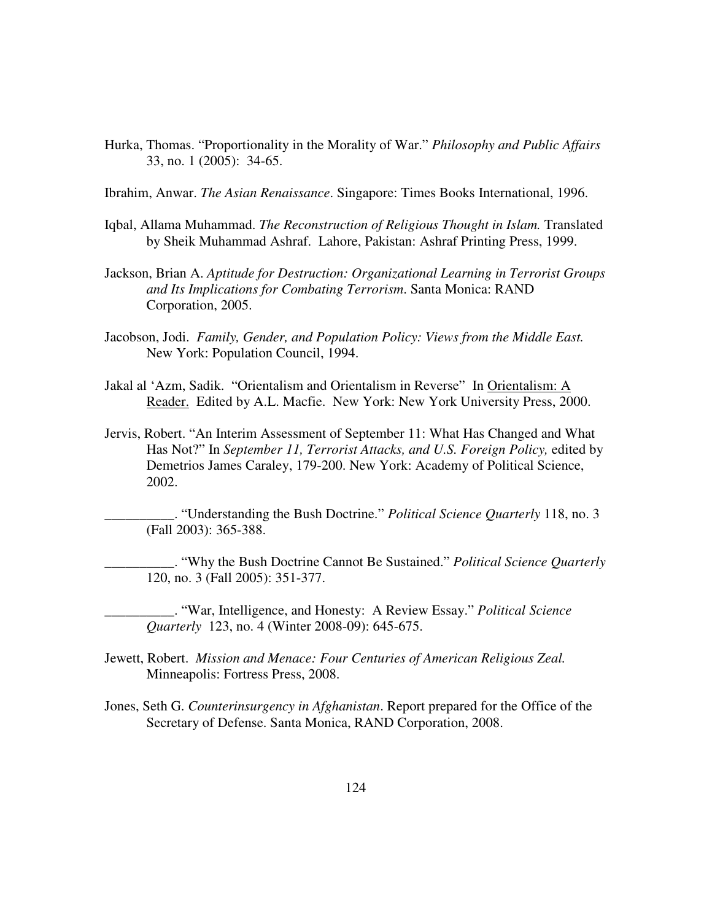- Hurka, Thomas. "Proportionality in the Morality of War." *Philosophy and Public Affairs* 33, no. 1 (2005): 34-65.
- Ibrahim, Anwar. *The Asian Renaissance*. Singapore: Times Books International, 1996.
- Iqbal, Allama Muhammad. *The Reconstruction of Religious Thought in Islam.* Translated by Sheik Muhammad Ashraf. Lahore, Pakistan: Ashraf Printing Press, 1999.
- Jackson, Brian A. *Aptitude for Destruction: Organizational Learning in Terrorist Groups and Its Implications for Combating Terrorism*. Santa Monica: RAND Corporation, 2005.
- Jacobson, Jodi. *Family, Gender, and Population Policy: Views from the Middle East.*  New York: Population Council, 1994.
- Jakal al 'Azm, Sadik. "Orientalism and Orientalism in Reverse" In Orientalism: A Reader. Edited by A.L. Macfie. New York: New York University Press, 2000.
- Jervis, Robert. "An Interim Assessment of September 11: What Has Changed and What Has Not?" In *September 11, Terrorist Attacks, and U.S. Foreign Policy, edited by* Demetrios James Caraley, 179-200. New York: Academy of Political Science, 2002.

\_\_\_\_\_\_\_\_\_\_. "Understanding the Bush Doctrine." *Political Science Quarterly* 118, no. 3 (Fall 2003): 365-388.

\_\_\_\_\_\_\_\_\_\_. "Why the Bush Doctrine Cannot Be Sustained." *Political Science Quarterly* 120, no. 3 (Fall 2005): 351-377.

\_\_\_\_\_\_\_\_\_\_. "War, Intelligence, and Honesty: A Review Essay." *Political Science Quarterly* 123, no. 4 (Winter 2008-09): 645-675.

- Jewett, Robert. *Mission and Menace: Four Centuries of American Religious Zeal.*  Minneapolis: Fortress Press, 2008.
- Jones, Seth G. *Counterinsurgency in Afghanistan*. Report prepared for the Office of the Secretary of Defense. Santa Monica, RAND Corporation, 2008.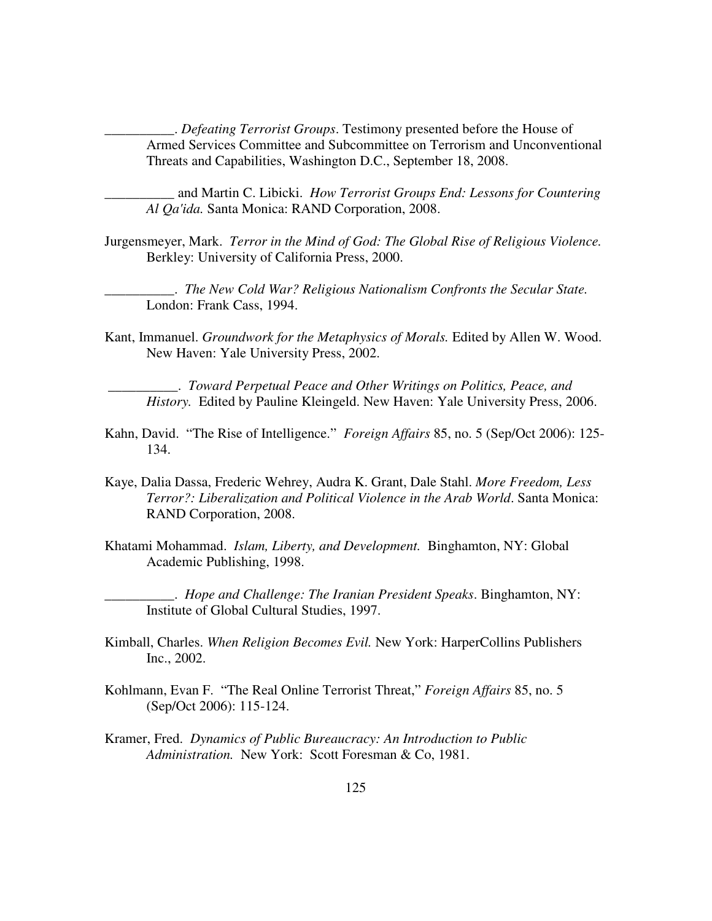\_\_\_\_\_\_\_\_\_\_. *Defeating Terrorist Groups*. Testimony presented before the House of Armed Services Committee and Subcommittee on Terrorism and Unconventional Threats and Capabilities, Washington D.C., September 18, 2008.

\_\_\_\_\_\_\_\_\_\_ and Martin C. Libicki. *How Terrorist Groups End: Lessons for Countering Al Qa'ida.* Santa Monica: RAND Corporation, 2008.

Jurgensmeyer, Mark. *Terror in the Mind of God: The Global Rise of Religious Violence.*  Berkley: University of California Press, 2000.

\_\_\_\_\_\_\_\_\_\_. *The New Cold War? Religious Nationalism Confronts the Secular State.*  London: Frank Cass, 1994.

Kant, Immanuel. *Groundwork for the Metaphysics of Morals.* Edited by Allen W. Wood. New Haven: Yale University Press, 2002.

 \_\_\_\_\_\_\_\_\_\_. *Toward Perpetual Peace and Other Writings on Politics, Peace, and History.* Edited by Pauline Kleingeld. New Haven: Yale University Press, 2006.

- Kahn, David. "The Rise of Intelligence." *Foreign Affairs* 85, no. 5 (Sep/Oct 2006): 125- 134.
- Kaye, Dalia Dassa, Frederic Wehrey, Audra K. Grant, Dale Stahl. *More Freedom, Less Terror?: Liberalization and Political Violence in the Arab World*. Santa Monica: RAND Corporation, 2008.
- Khatami Mohammad. *Islam, Liberty, and Development.* Binghamton, NY: Global Academic Publishing, 1998.

\_\_\_\_\_\_\_\_\_\_. *Hope and Challenge: The Iranian President Speaks*. Binghamton, NY: Institute of Global Cultural Studies, 1997.

- Kimball, Charles. *When Religion Becomes Evil.* New York: HarperCollins Publishers Inc., 2002.
- Kohlmann, Evan F. "The Real Online Terrorist Threat," *Foreign Affairs* 85, no. 5 (Sep/Oct 2006): 115-124.
- Kramer, Fred. *Dynamics of Public Bureaucracy: An Introduction to Public Administration.* New York: Scott Foresman & Co, 1981.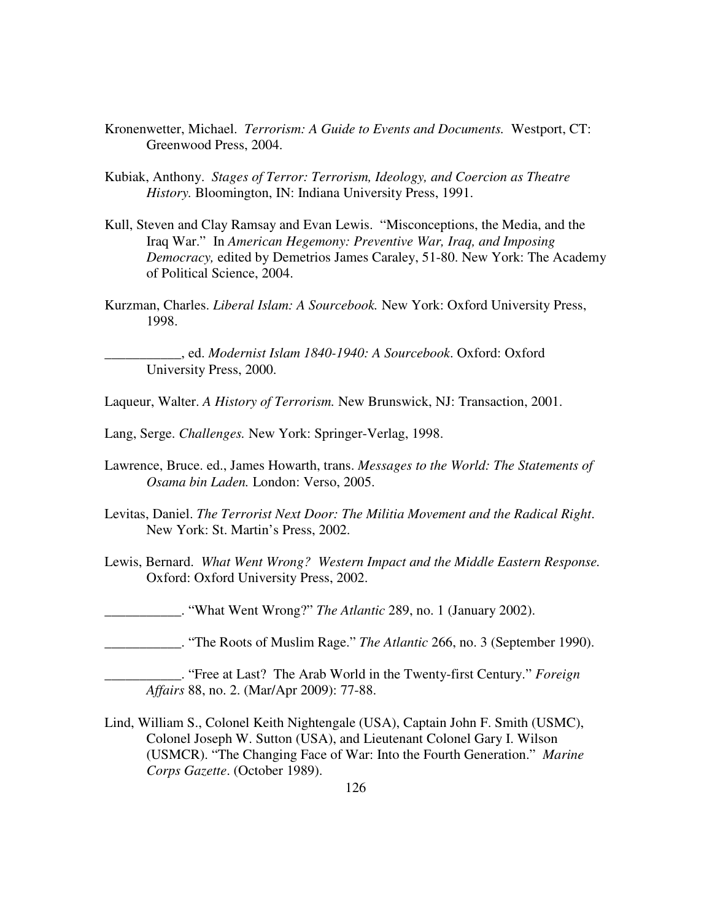- Kronenwetter, Michael. *Terrorism: A Guide to Events and Documents.* Westport, CT: Greenwood Press, 2004.
- Kubiak, Anthony. *Stages of Terror: Terrorism, Ideology, and Coercion as Theatre History.* Bloomington, IN: Indiana University Press, 1991.
- Kull, Steven and Clay Ramsay and Evan Lewis. "Misconceptions, the Media, and the Iraq War." In *American Hegemony: Preventive War, Iraq, and Imposing Democracy,* edited by Demetrios James Caraley, 51-80. New York: The Academy of Political Science, 2004.
- Kurzman, Charles. *Liberal Islam: A Sourcebook.* New York: Oxford University Press, 1998.

\_\_\_\_\_\_\_\_\_\_\_, ed. *Modernist Islam 1840-1940: A Sourcebook*. Oxford: Oxford University Press, 2000.

Laqueur, Walter. *A History of Terrorism.* New Brunswick, NJ: Transaction, 2001.

- Lang, Serge. *Challenges.* New York: Springer-Verlag, 1998.
- Lawrence, Bruce. ed., James Howarth, trans. *Messages to the World: The Statements of Osama bin Laden.* London: Verso, 2005.
- Levitas, Daniel. *The Terrorist Next Door: The Militia Movement and the Radical Right*. New York: St. Martin's Press, 2002.
- Lewis, Bernard. *What Went Wrong? Western Impact and the Middle Eastern Response.*  Oxford: Oxford University Press, 2002.

\_\_\_\_\_\_\_\_\_\_\_. "What Went Wrong?" *The Atlantic* 289, no. 1 (January 2002).

\_\_\_\_\_\_\_\_\_\_\_. "The Roots of Muslim Rage." *The Atlantic* 266, no. 3 (September 1990).

Lind, William S., Colonel Keith Nightengale (USA), Captain John F. Smith (USMC), Colonel Joseph W. Sutton (USA), and Lieutenant Colonel Gary I. Wilson (USMCR). "The Changing Face of War: Into the Fourth Generation." *Marine Corps Gazette*. (October 1989).

\_\_\_\_\_\_\_\_\_\_\_. "Free at Last? The Arab World in the Twenty-first Century." *Foreign Affairs* 88, no. 2. (Mar/Apr 2009): 77-88.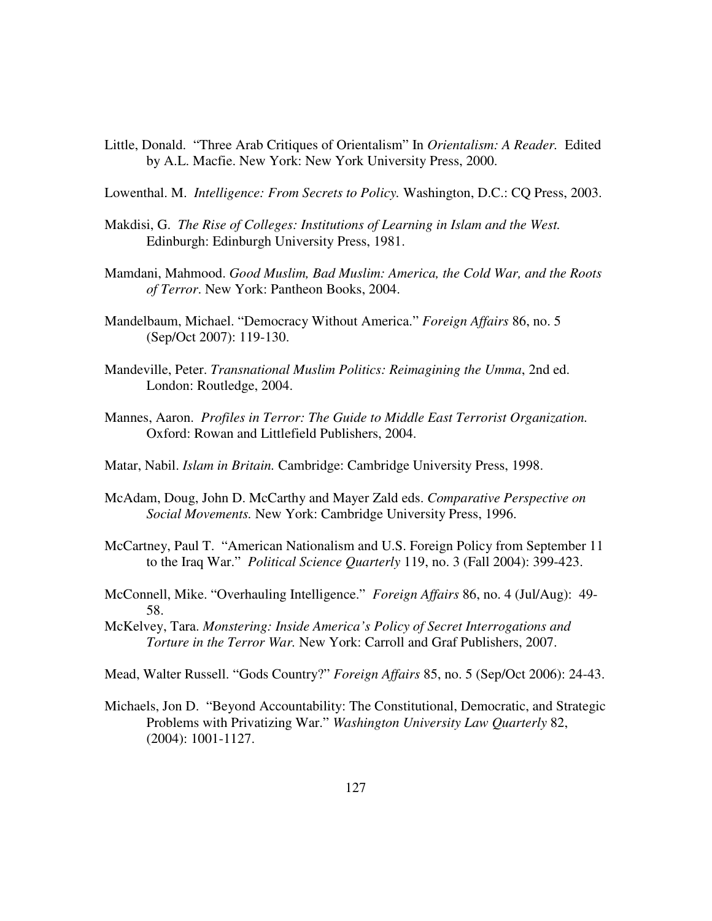- Little, Donald. "Three Arab Critiques of Orientalism" In *Orientalism: A Reader.* Edited by A.L. Macfie. New York: New York University Press, 2000.
- Lowenthal. M. *Intelligence: From Secrets to Policy.* Washington, D.C.: CQ Press, 2003.
- Makdisi, G. *The Rise of Colleges: Institutions of Learning in Islam and the West.*  Edinburgh: Edinburgh University Press, 1981.
- Mamdani, Mahmood. *Good Muslim, Bad Muslim: America, the Cold War, and the Roots of Terror*. New York: Pantheon Books, 2004.
- Mandelbaum, Michael. "Democracy Without America." *Foreign Affairs* 86, no. 5 (Sep/Oct 2007): 119-130.
- Mandeville, Peter. *Transnational Muslim Politics: Reimagining the Umma*, 2nd ed. London: Routledge, 2004.
- Mannes, Aaron. *Profiles in Terror: The Guide to Middle East Terrorist Organization.* Oxford: Rowan and Littlefield Publishers, 2004.
- Matar, Nabil. *Islam in Britain.* Cambridge: Cambridge University Press, 1998.
- McAdam, Doug, John D. McCarthy and Mayer Zald eds. *Comparative Perspective on Social Movements.* New York: Cambridge University Press, 1996.
- McCartney, Paul T. "American Nationalism and U.S. Foreign Policy from September 11 to the Iraq War." *Political Science Quarterly* 119, no. 3 (Fall 2004): 399-423.
- McConnell, Mike. "Overhauling Intelligence." *Foreign Affairs* 86, no. 4 (Jul/Aug): 49- 58.
- McKelvey, Tara. *Monstering: Inside America's Policy of Secret Interrogations and Torture in the Terror War.* New York: Carroll and Graf Publishers, 2007.
- Mead, Walter Russell. "Gods Country?" *Foreign Affairs* 85, no. 5 (Sep/Oct 2006): 24-43.
- Michaels, Jon D. "Beyond Accountability: The Constitutional, Democratic, and Strategic Problems with Privatizing War." *Washington University Law Quarterly* 82, (2004): 1001-1127.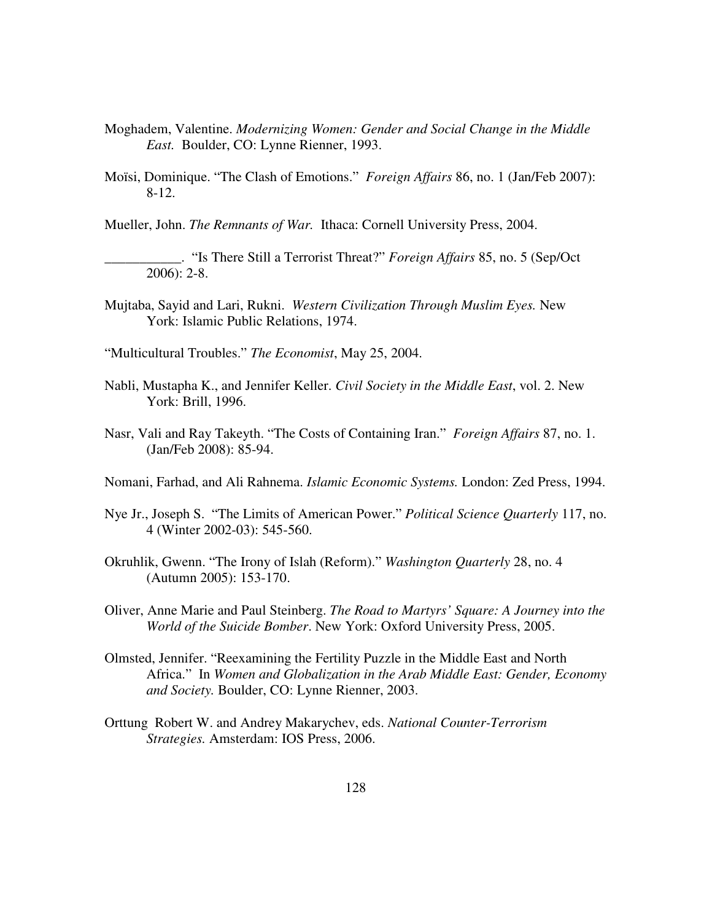- Moghadem, Valentine. *Modernizing Women: Gender and Social Change in the Middle East.* Boulder, CO: Lynne Rienner, 1993.
- Moïsi, Dominique. "The Clash of Emotions." *Foreign Affairs* 86, no. 1 (Jan/Feb 2007): 8-12.

Mueller, John. *The Remnants of War.* Ithaca: Cornell University Press, 2004.

\_\_\_\_\_\_\_\_\_\_\_. "Is There Still a Terrorist Threat?" *Foreign Affairs* 85, no. 5 (Sep/Oct 2006): 2-8.

Mujtaba, Sayid and Lari, Rukni. *Western Civilization Through Muslim Eyes.* New York: Islamic Public Relations, 1974.

"Multicultural Troubles." *The Economist*, May 25, 2004.

- Nabli, Mustapha K., and Jennifer Keller. *Civil Society in the Middle East*, vol. 2. New York: Brill, 1996.
- Nasr, Vali and Ray Takeyth. "The Costs of Containing Iran." *Foreign Affairs* 87, no. 1. (Jan/Feb 2008): 85-94.
- Nomani, Farhad, and Ali Rahnema. *Islamic Economic Systems.* London: Zed Press, 1994.
- Nye Jr., Joseph S. "The Limits of American Power." *Political Science Quarterly* 117, no. 4 (Winter 2002-03): 545-560.
- Okruhlik, Gwenn. "The Irony of Islah (Reform)." *Washington Quarterly* 28, no. 4 (Autumn 2005): 153-170.
- Oliver, Anne Marie and Paul Steinberg. *The Road to Martyrs' Square: A Journey into the World of the Suicide Bomber*. New York: Oxford University Press, 2005.
- Olmsted, Jennifer. "Reexamining the Fertility Puzzle in the Middle East and North Africa." In *Women and Globalization in the Arab Middle East: Gender, Economy and Society.* Boulder, CO: Lynne Rienner, 2003.
- Orttung Robert W. and Andrey Makarychev, eds. *National Counter-Terrorism Strategies.* Amsterdam: IOS Press, 2006.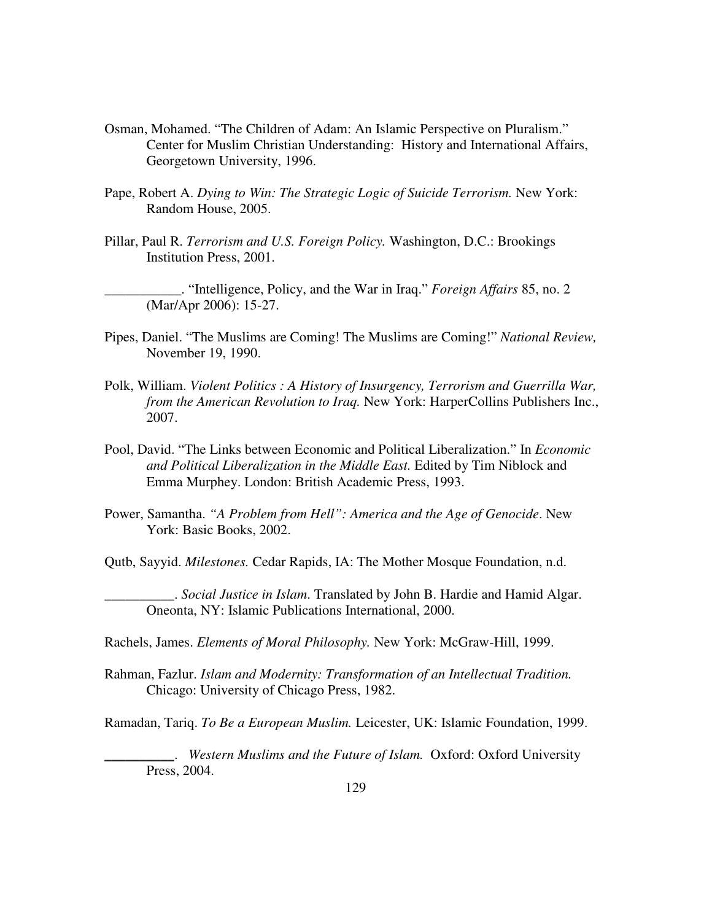- Osman, Mohamed. "The Children of Adam: An Islamic Perspective on Pluralism." Center for Muslim Christian Understanding: History and International Affairs, Georgetown University, 1996.
- Pape, Robert A. *Dying to Win: The Strategic Logic of Suicide Terrorism.* New York: Random House, 2005.
- Pillar, Paul R. *Terrorism and U.S. Foreign Policy.* Washington, D.C.: Brookings Institution Press, 2001.

\_\_\_\_\_\_\_\_\_\_\_. "Intelligence, Policy, and the War in Iraq." *Foreign Affairs* 85, no. 2 (Mar/Apr 2006): 15-27.

- Pipes, Daniel. "The Muslims are Coming! The Muslims are Coming!" *National Review,* November 19, 1990.
- Polk, William. *Violent Politics : A History of Insurgency, Terrorism and Guerrilla War, from the American Revolution to Iraq.* New York: HarperCollins Publishers Inc., 2007.
- Pool, David. "The Links between Economic and Political Liberalization." In *Economic and Political Liberalization in the Middle East.* Edited by Tim Niblock and Emma Murphey. London: British Academic Press, 1993.
- Power, Samantha. *"A Problem from Hell": America and the Age of Genocide*. New York: Basic Books, 2002.

Qutb, Sayyid. *Milestones.* Cedar Rapids, IA: The Mother Mosque Foundation, n.d.

\_\_\_\_\_\_\_\_\_\_. *Social Justice in Islam*. Translated by John B. Hardie and Hamid Algar. Oneonta, NY: Islamic Publications International, 2000.

Rachels, James. *Elements of Moral Philosophy.* New York: McGraw-Hill, 1999.

Rahman, Fazlur. *Islam and Modernity: Transformation of an Intellectual Tradition.*  Chicago: University of Chicago Press, 1982.

Ramadan, Tariq. *To Be a European Muslim.* Leicester, UK: Islamic Foundation, 1999.

\_\_\_\_\_\_\_\_\_\_. *Western Muslims and the Future of Islam.* Oxford: Oxford University Press, 2004.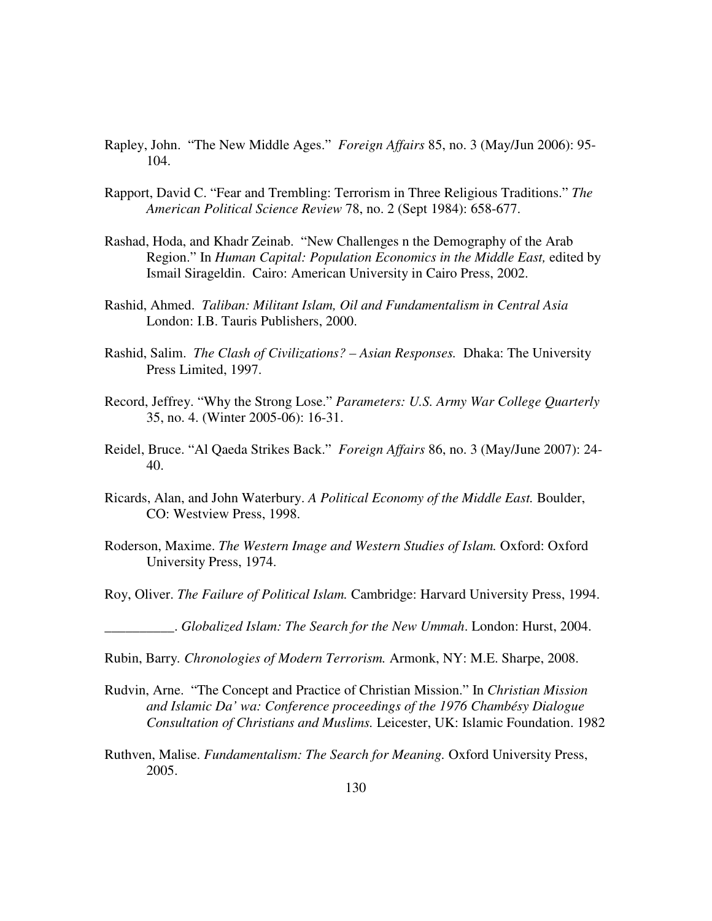- Rapley, John. "The New Middle Ages." *Foreign Affairs* 85, no. 3 (May/Jun 2006): 95- 104.
- Rapport, David C. "Fear and Trembling: Terrorism in Three Religious Traditions." *The American Political Science Review* 78, no. 2 (Sept 1984): 658-677.
- Rashad, Hoda, and Khadr Zeinab. "New Challenges n the Demography of the Arab Region." In *Human Capital: Population Economics in the Middle East,* edited by Ismail Sirageldin. Cairo: American University in Cairo Press, 2002.
- Rashid, Ahmed. *Taliban: Militant Islam, Oil and Fundamentalism in Central Asia* London: I.B. Tauris Publishers, 2000.
- Rashid, Salim. *The Clash of Civilizations? Asian Responses.* Dhaka: The University Press Limited, 1997.
- Record, Jeffrey. "Why the Strong Lose." *Parameters: U.S. Army War College Quarterly*  35, no. 4. (Winter 2005-06): 16-31.
- Reidel, Bruce. "Al Qaeda Strikes Back." *Foreign Affairs* 86, no. 3 (May/June 2007): 24- 40.
- Ricards, Alan, and John Waterbury. *A Political Economy of the Middle East.* Boulder, CO: Westview Press, 1998.
- Roderson, Maxime. *The Western Image and Western Studies of Islam.* Oxford: Oxford University Press, 1974.
- Roy, Oliver. *The Failure of Political Islam.* Cambridge: Harvard University Press, 1994.

\_\_\_\_\_\_\_\_\_\_. *Globalized Islam: The Search for the New Ummah*. London: Hurst, 2004.

- Rubin, Barry*. Chronologies of Modern Terrorism.* Armonk, NY: M.E. Sharpe, 2008.
- Rudvin, Arne. "The Concept and Practice of Christian Mission." In *Christian Mission and Islamic Da' wa: Conference proceedings of the 1976 Chambésy Dialogue Consultation of Christians and Muslims.* Leicester, UK: Islamic Foundation. 1982
- Ruthven, Malise. *Fundamentalism: The Search for Meaning.* Oxford University Press, 2005.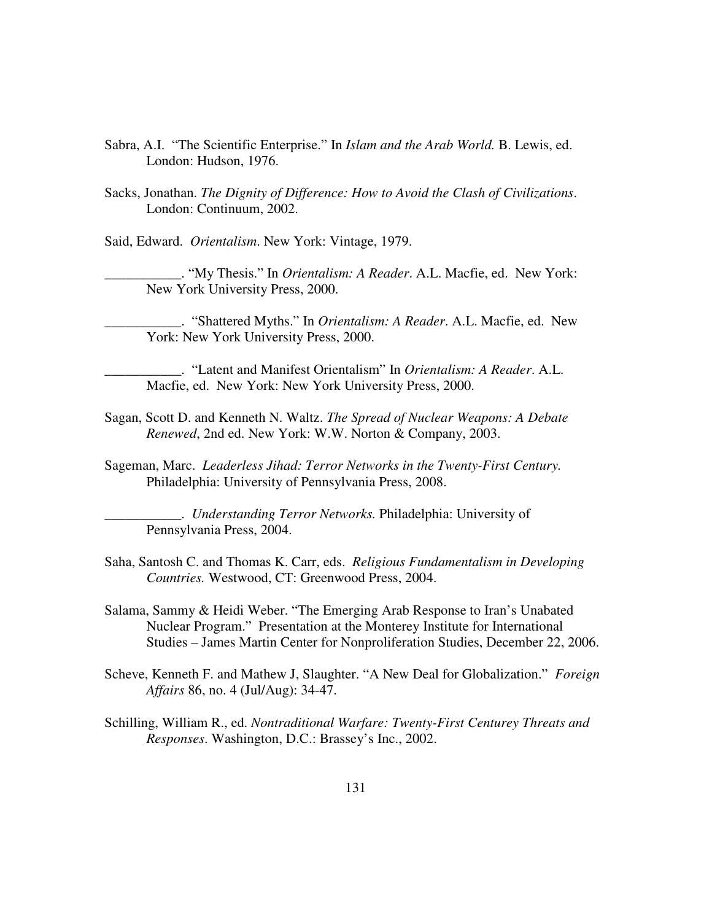- Sabra, A.I. "The Scientific Enterprise." In *Islam and the Arab World.* B. Lewis, ed. London: Hudson, 1976.
- Sacks, Jonathan. *The Dignity of Difference: How to Avoid the Clash of Civilizations*. London: Continuum, 2002.
- Said, Edward. *Orientalism*. New York: Vintage, 1979.

\_\_\_\_\_\_\_\_\_\_\_. "My Thesis." In *Orientalism: A Reader*. A.L. Macfie, ed. New York: New York University Press, 2000.

\_\_\_\_\_\_\_\_\_\_\_. "Shattered Myths." In *Orientalism: A Reader*. A.L. Macfie, ed. New York: New York University Press, 2000.

\_\_\_\_\_\_\_\_\_\_\_. "Latent and Manifest Orientalism" In *Orientalism: A Reader*. A.L. Macfie, ed. New York: New York University Press, 2000.

- Sagan, Scott D. and Kenneth N. Waltz. *The Spread of Nuclear Weapons: A Debate Renewed*, 2nd ed. New York: W.W. Norton & Company, 2003.
- Sageman, Marc. *Leaderless Jihad: Terror Networks in the Twenty-First Century.*  Philadelphia: University of Pennsylvania Press, 2008.

\_\_\_\_\_\_\_\_\_\_\_. *Understanding Terror Networks.* Philadelphia: University of Pennsylvania Press, 2004.

- Saha, Santosh C. and Thomas K. Carr, eds. *Religious Fundamentalism in Developing Countries.* Westwood, CT: Greenwood Press, 2004.
- Salama, Sammy & Heidi Weber. "The Emerging Arab Response to Iran's Unabated Nuclear Program." Presentation at the Monterey Institute for International Studies – James Martin Center for Nonproliferation Studies, December 22, 2006.
- Scheve, Kenneth F. and Mathew J, Slaughter. "A New Deal for Globalization." *Foreign Affairs* 86, no. 4 (Jul/Aug): 34-47.
- Schilling, William R., ed. *Nontraditional Warfare: Twenty-First Centurey Threats and Responses*. Washington, D.C.: Brassey's Inc., 2002.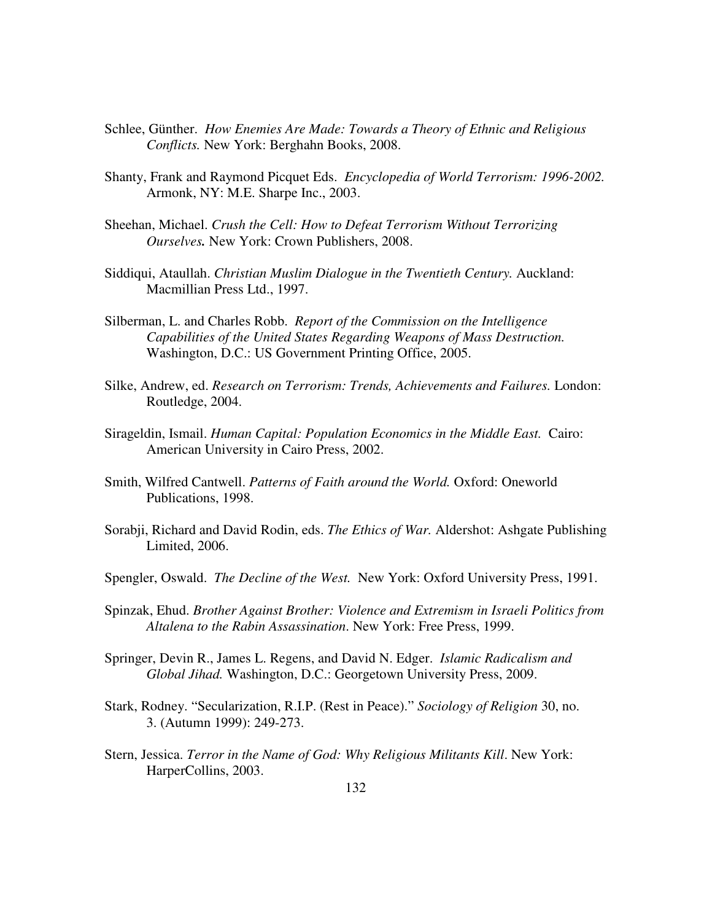- Schlee, Günther. *How Enemies Are Made: Towards a Theory of Ethnic and Religious Conflicts.* New York: Berghahn Books, 2008.
- Shanty, Frank and Raymond Picquet Eds. *Encyclopedia of World Terrorism: 1996-2002.*  Armonk, NY: M.E. Sharpe Inc., 2003.
- Sheehan, Michael. *Crush the Cell: How to Defeat Terrorism Without Terrorizing Ourselves.* New York: Crown Publishers, 2008.
- Siddiqui, Ataullah. *Christian Muslim Dialogue in the Twentieth Century.* Auckland: Macmillian Press Ltd., 1997.
- Silberman, L. and Charles Robb. *Report of the Commission on the Intelligence Capabilities of the United States Regarding Weapons of Mass Destruction.* Washington, D.C.: US Government Printing Office, 2005.
- Silke, Andrew, ed. *Research on Terrorism: Trends, Achievements and Failures.* London: Routledge, 2004.
- Sirageldin, Ismail. *Human Capital: Population Economics in the Middle East.* Cairo: American University in Cairo Press, 2002.
- Smith, Wilfred Cantwell. *Patterns of Faith around the World.* Oxford: Oneworld Publications, 1998.
- Sorabji, Richard and David Rodin, eds. *The Ethics of War.* Aldershot: Ashgate Publishing Limited, 2006.
- Spengler, Oswald. *The Decline of the West.* New York: Oxford University Press, 1991.
- Spinzak, Ehud. *Brother Against Brother: Violence and Extremism in Israeli Politics from Altalena to the Rabin Assassination*. New York: Free Press, 1999.
- Springer, Devin R., James L. Regens, and David N. Edger. *Islamic Radicalism and Global Jihad.* Washington, D.C.: Georgetown University Press, 2009.
- Stark, Rodney. "Secularization, R.I.P. (Rest in Peace)." *Sociology of Religion* 30, no. 3. (Autumn 1999): 249-273.
- Stern, Jessica. *Terror in the Name of God: Why Religious Militants Kill*. New York: HarperCollins, 2003.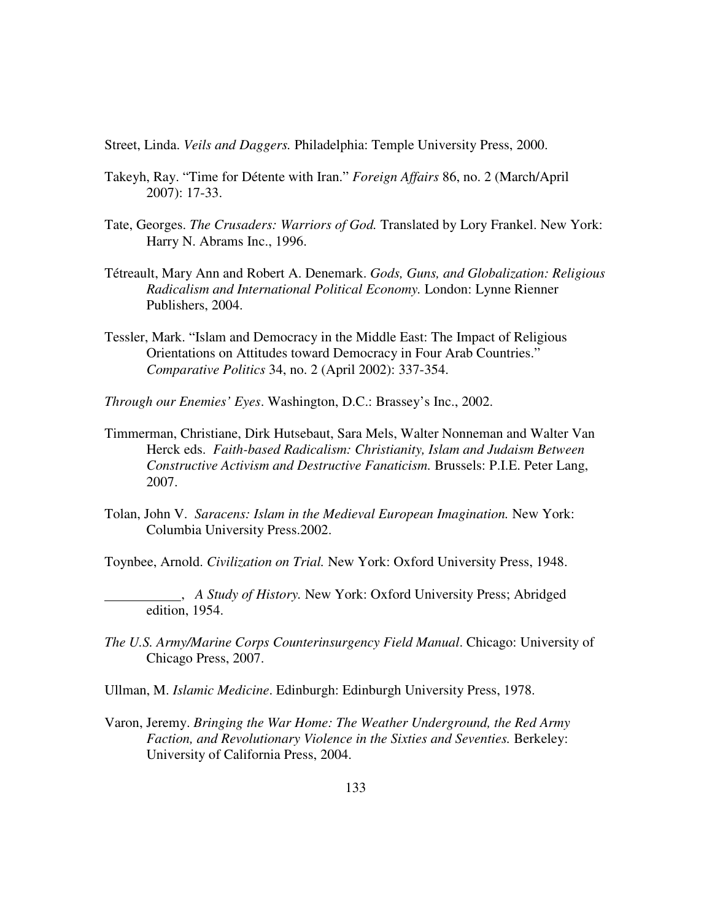Street, Linda. *Veils and Daggers.* Philadelphia: Temple University Press, 2000.

- Takeyh, Ray. "Time for Détente with Iran." *Foreign Affairs* 86, no. 2 (March/April 2007): 17-33.
- Tate, Georges. *The Crusaders: Warriors of God.* Translated by Lory Frankel. New York: Harry N. Abrams Inc., 1996.
- Tétreault, Mary Ann and Robert A. Denemark. *Gods, Guns, and Globalization: Religious Radicalism and International Political Economy.* London: Lynne Rienner Publishers, 2004.
- Tessler, Mark. "Islam and Democracy in the Middle East: The Impact of Religious Orientations on Attitudes toward Democracy in Four Arab Countries." *Comparative Politics* 34, no. 2 (April 2002): 337-354.
- *Through our Enemies' Eyes*. Washington, D.C.: Brassey's Inc., 2002.
- Timmerman, Christiane, Dirk Hutsebaut, Sara Mels, Walter Nonneman and Walter Van Herck eds. *Faith-based Radicalism: Christianity, Islam and Judaism Between Constructive Activism and Destructive Fanaticism.* Brussels: P.I.E. Peter Lang, 2007.
- Tolan, John V. *Saracens: Islam in the Medieval European Imagination.* New York: Columbia University Press.2002.

Toynbee, Arnold. *Civilization on Trial.* New York: Oxford University Press, 1948.

- , *A Study of History.* New York: Oxford University Press; Abridged edition, 1954.
- *The U.S. Army/Marine Corps Counterinsurgency Field Manual*. Chicago: University of Chicago Press, 2007.
- Ullman, M. *Islamic Medicine*. Edinburgh: Edinburgh University Press, 1978.
- Varon, Jeremy. *Bringing the War Home: The Weather Underground, the Red Army Faction, and Revolutionary Violence in the Sixties and Seventies.* Berkeley: University of California Press, 2004.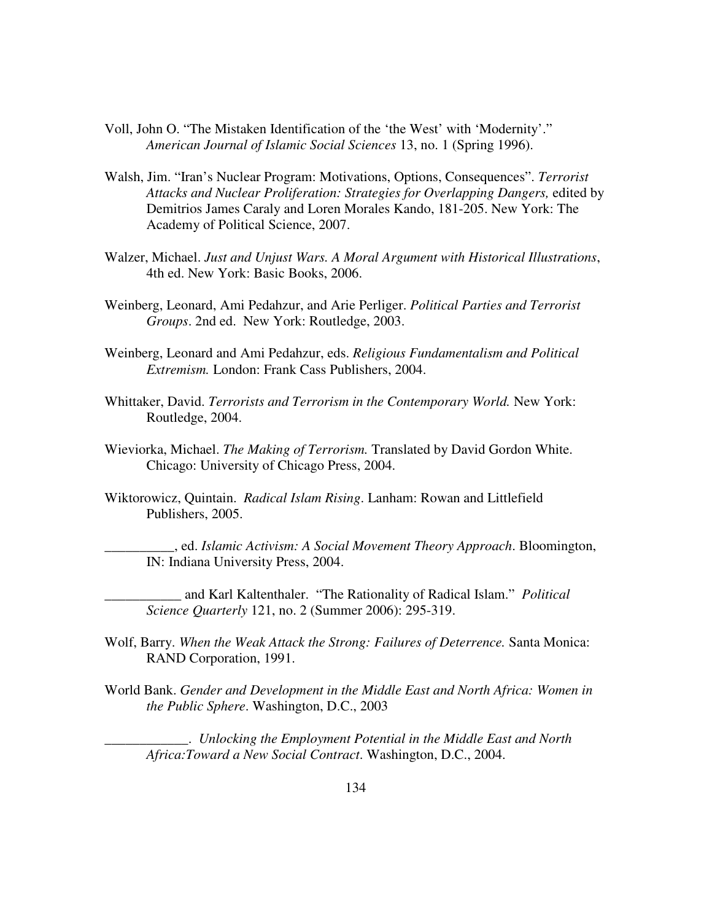- Voll, John O. "The Mistaken Identification of the 'the West' with 'Modernity'." *American Journal of Islamic Social Sciences* 13, no. 1 (Spring 1996).
- Walsh, Jim. "Iran's Nuclear Program: Motivations, Options, Consequences". *Terrorist Attacks and Nuclear Proliferation: Strategies for Overlapping Dangers,* edited by Demitrios James Caraly and Loren Morales Kando, 181-205. New York: The Academy of Political Science, 2007.
- Walzer, Michael. *Just and Unjust Wars. A Moral Argument with Historical Illustrations*, 4th ed. New York: Basic Books, 2006.
- Weinberg, Leonard, Ami Pedahzur, and Arie Perliger. *Political Parties and Terrorist Groups*. 2nd ed. New York: Routledge, 2003.
- Weinberg, Leonard and Ami Pedahzur, eds. *Religious Fundamentalism and Political Extremism.* London: Frank Cass Publishers, 2004.
- Whittaker, David. *Terrorists and Terrorism in the Contemporary World.* New York: Routledge, 2004.
- Wieviorka, Michael. *The Making of Terrorism.* Translated by David Gordon White. Chicago: University of Chicago Press, 2004.
- Wiktorowicz, Quintain. *Radical Islam Rising*. Lanham: Rowan and Littlefield Publishers, 2005.

\_\_\_\_\_\_\_\_\_\_, ed. *Islamic Activism: A Social Movement Theory Approach*. Bloomington, IN: Indiana University Press, 2004.

\_\_\_\_\_\_\_\_\_\_\_ and Karl Kaltenthaler. "The Rationality of Radical Islam." *Political Science Quarterly* 121, no. 2 (Summer 2006): 295-319.

- Wolf, Barry. *When the Weak Attack the Strong: Failures of Deterrence.* Santa Monica: RAND Corporation, 1991.
- World Bank. *Gender and Development in the Middle East and North Africa: Women in the Public Sphere*. Washington, D.C., 2003

\_\_\_\_\_\_\_\_\_\_\_\_. *Unlocking the Employment Potential in the Middle East and North Africa:Toward a New Social Contract*. Washington, D.C., 2004.